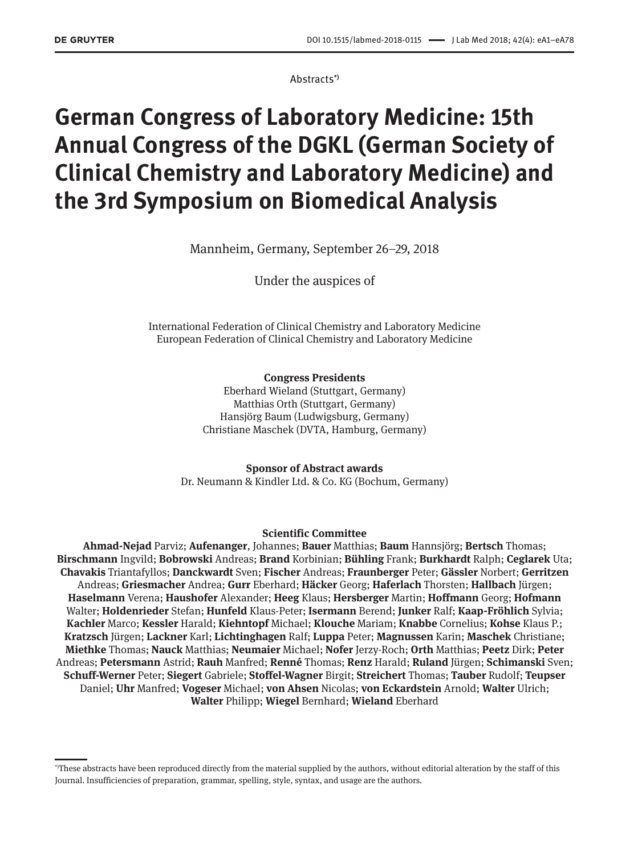Abstracts**\*)**

# **German Congress of Laboratory Medicine: 15th Annual Congress of the DGKL (German Society of Clinical Chemistry and Laboratory Medicine) and the 3rd Symposium on Biomedical Analysis**

Mannheim, Germany, September 26–29, 2018

Under the auspices of

International Federation of Clinical Chemistry and Laboratory Medicine European Federation of Clinical Chemistry and Laboratory Medicine

### **Congress Presidents**

Eberhard Wieland (Stuttgart, Germany) Matthias Orth (Stuttgart, Germany) Hansjörg Baum (Ludwigsburg, Germany) Christiane Maschek (DVTA, Hamburg, Germany)

**Sponsor of Abstract awards** Dr. Neumann & Kindler Ltd. & Co. KG (Bochum, Germany)

### **Scientific Committee**

**Ahmad-Nejad** Parviz; **Aufenanger**, Johannes; **Bauer** Matthias; **Baum** Hannsjörg; **Bertsch** Thomas; **Birschmann** Ingvild; **Bobrowski** Andreas; **Brand** Korbinian; **Bühling** Frank; **Burkhardt** Ralph; **Ceglarek** Uta; **Chavakis** Triantafyllos; **Danckwardt** Sven; **Fischer** Andreas; **Fraunberger** Peter; **Gässler** Norbert; **Gerritzen** Andreas; **Griesmacher** Andrea; **Gurr** Eberhard; **Häcker** Georg; **Haferlach** Thorsten; **Hallbach** Jürgen; **Haselmann** Verena; **Haushofer** Alexander; **Heeg** Klaus; **Hersberger** Martin; **Hoffmann** Georg; **Hofmann** Walter; **Holdenrieder** Stefan; **Hunfeld** Klaus-Peter; **Isermann** Berend; **Junker** Ralf; **Kaap-Fröhlich** Sylvia; **Kachler** Marco; **Kessler** Harald; **Kiehntopf** Michael; **Klouche** Mariam; **Knabbe** Cornelius; **Kohse** Klaus P.; **Kratzsch** Jürgen; **Lackner** Karl; **Lichtinghagen** Ralf; **Luppa** Peter; **Magnussen** Karin; **Maschek** Christiane; **Miethke** Thomas; **Nauck** Matthias; **Neumaier** Michael; **Nofer** Jerzy-Roch; **Orth** Matthias; **Peetz** Dirk; **Peter** Andreas; **Petersmann** Astrid; **Rauh** Manfred; **Renné** Thomas; **Renz** Harald; **Ruland** Jürgen; **Schimanski** Sven; **Schuff-Werner** Peter; **Siegert** Gabriele; **Stoffel-Wagner** Birgit; **Streichert** Thomas; **Tauber** Rudolf; **Teupser** Daniel; **Uhr** Manfred; **Vogeser** Michael; **von Ahsen** Nicolas; **von Eckardstein** Arnold; **Walter** Ulrich; **Walter** Philipp; **Wiegel** Bernhard; **Wieland** Eberhard

<sup>\*)</sup>These abstracts have been reproduced directly from the material supplied by the authors, without editorial alteration by the staff of this Journal. Insufficiencies of preparation, grammar, spelling, style, syntax, and usage are the authors.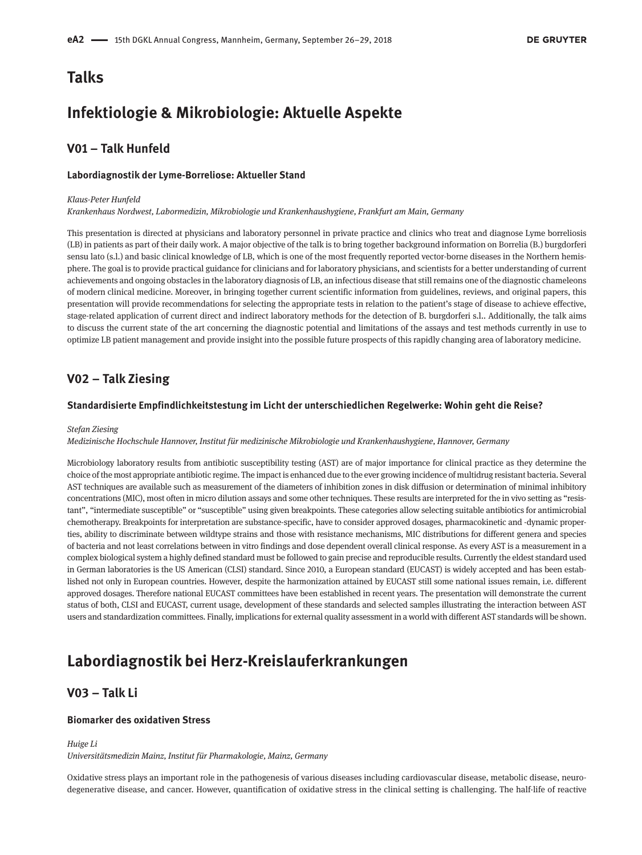## **Talks**

## **Infektiologie & Mikrobiologie: Aktuelle Aspekte**

### **V01 – Talk Hunfeld**

#### **Labordiagnostik der Lyme-Borreliose: Aktueller Stand**

#### *Klaus-Peter Hunfeld*

*Krankenhaus Nordwest, Labormedizin, Mikrobiologie und Krankenhaushygiene, Frankfurt am Main, Germany*

This presentation is directed at physicians and laboratory personnel in private practice and clinics who treat and diagnose Lyme borreliosis (LB) in patients as part of their daily work. A major objective of the talk is to bring together background information on Borrelia (B.) burgdorferi sensu lato (s.l.) and basic clinical knowledge of LB, which is one of the most frequently reported vector-borne diseases in the Northern hemisphere. The goal is to provide practical guidance for clinicians and for laboratory physicians, and scientists for a better understanding of current achievements and ongoing obstacles in the laboratory diagnosis of LB, an infectious disease that still remains one of the diagnostic chameleons of modern clinical medicine. Moreover, in bringing together current scientific information from guidelines, reviews, and original papers, this presentation will provide recommendations for selecting the appropriate tests in relation to the patient's stage of disease to achieve effective, stage-related application of current direct and indirect laboratory methods for the detection of B. burgdorferi s.l.. Additionally, the talk aims to discuss the current state of the art concerning the diagnostic potential and limitations of the assays and test methods currently in use to optimize LB patient management and provide insight into the possible future prospects of this rapidly changing area of laboratory medicine.

### **V02 – Talk Ziesing**

#### **Standardisierte Empfindlichkeitstestung im Licht der unterschiedlichen Regelwerke: Wohin geht die Reise?**

#### *Stefan Ziesing*

*Medizinische Hochschule Hannover, Institut für medizinische Mikrobiologie und Krankenhaushygiene, Hannover, Germany*

Microbiology laboratory results from antibiotic susceptibility testing (AST) are of major importance for clinical practice as they determine the choice of the most appropriate antibiotic regime. The impact is enhanced due to the ever growing incidence of multidrug resistant bacteria. Several AST techniques are available such as measurement of the diameters of inhibition zones in disk diffusion or determination of minimal inhibitory concentrations (MIC), most often in micro dilution assays and some other techniques. These results are interpreted for the in vivo setting as "resistant", "intermediate susceptible" or "susceptible" using given breakpoints. These categories allow selecting suitable antibiotics for antimicrobial chemotherapy. Breakpoints for interpretation are substance-specific, have to consider approved dosages, pharmacokinetic and -dynamic properties, ability to discriminate between wildtype strains and those with resistance mechanisms, MIC distributions for different genera and species of bacteria and not least correlations between in vitro findings and dose dependent overall clinical response. As every AST is a measurement in a complex biological system a highly defined standard must be followed to gain precise and reproducible results. Currently the eldest standard used in German laboratories is the US American (CLSI) standard. Since 2010, a European standard (EUCAST) is widely accepted and has been established not only in European countries. However, despite the harmonization attained by EUCAST still some national issues remain, i.e. different approved dosages. Therefore national EUCAST committees have been established in recent years. The presentation will demonstrate the current status of both, CLSI and EUCAST, current usage, development of these standards and selected samples illustrating the interaction between AST users and standardization committees. Finally, implications for external quality assessment in a world with different AST standards will be shown.

## **Labordiagnostik bei Herz-Kreislauferkrankungen**

### **V03 – Talk Li**

#### **Biomarker des oxidativen Stress**

#### *Huige Li*

*Universitätsmedizin Mainz, Institut für Pharmakologie, Mainz, Germany*

Oxidative stress plays an important role in the pathogenesis of various diseases including cardiovascular disease, metabolic disease, neurodegenerative disease, and cancer. However, quantification of oxidative stress in the clinical setting is challenging. The half-life of reactive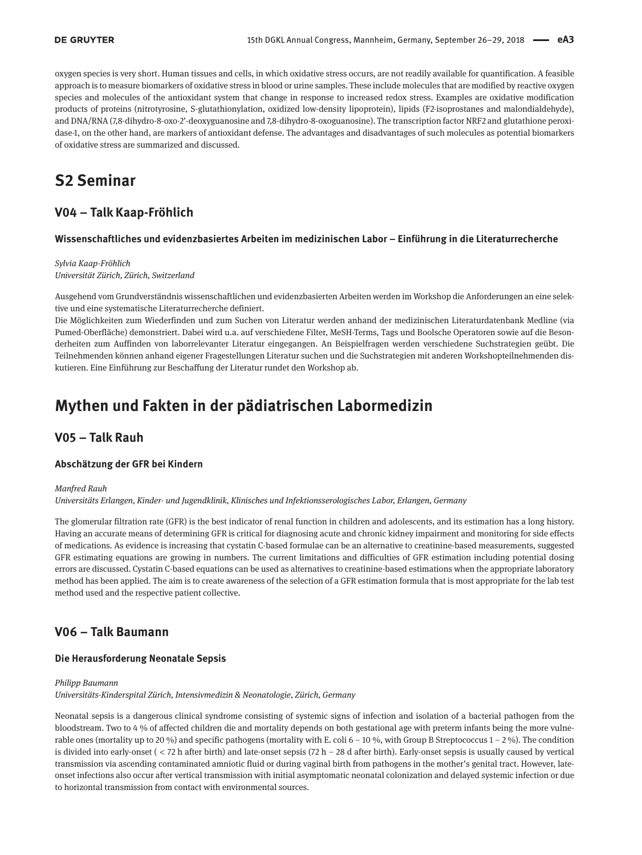oxygen species is very short. Human tissues and cells, in which oxidative stress occurs, are not readily available for quantification. A feasible approach is to measure biomarkers of oxidative stress in blood or urine samples. These include molecules that are modified by reactive oxygen species and molecules of the antioxidant system that change in response to increased redox stress. Examples are oxidative modification products of proteins (nitrotyrosine, S-glutathionylation, oxidized low-density lipoprotein), lipids (F2-isoprostanes and malondialdehyde), and DNA/RNA (7,8-dihydro-8-oxo-2'-deoxyguanosine and 7,8-dihydro-8-oxoguanosine). The transcription factor NRF2 and glutathione peroxidase-1, on the other hand, are markers of antioxidant defense. The advantages and disadvantages of such molecules as potential biomarkers of oxidative stress are summarized and discussed.

## **S2 Seminar**

### **V04 – Talk Kaap-Fröhlich**

#### **Wissenschaftliches und evidenzbasiertes Arbeiten im medizinischen Labor – Einführung in die Literaturrecherche**

*Sylvia Kaap-Fröhlich Universität Zürich, Zürich, Switzerland*

Ausgehend vom Grundverständnis wissenschaftlichen und evidenzbasierten Arbeiten werden im Workshop die Anforderungen an eine selektive und eine systematische Literaturrecherche definiert.

Die Möglichkeiten zum Wiederfinden und zum Suchen von Literatur werden anhand der medizinischen Literaturdatenbank Medline (via Pumed-Oberfläche) demonstriert. Dabei wird u.a. auf verschiedene Filter, MeSH-Terms, Tags und Boolsche Operatoren sowie auf die Besonderheiten zum Auffinden von laborrelevanter Literatur eingegangen. An Beispielfragen werden verschiedene Suchstrategien geübt. Die Teilnehmenden können anhand eigener Fragestellungen Literatur suchen und die Suchstrategien mit anderen Workshopteilnehmenden diskutieren. Eine Einführung zur Beschaffung der Literatur rundet den Workshop ab.

## **Mythen und Fakten in der pädiatrischen Labormedizin**

### **V05 – Talk Rauh**

#### **Abschätzung der GFR bei Kindern**

*Manfred Rauh Universitäts Erlangen, Kinder- und Jugendklinik, Klinisches und Infektionsserologisches Labor, Erlangen, Germany*

The glomerular filtration rate (GFR) is the best indicator of renal function in children and adolescents, and its estimation has a long history. Having an accurate means of determining GFR is critical for diagnosing acute and chronic kidney impairment and monitoring for side effects of medications. As evidence is increasing that cystatin C-based formulae can be an alternative to creatinine-based measurements, suggested GFR estimating equations are growing in numbers. The current limitations and difficulties of GFR estimation including potential dosing errors are discussed. Cystatin C-based equations can be used as alternatives to creatinine-based estimations when the appropriate laboratory method has been applied. The aim is to create awareness of the selection of a GFR estimation formula that is most appropriate for the lab test method used and the respective patient collective.

### **V06 – Talk Baumann**

#### **Die Herausforderung Neonatale Sepsis**

#### *Philipp Baumann*

*Universitäts-Kinderspital Zürich, Intensivmedizin & Neonatologie, Zürich, Germany*

Neonatal sepsis is a dangerous clinical syndrome consisting of systemic signs of infection and isolation of a bacterial pathogen from the bloodstream. Two to 4 % of affected children die and mortality depends on both gestational age with preterm infants being the more vulnerable ones (mortality up to 20 %) and specific pathogens (mortality with E. coli 6 – 10 %, with Group B Streptococcus  $1 - 2$  %). The condition is divided into early-onset (  <  72 h after birth) and late-onset sepsis (72 h – 28 d after birth). Early-onset sepsis is usually caused by vertical transmission via ascending contaminated amniotic fluid or during vaginal birth from pathogens in the mother's genital tract. However, lateonset infections also occur after vertical transmission with initial asymptomatic neonatal colonization and delayed systemic infection or due to horizontal transmission from contact with environmental sources.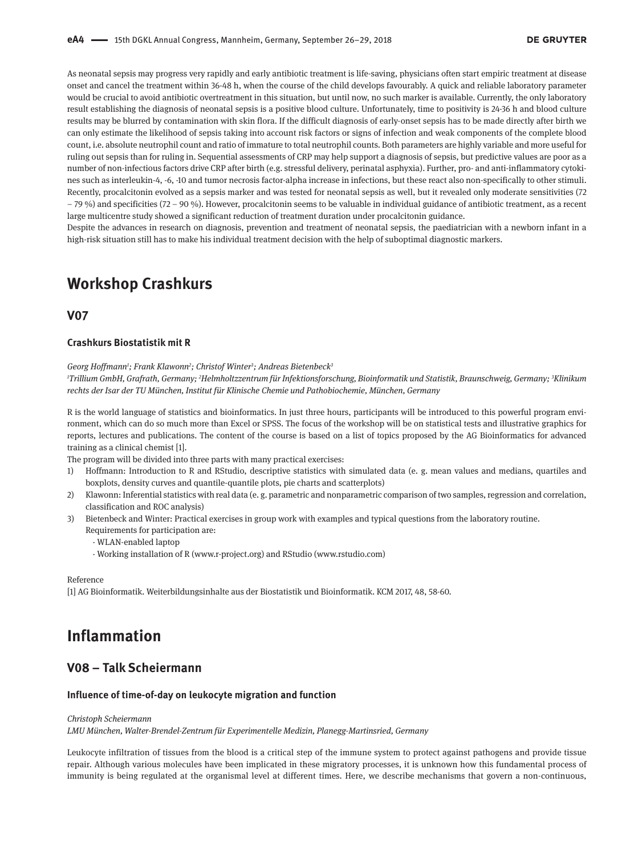As neonatal sepsis may progress very rapidly and early antibiotic treatment is life-saving, physicians often start empiric treatment at disease onset and cancel the treatment within 36-48 h, when the course of the child develops favourably. A quick and reliable laboratory parameter would be crucial to avoid antibiotic overtreatment in this situation, but until now, no such marker is available. Currently, the only laboratory result establishing the diagnosis of neonatal sepsis is a positive blood culture. Unfortunately, time to positivity is 24-36 h and blood culture results may be blurred by contamination with skin flora. If the difficult diagnosis of early-onset sepsis has to be made directly after birth we can only estimate the likelihood of sepsis taking into account risk factors or signs of infection and weak components of the complete blood count, i.e. absolute neutrophil count and ratio of immature to total neutrophil counts. Both parameters are highly variable and more useful for ruling out sepsis than for ruling in. Sequential assessments of CRP may help support a diagnosis of sepsis, but predictive values are poor as a number of non-infectious factors drive CRP after birth (e.g. stressful delivery, perinatal asphyxia). Further, pro- and anti-inflammatory cytokines such as interleukin-4, -6, -10 and tumor necrosis factor-alpha increase in infections, but these react also non-specifically to other stimuli. Recently, procalcitonin evolved as a sepsis marker and was tested for neonatal sepsis as well, but it revealed only moderate sensitivities (72 – 79 %) and specificities (72 – 90 %). However, procalcitonin seems to be valuable in individual guidance of antibiotic treatment, as a recent large multicentre study showed a significant reduction of treatment duration under procalcitonin guidance.

Despite the advances in research on diagnosis, prevention and treatment of neonatal sepsis, the paediatrician with a newborn infant in a high-risk situation still has to make his individual treatment decision with the help of suboptimal diagnostic markers.

## **Workshop Crashkurs**

**V07**

#### **Crashkurs Biostatistik mit R**

*Georg Hoffmann1 ; Frank Klawonn2 ; Christof Winter3 ; Andreas Bietenbeck3*

*1 Trillium GmbH, Grafrath, Germany; 2 Helmholtzzentrum für Infektionsforschung, Bioinformatik und Statistik, Braunschweig, Germany; 3 Klinikum rechts der Isar der TU München, Institut für Klinische Chemie und Pathobiochemie, München, Germany*

R is the world language of statistics and bioinformatics. In just three hours, participants will be introduced to this powerful program environment, which can do so much more than Excel or SPSS. The focus of the workshop will be on statistical tests and illustrative graphics for reports, lectures and publications. The content of the course is based on a list of topics proposed by the AG Bioinformatics for advanced training as a clinical chemist [1].

The program will be divided into three parts with many practical exercises:

- 1) Hoffmann: Introduction to R and RStudio, descriptive statistics with simulated data (e. g. mean values and medians, quartiles and boxplots, density curves and quantile-quantile plots, pie charts and scatterplots)
- 2) Klawonn: Inferential statistics with real data (e. g. parametric and nonparametric comparison of two samples, regression and correlation, classification and ROC analysis)
- 3) Bietenbeck and Winter: Practical exercises in group work with examples and typical questions from the laboratory routine.
	- Requirements for participation are:
		- WLAN-enabled laptop
		- Working installation of R [\(www.r-project.org\)](http://www.r-project.org) and RStudio [\(www.rstudio.com\)](http://www.rstudio.com)

Reference

[1] AG Bioinformatik. Weiterbildungsinhalte aus der Biostatistik und Bioinformatik. KCM 2017, 48, 58-60.

## **Inflammation**

### **V08 – Talk Scheiermann**

#### **Influence of time-of-day on leukocyte migration and function**

#### *Christoph Scheiermann*

*LMU München, Walter-Brendel-Zentrum für Experimentelle Medizin, Planegg-Martinsried, Germany*

Leukocyte infiltration of tissues from the blood is a critical step of the immune system to protect against pathogens and provide tissue repair. Although various molecules have been implicated in these migratory processes, it is unknown how this fundamental process of immunity is being regulated at the organismal level at different times. Here, we describe mechanisms that govern a non-continuous,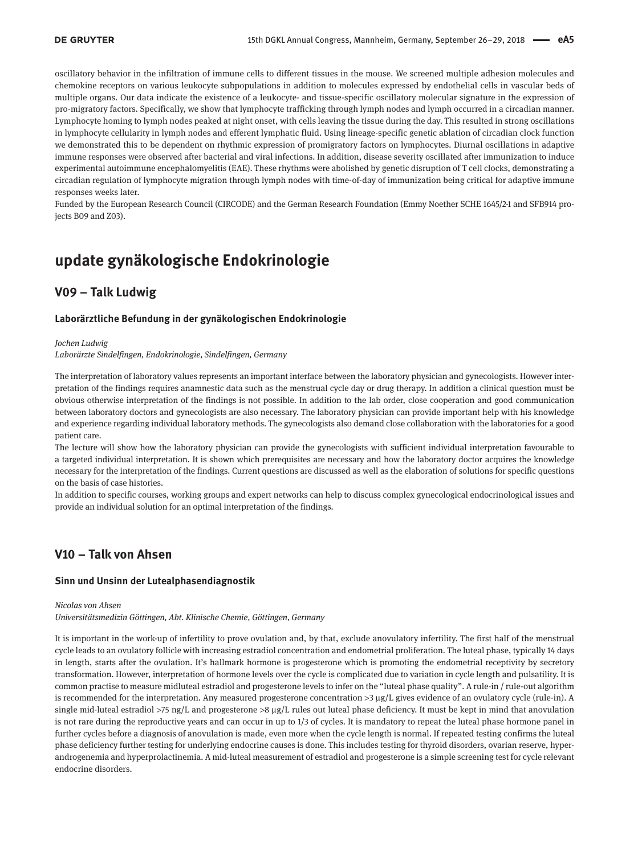oscillatory behavior in the infiltration of immune cells to different tissues in the mouse. We screened multiple adhesion molecules and chemokine receptors on various leukocyte subpopulations in addition to molecules expressed by endothelial cells in vascular beds of multiple organs. Our data indicate the existence of a leukocyte- and tissue-specific oscillatory molecular signature in the expression of pro-migratory factors. Specifically, we show that lymphocyte trafficking through lymph nodes and lymph occurred in a circadian manner. Lymphocyte homing to lymph nodes peaked at night onset, with cells leaving the tissue during the day. This resulted in strong oscillations in lymphocyte cellularity in lymph nodes and efferent lymphatic fluid. Using lineage-specific genetic ablation of circadian clock function we demonstrated this to be dependent on rhythmic expression of promigratory factors on lymphocytes. Diurnal oscillations in adaptive immune responses were observed after bacterial and viral infections. In addition, disease severity oscillated after immunization to induce experimental autoimmune encephalomyelitis (EAE). These rhythms were abolished by genetic disruption of T cell clocks, demonstrating a circadian regulation of lymphocyte migration through lymph nodes with time-of-day of immunization being critical for adaptive immune responses weeks later.

Funded by the European Research Council (CIRCODE) and the German Research Foundation (Emmy Noether SCHE 1645/2-1 and SFB914 projects B09 and Z03).

## **update gynäkologische Endokrinologie**

### **V09 – Talk Ludwig**

#### **Laborärztliche Befundung in der gynäkologischen Endokrinologie**

#### *Jochen Ludwig*

*Laborärzte Sindelfingen, Endokrinologie, Sindelfingen, Germany*

The interpretation of laboratory values represents an important interface between the laboratory physician and gynecologists. However interpretation of the findings requires anamnestic data such as the menstrual cycle day or drug therapy. In addition a clinical question must be obvious otherwise interpretation of the findings is not possible. In addition to the lab order, close cooperation and good communication between laboratory doctors and gynecologists are also necessary. The laboratory physician can provide important help with his knowledge and experience regarding individual laboratory methods. The gynecologists also demand close collaboration with the laboratories for a good patient care.

The lecture will show how the laboratory physician can provide the gynecologists with sufficient individual interpretation favourable to a targeted individual interpretation. It is shown which prerequisites are necessary and how the laboratory doctor acquires the knowledge necessary for the interpretation of the findings. Current questions are discussed as well as the elaboration of solutions for specific questions on the basis of case histories.

In addition to specific courses, working groups and expert networks can help to discuss complex gynecological endocrinological issues and provide an individual solution for an optimal interpretation of the findings.

### **V10 – Talk von Ahsen**

#### **Sinn und Unsinn der Lutealphasendiagnostik**

#### *Nicolas von Ahsen*

*Universitätsmedizin Göttingen, Abt. Klinische Chemie, Göttingen, Germany*

It is important in the work-up of infertility to prove ovulation and, by that, exclude anovulatory infertility. The first half of the menstrual cycle leads to an ovulatory follicle with increasing estradiol concentration and endometrial proliferation. The luteal phase, typically 14 days in length, starts after the ovulation. It's hallmark hormone is progesterone which is promoting the endometrial receptivity by secretory transformation. However, interpretation of hormone levels over the cycle is complicated due to variation in cycle length and pulsatility. It is common practise to measure midluteal estradiol and progesterone levels to infer on the "luteal phase quality". A rule-in / rule-out algorithm is recommended for the interpretation. Any measured progesterone concentration >3 μg/L gives evidence of an ovulatory cycle (rule-in). A single mid-luteal estradiol >75 ng/L and progesterone >8 μg/L rules out luteal phase deficiency. It must be kept in mind that anovulation is not rare during the reproductive years and can occur in up to 1/3 of cycles. It is mandatory to repeat the luteal phase hormone panel in further cycles before a diagnosis of anovulation is made, even more when the cycle length is normal. If repeated testing confirms the luteal phase deficiency further testing for underlying endocrine causes is done. This includes testing for thyroid disorders, ovarian reserve, hyperandrogenemia and hyperprolactinemia. A mid-luteal measurement of estradiol and progesterone is a simple screening test for cycle relevant endocrine disorders.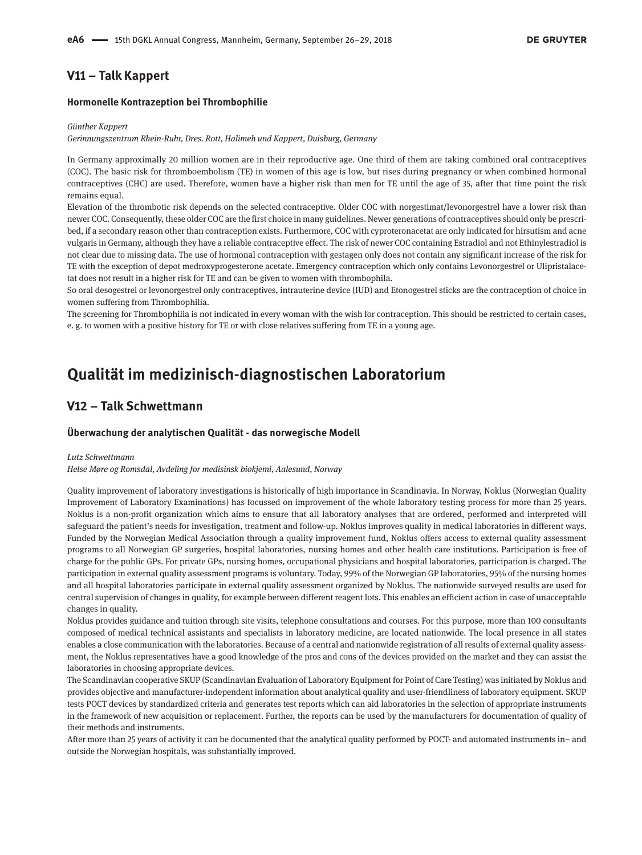### **V11 – Talk Kappert**

#### **Hormonelle Kontrazeption bei Thrombophilie**

#### *Günther Kappert*

*Gerinnungszentrum Rhein-Ruhr, Dres. Rott, Halimeh und Kappert, Duisburg, Germany*

In Germany approximally 20 million women are in their reproductive age. One third of them are taking combined oral contraceptives (COC). The basic risk for thromboembolism (TE) in women of this age is low, but rises during pregnancy or when combined hormonal contraceptives (CHC) are used. Therefore, women have a higher risk than men for TE until the age of 35, after that time point the risk remains equal.

Elevation of the thrombotic risk depends on the selected contraceptive. Older COC with norgestimat/levonorgestrel have a lower risk than newer COC. Consequently, these older COC are the first choice in many guidelines. Newer generations of contraceptives should only be prescribed, if a secondary reason other than contraception exists. Furthermore, COC with cyproteronacetat are only indicated for hirsutism and acne vulgaris in Germany, although they have a reliable contraceptive effect. The risk of newer COC containing Estradiol and not Ethinylestradiol is not clear due to missing data. The use of hormonal contraception with gestagen only does not contain any significant increase of the risk for TE with the exception of depot medroxyprogesterone acetate. Emergency contraception which only contains Levonorgestrel or Ulipristalacetat does not result in a higher risk for TE and can be given to women with thrombophila.

So oral desogestrel or levonorgestrel only contraceptives, intrauterine device (IUD) and Etonogestrel sticks are the contraception of choice in women suffering from Thrombophilia.

The screening for Thrombophilia is not indicated in every woman with the wish for contraception. This should be restricted to certain cases, e. g. to women with a positive history for TE or with close relatives suffering from TE in a young age.

## **Qualität im medizinisch-diagnostischen Laboratorium**

### **V12 – Talk Schwettmann**

#### **Überwachung der analytischen Qualität - das norwegische Modell**

#### *Lutz Schwettmann*

*Helse Møre og Romsdal, Avdeling for medisinsk biokjemi, Aalesund, Norway*

Quality improvement of laboratory investigations is historically of high importance in Scandinavia. In Norway, Noklus (Norwegian Quality Improvement of Laboratory Examinations) has focussed on improvement of the whole laboratory testing process for more than 25 years. Noklus is a non-profit organization which aims to ensure that all laboratory analyses that are ordered, performed and interpreted will safeguard the patient's needs for investigation, treatment and follow-up. Noklus improves quality in medical laboratories in different ways. Funded by the Norwegian Medical Association through a quality improvement fund, Noklus offers access to external quality assessment programs to all Norwegian GP surgeries, hospital laboratories, nursing homes and other health care institutions. Participation is free of charge for the public GPs. For private GPs, nursing homes, occupational physicians and hospital laboratories, participation is charged. The participation in external quality assessment programs is voluntary. Today, 99% of the Norwegian GP laboratories, 95% of the nursing homes and all hospital laboratories participate in external quality assessment organized by Noklus. The nationwide surveyed results are used for central supervision of changes in quality, for example between different reagent lots. This enables an efficient action in case of unacceptable changes in quality.

Noklus provides guidance and tuition through site visits, telephone consultations and courses. For this purpose, more than 100 consultants composed of medical technical assistants and specialists in laboratory medicine, are located nationwide. The local presence in all states enables a close communication with the laboratories. Because of a central and nationwide registration of all results of external quality assessment, the Noklus representatives have a good knowledge of the pros and cons of the devices provided on the market and they can assist the laboratories in choosing appropriate devices.

The Scandinavian cooperative SKUP (Scandinavian Evaluation of Laboratory Equipment for Point of Care Testing) was initiated by Noklus and provides objective and manufacturer-independent information about analytical quality and user-friendliness of laboratory equipment. SKUP tests POCT devices by standardized criteria and generates test reports which can aid laboratories in the selection of appropriate instruments in the framework of new acquisition or replacement. Further, the reports can be used by the manufacturers for documentation of quality of their methods and instruments.

After more than 25 years of activity it can be documented that the analytical quality performed by POCT- and automated instruments in– and outside the Norwegian hospitals, was substantially improved.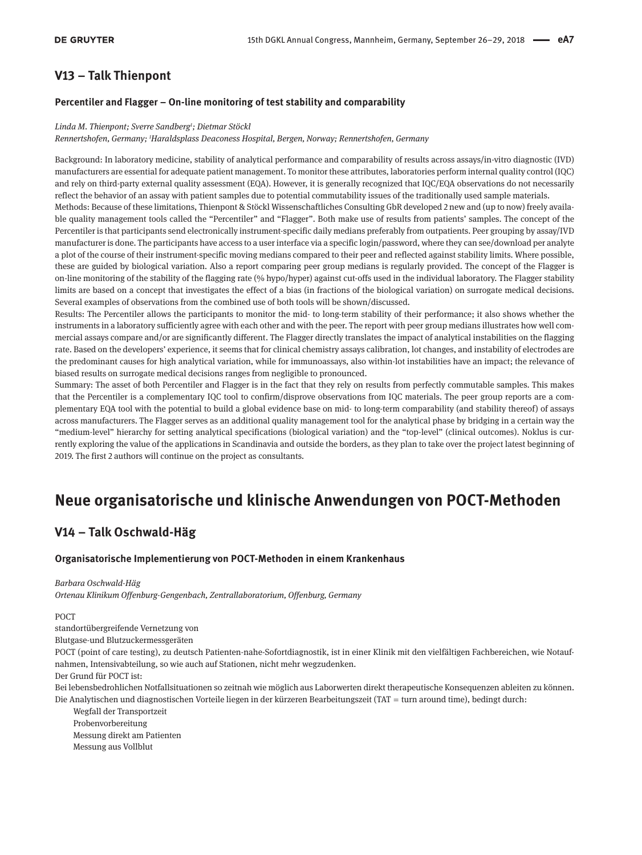### **V13 – Talk Thienpont**

### **Percentiler and Flagger – On-line monitoring of test stability and comparability**

#### *Linda M. Thienpont; Sverre Sandberg1 ; Dietmar Stöckl*

*Rennertshofen, Germany; 1 Haraldsplass Deaconess Hospital, Bergen, Norway; Rennertshofen, Germany*

Background: In laboratory medicine, stability of analytical performance and comparability of results across assays/in-vitro diagnostic (IVD) manufacturers are essential for adequate patient management. To monitor these attributes, laboratories perform internal quality control (IQC) and rely on third-party external quality assessment (EQA). However, it is generally recognized that IQC/EQA observations do not necessarily reflect the behavior of an assay with patient samples due to potential commutability issues of the traditionally used sample materials.

Methods: Because of these limitations, Thienpont & Stöckl Wissenschaftliches Consulting GbR developed 2 new and (up to now) freely available quality management tools called the "Percentiler" and "Flagger". Both make use of results from patients' samples. The concept of the Percentiler is that participants send electronically instrument-specific daily medians preferably from outpatients. Peer grouping by assay/IVD manufacturer is done. The participants have access to a user interface via a specific login/password, where they can see/download per analyte a plot of the course of their instrument-specific moving medians compared to their peer and reflected against stability limits. Where possible, these are guided by biological variation. Also a report comparing peer group medians is regularly provided. The concept of the Flagger is on-line monitoring of the stability of the flagging rate (% hypo/hyper) against cut-offs used in the individual laboratory. The Flagger stability limits are based on a concept that investigates the effect of a bias (in fractions of the biological variation) on surrogate medical decisions. Several examples of observations from the combined use of both tools will be shown/discussed.

Results: The Percentiler allows the participants to monitor the mid- to long-term stability of their performance; it also shows whether the instruments in a laboratory sufficiently agree with each other and with the peer. The report with peer group medians illustrates how well commercial assays compare and/or are significantly different. The Flagger directly translates the impact of analytical instabilities on the flagging rate. Based on the developers' experience, it seems that for clinical chemistry assays calibration, lot changes, and instability of electrodes are the predominant causes for high analytical variation, while for immunoassays, also within-lot instabilities have an impact; the relevance of biased results on surrogate medical decisions ranges from negligible to pronounced.

Summary: The asset of both Percentiler and Flagger is in the fact that they rely on results from perfectly commutable samples. This makes that the Percentiler is a complementary IQC tool to confirm/disprove observations from IQC materials. The peer group reports are a complementary EQA tool with the potential to build a global evidence base on mid- to long-term comparability (and stability thereof) of assays across manufacturers. The Flagger serves as an additional quality management tool for the analytical phase by bridging in a certain way the "medium-level" hierarchy for setting analytical specifications (biological variation) and the "top-level" (clinical outcomes). Noklus is currently exploring the value of the applications in Scandinavia and outside the borders, as they plan to take over the project latest beginning of 2019. The first 2 authors will continue on the project as consultants.

## **Neue organisatorische und klinische Anwendungen von POCT-Methoden**

### **V14 – Talk Oschwald-Häg**

#### **Organisatorische Implementierung von POCT-Methoden in einem Krankenhaus**

*Barbara Oschwald-Häg*

*Ortenau Klinikum Offenburg-Gengenbach, Zentrallaboratorium, Offenburg, Germany*

POCT

standortübergreifende Vernetzung von

Blutgase-und Blutzuckermessgeräten

POCT (point of care testing), zu deutsch Patienten-nahe-Sofortdiagnostik, ist in einer Klinik mit den vielfältigen Fachbereichen, wie Notaufnahmen, Intensivabteilung, so wie auch auf Stationen, nicht mehr wegzudenken.

Der Grund für POCT ist:

Bei lebensbedrohlichen Notfallsituationen so zeitnah wie möglich aus Laborwerten direkt therapeutische Konsequenzen ableiten zu können. Die Analytischen und diagnostischen Vorteile liegen in der kürzeren Bearbeitungszeit (TAT  =  turn around time), bedingt durch:

Wegfall der Transportzeit Probenvorbereitung Messung direkt am Patienten

Messung aus Vollblut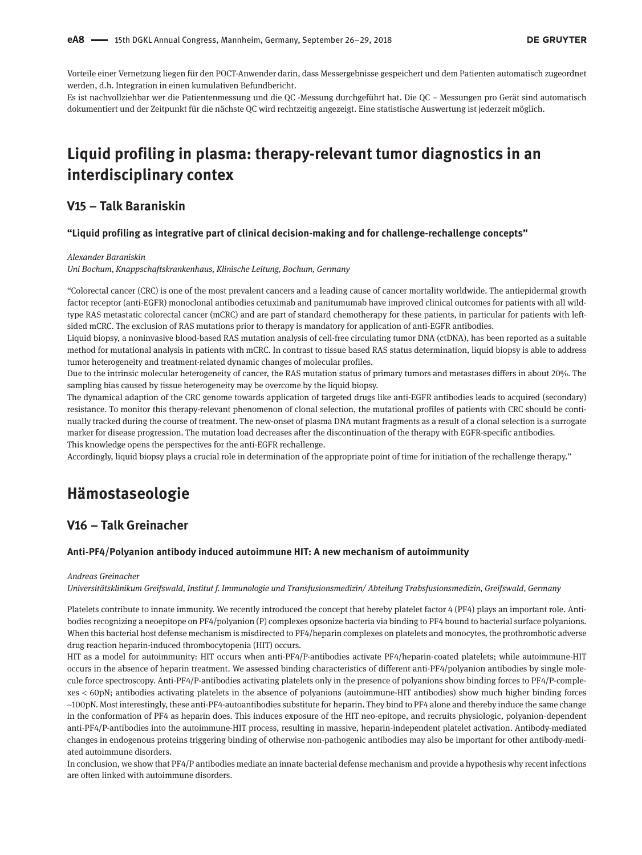Vorteile einer Vernetzung liegen für den POCT-Anwender darin, dass Messergebnisse gespeichert und dem Patienten automatisch zugeordnet werden, d.h. Integration in einen kumulativen Befundbericht.

Es ist nachvollziehbar wer die Patientenmessung und die QC -Messung durchgeführt hat. Die QC – Messungen pro Gerät sind automatisch dokumentiert und der Zeitpunkt für die nächste QC wird rechtzeitig angezeigt. Eine statistische Auswertung ist jederzeit möglich.

## **Liquid profiling in plasma: therapy-relevant tumor diagnostics in an interdisciplinary contex**

### **V15 – Talk Baraniskin**

**"Liquid profiling as integrative part of clinical decision-making and for challenge-rechallenge concepts"**

*Alexander Baraniskin*

*Uni Bochum, Knappschaftskrankenhaus, Klinische Leitung, Bochum, Germany*

"Colorectal cancer (CRC) is one of the most prevalent cancers and a leading cause of cancer mortality worldwide. The antiepidermal growth factor receptor (anti-EGFR) monoclonal antibodies cetuximab and panitumumab have improved clinical outcomes for patients with all wildtype RAS metastatic colorectal cancer (mCRC) and are part of standard chemotherapy for these patients, in particular for patients with leftsided mCRC. The exclusion of RAS mutations prior to therapy is mandatory for application of anti-EGFR antibodies.

Liquid biopsy, a noninvasive blood-based RAS mutation analysis of cell-free circulating tumor DNA (ctDNA), has been reported as a suitable method for mutational analysis in patients with mCRC. In contrast to tissue based RAS status determination, liquid biopsy is able to address tumor heterogeneity and treatment-related dynamic changes of molecular profiles.

Due to the intrinsic molecular heterogeneity of cancer, the RAS mutation status of primary tumors and metastases differs in about 20%. The sampling bias caused by tissue heterogeneity may be overcome by the liquid biopsy.

The dynamical adaption of the CRC genome towards application of targeted drugs like anti-EGFR antibodies leads to acquired (secondary) resistance. To monitor this therapy-relevant phenomenon of clonal selection, the mutational profiles of patients with CRC should be continually tracked during the course of treatment. The new-onset of plasma DNA mutant fragments as a result of a clonal selection is a surrogate marker for disease progression. The mutation load decreases after the discontinuation of the therapy with EGFR-specific antibodies. This knowledge opens the perspectives for the anti-EGFR rechallenge.

Accordingly, liquid biopsy plays a crucial role in determination of the appropriate point of time for initiation of the rechallenge therapy."

## **Hämostaseologie**

### **V16 – Talk Greinacher**

#### **Anti-PF4/Polyanion antibody induced autoimmune HIT: A new mechanism of autoimmunity**

#### *Andreas Greinacher*

*Universitätsklinikum Greifswald, Institut f. Immunologie und Transfusionsmedizin/ Abteilung Trabsfusionsmedizin, Greifswald, Germany*

Platelets contribute to innate immunity. We recently introduced the concept that hereby platelet factor 4 (PF4) plays an important role. Antibodies recognizing a neoepitope on PF4/polyanion (P) complexes opsonize bacteria via binding to PF4 bound to bacterial surface polyanions. When this bacterial host defense mechanism is misdirected to PF4/heparin complexes on platelets and monocytes, the prothrombotic adverse drug reaction heparin-induced thrombocytopenia (HIT) occurs.

HIT as a model for autoimmunity: HIT occurs when anti-PF4/P-antibodies activate PF4/heparin-coated platelets; while autoimmune-HIT occurs in the absence of heparin treatment. We assessed binding characteristics of different anti-PF4/polyanion antibodies by single molecule force spectroscopy. Anti-PF4/P-antibodies activating platelets only in the presence of polyanions show binding forces to PF4/P-complexes  <  60pN; antibodies activating platelets in the absence of polyanions (autoimmune-HIT antibodies) show much higher binding forces ~100pN. Most interestingly, these anti-PF4-autoantibodies substitute for heparin. They bind to PF4 alone and thereby induce the same change in the conformation of PF4 as heparin does. This induces exposure of the HIT neo-epitope, and recruits physiologic, polyanion-dependent anti-PF4/P-antibodies into the autoimmune-HIT process, resulting in massive, heparin-independent platelet activation. Antibody-mediated changes in endogenous proteins triggering binding of otherwise non-pathogenic antibodies may also be important for other antibody-mediated autoimmune disorders.

In conclusion, we show that PF4/P antibodies mediate an innate bacterial defense mechanism and provide a hypothesis why recent infections are often linked with autoimmune disorders.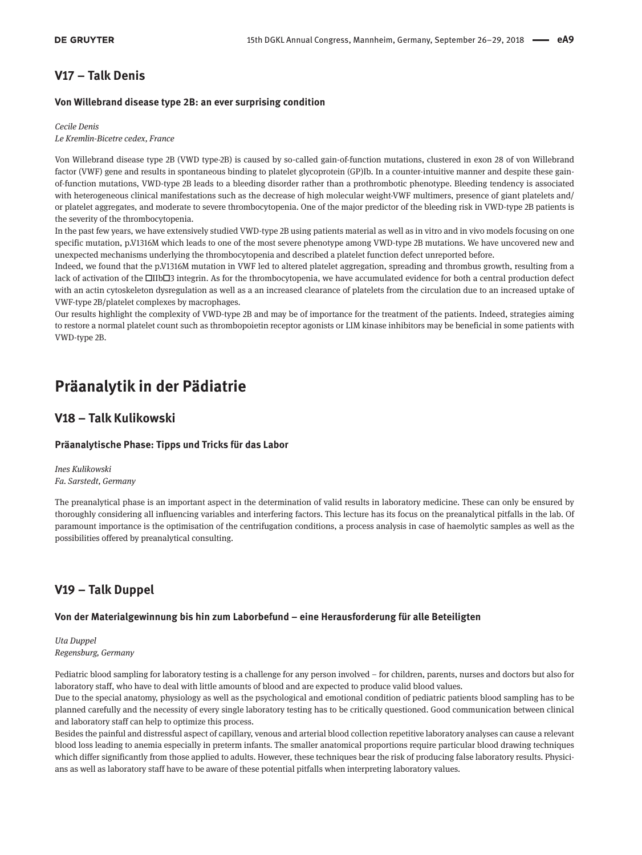### **V17 – Talk Denis**

### **Von Willebrand disease type 2B: an ever surprising condition**

### *Cecile Denis*

*Le Kremlin-Bicetre cedex, France*

Von Willebrand disease type 2B (VWD type-2B) is caused by so-called gain-of-function mutations, clustered in exon 28 of von Willebrand factor (VWF) gene and results in spontaneous binding to platelet glycoprotein (GP)Ib. In a counter-intuitive manner and despite these gainof-function mutations, VWD-type 2B leads to a bleeding disorder rather than a prothrombotic phenotype. Bleeding tendency is associated with heterogeneous clinical manifestations such as the decrease of high molecular weight-VWF multimers, presence of giant platelets and/ or platelet aggregates, and moderate to severe thrombocytopenia. One of the major predictor of the bleeding risk in VWD-type 2B patients is the severity of the thrombocytopenia.

In the past few years, we have extensively studied VWD-type 2B using patients material as well as in vitro and in vivo models focusing on one specific mutation, p.V1316M which leads to one of the most severe phenotype among VWD-type 2B mutations. We have uncovered new and unexpected mechanisms underlying the thrombocytopenia and described a platelet function defect unreported before.

Indeed, we found that the p.V1316M mutation in VWF led to altered platelet aggregation, spreading and thrombus growth, resulting from a lack of activation of the □IIb□3 integrin. As for the thrombocytopenia, we have accumulated evidence for both a central production defect with an actin cytoskeleton dysregulation as well as a an increased clearance of platelets from the circulation due to an increased uptake of VWF-type 2B/platelet complexes by macrophages.

Our results highlight the complexity of VWD-type 2B and may be of importance for the treatment of the patients. Indeed, strategies aiming to restore a normal platelet count such as thrombopoietin receptor agonists or LIM kinase inhibitors may be beneficial in some patients with VWD-type 2B.

## **Präanalytik in der Pädiatrie**

### **V18 – Talk Kulikowski**

#### **Präanalytische Phase: Tipps und Tricks für das Labor**

*Ines Kulikowski Fa. Sarstedt, Germany*

The preanalytical phase is an important aspect in the determination of valid results in laboratory medicine. These can only be ensured by thoroughly considering all influencing variables and interfering factors. This lecture has its focus on the preanalytical pitfalls in the lab. Of paramount importance is the optimisation of the centrifugation conditions, a process analysis in case of haemolytic samples as well as the possibilities offered by preanalytical consulting.

### **V19 – Talk Duppel**

#### **Von der Materialgewinnung bis hin zum Laborbefund – eine Herausforderung für alle Beteiligten**

*Uta Duppel Regensburg, Germany*

Pediatric blood sampling for laboratory testing is a challenge for any person involved – for children, parents, nurses and doctors but also for laboratory staff, who have to deal with little amounts of blood and are expected to produce valid blood values.

Due to the special anatomy, physiology as well as the psychological and emotional condition of pediatric patients blood sampling has to be planned carefully and the necessity of every single laboratory testing has to be critically questioned. Good communication between clinical and laboratory staff can help to optimize this process.

Besides the painful and distressful aspect of capillary, venous and arterial blood collection repetitive laboratory analyses can cause a relevant blood loss leading to anemia especially in preterm infants. The smaller anatomical proportions require particular blood drawing techniques which differ significantly from those applied to adults. However, these techniques bear the risk of producing false laboratory results. Physicians as well as laboratory staff have to be aware of these potential pitfalls when interpreting laboratory values.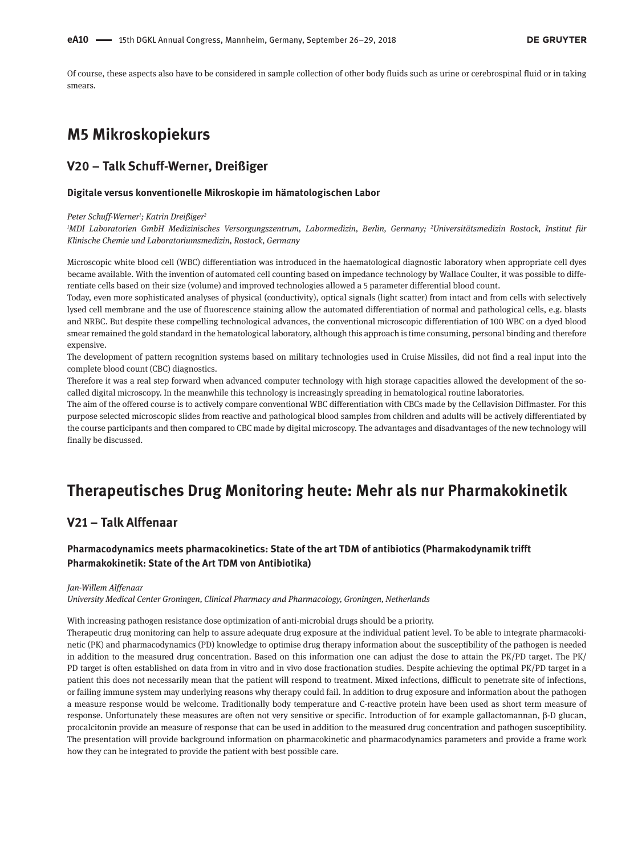Of course, these aspects also have to be considered in sample collection of other body fluids such as urine or cerebrospinal fluid or in taking smears.

## **M5 Mikroskopiekurs**

### **V20 – Talk Schuff-Werner, Dreißiger**

#### **Digitale versus konventionelle Mikroskopie im hämatologischen Labor**

#### *Peter Schuff-Werner1 ; Katrin Dreißiger2*

*1 MDI Laboratorien GmbH Medizinisches Versorgungszentrum, Labormedizin, Berlin, Germany; 2 Universitätsmedizin Rostock, Institut für Klinische Chemie und Laboratoriumsmedizin, Rostock, Germany*

Microscopic white blood cell (WBC) differentiation was introduced in the haematological diagnostic laboratory when appropriate cell dyes became available. With the invention of automated cell counting based on impedance technology by Wallace Coulter, it was possible to differentiate cells based on their size (volume) and improved technologies allowed a 5 parameter differential blood count.

Today, even more sophisticated analyses of physical (conductivity), optical signals (light scatter) from intact and from cells with selectively lysed cell membrane and the use of fluorescence staining allow the automated differentiation of normal and pathological cells, e.g. blasts and NRBC. But despite these compelling technological advances, the conventional microscopic differentiation of 100 WBC on a dyed blood smear remained the gold standard in the hematological laboratory, although this approach is time consuming, personal binding and therefore expensive.

The development of pattern recognition systems based on military technologies used in Cruise Missiles, did not find a real input into the complete blood count (CBC) diagnostics.

Therefore it was a real step forward when advanced computer technology with high storage capacities allowed the development of the socalled digital microscopy. In the meanwhile this technology is increasingly spreading in hematological routine laboratories.

The aim of the offered course is to actively compare conventional WBC differentiation with CBCs made by the Cellavision Diffmaster. For this purpose selected microscopic slides from reactive and pathological blood samples from children and adults will be actively differentiated by the course participants and then compared to CBC made by digital microscopy. The advantages and disadvantages of the new technology will finally be discussed.

## **Therapeutisches Drug Monitoring heute: Mehr als nur Pharmakokinetik**

### **V21 – Talk Alffenaar**

### **Pharmacodynamics meets pharmacokinetics: State of the art TDM of antibiotics (Pharmakodynamik trifft Pharmakokinetik: State of the Art TDM von Antibiotika)**

#### *Jan-Willem Alffenaar*

*University Medical Center Groningen, Clinical Pharmacy and Pharmacology, Groningen, Netherlands*

With increasing pathogen resistance dose optimization of anti-microbial drugs should be a priority.

Therapeutic drug monitoring can help to assure adequate drug exposure at the individual patient level. To be able to integrate pharmacokinetic (PK) and pharmacodynamics (PD) knowledge to optimise drug therapy information about the susceptibility of the pathogen is needed in addition to the measured drug concentration. Based on this information one can adjust the dose to attain the PK/PD target. The PK/ PD target is often established on data from in vitro and in vivo dose fractionation studies. Despite achieving the optimal PK/PD target in a patient this does not necessarily mean that the patient will respond to treatment. Mixed infections, difficult to penetrate site of infections, or failing immune system may underlying reasons why therapy could fail. In addition to drug exposure and information about the pathogen a measure response would be welcome. Traditionally body temperature and C-reactive protein have been used as short term measure of response. Unfortunately these measures are often not very sensitive or specific. Introduction of for example gallactomannan, β-D glucan, procalcitonin provide an measure of response that can be used in addition to the measured drug concentration and pathogen susceptibility. The presentation will provide background information on pharmacokinetic and pharmacodynamics parameters and provide a frame work how they can be integrated to provide the patient with best possible care.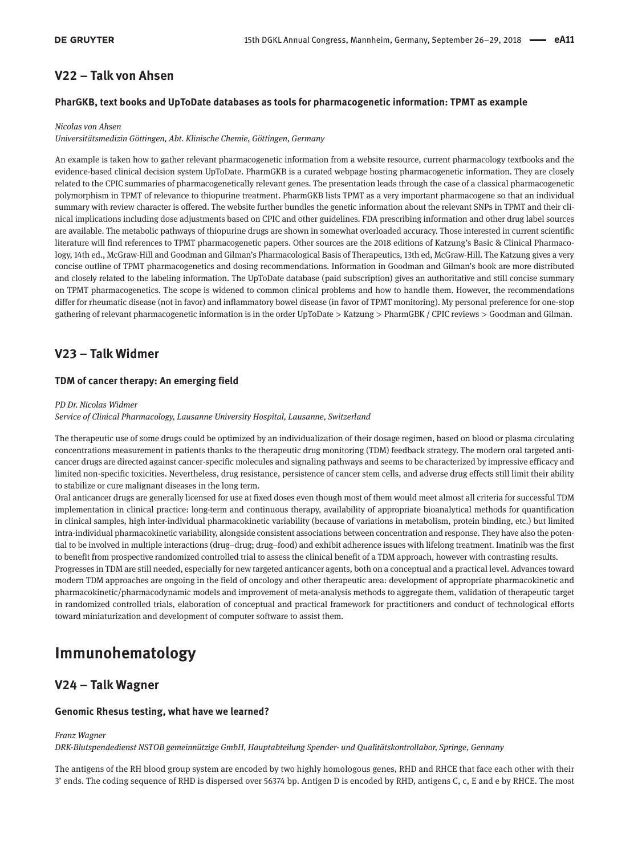### **V22 – Talk von Ahsen**

### **PharGKB, text books and UpToDate databases as tools for pharmacogenetic information: TPMT as example**

#### *Nicolas von Ahsen*

*Universitätsmedizin Göttingen, Abt. Klinische Chemie, Göttingen, Germany*

An example is taken how to gather relevant pharmacogenetic information from a website resource, current pharmacology textbooks and the evidence-based clinical decision system UpToDate. PharmGKB is a curated webpage hosting pharmacogenetic information. They are closely related to the CPIC summaries of pharmacogenetically relevant genes. The presentation leads through the case of a classical pharmacogenetic polymorphism in TPMT of relevance to thiopurine treatment. PharmGKB lists TPMT as a very important pharmacogene so that an individual summary with review character is offered. The website further bundles the genetic information about the relevant SNPs in TPMT and their clinical implications including dose adjustments based on CPIC and other guidelines. FDA prescribing information and other drug label sources are available. The metabolic pathways of thiopurine drugs are shown in somewhat overloaded accuracy. Those interested in current scientific literature will find references to TPMT pharmacogenetic papers. Other sources are the 2018 editions of Katzung's Basic & Clinical Pharmacology, 14th ed., McGraw-Hill and Goodman and Gilman's Pharmacological Basis of Therapeutics, 13th ed, McGraw-Hill. The Katzung gives a very concise outline of TPMT pharmacogenetics and dosing recommendations. Information in Goodman and Gilman's book are more distributed and closely related to the labeling information. The UpToDate database (paid subscription) gives an authoritative and still concise summary on TPMT pharmacogenetics. The scope is widened to common clinical problems and how to handle them. However, the recommendations differ for rheumatic disease (not in favor) and inflammatory bowel disease (in favor of TPMT monitoring). My personal preference for one-stop gathering of relevant pharmacogenetic information is in the order UpToDate > Katzung > PharmGBK / CPIC reviews > Goodman and Gilman.

### **V23 – Talk Widmer**

#### **TDM of cancer therapy: An emerging field**

#### *PD Dr. Nicolas Widmer*

*Service of Clinical Pharmacology, Lausanne University Hospital, Lausanne, Switzerland*

The therapeutic use of some drugs could be optimized by an individualization of their dosage regimen, based on blood or plasma circulating concentrations measurement in patients thanks to the therapeutic drug monitoring (TDM) feedback strategy. The modern oral targeted anticancer drugs are directed against cancer-specific molecules and signaling pathways and seems to be characterized by impressive efficacy and limited non-specific toxicities. Nevertheless, drug resistance, persistence of cancer stem cells, and adverse drug effects still limit their ability to stabilize or cure malignant diseases in the long term.

Oral anticancer drugs are generally licensed for use at fixed doses even though most of them would meet almost all criteria for successful TDM implementation in clinical practice: long-term and continuous therapy, availability of appropriate bioanalytical methods for quantification in clinical samples, high inter-individual pharmacokinetic variability (because of variations in metabolism, protein binding, etc.) but limited intra-individual pharmacokinetic variability, alongside consistent associations between concentration and response. They have also the potential to be involved in multiple interactions (drug–drug; drug–food) and exhibit adherence issues with lifelong treatment. Imatinib was the first to benefit from prospective randomized controlled trial to assess the clinical benefit of a TDM approach, however with contrasting results.

Progresses in TDM are still needed, especially for new targeted anticancer agents, both on a conceptual and a practical level. Advances toward modern TDM approaches are ongoing in the field of oncology and other therapeutic area: development of appropriate pharmacokinetic and pharmacokinetic/pharmacodynamic models and improvement of meta-analysis methods to aggregate them, validation of therapeutic target in randomized controlled trials, elaboration of conceptual and practical framework for practitioners and conduct of technological efforts toward miniaturization and development of computer software to assist them.

## **Immunohematology**

## **V24 – Talk Wagner**

#### **Genomic Rhesus testing, what have we learned?**

#### *Franz Wagner*

*DRK-Blutspendedienst NSTOB gemeinnützige GmbH, Hauptabteilung Spender- und Qualitätskontrollabor, Springe, Germany*

The antigens of the RH blood group system are encoded by two highly homologous genes, RHD and RHCE that face each other with their 3' ends. The coding sequence of RHD is dispersed over 56374 bp. Antigen D is encoded by RHD, antigens C, c, E and e by RHCE. The most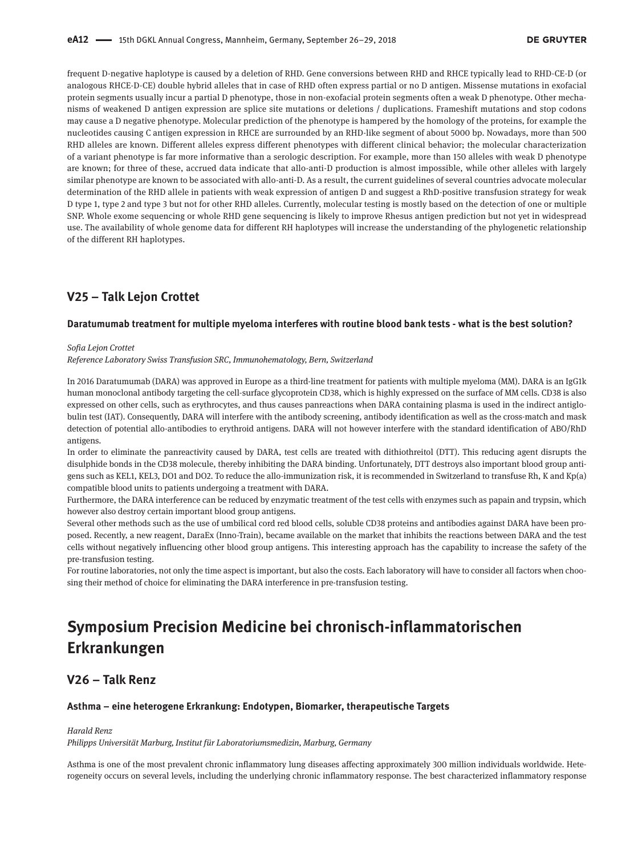frequent D-negative haplotype is caused by a deletion of RHD. Gene conversions between RHD and RHCE typically lead to RHD-CE-D (or analogous RHCE-D-CE) double hybrid alleles that in case of RHD often express partial or no D antigen. Missense mutations in exofacial protein segments usually incur a partial D phenotype, those in non-exofacial protein segments often a weak D phenotype. Other mechanisms of weakened D antigen expression are splice site mutations or deletions / duplications. Frameshift mutations and stop codons may cause a D negative phenotype. Molecular prediction of the phenotype is hampered by the homology of the proteins, for example the nucleotides causing C antigen expression in RHCE are surrounded by an RHD-like segment of about 5000 bp. Nowadays, more than 500 RHD alleles are known. Different alleles express different phenotypes with different clinical behavior; the molecular characterization of a variant phenotype is far more informative than a serologic description. For example, more than 150 alleles with weak D phenotype are known; for three of these, accrued data indicate that allo-anti-D production is almost impossible, while other alleles with largely similar phenotype are known to be associated with allo-anti-D. As a result, the current guidelines of several countries advocate molecular determination of the RHD allele in patients with weak expression of antigen D and suggest a RhD-positive transfusion strategy for weak D type 1, type 2 and type 3 but not for other RHD alleles. Currently, molecular testing is mostly based on the detection of one or multiple SNP. Whole exome sequencing or whole RHD gene sequencing is likely to improve Rhesus antigen prediction but not yet in widespread use. The availability of whole genome data for different RH haplotypes will increase the understanding of the phylogenetic relationship of the different RH haplotypes.

### **V25 – Talk Lejon Crottet**

#### **Daratumumab treatment for multiple myeloma interferes with routine blood bank tests - what is the best solution?**

#### *Sofia Lejon Crottet*

*Reference Laboratory Swiss Transfusion SRC, Immunohematology, Bern, Switzerland*

In 2016 Daratumumab (DARA) was approved in Europe as a third-line treatment for patients with multiple myeloma (MM). DARA is an IgG1k human monoclonal antibody targeting the cell-surface glycoprotein CD38, which is highly expressed on the surface of MM cells. CD38 is also expressed on other cells, such as erythrocytes, and thus causes panreactions when DARA containing plasma is used in the indirect antiglobulin test (IAT). Consequently, DARA will interfere with the antibody screening, antibody identification as well as the cross-match and mask detection of potential allo-antibodies to erythroid antigens. DARA will not however interfere with the standard identification of ABO/RhD antigens.

In order to eliminate the panreactivity caused by DARA, test cells are treated with dithiothreitol (DTT). This reducing agent disrupts the disulphide bonds in the CD38 molecule, thereby inhibiting the DARA binding. Unfortunately, DTT destroys also important blood group antigens such as KEL1, KEL3, DO1 and DO2. To reduce the allo-immunization risk, it is recommended in Switzerland to transfuse Rh, K and Kp(a) compatible blood units to patients undergoing a treatment with DARA.

Furthermore, the DARA interference can be reduced by enzymatic treatment of the test cells with enzymes such as papain and trypsin, which however also destroy certain important blood group antigens.

Several other methods such as the use of umbilical cord red blood cells, soluble CD38 proteins and antibodies against DARA have been proposed. Recently, a new reagent, DaraEx (Inno-Train), became available on the market that inhibits the reactions between DARA and the test cells without negatively influencing other blood group antigens. This interesting approach has the capability to increase the safety of the pre-transfusion testing.

For routine laboratories, not only the time aspect is important, but also the costs. Each laboratory will have to consider all factors when choosing their method of choice for eliminating the DARA interference in pre-transfusion testing.

## **Symposium Precision Medicine bei chronisch-inflammatorischen Erkrankungen**

### **V26 – Talk Renz**

#### **Asthma – eine heterogene Erkrankung: Endotypen, Biomarker, therapeutische Targets**

#### *Harald Renz*

*Philipps Universität Marburg, Institut für Laboratoriumsmedizin, Marburg, Germany*

Asthma is one of the most prevalent chronic inflammatory lung diseases affecting approximately 300 million individuals worldwide. Heterogeneity occurs on several levels, including the underlying chronic inflammatory response. The best characterized inflammatory response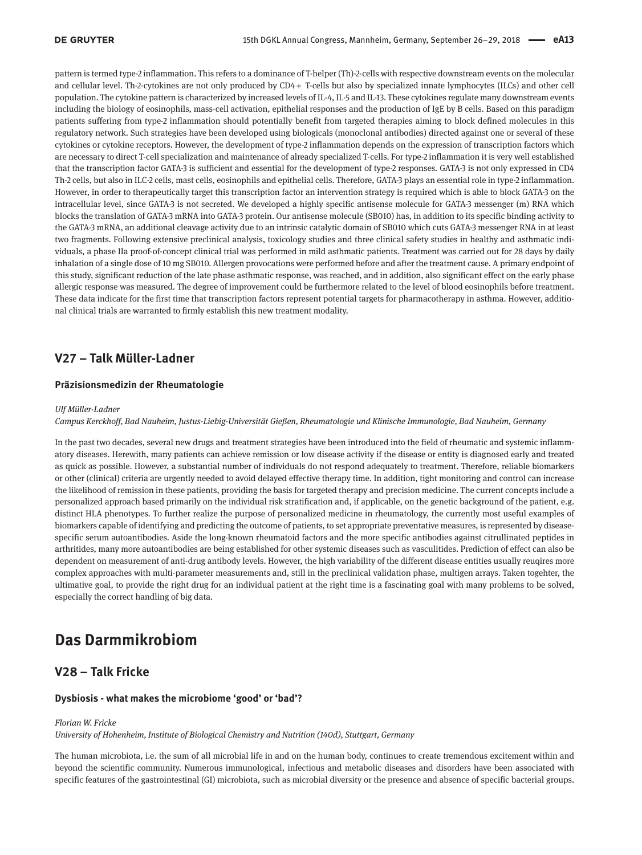pattern is termed type-2 inflammation. This refers to a dominance of T-helper (Th)-2-cells with respective downstream events on the molecular and cellular level. Th-2-cytokines are not only produced by CD4 +  T-cells but also by specialized innate lymphocytes (ILCs) and other cell population. The cytokine pattern is characterized by increased levels of IL-4, IL-5 and IL-13. These cytokines regulate many downstream events including the biology of eosinophils, mass-cell activation, epithelial responses and the production of IgE by B cells. Based on this paradigm patients suffering from type-2 inflammation should potentially benefit from targeted therapies aiming to block defined molecules in this regulatory network. Such strategies have been developed using biologicals (monoclonal antibodies) directed against one or several of these cytokines or cytokine receptors. However, the development of type-2 inflammation depends on the expression of transcription factors which are necessary to direct T-cell specialization and maintenance of already specialized T-cells. For type-2 inflammation it is very well established that the transcription factor GATA-3 is sufficient and essential for the development of type-2 responses. GATA-3 is not only expressed in CD4 Th-2 cells, but also in ILC-2 cells, mast cells, eosinophils and epithelial cells. Therefore, GATA-3 plays an essential role in type-2 inflammation. However, in order to therapeutically target this transcription factor an intervention strategy is required which is able to block GATA-3 on the intracellular level, since GATA-3 is not secreted. We developed a highly specific antisense molecule for GATA-3 messenger (m) RNA which blocks the translation of GATA-3 mRNA into GATA-3 protein. Our antisense molecule (SB010) has, in addition to its specific binding activity to the GATA-3 mRNA, an additional cleavage activity due to an intrinsic catalytic domain of SB010 which cuts GATA-3 messenger RNA in at least two fragments. Following extensive preclinical analysis, toxicology studies and three clinical safety studies in healthy and asthmatic individuals, a phase IIa proof-of-concept clinical trial was performed in mild asthmatic patients. Treatment was carried out for 28 days by daily inhalation of a single dose of 10 mg SB010. Allergen provocations were performed before and after the treatment cause. A primary endpoint of this study, significant reduction of the late phase asthmatic response, was reached, and in addition, also significant effect on the early phase allergic response was measured. The degree of improvement could be furthermore related to the level of blood eosinophils before treatment. These data indicate for the first time that transcription factors represent potential targets for pharmacotherapy in asthma. However, additional clinical trials are warranted to firmly establish this new treatment modality.

### **V27 – Talk Müller-Ladner**

### **Präzisionsmedizin der Rheumatologie**

#### *Ulf Müller-Ladner*

*Campus Kerckhoff, Bad Nauheim, Justus-Liebig-Universität Gießen, Rheumatologie und Klinische Immunologie, Bad Nauheim, Germany*

In the past two decades, several new drugs and treatment strategies have been introduced into the field of rheumatic and systemic inflammatory diseases. Herewith, many patients can achieve remission or low disease activity if the disease or entity is diagnosed early and treated as quick as possible. However, a substantial number of individuals do not respond adequately to treatment. Therefore, reliable biomarkers or other (clinical) criteria are urgently needed to avoid delayed effective therapy time. In addition, tight monitoring and control can increase the likelihood of remission in these patients, providing the basis for targeted therapy and precision medicine. The current concepts include a personalized approach based primarily on the individual risk stratification and, if applicable, on the genetic background of the patient, e.g. distinct HLA phenotypes. To further realize the purpose of personalized medicine in rheumatology, the currently most useful examples of biomarkers capable of identifying and predicting the outcome of patients, to set appropriate preventative measures, is represented by diseasespecific serum autoantibodies. Aside the long-known rheumatoid factors and the more specific antibodies against citrullinated peptides in arthritides, many more autoantibodies are being established for other systemic diseases such as vasculitides. Prediction of effect can also be dependent on measurement of anti-drug antibody levels. However, the high variability of the different disease entities usually reuqires more complex approaches with multi-parameter measurements and, still in the preclinical validation phase, multigen arrays. Taken togehter, the ultimative goal, to provide the right drug for an individual patient at the right time is a fascinating goal with many problems to be solved, especially the correct handling of big data.

## **Das Darmmikrobiom**

### **V28 – Talk Fricke**

### **Dysbiosis - what makes the microbiome 'good' or 'bad'?**

#### *Florian W. Fricke*

*University of Hohenheim, Institute of Biological Chemistry and Nutrition (140d), Stuttgart, Germany*

The human microbiota, i.e. the sum of all microbial life in and on the human body, continues to create tremendous excitement within and beyond the scientific community. Numerous immunological, infectious and metabolic diseases and disorders have been associated with specific features of the gastrointestinal (GI) microbiota, such as microbial diversity or the presence and absence of specific bacterial groups.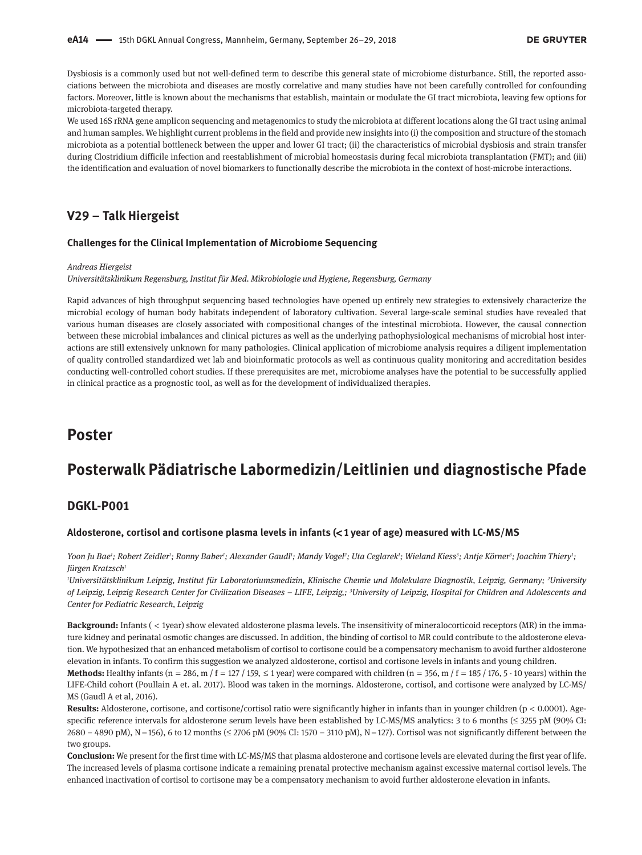Dysbiosis is a commonly used but not well-defined term to describe this general state of microbiome disturbance. Still, the reported associations between the microbiota and diseases are mostly correlative and many studies have not been carefully controlled for confounding factors. Moreover, little is known about the mechanisms that establish, maintain or modulate the GI tract microbiota, leaving few options for microbiota-targeted therapy.

We used 16S rRNA gene amplicon sequencing and metagenomics to study the microbiota at different locations along the GI tract using animal and human samples. We highlight current problems in the field and provide new insights into (i) the composition and structure of the stomach microbiota as a potential bottleneck between the upper and lower GI tract; (ii) the characteristics of microbial dysbiosis and strain transfer during Clostridium difficile infection and reestablishment of microbial homeostasis during fecal microbiota transplantation (FMT); and (iii) the identification and evaluation of novel biomarkers to functionally describe the microbiota in the context of host-microbe interactions.

### **V29 – Talk Hiergeist**

#### **Challenges for the Clinical Implementation of Microbiome Sequencing**

#### *Andreas Hiergeist*

*Universitätsklinikum Regensburg, Institut für Med. Mikrobiologie und Hygiene, Regensburg, Germany*

Rapid advances of high throughput sequencing based technologies have opened up entirely new strategies to extensively characterize the microbial ecology of human body habitats independent of laboratory cultivation. Several large-scale seminal studies have revealed that various human diseases are closely associated with compositional changes of the intestinal microbiota. However, the causal connection between these microbial imbalances and clinical pictures as well as the underlying pathophysiological mechanisms of microbial host interactions are still extensively unknown for many pathologies. Clinical application of microbiome analysis requires a diligent implementation of quality controlled standardized wet lab and bioinformatic protocols as well as continuous quality monitoring and accreditation besides conducting well-controlled cohort studies. If these prerequisites are met, microbiome analyses have the potential to be successfully applied in clinical practice as a prognostic tool, as well as for the development of individualized therapies.

## **Poster**

## **Posterwalk Pädiatrische Labormedizin/Leitlinien und diagnostische Pfade**

### **DGKL-P001**

#### **Aldosterone, cortisol and cortisone plasma levels in infants (**< **1 year of age) measured with LC-MS/MS**

Yoon Ju Bae'; Robert Zeidler'; Ronny Baber'; Alexander Gaudl'; Mandy Vogel<sup>2</sup>; Uta Ceglarek<sup>1</sup>; Wieland Kiess<sup>3</sup>; Antje Körner<sup>3</sup>; Joachim Thiery'; *Jürgen Kratzsch1*

*1 Universitätsklinikum Leipzig, Institut für Laboratoriumsmedizin, Klinische Chemie und Molekulare Diagnostik, Leipzig, Germany; 2 University of Leipzig, Leipzig Research Center for Civilization Diseases – LIFE, Leipzig,; 3 University of Leipzig, Hospital for Children and Adolescents and Center for Pediatric Research, Leipzig*

**Background:** Infants (< 1year) show elevated aldosterone plasma levels. The insensitivity of mineralocorticoid receptors (MR) in the immature kidney and perinatal osmotic changes are discussed. In addition, the binding of cortisol to MR could contribute to the aldosterone elevation. We hypothesized that an enhanced metabolism of cortisol to cortisone could be a compensatory mechanism to avoid further aldosterone elevation in infants. To confirm this suggestion we analyzed aldosterone, cortisol and cortisone levels in infants and young children.

**Methods:** Healthy infants (n = 286, m / f = 127 / 159,  $\leq$  1 year) were compared with children (n = 356, m / f = 185 / 176, 5 - 10 years) within the LIFE-Child cohort (Poullain A et. al. 2017). Blood was taken in the mornings. Aldosterone, cortisol, and cortisone were analyzed by LC-MS/ MS (Gaudl A et al, 2016).

**Results:** Aldosterone, cortisone, and cortisone/cortisol ratio were significantly higher in infants than in younger children (p < 0.0001). Agespecific reference intervals for aldosterone serum levels have been established by LC-MS/MS analytics: 3 to 6 months (≤ 3255 pM (90% CI: 2680 – 4890 pM), N = 156), 6 to 12 months (≤ 2706 pM (90% CI: 1570 – 3110 pM), N = 127). Cortisol was not significantly different between the two groups.

**Conclusion:** We present for the first time with LC-MS/MS that plasma aldosterone and cortisone levels are elevated during the first year of life. The increased levels of plasma cortisone indicate a remaining prenatal protective mechanism against excessive maternal cortisol levels. The enhanced inactivation of cortisol to cortisone may be a compensatory mechanism to avoid further aldosterone elevation in infants.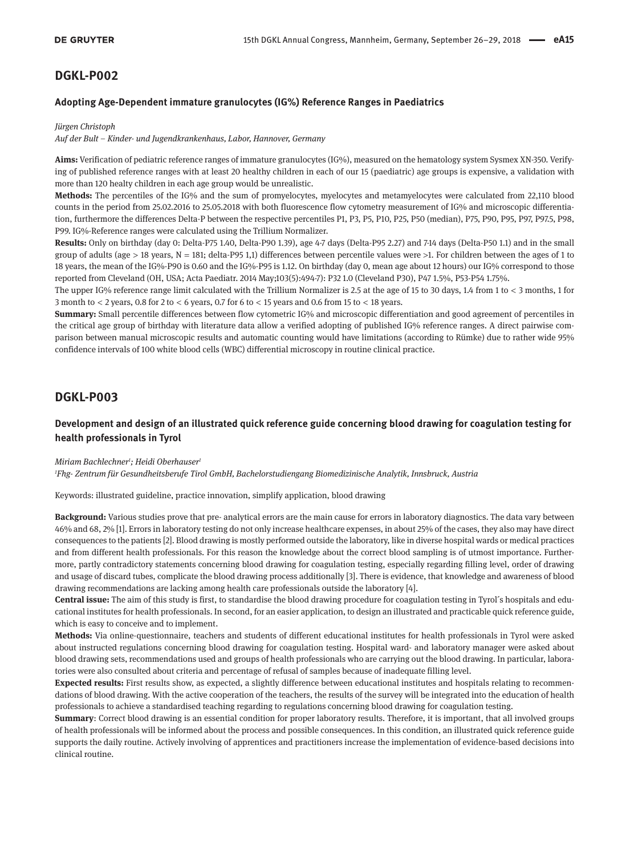### **DGKL-P002**

#### **Adopting Age-Dependent immature granulocytes (IG%) Reference Ranges in Paediatrics**

#### *Jürgen Christoph*

*Auf der Bult – Kinder- und Jugendkrankenhaus, Labor, Hannover, Germany*

**Aims:** Verification of pediatric reference ranges of immature granulocytes (IG%), measured on the hematology system Sysmex XN-350. Verifying of published reference ranges with at least 20 healthy children in each of our 15 (paediatric) age groups is expensive, a validation with more than 120 healty children in each age group would be unrealistic.

**Methods:** The percentiles of the IG% and the sum of promyelocytes, myelocytes and metamyelocytes were calculated from 22,110 blood counts in the period from 25.02.2016 to 25.05.2018 with both fluorescence flow cytometry measurement of IG% and microscopic differentiation, furthermore the differences Delta-P between the respective percentiles P1, P3, P5, P10, P25, P50 (median), P75, P90, P95, P97, P97.5, P98, P99. IG%-Reference ranges were calculated using the Trillium Normalizer.

**Results:** Only on birthday (day 0: Delta-P75 1.40, Delta-P90 1.39), age 4-7 days (Delta-P95 2.27) and 7-14 days (Delta-P50 1.1) and in the small group of adults (age  >  18 years, N  =  181; delta-P95 1,1) differences between percentile values were >1. For children between the ages of 1 to 18 years, the mean of the IG%-P90 is 0.60 and the IG%-P95 is 1.12. On birthday (day 0, mean age about 12 hours) our IG% correspond to those reported from Cleveland (OH, USA; Acta Paediatr. 2014 May;103(5):494-7): P32 1.0 (Cleveland P30), P47 1.5%, P53-P54 1.75%.

The upper IG% reference range limit calculated with the Trillium Normalizer is 2.5 at the age of 15 to 30 days, 1.4 from 1 to < 3 months, 1 for 3 month to  <  2 years, 0.8 for 2 to  <  6 years, 0.7 for 6 to  <  15 years and 0.6 from 15 to  <  18 years.

**Summary:** Small percentile differences between flow cytometric IG% and microscopic differentiation and good agreement of percentiles in the critical age group of birthday with literature data allow a verified adopting of published IG% reference ranges. A direct pairwise comparison between manual microscopic results and automatic counting would have limitations (according to Rümke) due to rather wide 95% confidence intervals of 100 white blood cells (WBC) differential microscopy in routine clinical practice.

### **DGKL-P003**

### **Development and design of an illustrated quick reference guide concerning blood drawing for coagulation testing for health professionals in Tyrol**

#### *Miriam Bachlechner1 ; Heidi Oberhauser1*

*1 Fhg- Zentrum für Gesundheitsberufe Tirol GmbH, Bachelorstudiengang Biomedizinische Analytik, Innsbruck, Austria*

Keywords: illustrated guideline, practice innovation, simplify application, blood drawing

**Background:** Various studies prove that pre- analytical errors are the main cause for errors in laboratory diagnostics. The data vary between 46% and 68, 2% [1]. Errors in laboratory testing do not only increase healthcare expenses, in about 25% of the cases, they also may have direct consequences to the patients [2]. Blood drawing is mostly performed outside the laboratory, like in diverse hospital wards or medical practices and from different health professionals. For this reason the knowledge about the correct blood sampling is of utmost importance. Furthermore, partly contradictory statements concerning blood drawing for coagulation testing, especially regarding filling level, order of drawing and usage of discard tubes, complicate the blood drawing process additionally [3]. There is evidence, that knowledge and awareness of blood drawing recommendations are lacking among health care professionals outside the laboratory [4].

**Central issue:** The aim of this study is first, to standardise the blood drawing procedure for coagulation testing in Tyrol´s hospitals and educational institutes for health professionals. In second, for an easier application, to design an illustrated and practicable quick reference guide, which is easy to conceive and to implement.

**Methods:** Via online-questionnaire, teachers and students of different educational institutes for health professionals in Tyrol were asked about instructed regulations concerning blood drawing for coagulation testing. Hospital ward- and laboratory manager were asked about blood drawing sets, recommendations used and groups of health professionals who are carrying out the blood drawing. In particular, laboratories were also consulted about criteria and percentage of refusal of samples because of inadequate filling level.

**Expected results:** First results show, as expected, a slightly difference between educational institutes and hospitals relating to recommendations of blood drawing. With the active cooperation of the teachers, the results of the survey will be integrated into the education of health professionals to achieve a standardised teaching regarding to regulations concerning blood drawing for coagulation testing.

**Summary**: Correct blood drawing is an essential condition for proper laboratory results. Therefore, it is important, that all involved groups of health professionals will be informed about the process and possible consequences. In this condition, an illustrated quick reference guide supports the daily routine. Actively involving of apprentices and practitioners increase the implementation of evidence-based decisions into clinical routine.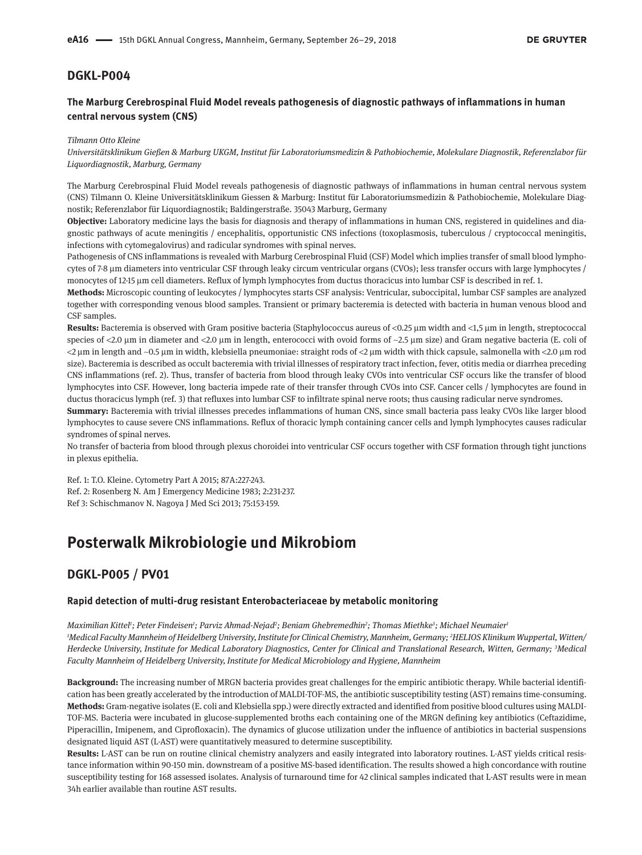### **DGKL-P004**

### **The Marburg Cerebrospinal Fluid Model reveals pathogenesis of diagnostic pathways of inflammations in human central nervous system (CNS)**

#### *Tilmann Otto Kleine*

*Universitätsklinikum Gießen & Marburg UKGM, Institut für Laboratoriumsmedizin & Pathobiochemie, Molekulare Diagnostik, Referenzlabor für Liquordiagnostik, Marburg, Germany*

The Marburg Cerebrospinal Fluid Model reveals pathogenesis of diagnostic pathways of inflammations in human central nervous system (CNS) Tilmann O. Kleine Universitätsklinikum Giessen & Marburg: Institut für Laboratoriumsmedizin & Pathobiochemie, Molekulare Diagnostik; Referenzlabor für Liquordiagnostik; Baldingerstraße. 35043 Marburg, Germany

**Objective:** Laboratory medicine lays the basis for diagnosis and therapy of inflammations in human CNS, registered in quidelines and diagnostic pathways of acute meningitis / encephalitis, opportunistic CNS infections (toxoplasmosis, tuberculous / cryptococcal meningitis, infections with cytomegalovirus) and radicular syndromes with spinal nerves.

Pathogenesis of CNS inflammations is revealed with Marburg Cerebrospinal Fluid (CSF) Model which implies transfer of small blood lymphocytes of 7-8 μm diameters into ventricular CSF through leaky circum ventricular organs (CVOs); less transfer occurs with large lymphocytes / monocytes of 12-15 μm cell diameters. Reflux of lymph lymphocytes from ductus thoracicus into lumbar CSF is described in ref. 1.

**Methods:** Microscopic counting of leukocytes / lymphocytes starts CSF analysis: Ventricular, suboccipital, lumbar CSF samples are analyzed together with corresponding venous blood samples. Transient or primary bacteremia is detected with bacteria in human venous blood and CSF samples.

**Results:** Bacteremia is observed with Gram positive bacteria (Staphylococcus aureus of <0.25 μm width and <1,5 μm in length, streptococcal species of <2.0 μm in diameter and <2.0 μm in length, enterococci with ovoid forms of ~2.5 μm size) and Gram negative bacteria (E. coli of <2 μm in length and ~0.5 μm in width, klebsiella pneumoniae: straight rods of <2 μm width with thick capsule, salmonella with <2.0 μm rod size). Bacteremia is described as occult bacteremia with trivial illnesses of respiratory tract infection, fever, otitis media or diarrhea preceding CNS inflammations (ref. 2). Thus, transfer of bacteria from blood through leaky CVOs into ventricular CSF occurs like the transfer of blood lymphocytes into CSF. However, long bacteria impede rate of their transfer through CVOs into CSF. Cancer cells / lymphocytes are found in ductus thoracicus lymph (ref. 3) that refluxes into lumbar CSF to infiltrate spinal nerve roots; thus causing radicular nerve syndromes.

**Summary:** Bacteremia with trivial illnesses precedes inflammations of human CNS, since small bacteria pass leaky CVOs like larger blood lymphocytes to cause severe CNS inflammations. Reflux of thoracic lymph containing cancer cells and lymph lymphocytes causes radicular syndromes of spinal nerves.

No transfer of bacteria from blood through plexus choroidei into ventricular CSF occurs together with CSF formation through tight junctions in plexus epithelia.

Ref. 1: T.O. Kleine. Cytometry Part A 2015; 87A:227-243. Ref. 2: Rosenberg N. Am J Emergency Medicine 1983; 2:231-237. Ref 3: Schischmanov N. Nagoya J Med Sci 2013; 75:153-159.

## **Posterwalk Mikrobiologie und Mikrobiom**

### **DGKL-P005 / PV01**

#### **Rapid detection of multi-drug resistant Enterobacteriaceae by metabolic monitoring**

Maximilian Kittel'; Peter Findeisen'; Parviz Ahmad-Nejad<sup>2</sup>; Beniam Ghebremedhin<sup>2</sup>; Thomas Miethke<sup>3</sup>; Michael Neumaier' *1 Medical Faculty Mannheim of Heidelberg University, Institute for Clinical Chemistry, Mannheim, Germany; 2 HELIOS Klinikum Wuppertal, Witten/ Herdecke University, Institute for Medical Laboratory Diagnostics, Center for Clinical and Translational Research, Witten, Germany; 3 Medical Faculty Mannheim of Heidelberg University, Institute for Medical Microbiology and Hygiene, Mannheim*

**Background:** The increasing number of MRGN bacteria provides great challenges for the empiric antibiotic therapy. While bacterial identification has been greatly accelerated by the introduction of MALDI-TOF-MS, the antibiotic susceptibility testing (AST) remains time-consuming. **Methods:** Gram-negative isolates (E. coli and Klebsiella spp.) were directly extracted and identified from positive blood cultures using MALDI-TOF-MS. Bacteria were incubated in glucose-supplemented broths each containing one of the MRGN defining key antibiotics (Ceftazidime, Piperacillin, Imipenem, and Ciprofloxacin). The dynamics of glucose utilization under the influence of antibiotics in bacterial suspensions designated liquid AST (L-AST) were quantitatively measured to determine susceptibility.

**Results:** L-AST can be run on routine clinical chemistry analyzers and easily integrated into laboratory routines. L-AST yields critical resistance information within 90-150 min. downstream of a positive MS-based identification. The results showed a high concordance with routine susceptibility testing for 168 assessed isolates. Analysis of turnaround time for 42 clinical samples indicated that L-AST results were in mean 34h earlier available than routine AST results.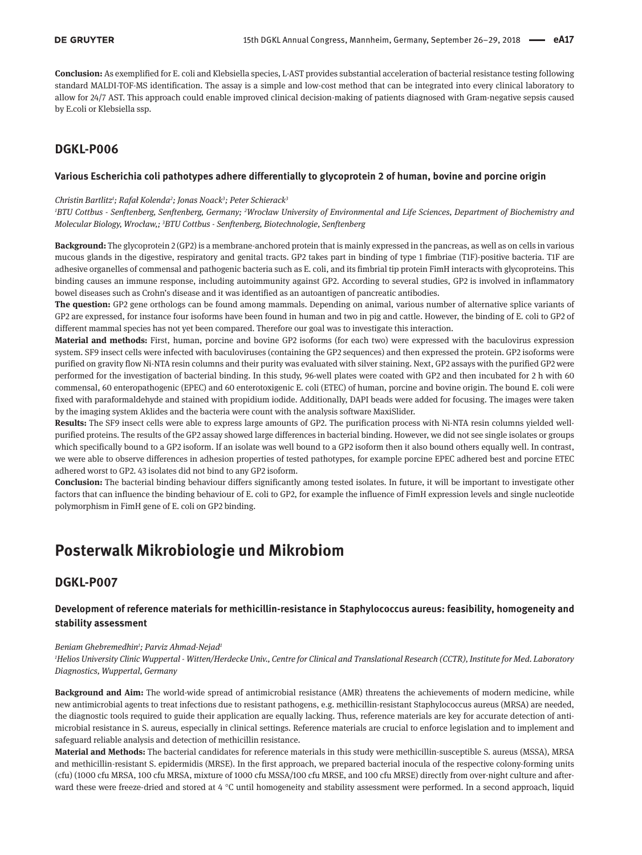**Conclusion:** As exemplified for E. coli and Klebsiella species, L-AST provides substantial acceleration of bacterial resistance testing following standard MALDI-TOF-MS identification. The assay is a simple and low-cost method that can be integrated into every clinical laboratory to allow for 24/7 AST. This approach could enable improved clinical decision-making of patients diagnosed with Gram-negative sepsis caused by E.coli or Klebsiella ssp.

### **DGKL-P006**

#### **Various Escherichia coli pathotypes adhere differentially to glycoprotein 2 of human, bovine and porcine origin**

#### *Christin Bartlitz1 ; Rafał Kolenda2 ; Jonas Noack3 ; Peter Schierack3*

*1 BTU Cottbus - Senftenberg, Senftenberg, Germany; 2 Wrocław University of Environmental and Life Sciences, Department of Biochemistry and Molecular Biology, Wrocław,; 3 BTU Cottbus - Senftenberg, Biotechnologie, Senftenberg*

**Background:** The glycoprotein 2 (GP2) is a membrane-anchored protein that is mainly expressed in the pancreas, as well as on cells in various mucous glands in the digestive, respiratory and genital tracts. GP2 takes part in binding of type 1 fimbriae (T1F)-positive bacteria. T1F are adhesive organelles of commensal and pathogenic bacteria such as E. coli, and its fimbrial tip protein FimH interacts with glycoproteins. This binding causes an immune response, including autoimmunity against GP2. According to several studies, GP2 is involved in inflammatory bowel diseases such as Crohn's disease and it was identified as an autoantigen of pancreatic antibodies.

**The question:** GP2 gene orthologs can be found among mammals. Depending on animal, various number of alternative splice variants of GP2 are expressed, for instance four isoforms have been found in human and two in pig and cattle. However, the binding of E. coli to GP2 of different mammal species has not yet been compared. Therefore our goal was to investigate this interaction.

**Material and methods:** First, human, porcine and bovine GP2 isoforms (for each two) were expressed with the baculovirus expression system. SF9 insect cells were infected with baculoviruses (containing the GP2 sequences) and then expressed the protein. GP2 isoforms were purified on gravity flow Ni-NTA resin columns and their purity was evaluated with silver staining. Next, GP2 assays with the purified GP2 were performed for the investigation of bacterial binding. In this study, 96-well plates were coated with GP2 and then incubated for 2 h with 60 commensal, 60 enteropathogenic (EPEC) and 60 enterotoxigenic E. coli (ETEC) of human, porcine and bovine origin. The bound E. coli were fixed with paraformaldehyde and stained with propidium iodide. Additionally, DAPI beads were added for focusing. The images were taken by the imaging system Aklides and the bacteria were count with the analysis software MaxiSlider.

**Results:** The SF9 insect cells were able to express large amounts of GP2. The purification process with Ni-NTA resin columns yielded wellpurified proteins. The results of the GP2 assay showed large differences in bacterial binding. However, we did not see single isolates or groups which specifically bound to a GP2 isoform. If an isolate was well bound to a GP2 isoform then it also bound others equally well. In contrast, we were able to observe differences in adhesion properties of tested pathotypes, for example porcine EPEC adhered best and porcine ETEC adhered worst to GP2. 43 isolates did not bind to any GP2 isoform.

**Conclusion:** The bacterial binding behaviour differs significantly among tested isolates. In future, it will be important to investigate other factors that can influence the binding behaviour of E. coli to GP2, for example the influence of FimH expression levels and single nucleotide polymorphism in FimH gene of E. coli on GP2 binding.

## **Posterwalk Mikrobiologie und Mikrobiom**

### **DGKL-P007**

### **Development of reference materials for methicillin-resistance in Staphylococcus aureus: feasibility, homogeneity and stability assessment**

#### *Beniam Ghebremedhin1 ; Parviz Ahmad-Nejad1*

*1 Helios University Clinic Wuppertal - Witten/Herdecke Univ., Centre for Clinical and Translational Research (CCTR), Institute for Med. Laboratory Diagnostics, Wuppertal, Germany*

**Background and Aim:** The world-wide spread of antimicrobial resistance (AMR) threatens the achievements of modern medicine, while new antimicrobial agents to treat infections due to resistant pathogens, e.g. methicillin-resistant Staphylococcus aureus (MRSA) are needed, the diagnostic tools required to guide their application are equally lacking. Thus, reference materials are key for accurate detection of antimicrobial resistance in S. aureus, especially in clinical settings. Reference materials are crucial to enforce legislation and to implement and safeguard reliable analysis and detection of methicillin resistance.

**Material and Methods:** The bacterial candidates for reference materials in this study were methicillin-susceptible S. aureus (MSSA), MRSA and methicillin-resistant S. epidermidis (MRSE). In the first approach, we prepared bacterial inocula of the respective colony-forming units (cfu) (1000 cfu MRSA, 100 cfu MRSA, mixture of 1000 cfu MSSA/100 cfu MRSE, and 100 cfu MRSE) directly from over-night culture and afterward these were freeze-dried and stored at 4 °C until homogeneity and stability assessment were performed. In a second approach, liquid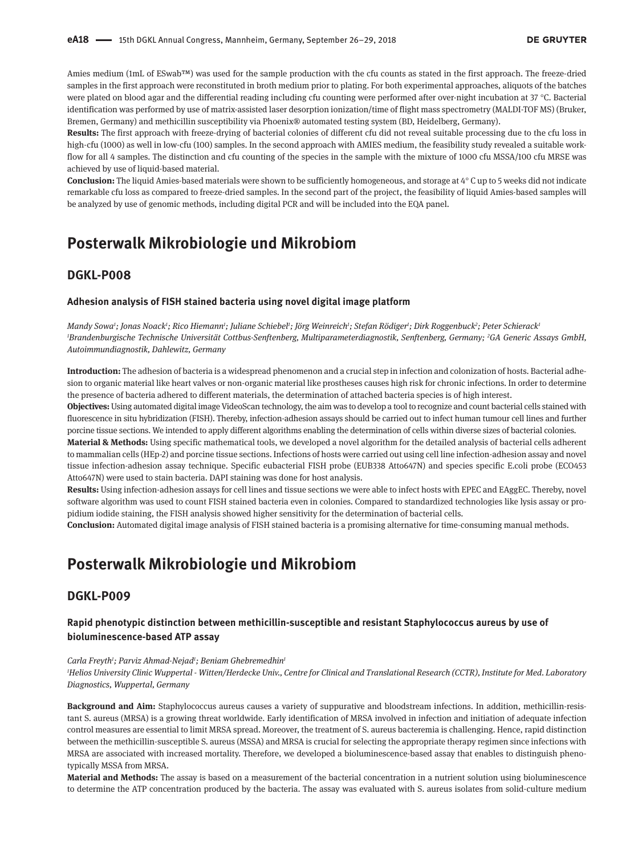Amies medium (1mL of ESwab™) was used for the sample production with the cfu counts as stated in the first approach. The freeze-dried samples in the first approach were reconstituted in broth medium prior to plating. For both experimental approaches, aliquots of the batches were plated on blood agar and the differential reading including cfu counting were performed after over-night incubation at 37 °C. Bacterial identification was performed by use of matrix-assisted laser desorption ionization/time of flight mass spectrometry (MALDI-TOF MS) (Bruker, Bremen, Germany) and methicillin susceptibility via Phoenix® automated testing system (BD, Heidelberg, Germany).

**Results:** The first approach with freeze-drying of bacterial colonies of different cfu did not reveal suitable processing due to the cfu loss in high-cfu (1000) as well in low-cfu (100) samples. In the second approach with AMIES medium, the feasibility study revealed a suitable workflow for all 4 samples. The distinction and cfu counting of the species in the sample with the mixture of 1000 cfu MSSA/100 cfu MRSE was achieved by use of liquid-based material.

**Conclusion:** The liquid Amies-based materials were shown to be sufficiently homogeneous, and storage at 4° C up to 5 weeks did not indicate remarkable cfu loss as compared to freeze-dried samples. In the second part of the project, the feasibility of liquid Amies-based samples will be analyzed by use of genomic methods, including digital PCR and will be included into the EQA panel.

## **Posterwalk Mikrobiologie und Mikrobiom**

### **DGKL-P008**

#### **Adhesion analysis of FISH stained bacteria using novel digital image platform**

*Mandy Sowa1 ; Jonas Noack1 ; Rico Hiemann1 ; Juliane Schiebel1 ; Jörg Weinreich1 ; Stefan Rödiger1 ; Dirk Roggenbuck2 ; Peter Schierack1 1 Brandenburgische Technische Universität Cottbus-Senftenberg, Multiparameterdiagnostik, Senftenberg, Germany; 2 GA Generic Assays GmbH, Autoimmundiagnostik, Dahlewitz, Germany*

**Introduction:** The adhesion of bacteria is a widespread phenomenon and a crucial step in infection and colonization of hosts. Bacterial adhesion to organic material like heart valves or non-organic material like prostheses causes high risk for chronic infections. In order to determine the presence of bacteria adhered to different materials, the determination of attached bacteria species is of high interest.

**Objectives:** Using automated digital image VideoScan technology, the aim was to develop a tool to recognize and count bacterial cells stained with fluorescence in situ hybridization (FISH). Thereby, infection-adhesion assays should be carried out to infect human tumour cell lines and further porcine tissue sections. We intended to apply different algorithms enabling the determination of cells within diverse sizes of bacterial colonies.

**Material & Methods:** Using specific mathematical tools, we developed a novel algorithm for the detailed analysis of bacterial cells adherent to mammalian cells (HEp-2) and porcine tissue sections. Infections of hosts were carried out using cell line infection-adhesion assay and novel tissue infection-adhesion assay technique. Specific eubacterial FISH probe (EUB338 Atto647N) and species specific E.coli probe (ECO453 Atto647N) were used to stain bacteria. DAPI staining was done for host analysis.

**Results:** Using infection-adhesion assays for cell lines and tissue sections we were able to infect hosts with EPEC and EAggEC. Thereby, novel software algorithm was used to count FISH stained bacteria even in colonies. Compared to standardized technologies like lysis assay or propidium iodide staining, the FISH analysis showed higher sensitivity for the determination of bacterial cells.

**Conclusion:** Automated digital image analysis of FISH stained bacteria is a promising alternative for time-consuming manual methods.

## **Posterwalk Mikrobiologie und Mikrobiom**

### **DGKL-P009**

### **Rapid phenotypic distinction between methicillin-susceptible and resistant Staphylococcus aureus by use of bioluminescence-based ATP assay**

#### Carla Freyth<sup>1</sup>; Parviz Ahmad-Nejad<sup>1</sup>; Beniam Ghebremedhin<sup>1</sup>

*1 Helios University Clinic Wuppertal - Witten/Herdecke Univ., Centre for Clinical and Translational Research (CCTR), Institute for Med. Laboratory Diagnostics, Wuppertal, Germany*

**Background and Aim:** Staphylococcus aureus causes a variety of suppurative and bloodstream infections. In addition, methicillin-resistant S. aureus (MRSA) is a growing threat worldwide. Early identification of MRSA involved in infection and initiation of adequate infection control measures are essential to limit MRSA spread. Moreover, the treatment of S. aureus bacteremia is challenging. Hence, rapid distinction between the methicillin-susceptible S. aureus (MSSA) and MRSA is crucial for selecting the appropriate therapy regimen since infections with MRSA are associated with increased mortality. Therefore, we developed a bioluminescence-based assay that enables to distinguish phenotypically MSSA from MRSA.

**Material and Methods:** The assay is based on a measurement of the bacterial concentration in a nutrient solution using bioluminescence to determine the ATP concentration produced by the bacteria. The assay was evaluated with S. aureus isolates from solid-culture medium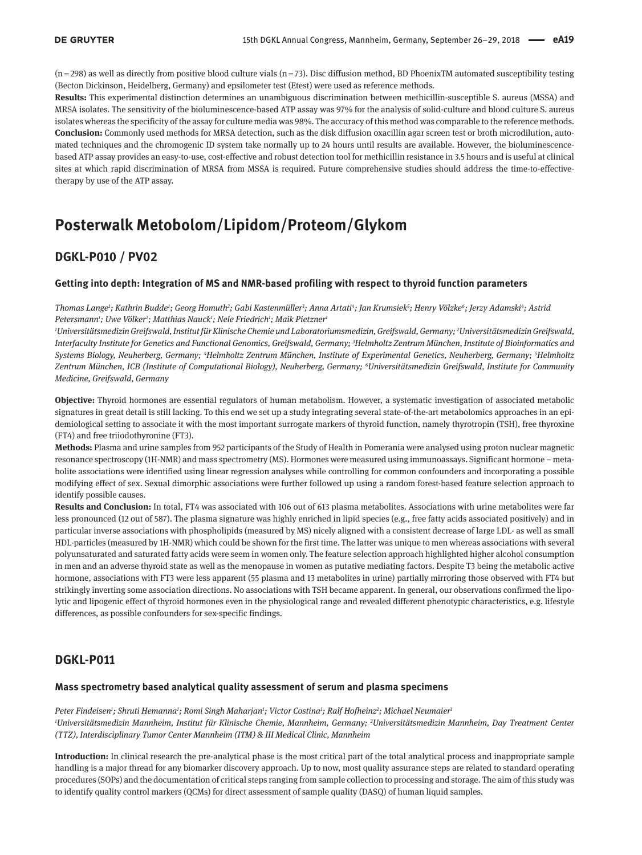$(n=298)$  as well as directly from positive blood culture vials  $(n=73)$ . Disc diffusion method, BD PhoenixTM automated susceptibility testing (Becton Dickinson, Heidelberg, Germany) and epsilometer test (Etest) were used as reference methods.

**Results:** This experimental distinction determines an unambiguous discrimination between methicillin-susceptible S. aureus (MSSA) and MRSA isolates. The sensitivity of the bioluminescence-based ATP assay was 97% for the analysis of solid-culture and blood culture S. aureus isolates whereas the specificity of the assay for culture media was 98%. The accuracy of this method was comparable to the reference methods. **Conclusion:** Commonly used methods for MRSA detection, such as the disk diffusion oxacillin agar screen test or broth microdilution, automated techniques and the chromogenic ID system take normally up to 24 hours until results are available. However, the bioluminescencebased ATP assay provides an easy-to-use, cost-effective and robust detection tool for methicillin resistance in 3.5 hours and is useful at clinical sites at which rapid discrimination of MRSA from MSSA is required. Future comprehensive studies should address the time-to-effectivetherapy by use of the ATP assay.

## **Posterwalk Metobolom/Lipidom/Proteom/Glykom**

### **DGKL-P010 / PV02**

### **Getting into depth: Integration of MS and NMR-based profiling with respect to thyroid function parameters**

*Thomas Lange1 ; Kathrin Budde1 ; Georg Homuth2 ; Gabi Kastenmüller3 ; Anna Artati4 ; Jan Krumsiek5 ; Henry Völzke6 ; Jerzy Adamski4 ; Astrid*  Petersmann<sup>1</sup>; Uwe Völker<sup>2</sup>; Matthias Nauck<sup>1</sup>; Nele Friedrich<sup>1</sup>; Maik Pietzner<sup>1</sup>

*1 Universitätsmedizin Greifswald, Institut für Klinische Chemie und Laboratoriumsmedizin, Greifswald, Germany; 2 Universitätsmedizin Greifswald, Interfaculty Institute for Genetics and Functional Genomics, Greifswald, Germany; 3 Helmholtz Zentrum München, Institute of Bioinformatics and Systems Biology, Neuherberg, Germany; 4 Helmholtz Zentrum München, Institute of Experimental Genetics, Neuherberg, Germany; 5 Helmholtz Zentrum München, ICB (Institute of Computational Biology), Neuherberg, Germany; 6 Universitätsmedizin Greifswald, Institute for Community Medicine, Greifswald, Germany*

**Objective:** Thyroid hormones are essential regulators of human metabolism. However, a systematic investigation of associated metabolic signatures in great detail is still lacking. To this end we set up a study integrating several state-of-the-art metabolomics approaches in an epidemiological setting to associate it with the most important surrogate markers of thyroid function, namely thyrotropin (TSH), free thyroxine (FT4) and free triiodothyronine (FT3).

**Methods:** Plasma and urine samples from 952 participants of the Study of Health in Pomerania were analysed using proton nuclear magnetic resonance spectroscopy (1H-NMR) and mass spectrometry (MS). Hormones were measured using immunoassays. Significant hormone – metabolite associations were identified using linear regression analyses while controlling for common confounders and incorporating a possible modifying effect of sex. Sexual dimorphic associations were further followed up using a random forest-based feature selection approach to identify possible causes.

**Results and Conclusion:** In total, FT4 was associated with 106 out of 613 plasma metabolites. Associations with urine metabolites were far less pronounced (12 out of 587). The plasma signature was highly enriched in lipid species (e.g., free fatty acids associated positively) and in particular inverse associations with phospholipids (measured by MS) nicely aligned with a consistent decrease of large LDL- as well as small HDL-particles (measured by 1H-NMR) which could be shown for the first time. The latter was unique to men whereas associations with several polyunsaturated and saturated fatty acids were seem in women only. The feature selection approach highlighted higher alcohol consumption in men and an adverse thyroid state as well as the menopause in women as putative mediating factors. Despite T3 being the metabolic active hormone, associations with FT3 were less apparent (55 plasma and 13 metabolites in urine) partially mirroring those observed with FT4 but strikingly inverting some association directions. No associations with TSH became apparent. In general, our observations confirmed the lipolytic and lipogenic effect of thyroid hormones even in the physiological range and revealed different phenotypic characteristics, e.g. lifestyle differences, as possible confounders for sex-specific findings.

### **DGKL-P011**

#### **Mass spectrometry based analytical quality assessment of serum and plasma specimens**

*Peter Findeisen1 ; Shruti Hemanna1 ; Romi Singh Maharjan1 ; Victor Costina1 ; Ralf Hofheinz2 ; Michael Neumaier1 1 Universitätsmedizin Mannheim, Institut für Klinische Chemie, Mannheim, Germany; 2 Universitätsmedizin Mannheim, Day Treatment Center (TTZ), Interdisciplinary Tumor Center Mannheim (ITM) & III Medical Clinic, Mannheim*

**Introduction:** In clinical research the pre-analytical phase is the most critical part of the total analytical process and inappropriate sample handling is a major thread for any biomarker discovery approach. Up to now, most quality assurance steps are related to standard operating procedures (SOPs) and the documentation of critical steps ranging from sample collection to processing and storage. The aim of this study was to identify quality control markers (QCMs) for direct assessment of sample quality (DASQ) of human liquid samples.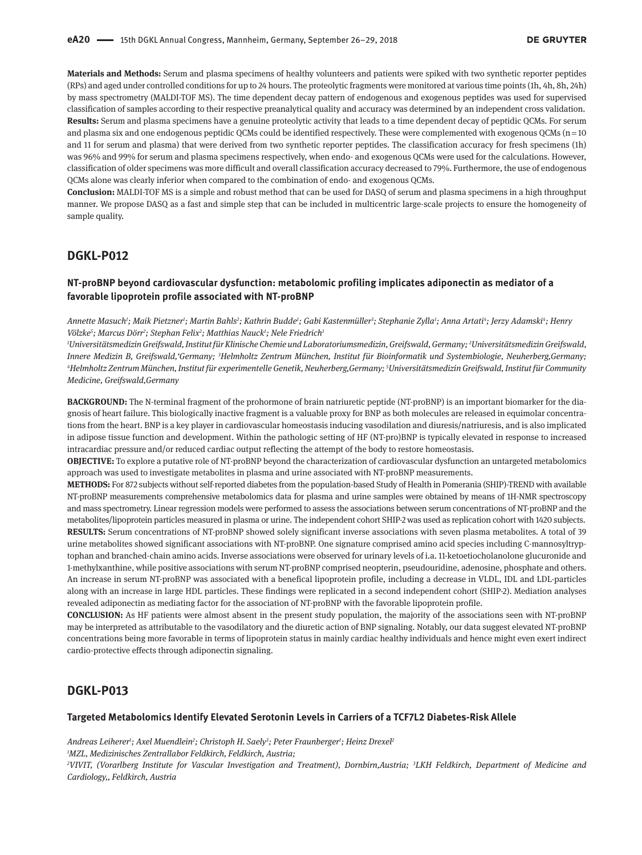**Materials and Methods:** Serum and plasma specimens of healthy volunteers and patients were spiked with two synthetic reporter peptides (RPs) and aged under controlled conditions for up to 24 hours. The proteolytic fragments were monitored at various time points (1h, 4h, 8h, 24h) by mass spectrometry (MALDI-TOF MS). The time dependent decay pattern of endogenous and exogenous peptides was used for supervised classification of samples according to their respective preanalytical quality and accuracy was determined by an independent cross validation. **Results:** Serum and plasma specimens have a genuine proteolytic activity that leads to a time dependent decay of peptidic QCMs. For serum and plasma six and one endogenous peptidic QCMs could be identified respectively. These were complemented with exogenous QCMs (n = 10 and 11 for serum and plasma) that were derived from two synthetic reporter peptides. The classification accuracy for fresh specimens (1h) was 96% and 99% for serum and plasma specimens respectively, when endo- and exogenous QCMs were used for the calculations. However, classification of older specimens was more difficult and overall classification accuracy decreased to 79%. Furthermore, the use of endogenous QCMs alone was clearly inferior when compared to the combination of endo- and exogenous QCMs.

**Conclusion:** MALDI-TOF MS is a simple and robust method that can be used for DASQ of serum and plasma specimens in a high throughput manner. We propose DASQ as a fast and simple step that can be included in multicentric large-scale projects to ensure the homogeneity of sample quality.

### **DGKL-P012**

### **NT-proBNP beyond cardiovascular dysfunction: metabolomic profiling implicates adiponectin as mediator of a favorable lipoprotein profile associated with NT-proBNP**

Annette Masuch'; Maik Pietzner'; Martin Bahls<sup>2</sup>; Kathrin Budde'; Gabi Kastenmüller<sup>3</sup>; Stephanie Zylla'; Anna Artati<sup>4</sup>; Jerzy Adamski<sup>4</sup>; Henry *Völzke5 ; Marcus Dörr2 ; Stephan Felix2 ; Matthias Nauck1 ; Nele Friedrich1*

*1 Universitätsmedizin Greifswald, Institut für Klinische Chemie und Laboratoriumsmedizin, Greifswald, Germany; 2 Universitätsmedizin Greifswald,*  Innere Medizin B, Greifswald,'Germany; <sup>3</sup>Helmholtz Zentrum München, Institut für Bioinformatik und Systembiologie, Neuherberg,Germany; *4 Helmholtz Zentrum München, Institut für experimentelle Genetik, Neuherberg,Germany; 5 Universitätsmedizin Greifswald, Institut für Community Medicine, Greifswald,Germany*

**BACKGROUND:** The N-terminal fragment of the prohormone of brain natriuretic peptide (NT-proBNP) is an important biomarker for the diagnosis of heart failure. This biologically inactive fragment is a valuable proxy for BNP as both molecules are released in equimolar concentrations from the heart. BNP is a key player in cardiovascular homeostasis inducing vasodilation and diuresis/natriuresis, and is also implicated in adipose tissue function and development. Within the pathologic setting of HF (NT-pro)BNP is typically elevated in response to increased intracardiac pressure and/or reduced cardiac output reflecting the attempt of the body to restore homeostasis.

**OBJECTIVE:** To explore a putative role of NT-proBNP beyond the characterization of cardiovascular dysfunction an untargeted metabolomics approach was used to investigate metabolites in plasma and urine associated with NT-proBNP measurements.

**METHODS:** For 872 subjects without self-reported diabetes from the population-based Study of Health in Pomerania (SHIP)-TREND with available NT-proBNP measurements comprehensive metabolomics data for plasma and urine samples were obtained by means of 1H-NMR spectroscopy and mass spectrometry. Linear regression models were performed to assess the associations between serum concentrations of NT-proBNP and the metabolites/lipoprotein particles measured in plasma or urine. The independent cohort SHIP-2 was used as replication cohort with 1420 subjects. **RESULTS:** Serum concentrations of NT-proBNP showed solely significant inverse associations with seven plasma metabolites. A total of 39 urine metabolites showed significant associations with NT-proBNP. One signature comprised amino acid species including C-mannosyltryptophan and branched-chain amino acids. Inverse associations were observed for urinary levels of i.a. 11-ketoetiocholanolone glucuronide and 1-methylxanthine, while positive associations with serum NT-proBNP comprised neopterin, pseudouridine, adenosine, phosphate and others. An increase in serum NT-proBNP was associated with a benefical lipoprotein profile, including a decrease in VLDL, IDL and LDL-particles along with an increase in large HDL particles. These findings were replicated in a second independent cohort (SHIP-2). Mediation analyses revealed adiponectin as mediating factor for the association of NT-proBNP with the favorable lipoprotein profile.

**CONCLUSION:** As HF patients were almost absent in the present study population, the majority of the associations seen with NT-proBNP may be interpreted as attributable to the vasodilatory and the diuretic action of BNP signaling. Notably, our data suggest elevated NT-proBNP concentrations being more favorable in terms of lipoprotein status in mainly cardiac healthy individuals and hence might even exert indirect cardio-protective effects through adiponectin signaling.

### **DGKL-P013**

#### **Targeted Metabolomics Identify Elevated Serotonin Levels in Carriers of a TCF7L2 Diabetes-Risk Allele**

*Andreas Leiherer1 ; Axel Muendlein2 ; Christoph H. Saely3 ; Peter Fraunberger1 ; Heinz Drexel2*

*1 MZL, Medizinisches Zentrallabor Feldkirch, Feldkirch, Austria;*

*2 VIVIT, (Vorarlberg Institute for Vascular Investigation and Treatment), Dornbirn,Austria; 3 LKH Feldkirch, Department of Medicine and Cardiology,, Feldkirch, Austria*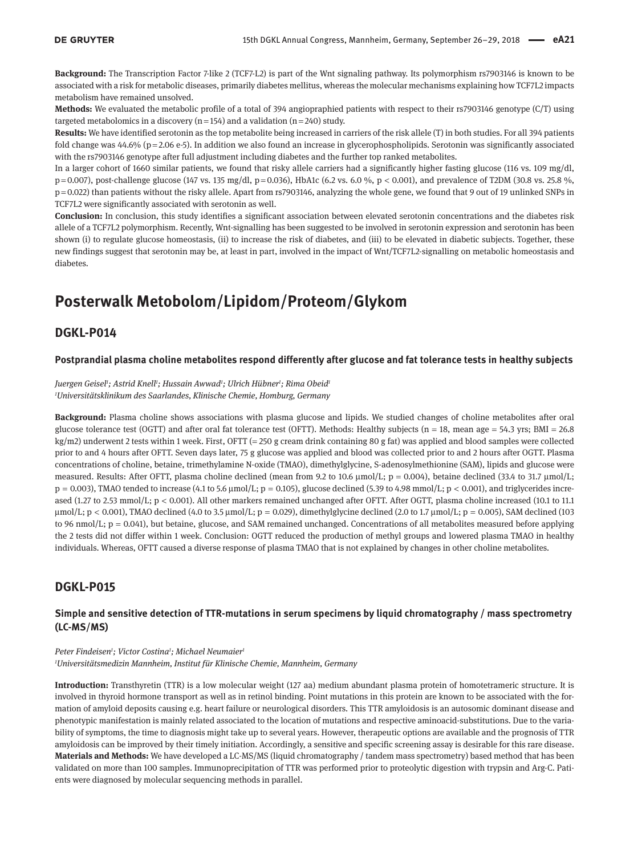**Background:** The Transcription Factor 7-like 2 (TCF7-L2) is part of the Wnt signaling pathway. Its polymorphism rs7903146 is known to be associated with a risk for metabolic diseases, primarily diabetes mellitus, whereas the molecular mechanisms explaining how TCF7L2 impacts metabolism have remained unsolved.

**Methods:** We evaluated the metabolic profile of a total of 394 angiopraphied patients with respect to their rs7903146 genotype (C/T) using targeted metabolomics in a discovery ( $n = 154$ ) and a validation ( $n = 240$ ) study.

**Results:** We have identified serotonin as the top metabolite being increased in carriers of the risk allele (T) in both studies. For all 394 patients fold change was 44.6% (p = 2.06 e-5). In addition we also found an increase in glycerophospholipids. Serotonin was significantly associated with the rs7903146 genotype after full adjustment including diabetes and the further top ranked metabolites.

In a larger cohort of 1660 similar patients, we found that risky allele carriers had a significantly higher fasting glucose (116 vs. 109 mg/dl, p = 0.007), post-challenge glucose (147 vs. 135 mg/dl, p = 0.036), HbA1c (6.2 vs. 6.0 %, p  <  0.001), and prevalence of T2DM (30.8 vs. 25.8 %, p = 0.022) than patients without the risky allele. Apart from rs7903146, analyzing the whole gene, we found that 9 out of 19 unlinked SNPs in TCF7L2 were significantly associated with serotonin as well.

**Conclusion:** In conclusion, this study identifies a significant association between elevated serotonin concentrations and the diabetes risk allele of a TCF7L2 polymorphism. Recently, Wnt-signalling has been suggested to be involved in serotonin expression and serotonin has been shown (i) to regulate glucose homeostasis, (ii) to increase the risk of diabetes, and (iii) to be elevated in diabetic subjects. Together, these new findings suggest that serotonin may be, at least in part, involved in the impact of Wnt/TCF7L2-signalling on metabolic homeostasis and diabetes.

## **Posterwalk Metobolom/Lipidom/Proteom/Glykom**

### **DGKL-P014**

#### **Postprandial plasma choline metabolites respond differently after glucose and fat tolerance tests in healthy subjects**

*Juergen Geisel1 ; Astrid Knell1 ; Hussain Awwad1 ; Ulrich Hübner1 ; Rima Obeid1 1 Universitätsklinikum des Saarlandes, Klinische Chemie, Homburg, Germany*

**Background:** Plasma choline shows associations with plasma glucose and lipids. We studied changes of choline metabolites after oral glucose tolerance test (OGTT) and after oral fat tolerance test (OFTT). Methods: Healthy subjects ( $n = 18$ , mean age = 54.3 yrs; BMI = 26.8 kg/m2) underwent 2 tests within 1 week. First, OFTT (= 250 g cream drink containing 80 g fat) was applied and blood samples were collected prior to and 4 hours after OFTT. Seven days later, 75 g glucose was applied and blood was collected prior to and 2 hours after OGTT. Plasma concentrations of choline, betaine, trimethylamine N-oxide (TMAO), dimethylglycine, S-adenosylmethionine (SAM), lipids and glucose were measured. Results: After OFTT, plasma choline declined (mean from 9.2 to 10.6  $\mu$ mol/L; p = 0.004), betaine declined (33.4 to 31.7  $\mu$ mol/L; p  =  0.003), TMAO tended to increase (4.1 to 5.6 μmol/L; p  =  0.105), glucose declined (5.39 to 4.98 mmol/L; p  <  0.001), and triglycerides increased (1.27 to 2.53 mmol/L; p  <  0.001). All other markers remained unchanged after OFTT. After OGTT, plasma choline increased (10.1 to 11.1 μmol/L; p < 0.001), TMAO declined (4.0 to 3.5 μmol/L; p = 0.029), dimethylglycine declined (2.0 to 1.7 μmol/L; p = 0.005), SAM declined (103 to 96 nmol/L;  $p = 0.041$ , but betaine, glucose, and SAM remained unchanged. Concentrations of all metabolites measured before applying the 2 tests did not differ within 1 week. Conclusion: OGTT reduced the production of methyl groups and lowered plasma TMAO in healthy individuals. Whereas, OFTT caused a diverse response of plasma TMAO that is not explained by changes in other choline metabolites.

### **DGKL-P015**

### **Simple and sensitive detection of TTR-mutations in serum specimens by liquid chromatography / mass spectrometry (LC-MS/MS)**

*Peter Findeisen1 ; Victor Costina1 ; Michael Neumaier1 1 Universitätsmedizin Mannheim, Institut für Klinische Chemie, Mannheim, Germany*

**Introduction:** Transthyretin (TTR) is a low molecular weight (127 aa) medium abundant plasma protein of homotetrameric structure. It is involved in thyroid hormone transport as well as in retinol binding. Point mutations in this protein are known to be associated with the formation of amyloid deposits causing e.g. heart failure or neurological disorders. This TTR amyloidosis is an autosomic dominant disease and phenotypic manifestation is mainly related associated to the location of mutations and respective aminoacid-substitutions. Due to the variability of symptoms, the time to diagnosis might take up to several years. However, therapeutic options are available and the prognosis of TTR amyloidosis can be improved by their timely initiation. Accordingly, a sensitive and specific screening assay is desirable for this rare disease. **Materials and Methods:** We have developed a LC-MS/MS (liquid chromatography / tandem mass spectrometry) based method that has been validated on more than 100 samples. Immunoprecipitation of TTR was performed prior to proteolytic digestion with trypsin and Arg-C. Patients were diagnosed by molecular sequencing methods in parallel.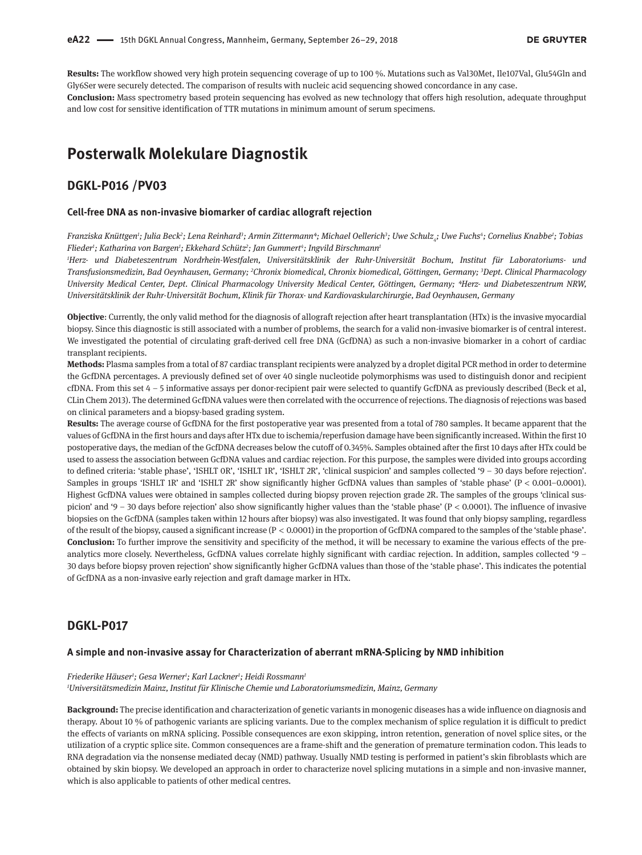**Results:** The workflow showed very high protein sequencing coverage of up to 100 %. Mutations such as Val30Met, Ile107Val, Glu54Gln and Gly6Ser were securely detected. The comparison of results with nucleic acid sequencing showed concordance in any case.

**Conclusion:** Mass spectrometry based protein sequencing has evolved as new technology that offers high resolution, adequate throughput and low cost for sensitive identification of TTR mutations in minimum amount of serum specimens.

## **Posterwalk Molekulare Diagnostik**

### **DGKL-P016 /PV03**

#### **Cell-free DNA as non-invasive biomarker of cardiac allograft rejection**

*Franziska Knüttgen1 ; Julia Beck2 ; Lena Reinhard3 ; Armin Zittermann⁴; Michael Oellerich3 ; Uwe Schulz4 ; Uwe Fuchs4 ; Cornelius Knabbe1 ; Tobias Flieder1 ; Katharina von Bargen1 ; Ekkehard Schütz2 ; Jan Gummert4 ; Ingvild Birschmann1*

*1 Herz- und Diabeteszentrum Nordrhein-Westfalen, Universitätsklinik der Ruhr-Universität Bochum, Institut für Laboratoriums- und Transfusionsmedizin, Bad Oeynhausen, Germany; 2 Chronix biomedical, Chronix biomedical, Göttingen, Germany; 3 Dept. Clinical Pharmacology University Medical Center, Dept. Clinical Pharmacology University Medical Center, Göttingen, Germany; ⁴Herz- und Diabeteszentrum NRW, Universitätsklinik der Ruhr-Universität Bochum, Klinik für Thorax- und Kardiovaskularchirurgie, Bad Oeynhausen, Germany*

**Objective**: Currently, the only valid method for the diagnosis of allograft rejection after heart transplantation (HTx) is the invasive myocardial biopsy. Since this diagnostic is still associated with a number of problems, the search for a valid non-invasive biomarker is of central interest. We investigated the potential of circulating graft-derived cell free DNA (GcfDNA) as such a non-invasive biomarker in a cohort of cardiac transplant recipients.

**Methods:** Plasma samples from a total of 87 cardiac transplant recipients were analyzed by a droplet digital PCR method in order to determine the GcfDNA percentages. A previously defined set of over 40 single nucleotide polymorphisms was used to distinguish donor and recipient cfDNA. From this set 4 – 5 informative assays per donor-recipient pair were selected to quantify GcfDNA as previously described (Beck et al, CLin Chem 2013). The determined GcfDNA values were then correlated with the occurrence of rejections. The diagnosis of rejections was based on clinical parameters and a biopsy-based grading system.

**Results:** The average course of GcfDNA for the first postoperative year was presented from a total of 780 samples. It became apparent that the values of GcfDNA in the first hours and days after HTx due to ischemia/reperfusion damage have been significantly increased. Within the first 10 postoperative days, the median of the GcfDNA decreases below the cutoff of 0.345%. Samples obtained after the first 10 days after HTx could be used to assess the association between GcfDNA values and cardiac rejection. For this purpose, the samples were divided into groups according to defined criteria: 'stable phase', 'ISHLT 0R', 'ISHLT 1R', 'ISHLT 2R', 'clinical suspicion' and samples collected '9 - 30 days before rejection'. Samples in groups 'ISHLT 1R' and 'ISHLT 2R' show significantly higher GcfDNA values than samples of 'stable phase' (P  <  0.001–0.0001). Highest GcfDNA values were obtained in samples collected during biopsy proven rejection grade 2R. The samples of the groups 'clinical suspicion' and '9 – 30 days before rejection' also show significantly higher values than the 'stable phase' (P  <  0.0001). The influence of invasive biopsies on the GcfDNA (samples taken within 12 hours after biopsy) was also investigated. It was found that only biopsy sampling, regardless of the result of the biopsy, caused a significant increase (P  <  0.0001) in the proportion of GcfDNA compared to the samples of the 'stable phase'. **Conclusion:** To further improve the sensitivity and specificity of the method, it will be necessary to examine the various effects of the preanalytics more closely. Nevertheless, GcfDNA values correlate highly significant with cardiac rejection. In addition, samples collected '9 – 30 days before biopsy proven rejection' show significantly higher GcfDNA values than those of the 'stable phase'. This indicates the potential of GcfDNA as a non-invasive early rejection and graft damage marker in HTx.

### **DGKL-P017**

#### **A simple and non-invasive assay for Characterization of aberrant mRNA-Splicing by NMD inhibition**

*Friederike Häuser1 ; Gesa Werner1 ; Karl Lackner1 ; Heidi Rossmann1*

*1 Universitätsmedizin Mainz, Institut für Klinische Chemie und Laboratoriumsmedizin, Mainz, Germany*

**Background:** The precise identification and characterization of genetic variants in monogenic diseases has a wide influence on diagnosis and therapy. About 10 % of pathogenic variants are splicing variants. Due to the complex mechanism of splice regulation it is difficult to predict the effects of variants on mRNA splicing. Possible consequences are exon skipping, intron retention, generation of novel splice sites, or the utilization of a cryptic splice site. Common consequences are a frame-shift and the generation of premature termination codon. This leads to RNA degradation via the nonsense mediated decay (NMD) pathway. Usually NMD testing is performed in patient's skin fibroblasts which are obtained by skin biopsy. We developed an approach in order to characterize novel splicing mutations in a simple and non-invasive manner, which is also applicable to patients of other medical centres.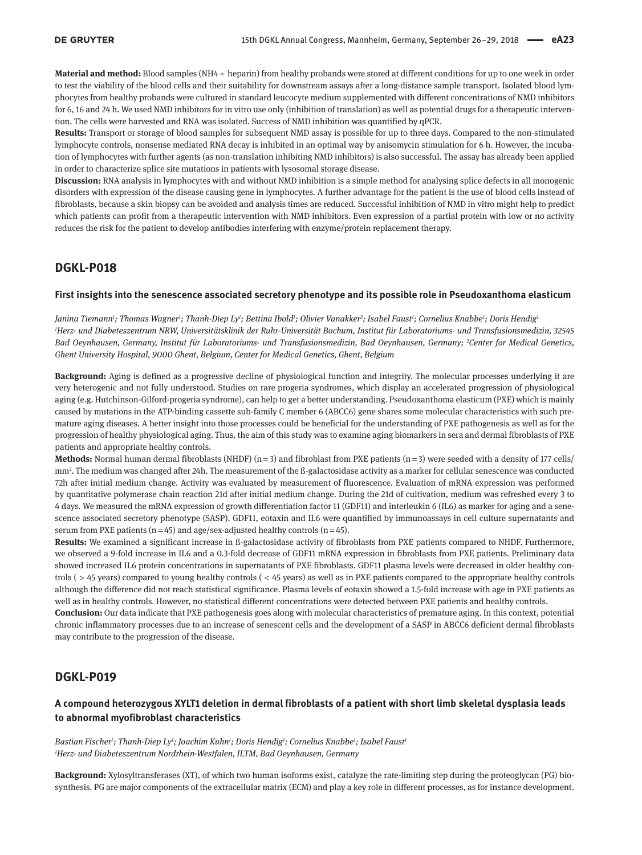**Material and method:** Blood samples (NH4 +  heparin) from healthy probands were stored at different conditions for up to one week in order to test the viability of the blood cells and their suitability for downstream assays after a long-distance sample transport. Isolated blood lymphocytes from healthy probands were cultured in standard leucocyte medium supplemented with different concentrations of NMD inhibitors for 6, 16 and 24 h. We used NMD inhibitors for in vitro use only (inhibition of translation) as well as potential drugs for a therapeutic intervention. The cells were harvested and RNA was isolated. Success of NMD inhibition was quantified by qPCR.

**Results:** Transport or storage of blood samples for subsequent NMD assay is possible for up to three days. Compared to the non-stimulated lymphocyte controls, nonsense mediated RNA decay is inhibited in an optimal way by anisomycin stimulation for 6 h. However, the incubation of lymphocytes with further agents (as non-translation inhibiting NMD inhibitors) is also successful. The assay has already been applied in order to characterize splice site mutations in patients with lysosomal storage disease.

**Discussion:** RNA analysis in lymphocytes with and without NMD inhibition is a simple method for analysing splice defects in all monogenic disorders with expression of the disease causing gene in lymphocytes. A further advantage for the patient is the use of blood cells instead of fibroblasts, because a skin biopsy can be avoided and analysis times are reduced. Successful inhibition of NMD in vitro might help to predict which patients can profit from a therapeutic intervention with NMD inhibitors. Even expression of a partial protein with low or no activity reduces the risk for the patient to develop antibodies interfering with enzyme/protein replacement therapy.

### **DGKL-P018**

#### **First insights into the senescence associated secretory phenotype and its possible role in Pseudoxanthoma elasticum**

Janina Tiemann'; Thomas Wagner'; Thanh-Diep Ly<sup>ı</sup>; Bettina Ibold'; Olivier Vanakker<sup>2</sup>; Isabel Faust'; Cornelius Knabbe'; Doris Hendig<sup>.</sup> *1 Herz- und Diabeteszentrum NRW, Universitätsklinik der Ruhr-Universität Bochum, Institut für Laboratoriums- und Transfusionsmedizin, 32545 Bad Oeynhausen, Germany, Institut für Laboratoriums- und Transfusionsmedizin, Bad Oeynhausen, Germany; 2 Center for Medical Genetics, Ghent University Hospital, 9000 Ghent, Belgium, Center for Medical Genetics, Ghent, Belgium*

**Background:** Aging is defined as a progressive decline of physiological function and integrity. The molecular processes underlying it are very heterogenic and not fully understood. Studies on rare progeria syndromes, which display an accelerated progression of physiological aging (e.g. Hutchinson-Gilford-progeria syndrome), can help to get a better understanding. Pseudoxanthoma elasticum (PXE) which is mainly caused by mutations in the ATP-binding cassette sub-family C member 6 (ABCC6) gene shares some molecular characteristics with such premature aging diseases. A better insight into those processes could be beneficial for the understanding of PXE pathogenesis as well as for the progression of healthy physiological aging. Thus, the aim of this study was to examine aging biomarkers in sera and dermal fibroblasts of PXE patients and appropriate healthy controls.

**Methods:** Normal human dermal fibroblasts (NHDF)  $(n=3)$  and fibroblast from PXE patients  $(n=3)$  were seeded with a density of 177 cells/ mm2 . The medium was changed after 24h. The measurement of the ß-galactosidase activity as a marker for cellular senescence was conducted 72h after initial medium change. Activity was evaluated by measurement of fluorescence. Evaluation of mRNA expression was performed by quantitative polymerase chain reaction 21d after initial medium change. During the 21d of cultivation, medium was refreshed every 3 to 4 days. We measured the mRNA expression of growth differentiation factor 11 (GDF11) and interleukin 6 (IL6) as marker for aging and a senescence associated secretory phenotype (SASP). GDF11, eotaxin and IL6 were quantified by immunoassays in cell culture supernatants and serum from PXE patients ( $n=45$ ) and age/sex-adjusted healthy controls ( $n=45$ ).

**Results:** We examined a significant increase in ß-galactosidase activity of fibroblasts from PXE patients compared to NHDF. Furthermore, we observed a 9-fold increase in IL6 and a 0.3-fold decrease of GDF11 mRNA expression in fibroblasts from PXE patients. Preliminary data showed increased IL6 protein concentrations in supernatants of PXE fibroblasts. GDF11 plasma levels were decreased in older healthy controls (  >  45 years) compared to young healthy controls (  <  45 years) as well as in PXE patients compared to the appropriate healthy controls although the difference did not reach statistical significance. Plasma levels of eotaxin showed a 1.5-fold increase with age in PXE patients as well as in healthy controls. However, no statistical different concentrations were detected between PXE patients and healthy controls.

**Conclusion:** Our data indicate that PXE pathogenesis goes along with molecular characteristics of premature aging. In this context, potential chronic inflammatory processes due to an increase of senescent cells and the development of a SASP in ABCC6 deficient dermal fibroblasts may contribute to the progression of the disease.

### **DGKL-P019**

### **A compound heterozygous XYLT1 deletion in dermal fibroblasts of a patient with short limb skeletal dysplasia leads to abnormal myofibroblast characteristics**

*Bastian Fischer1 ; Thanh-Diep Ly1 ; Joachim Kuhn1 ; Doris Hendig1 ; Cornelius Knabbe1 ; Isabel Faust1 1 Herz- und Diabeteszentrum Nordrhein-Westfalen, ILTM, Bad Oeynhausen, Germany*

**Background:** Xylosyltransferases (XT), of which two human isoforms exist, catalyze the rate-limiting step during the proteoglycan (PG) biosynthesis. PG are major components of the extracellular matrix (ECM) and play a key role in different processes, as for instance development.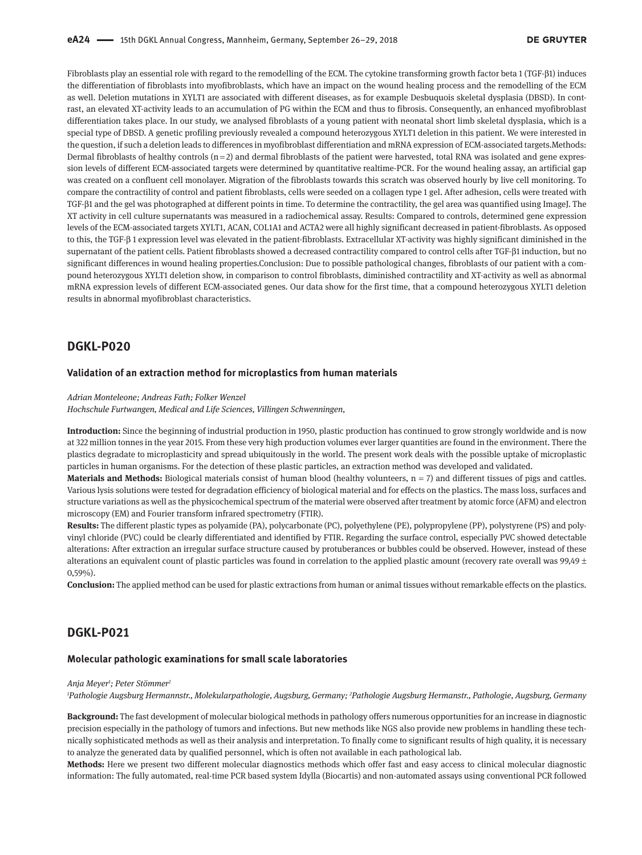Fibroblasts play an essential role with regard to the remodelling of the ECM. The cytokine transforming growth factor beta 1 (TGF-β1) induces the differentiation of fibroblasts into myofibroblasts, which have an impact on the wound healing process and the remodelling of the ECM as well. Deletion mutations in XYLT1 are associated with different diseases, as for example Desbuquois skeletal dysplasia (DBSD). In contrast, an elevated XT-activity leads to an accumulation of PG within the ECM and thus to fibrosis. Consequently, an enhanced myofibroblast differentiation takes place. In our study, we analysed fibroblasts of a young patient with neonatal short limb skeletal dysplasia, which is a special type of DBSD. A genetic profiling previously revealed a compound heterozygous XYLT1 deletion in this patient. We were interested in the question, if such a deletion leads to differences in myofibroblast differentiation and mRNA expression of ECM-associated targets.Methods: Dermal fibroblasts of healthy controls  $(n=2)$  and dermal fibroblasts of the patient were harvested, total RNA was isolated and gene expression levels of different ECM-associated targets were determined by quantitative realtime-PCR. For the wound healing assay, an artificial gap was created on a confluent cell monolayer. Migration of the fibroblasts towards this scratch was observed hourly by live cell monitoring. To compare the contractility of control and patient fibroblasts, cells were seeded on a collagen type 1 gel. After adhesion, cells were treated with TGF-β1 and the gel was photographed at different points in time. To determine the contractility, the gel area was quantified using ImageJ. The XT activity in cell culture supernatants was measured in a radiochemical assay. Results: Compared to controls, determined gene expression levels of the ECM-associated targets XYLT1, ACAN, COL1A1 and ACTA2 were all highly significant decreased in patient-fibroblasts. As opposed to this, the TGF-β 1 expression level was elevated in the patient-fibroblasts. Extracellular XT-activity was highly significant diminished in the supernatant of the patient cells. Patient fibroblasts showed a decreased contractility compared to control cells after TGF-β1 induction, but no significant differences in wound healing properties.Conclusion: Due to possible pathological changes, fibroblasts of our patient with a compound heterozygous XYLT1 deletion show, in comparison to control fibroblasts, diminished contractility and XT-activity as well as abnormal mRNA expression levels of different ECM-associated genes. Our data show for the first time, that a compound heterozygous XYLT1 deletion results in abnormal myofibroblast characteristics.

### **DGKL-P020**

#### **Validation of an extraction method for microplastics from human materials**

*Adrian Monteleone; Andreas Fath; Folker Wenzel*

*Hochschule Furtwangen, Medical and Life Sciences, Villingen Schwenningen,*

**Introduction:** Since the beginning of industrial production in 1950, plastic production has continued to grow strongly worldwide and is now at 322 million tonnes in the year 2015. From these very high production volumes ever larger quantities are found in the environment. There the plastics degradate to microplasticity and spread ubiquitously in the world. The present work deals with the possible uptake of microplastic particles in human organisms. For the detection of these plastic particles, an extraction method was developed and validated.

Materials and Methods: Biological materials consist of human blood (healthy volunteers,  $n = 7$ ) and different tissues of pigs and cattles. Various lysis solutions were tested for degradation efficiency of biological material and for effects on the plastics. The mass loss, surfaces and structure variations as well as the physicochemical spectrum of the material were observed after treatment by atomic force (AFM) and electron microscopy (EM) and Fourier transform infrared spectrometry (FTIR).

**Results:** The different plastic types as polyamide (PA), polycarbonate (PC), polyethylene (PE), polypropylene (PP), polystyrene (PS) and polyvinyl chloride (PVC) could be clearly differentiated and identified by FTIR. Regarding the surface control, especially PVC showed detectable alterations: After extraction an irregular surface structure caused by protuberances or bubbles could be observed. However, instead of these alterations an equivalent count of plastic particles was found in correlation to the applied plastic amount (recovery rate overall was  $99,49 \pm$ 0,59%).

**Conclusion:** The applied method can be used for plastic extractions from human or animal tissues without remarkable effects on the plastics.

### **DGKL-P021**

#### **Molecular pathologic examinations for small scale laboratories**

*Anja Meyer1 ; Peter Stömmer2*

'Pathologie Augsburg Hermannstr., Molekularpathologie, Augsburg, Germany; <sup>2</sup>Pathologie Augsburg Hermanstr., Pathologie, Augsburg, Germany

**Background:** The fast development of molecular biological methods in pathology offers numerous opportunities for an increase in diagnostic precision especially in the pathology of tumors and infections. But new methods like NGS also provide new problems in handling these technically sophisticated methods as well as their analysis and interpretation. To finally come to significant results of high quality, it is necessary to analyze the generated data by qualified personnel, which is often not available in each pathological lab.

**Methods:** Here we present two different molecular diagnostics methods which offer fast and easy access to clinical molecular diagnostic information: The fully automated, real-time PCR based system Idylla (Biocartis) and non-automated assays using conventional PCR followed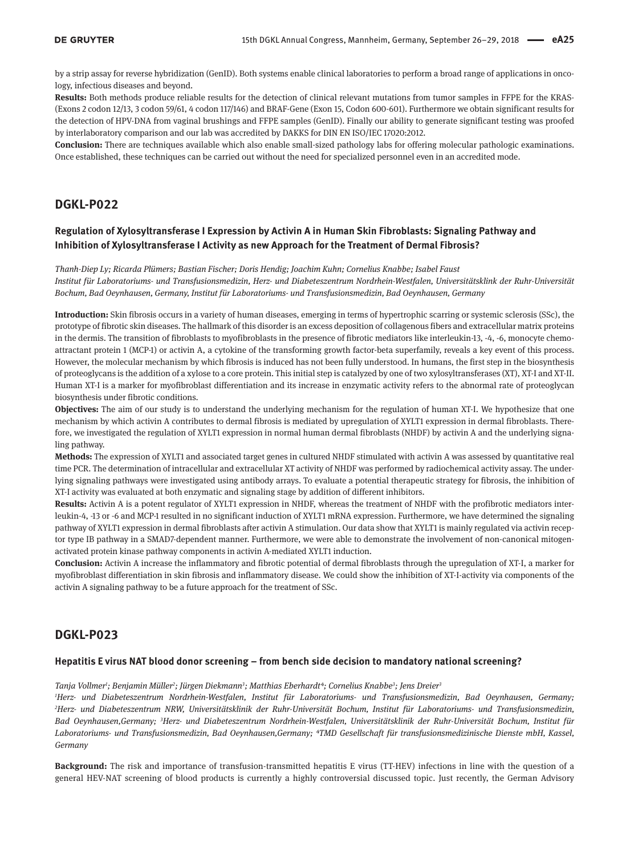by a strip assay for reverse hybridization (GenID). Both systems enable clinical laboratories to perform a broad range of applications in oncology, infectious diseases and beyond.

**Results:** Both methods produce reliable results for the detection of clinical relevant mutations from tumor samples in FFPE for the KRAS- (Exons 2 codon 12/13, 3 codon 59/61, 4 codon 117/146) and BRAF-Gene (Exon 15, Codon 600-601). Furthermore we obtain significant results for the detection of HPV-DNA from vaginal brushings and FFPE samples (GenID). Finally our ability to generate significant testing was proofed by interlaboratory comparison and our lab was accredited by DAKKS for DIN EN ISO/IEC 17020:2012.

**Conclusion:** There are techniques available which also enable small-sized pathology labs for offering molecular pathologic examinations. Once established, these techniques can be carried out without the need for specialized personnel even in an accredited mode.

### **DGKL-P022**

### **Regulation of Xylosyltransferase I Expression by Activin A in Human Skin Fibroblasts: Signaling Pathway and Inhibition of Xylosyltransferase I Activity as new Approach for the Treatment of Dermal Fibrosis?**

*Thanh-Diep Ly; Ricarda Plümers; Bastian Fischer; Doris Hendig; Joachim Kuhn; Cornelius Knabbe; Isabel Faust Institut für Laboratoriums- und Transfusionsmedizin, Herz- und Diabeteszentrum Nordrhein-Westfalen, Universitätsklink der Ruhr-Universität Bochum, Bad Oeynhausen, Germany, Institut für Laboratoriums- und Transfusionsmedizin, Bad Oeynhausen, Germany*

**Introduction:** Skin fibrosis occurs in a variety of human diseases, emerging in terms of hypertrophic scarring or systemic sclerosis (SSc), the prototype of fibrotic skin diseases. The hallmark of this disorder is an excess deposition of collagenous fibers and extracellular matrix proteins in the dermis. The transition of fibroblasts to myofibroblasts in the presence of fibrotic mediators like interleukin-13, -4, -6, monocyte chemoattractant protein 1 (MCP-1) or activin A, a cytokine of the transforming growth factor-beta superfamily, reveals a key event of this process. However, the molecular mechanism by which fibrosis is induced has not been fully understood. In humans, the first step in the biosynthesis of proteoglycans is the addition of a xylose to a core protein. This initial step is catalyzed by one of two xylosyltransferases (XT), XT-I and XT-II. Human XT-I is a marker for myofibroblast differentiation and its increase in enzymatic activity refers to the abnormal rate of proteoglycan biosynthesis under fibrotic conditions.

**Objectives:** The aim of our study is to understand the underlying mechanism for the regulation of human XT-I. We hypothesize that one mechanism by which activin A contributes to dermal fibrosis is mediated by upregulation of XYLT1 expression in dermal fibroblasts. Therefore, we investigated the regulation of XYLT1 expression in normal human dermal fibroblasts (NHDF) by activin A and the underlying signaling pathway.

**Methods:** The expression of XYLT1 and associated target genes in cultured NHDF stimulated with activin A was assessed by quantitative real time PCR. The determination of intracellular and extracellular XT activity of NHDF was performed by radiochemical activity assay. The underlying signaling pathways were investigated using antibody arrays. To evaluate a potential therapeutic strategy for fibrosis, the inhibition of XT-I activity was evaluated at both enzymatic and signaling stage by addition of different inhibitors.

Results: Activin A is a potent regulator of XYLT1 expression in NHDF, whereas the treatment of NHDF with the profibrotic mediators interleukin-4, -13 or -6 and MCP-1 resulted in no significant induction of XYLT1 mRNA expression. Furthermore, we have determined the signaling pathway of XYLT1 expression in dermal fibroblasts after activin A stimulation. Our data show that XYLT1 is mainly regulated via activin receptor type IB pathway in a SMAD7-dependent manner. Furthermore, we were able to demonstrate the involvement of non-canonical mitogenactivated protein kinase pathway components in activin A-mediated XYLT1 induction.

**Conclusion:** Activin A increase the inflammatory and fibrotic potential of dermal fibroblasts through the upregulation of XT-I, a marker for myofibroblast differentiation in skin fibrosis and inflammatory disease. We could show the inhibition of XT-I-activity via components of the activin A signaling pathway to be a future approach for the treatment of SSc.

### **DGKL-P023**

### **Hepatitis E virus NAT blood donor screening – from bench side decision to mandatory national screening?**

Tanja Vollmer<sup>ı</sup>; Benjamin Müller<sup>2</sup>; Jürgen Diekmann<sup>3</sup>; Matthias Eberhardt<sup>4</sup>; Cornelius Knabbe<sup>3</sup>; Jens Dreier<sup>3</sup>

*1 Herz- und Diabeteszentrum Nordrhein-Westfalen, Institut für Laboratoriums- und Transfusionsmedizin, Bad Oeynhausen, Germany; 2 Herz- und Diabeteszentrum NRW, Universitätsklinik der Ruhr-Universität Bochum, Institut für Laboratoriums- und Transfusionsmedizin, Bad Oeynhausen,Germany; 3 Herz- und Diabeteszentrum Nordrhein-Westfalen, Universitätsklinik der Ruhr-Universität Bochum, Institut für Laboratoriums- und Transfusionsmedizin, Bad Oeynhausen,Germany; ⁴TMD Gesellschaft für transfusionsmedizinische Dienste mbH, Kassel, Germany*

**Background:** The risk and importance of transfusion-transmitted hepatitis E virus (TT-HEV) infections in line with the question of a general HEV-NAT screening of blood products is currently a highly controversial discussed topic. Just recently, the German Advisory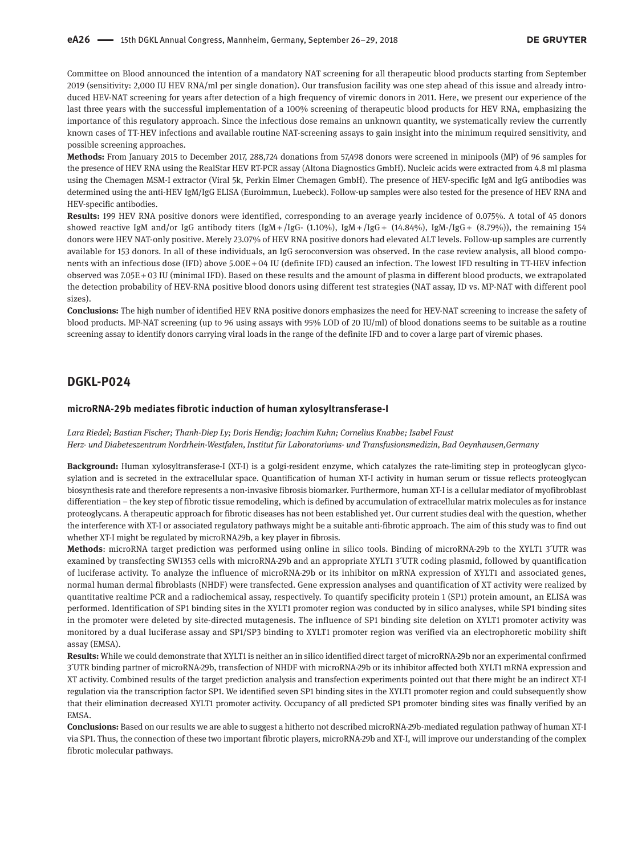Committee on Blood announced the intention of a mandatory NAT screening for all therapeutic blood products starting from September 2019 (sensitivity: 2,000 IU HEV RNA/ml per single donation). Our transfusion facility was one step ahead of this issue and already introduced HEV-NAT screening for years after detection of a high frequency of viremic donors in 2011. Here, we present our experience of the last three years with the successful implementation of a 100% screening of therapeutic blood products for HEV RNA, emphasizing the importance of this regulatory approach. Since the infectious dose remains an unknown quantity, we systematically review the currently known cases of TT-HEV infections and available routine NAT-screening assays to gain insight into the minimum required sensitivity, and possible screening approaches.

**Methods:** From January 2015 to December 2017, 288,724 donations from 57,498 donors were screened in minipools (MP) of 96 samples for the presence of HEV RNA using the RealStar HEV RT-PCR assay (Altona Diagnostics GmbH). Nucleic acids were extracted from 4.8 ml plasma using the Chemagen MSM-I extractor (Viral 5k, Perkin Elmer Chemagen GmbH). The presence of HEV-specific IgM and IgG antibodies was determined using the anti-HEV IgM/IgG ELISA (Euroimmun, Luebeck). Follow-up samples were also tested for the presence of HEV RNA and HEV-specific antibodies.

**Results:** 199 HEV RNA positive donors were identified, corresponding to an average yearly incidence of 0.075%. A total of 45 donors showed reactive IgM and/or IgG antibody titers  $(IgM+/[gG-(1.10\%), IgM+/[gG+(1.4.84\%), IgM-[lgG+(8.79\%)),$  the remaining 154 donors were HEV NAT-only positive. Merely 23.07% of HEV RNA positive donors had elevated ALT levels. Follow-up samples are currently available for 153 donors. In all of these individuals, an IgG seroconversion was observed. In the case review analysis, all blood components with an infectious dose (IFD) above 5.00E + 04 IU (definite IFD) caused an infection. The lowest IFD resulting in TT-HEV infection observed was 7.05E + 03 IU (minimal IFD). Based on these results and the amount of plasma in different blood products, we extrapolated the detection probability of HEV-RNA positive blood donors using different test strategies (NAT assay, ID vs. MP-NAT with different pool sizes).

**Conclusions:** The high number of identified HEV RNA positive donors emphasizes the need for HEV-NAT screening to increase the safety of blood products. MP-NAT screening (up to 96 using assays with 95% LOD of 20 IU/ml) of blood donations seems to be suitable as a routine screening assay to identify donors carrying viral loads in the range of the definite IFD and to cover a large part of viremic phases.

### **DGKL-P024**

#### **microRNA-29b mediates fibrotic induction of human xylosyltransferase-I**

*Lara Riedel; Bastian Fischer; Thanh-Diep Ly; Doris Hendig; Joachim Kuhn; Cornelius Knabbe; Isabel Faust Herz- und Diabeteszentrum Nordrhein-Westfalen, Institut für Laboratoriums- und Transfusionsmedizin, Bad Oeynhausen,Germany*

**Background:** Human xylosyltransferase-I (XT-I) is a golgi-resident enzyme, which catalyzes the rate-limiting step in proteoglycan glycosylation and is secreted in the extracellular space. Quantification of human XT-I activity in human serum or tissue reflects proteoglycan biosynthesis rate and therefore represents a non-invasive fibrosis biomarker. Furthermore, human XT-I is a cellular mediator of myofibroblast differentiation – the key step of fibrotic tissue remodeling, which is defined by accumulation of extracellular matrix molecules as for instance proteoglycans. A therapeutic approach for fibrotic diseases has not been established yet. Our current studies deal with the question, whether the interference with XT-I or associated regulatory pathways might be a suitable anti-fibrotic approach. The aim of this study was to find out whether XT-I might be regulated by microRNA29b, a key player in fibrosis.

**Methods**: microRNA target prediction was performed using online in silico tools. Binding of microRNA-29b to the XYLT1 3´UTR was examined by transfecting SW1353 cells with microRNA-29b and an appropriate XYLT1 3´UTR coding plasmid, followed by quantification of luciferase activity. To analyze the influence of microRNA-29b or its inhibitor on mRNA expression of XYLT1 and associated genes, normal human dermal fibroblasts (NHDF) were transfected. Gene expression analyses and quantification of XT activity were realized by quantitative realtime PCR and a radiochemical assay, respectively. To quantify specificity protein 1 (SP1) protein amount, an ELISA was performed. Identification of SP1 binding sites in the XYLT1 promoter region was conducted by in silico analyses, while SP1 binding sites in the promoter were deleted by site-directed mutagenesis. The influence of SP1 binding site deletion on XYLT1 promoter activity was monitored by a dual luciferase assay and SP1/SP3 binding to XYLT1 promoter region was verified via an electrophoretic mobility shift assay (EMSA).

**Results:** While we could demonstrate that XYLT1 is neither an in silico identified direct target of microRNA-29b nor an experimental confirmed 3´UTR binding partner of microRNA-29b, transfection of NHDF with microRNA-29b or its inhibitor affected both XYLT1 mRNA expression and XT activity. Combined results of the target prediction analysis and transfection experiments pointed out that there might be an indirect XT-I regulation via the transcription factor SP1. We identified seven SP1 binding sites in the XYLT1 promoter region and could subsequently show that their elimination decreased XYLT1 promoter activity. Occupancy of all predicted SP1 promoter binding sites was finally verified by an EMSA.

**Conclusions:** Based on our results we are able to suggest a hitherto not described microRNA-29b-mediated regulation pathway of human XT-I via SP1. Thus, the connection of these two important fibrotic players, microRNA-29b and XT-I, will improve our understanding of the complex fibrotic molecular pathways.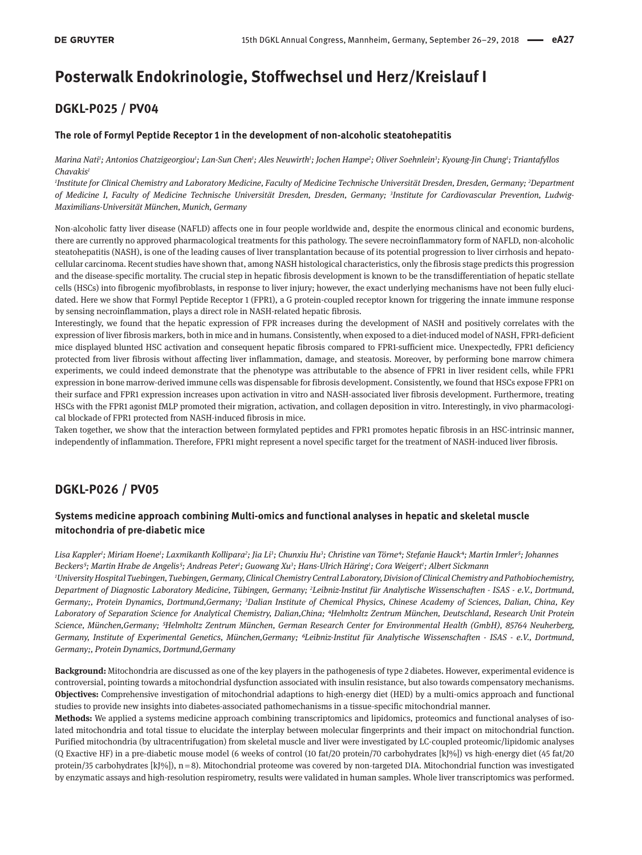## **Posterwalk Endokrinologie, Stoffwechsel und Herz/Kreislauf I**

### **DGKL-P025 / PV04**

### **The role of Formyl Peptide Receptor 1 in the development of non-alcoholic steatohepatitis**

*Marina Nati1 ; Antonios Chatzigeorgiou1 ; Lan-Sun Chen1 ; Ales Neuwirth1 ; Jochen Hampe2 ; Oliver Soehnlein3 ; Kyoung-Jin Chung1 ; Triantafyllos Chavakis1*

*1 Institute for Clinical Chemistry and Laboratory Medicine, Faculty of Medicine Technische Universität Dresden, Dresden, Germany; 2 Department of Medicine I, Faculty of Medicine Technische Universität Dresden, Dresden, Germany; 3 Institute for Cardiovascular Prevention, Ludwig-Maximilians-Universität München, Munich, Germany*

Non-alcoholic fatty liver disease (NAFLD) affects one in four people worldwide and, despite the enormous clinical and economic burdens, there are currently no approved pharmacological treatments for this pathology. The severe necroinflammatory form of NAFLD, non-alcoholic steatohepatitis (NASH), is one of the leading causes of liver transplantation because of its potential progression to liver cirrhosis and hepatocellular carcinoma. Recent studies have shown that, among NASH histological characteristics, only the fibrosis stage predicts this progression and the disease-specific mortality. The crucial step in hepatic fibrosis development is known to be the transdifferentiation of hepatic stellate cells (HSCs) into fibrogenic myofibroblasts, in response to liver injury; however, the exact underlying mechanisms have not been fully elucidated. Here we show that Formyl Peptide Receptor 1 (FPR1), a G protein-coupled receptor known for triggering the innate immune response by sensing necroinflammation, plays a direct role in NASH-related hepatic fibrosis.

Interestingly, we found that the hepatic expression of FPR increases during the development of NASH and positively correlates with the expression of liver fibrosis markers, both in mice and in humans. Consistently, when exposed to a diet-induced model of NASH, FPR1-deficient mice displayed blunted HSC activation and consequent hepatic fibrosis compared to FPR1-sufficient mice. Unexpectedly, FPR1 deficiency protected from liver fibrosis without affecting liver inflammation, damage, and steatosis. Moreover, by performing bone marrow chimera experiments, we could indeed demonstrate that the phenotype was attributable to the absence of FPR1 in liver resident cells, while FPR1 expression in bone marrow-derived immune cells was dispensable for fibrosis development. Consistently, we found that HSCs expose FPR1 on their surface and FPR1 expression increases upon activation in vitro and NASH-associated liver fibrosis development. Furthermore, treating HSCs with the FPR1 agonist fMLP promoted their migration, activation, and collagen deposition in vitro. Interestingly, in vivo pharmacological blockade of FPR1 protected from NASH-induced fibrosis in mice.

Taken together, we show that the interaction between formylated peptides and FPR1 promotes hepatic fibrosis in an HSC-intrinsic manner, independently of inflammation. Therefore, FPR1 might represent a novel specific target for the treatment of NASH-induced liver fibrosis.

### **DGKL-P026 / PV05**

### **Systems medicine approach combining Multi-omics and functional analyses in hepatic and skeletal muscle mitochondria of pre-diabetic mice**

Lisa Kappler'; Miriam Hoene'; Laxmikanth Kollipara<sup>2</sup>; Jia Li<sup>3</sup>; Chunxiu Hu<sup>3</sup>; Christine van Törne<sup>4</sup>; Stefanie Hauck<sup>4</sup>; Martin Irmler<sup>5</sup>; Johannes *Beckers⁵; Martin Hrabe de Angelis⁵; Andreas Peter1 ; Guowang Xu3 ; Hans-Ulrich Häring1 ; Cora Weigert1 ; Albert Sickmann*

*1 University Hospital Tuebingen, Tuebingen, Germany, Clinical Chemistry Central Laboratory, Division of Clinical Chemistry and Pathobiochemistry, Department of Diagnostic Laboratory Medicine, Tübingen, Germany; 2 Leibniz-Institut für Analytische Wissenschaften - ISAS - e.V., Dortmund,*  Germany;, Protein Dynamics, Dortmund,Germany; <sup>3</sup>Dalian Institute of Chemical Physics, Chinese Academy of Sciences, Dalian, China, Key Laboratory of Separation Science for Analytical Chemistry, Dalian,China; <sup>4</sup>Helmholtz Zentrum München, Deutschland, Research Unit Protein *Science, München,Germany; ⁵Helmholtz Zentrum München, German Research Center for Environmental Health (GmbH), 85764 Neuherberg, Germany, Institute of Experimental Genetics, München,Germany; ⁶Leibniz-Institut für Analytische Wissenschaften - ISAS - e.V., Dortmund, Germany;, Protein Dynamics, Dortmund,Germany*

**Background:** Mitochondria are discussed as one of the key players in the pathogenesis of type 2 diabetes. However, experimental evidence is controversial, pointing towards a mitochondrial dysfunction associated with insulin resistance, but also towards compensatory mechanisms. **Objectives:** Comprehensive investigation of mitochondrial adaptions to high-energy diet (HED) by a multi-omics approach and functional studies to provide new insights into diabetes-associated pathomechanisms in a tissue-specific mitochondrial manner.

**Methods:** We applied a systems medicine approach combining transcriptomics and lipidomics, proteomics and functional analyses of isolated mitochondria and total tissue to elucidate the interplay between molecular fingerprints and their impact on mitochondrial function. Purified mitochondria (by ultracentrifugation) from skeletal muscle and liver were investigated by LC-coupled proteomic/lipidomic analyses (Q Exactive HF) in a pre-diabetic mouse model (6 weeks of control (10 fat/20 protein/70 carbohydrates [kJ%]) vs high-energy diet (45 fat/20 protein/35 carbohydrates  $[k]\%$ ), n=8). Mitochondrial proteome was covered by non-targeted DIA. Mitochondrial function was investigated by enzymatic assays and high-resolution respirometry, results were validated in human samples. Whole liver transcriptomics was performed.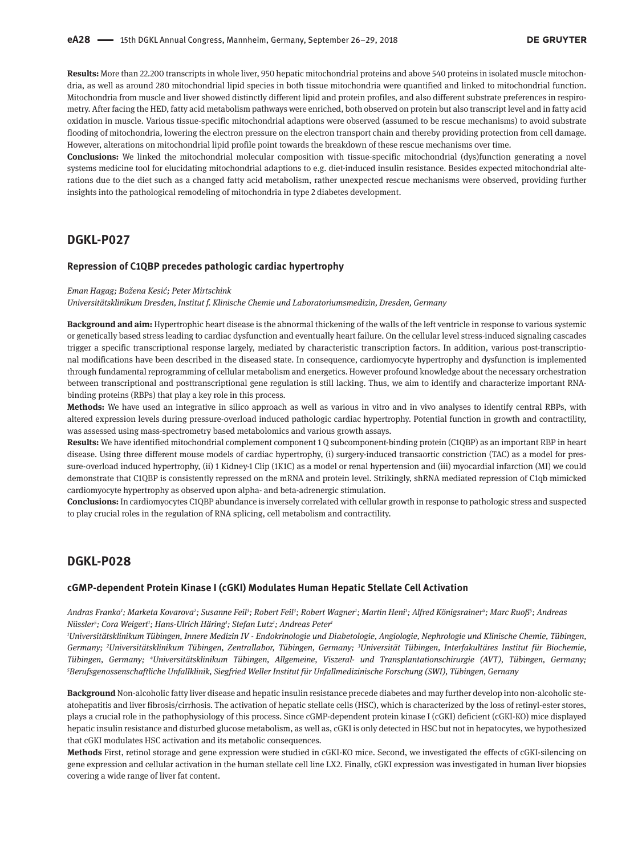Results: More than 22.200 transcripts in whole liver, 950 hepatic mitochondrial proteins and above 540 proteins in isolated muscle mitochondria, as well as around 280 mitochondrial lipid species in both tissue mitochondria were quantified and linked to mitochondrial function. Mitochondria from muscle and liver showed distinctly different lipid and protein profiles, and also different substrate preferences in respirometry. After facing the HED, fatty acid metabolism pathways were enriched, both observed on protein but also transcript level and in fatty acid oxidation in muscle. Various tissue-specific mitochondrial adaptions were observed (assumed to be rescue mechanisms) to avoid substrate flooding of mitochondria, lowering the electron pressure on the electron transport chain and thereby providing protection from cell damage. However, alterations on mitochondrial lipid profile point towards the breakdown of these rescue mechanisms over time.

**Conclusions:** We linked the mitochondrial molecular composition with tissue-specific mitochondrial (dys)function generating a novel systems medicine tool for elucidating mitochondrial adaptions to e.g. diet-induced insulin resistance. Besides expected mitochondrial alterations due to the diet such as a changed fatty acid metabolism, rather unexpected rescue mechanisms were observed, providing further insights into the pathological remodeling of mitochondria in type 2 diabetes development.

### **DGKL-P027**

#### **Repression of C1QBP precedes pathologic cardiac hypertrophy**

#### *Eman Hagag; Božena Kesić; Peter Mirtschink*

*Universitätsklinikum Dresden, Institut f. Klinische Chemie und Laboratoriumsmedizin, Dresden, Germany*

**Background and aim:** Hypertrophic heart disease is the abnormal thickening of the walls of the left ventricle in response to various systemic or genetically based stress leading to cardiac dysfunction and eventually heart failure. On the cellular level stress-induced signaling cascades trigger a specific transcriptional response largely, mediated by characteristic transcription factors. In addition, various post-transcriptional modifications have been described in the diseased state. In consequence, cardiomyocyte hypertrophy and dysfunction is implemented through fundamental reprogramming of cellular metabolism and energetics. However profound knowledge about the necessary orchestration between transcriptional and posttranscriptional gene regulation is still lacking. Thus, we aim to identify and characterize important RNAbinding proteins (RBPs) that play a key role in this process.

**Methods:** We have used an integrative in silico approach as well as various in vitro and in vivo analyses to identify central RBPs, with altered expression levels during pressure-overload induced pathologic cardiac hypertrophy. Potential function in growth and contractility, was assessed using mass-spectrometry based metabolomics and various growth assays.

**Results:** We have identified mitochondrial complement component 1 Q subcomponent-binding protein (C1QBP) as an important RBP in heart disease. Using three different mouse models of cardiac hypertrophy, (i) surgery-induced transaortic constriction (TAC) as a model for pressure-overload induced hypertrophy, (ii) 1 Kidney-1 Clip (1K1C) as a model or renal hypertension and (iii) myocardial infarction (MI) we could demonstrate that C1QBP is consistently repressed on the mRNA and protein level. Strikingly, shRNA mediated repression of C1qb mimicked cardiomyocyte hypertrophy as observed upon alpha- and beta-adrenergic stimulation.

**Conclusions:** In cardiomyocytes C1QBP abundance is inversely correlated with cellular growth in response to pathologic stress and suspected to play crucial roles in the regulation of RNA splicing, cell metabolism and contractility.

### **DGKL-P028**

#### **cGMP-dependent Protein Kinase I (cGKI) Modulates Human Hepatic Stellate Cell Activation**

Andras Franko'; Marketa Kovarova<sup>2</sup>; Susanne Feil<sup>3</sup>; Robert Feil<sup>3</sup>; Robert Wagner'; Martin Heni'; Alfred Königsrainer<sup>4</sup>; Marc Ruoß<sup>5</sup>; Andreas *Nüssler5 ; Cora Weigert1 ; Hans-Ulrich Häring1 ; Stefan Lutz1 ; Andreas Peter1*

*1 Universitätsklinikum Tübingen, Innere Medizin IV - Endokrinologie und Diabetologie, Angiologie, Nephrologie und Klinische Chemie, Tübingen,*  Germany; <sup>2</sup>Universitätsklinikum Tübingen, Zentrallabor, Tübingen, Germany; <sup>3</sup>Universität Tübingen, Interfakultäres Institut für Biochemie, *Tübingen, Germany; 4 Universitätsklinikum Tübingen, Allgemeine, Viszeral- und Transplantationschirurgie (AVT), Tübingen, Germany; 5 Berufsgenossenschaftliche Unfallklinik, Siegfried Weller Institut für Unfallmedizinische Forschung (SWI), Tübingen, Gernany*

**Background** Non-alcoholic fatty liver disease and hepatic insulin resistance precede diabetes and may further develop into non-alcoholic steatohepatitis and liver fibrosis/cirrhosis. The activation of hepatic stellate cells (HSC), which is characterized by the loss of retinyl-ester stores, plays a crucial role in the pathophysiology of this process. Since cGMP-dependent protein kinase I (cGKI) deficient (cGKI-KO) mice displayed hepatic insulin resistance and disturbed glucose metabolism, as well as, cGKI is only detected in HSC but not in hepatocytes, we hypothesized that cGKI modulates HSC activation and its metabolic consequences.

**Methods** First, retinol storage and gene expression were studied in cGKI-KO mice. Second, we investigated the effects of cGKI-silencing on gene expression and cellular activation in the human stellate cell line LX2. Finally, cGKI expression was investigated in human liver biopsies covering a wide range of liver fat content.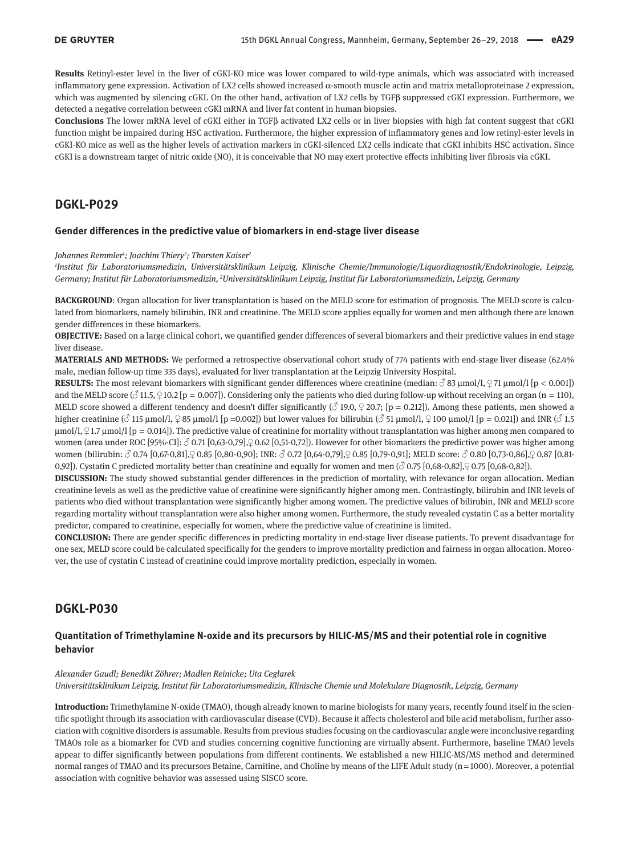**Results** Retinyl-ester level in the liver of cGKI-KO mice was lower compared to wild-type animals, which was associated with increased inflammatory gene expression. Activation of LX2 cells showed increased  $\alpha$ -smooth muscle actin and matrix metalloproteinase 2 expression, which was augmented by silencing cGKI. On the other hand, activation of LX2 cells by TGFβ suppressed cGKI expression. Furthermore, we detected a negative correlation between cGKI mRNA and liver fat content in human biopsies.

**Conclusions** The lower mRNA level of cGKI either in TGFβ activated LX2 cells or in liver biopsies with high fat content suggest that cGKI function might be impaired during HSC activation. Furthermore, the higher expression of inflammatory genes and low retinyl-ester levels in cGKI-KO mice as well as the higher levels of activation markers in cGKI-silenced LX2 cells indicate that cGKI inhibits HSC activation. Since cGKI is a downstream target of nitric oxide (NO), it is conceivable that NO may exert protective effects inhibiting liver fibrosis via cGKI.

### **DGKL-P029**

#### **Gender differences in the predictive value of biomarkers in end-stage liver disease**

*Johannes Remmler1 ; Joachim Thiery2 ; Thorsten Kaiser2*

*1 Institut für Laboratoriumsmedizin, Universitätsklinikum Leipzig, Klinische Chemie/Immunologie/Liquordiagnostik/Endokrinologie, Leipzig, Germany; Institut für Laboratoriumsmedizin, 2 Universitätsklinikum Leipzig, Institut für Laboratoriumsmedizin, Leipzig, Germany*

**BACKGROUND**: Organ allocation for liver transplantation is based on the MELD score for estimation of prognosis. The MELD score is calculated from biomarkers, namely bilirubin, INR and creatinine. The MELD score applies equally for women and men although there are known gender differences in these biomarkers.

**OBJECTIVE:** Based on a large clinical cohort, we quantified gender differences of several biomarkers and their predictive values in end stage liver disease.

**MATERIALS AND METHODS:** We performed a retrospective observational cohort study of 774 patients with end-stage liver disease (62.4% male, median follow-up time 335 days), evaluated for liver transplantation at the Leipzig University Hospital.

**RESULTS:** The most relevant biomarkers with significant gender differences where creatinine (median:  $\delta$  83 µmol/l,  $\Omega$  71 µmol/l [p < 0.001]) and the MELD score ( $\hat{\circ}$  11.5,  $\hat{\circ}$  10.2 [p = 0.007]). Considering only the patients who died during follow-up without receiving an organ (n = 110), MELD score showed a different tendency and doesn't differ significantly ( $\hat{\circ}$  19.0,  $\hat{\div}$  20.7; [p = 0.212]). Among these patients, men showed a higher creatinine ( $\circ$  115 μmol/l,  $\circ$  85 μmol/l [p =0.002]) but lower values for bilirubin ( $\circ$  51 μmol/l,  $\circ$  100 μmol/l [p = 0.021]) and INR ( $\circ$  1.5  $\mu$ mol/l,  $\frac{1}{2}$  1.7  $\mu$ mol/l [p = 0.014]). The predictive value of creatinine for mortality without transplantation was higher among men compared to women (area under ROC [95%-CI]:  $\circ$  0.71 [0,63-0,79], 0.62 [0,51-0,72]). However for other biomarkers the predictive power was higher among women (bilirubin:  $\circ$  0.74 [0,67-0,81], $\circ$  0.85 [0,80-0,90]; INR:  $\circ$  0.72 [0,64-0,79], $\circ$  0.85 [0,79-0,91]; MELD score:  $\circ$  0.80 [0,73-0,86], $\circ$  0.87 [0,81-0,92]). Cystatin C predicted mortality better than creatinine and equally for women and men  $($  $^{\circ}$  0.75  $[0,68-0,82]$ , $^{\circ}$  0.75  $[0,68-0,82]$ ).

**DISCUSSION:** The study showed substantial gender differences in the prediction of mortality, with relevance for organ allocation. Median creatinine levels as well as the predictive value of creatinine were significantly higher among men. Contrastingly, bilirubin and INR levels of patients who died without transplantation were significantly higher among women. The predictive values of bilirubin, INR and MELD score regarding mortality without transplantation were also higher among women. Furthermore, the study revealed cystatin C as a better mortality predictor, compared to creatinine, especially for women, where the predictive value of creatinine is limited.

**CONCLUSION:** There are gender specific differences in predicting mortality in end-stage liver disease patients. To prevent disadvantage for one sex, MELD score could be calculated specifically for the genders to improve mortality prediction and fairness in organ allocation. Moreover, the use of cystatin C instead of creatinine could improve mortality prediction, especially in women.

### **DGKL-P030**

### **Quantitation of Trimethylamine N-oxide and its precursors by HILIC-MS/MS and their potential role in cognitive behavior**

#### *Alexander Gaudl; Benedikt Zöhrer; Madlen Reinicke; Uta Ceglarek*

*Universitätsklinikum Leipzig, Institut für Laboratoriumsmedizin, Klinische Chemie und Molekulare Diagnostik, Leipzig, Germany*

**Introduction:** Trimethylamine N-oxide (TMAO), though already known to marine biologists for many years, recently found itself in the scientific spotlight through its association with cardiovascular disease (CVD). Because it affects cholesterol and bile acid metabolism, further association with cognitive disorders is assumable. Results from previous studies focusing on the cardiovascular angle were inconclusive regarding TMAOs role as a biomarker for CVD and studies concerning cognitive functioning are virtually absent. Furthermore, baseline TMAO levels appear to differ significantly between populations from different continents. We established a new HILIC-MS/MS method and determined normal ranges of TMAO and its precursors Betaine, Carnitine, and Choline by means of the LIFE Adult study (n = 1000). Moreover, a potential association with cognitive behavior was assessed using SISCO score.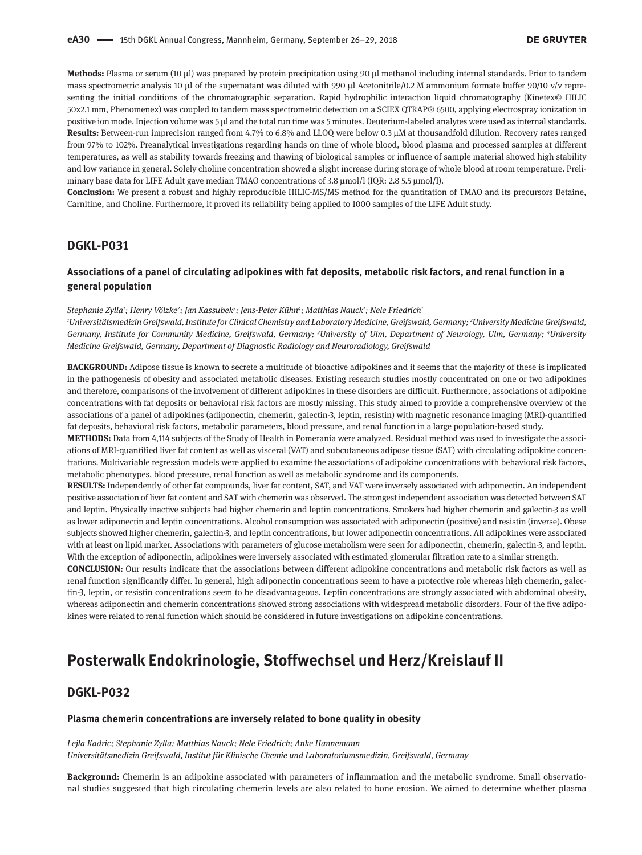**Methods:** Plasma or serum (10 μl) was prepared by protein precipitation using 90 μl methanol including internal standards. Prior to tandem mass spectrometric analysis 10 μl of the supernatant was diluted with 990 μl Acetonitrile/0.2 M ammonium formate buffer 90/10 v/v representing the initial conditions of the chromatographic separation. Rapid hydrophilic interaction liquid chromatography (Kinetex© HILIC 50x2.1 mm, Phenomenex) was coupled to tandem mass spectrometric detection on a SCIEX QTRAP® 6500, applying electrospray ionization in positive ion mode. Injection volume was 5 μl and the total run time was 5 minutes. Deuterium-labeled analytes were used as internal standards. **Results:** Between-run imprecision ranged from 4.7% to 6.8% and LLOQ were below 0.3 μM at thousandfold dilution. Recovery rates ranged from 97% to 102%. Preanalytical investigations regarding hands on time of whole blood, blood plasma and processed samples at different temperatures, as well as stability towards freezing and thawing of biological samples or influence of sample material showed high stability and low variance in general. Solely choline concentration showed a slight increase during storage of whole blood at room temperature. Preliminary base data for LIFE Adult gave median TMAO concentrations of 3.8 μmol/l (IQR: 2.8 5.5 μmol/l).

**Conclusion:** We present a robust and highly reproducible HILIC-MS/MS method for the quantitation of TMAO and its precursors Betaine, Carnitine, and Choline. Furthermore, it proved its reliability being applied to 1000 samples of the LIFE Adult study.

### **DGKL-P031**

### **Associations of a panel of circulating adipokines with fat deposits, metabolic risk factors, and renal function in a general population**

*Stephanie Zylla1 ; Henry Völzke2 ; Jan Kassubek3 ; Jens-Peter Kühn4 ; Matthias Nauck1 ; Nele Friedrich1*

*1 Universitätsmedizin Greifswald, Institute for Clinical Chemistry and Laboratory Medicine, Greifswald, Germany; 2 University Medicine Greifswald, Germany, Institute for Community Medicine, Greifswald, Germany; 3 University of Ulm, Department of Neurology, Ulm, Germany; 4 University Medicine Greifswald, Germany, Department of Diagnostic Radiology and Neuroradiology, Greifswald*

**BACKGROUND:** Adipose tissue is known to secrete a multitude of bioactive adipokines and it seems that the majority of these is implicated in the pathogenesis of obesity and associated metabolic diseases. Existing research studies mostly concentrated on one or two adipokines and therefore, comparisons of the involvement of different adipokines in these disorders are difficult. Furthermore, associations of adipokine concentrations with fat deposits or behavioral risk factors are mostly missing. This study aimed to provide a comprehensive overview of the associations of a panel of adipokines (adiponectin, chemerin, galectin-3, leptin, resistin) with magnetic resonance imaging (MRI)-quantified fat deposits, behavioral risk factors, metabolic parameters, blood pressure, and renal function in a large population-based study.

**METHODS:** Data from 4,114 subjects of the Study of Health in Pomerania were analyzed. Residual method was used to investigate the associations of MRI-quantified liver fat content as well as visceral (VAT) and subcutaneous adipose tissue (SAT) with circulating adipokine concentrations. Multivariable regression models were applied to examine the associations of adipokine concentrations with behavioral risk factors, metabolic phenotypes, blood pressure, renal function as well as metabolic syndrome and its components.

**RESULTS:** Independently of other fat compounds, liver fat content, SAT, and VAT were inversely associated with adiponectin. An independent positive association of liver fat content and SAT with chemerin was observed. The strongest independent association was detected between SAT and leptin. Physically inactive subjects had higher chemerin and leptin concentrations. Smokers had higher chemerin and galectin-3 as well as lower adiponectin and leptin concentrations. Alcohol consumption was associated with adiponectin (positive) and resistin (inverse). Obese subjects showed higher chemerin, galectin-3, and leptin concentrations, but lower adiponectin concentrations. All adipokines were associated with at least on lipid marker. Associations with parameters of glucose metabolism were seen for adiponectin, chemerin, galectin-3, and leptin. With the exception of adiponectin, adipokines were inversely associated with estimated glomerular filtration rate to a similar strength.

**CONCLUSION:** Our results indicate that the associations between different adipokine concentrations and metabolic risk factors as well as renal function significantly differ. In general, high adiponectin concentrations seem to have a protective role whereas high chemerin, galectin-3, leptin, or resistin concentrations seem to be disadvantageous. Leptin concentrations are strongly associated with abdominal obesity, whereas adiponectin and chemerin concentrations showed strong associations with widespread metabolic disorders. Four of the five adipokines were related to renal function which should be considered in future investigations on adipokine concentrations.

## **Posterwalk Endokrinologie, Stoffwechsel und Herz/Kreislauf II**

### **DGKL-P032**

#### **Plasma chemerin concentrations are inversely related to bone quality in obesity**

*Lejla Kadric; Stephanie Zylla; Matthias Nauck; Nele Friedrich; Anke Hannemann Universitätsmedizin Greifswald, Institut für Klinische Chemie und Laboratoriumsmedizin, Greifswald, Germany*

**Background:** Chemerin is an adipokine associated with parameters of inflammation and the metabolic syndrome. Small observational studies suggested that high circulating chemerin levels are also related to bone erosion. We aimed to determine whether plasma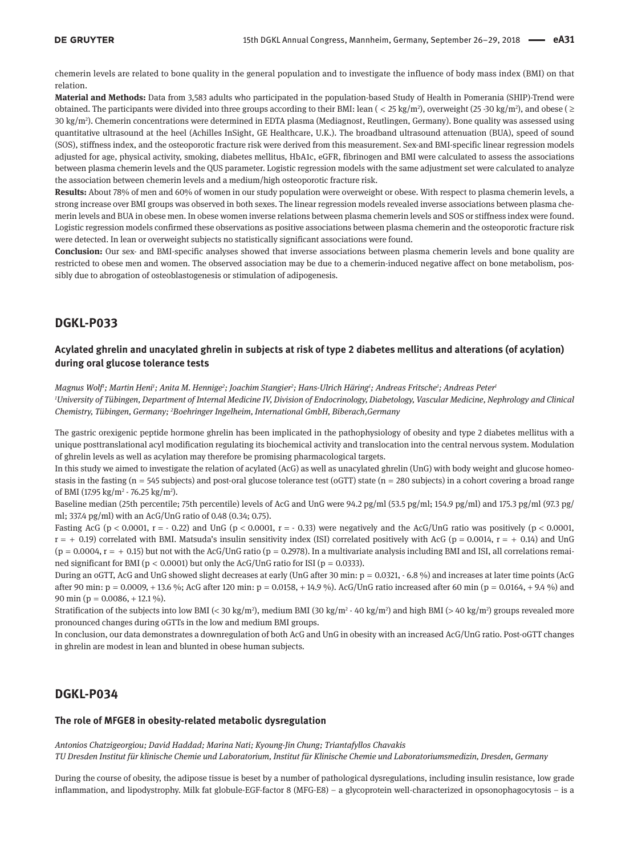chemerin levels are related to bone quality in the general population and to investigate the influence of body mass index (BMI) on that relation.

**Material and Methods:** Data from 3,583 adults who participated in the population-based Study of Health in Pomerania (SHIP)-Trend were obtained. The participants were divided into three groups according to their BMI: lean (  $<$  25 kg/m²), overweight (25 -30 kg/m²), and obese (  $\geq$ 30 kg/m2 ). Chemerin concentrations were determined in EDTA plasma (Mediagnost, Reutlingen, Germany). Bone quality was assessed using quantitative ultrasound at the heel (Achilles InSight, GE Healthcare, U.K.). The broadband ultrasound attenuation (BUA), speed of sound (SOS), stiffness index, and the osteoporotic fracture risk were derived from this measurement. Sex-and BMI-specific linear regression models adjusted for age, physical activity, smoking, diabetes mellitus, HbA1c, eGFR, fibrinogen and BMI were calculated to assess the associations between plasma chemerin levels and the QUS parameter. Logistic regression models with the same adjustment set were calculated to analyze the association between chemerin levels and a medium/high osteoporotic fracture risk.

**Results:** About 78% of men and 60% of women in our study population were overweight or obese. With respect to plasma chemerin levels, a strong increase over BMI groups was observed in both sexes. The linear regression models revealed inverse associations between plasma chemerin levels and BUA in obese men. In obese women inverse relations between plasma chemerin levels and SOS or stiffness index were found. Logistic regression models confirmed these observations as positive associations between plasma chemerin and the osteoporotic fracture risk were detected. In lean or overweight subjects no statistically significant associations were found.

**Conclusion:** Our sex- and BMI-specific analyses showed that inverse associations between plasma chemerin levels and bone quality are restricted to obese men and women. The observed association may be due to a chemerin-induced negative affect on bone metabolism, possibly due to abrogation of osteoblastogenesis or stimulation of adipogenesis.

### **DGKL-P033**

### **Acylated ghrelin and unacylated ghrelin in subjects at risk of type 2 diabetes mellitus and alterations (of acylation) during oral glucose tolerance tests**

*Magnus Wolf1 ; Martin Heni1 ; Anita M. Hennige2 ; Joachim Stangier2 ; Hans-Ulrich Häring1 ; Andreas Fritsche1 ; Andreas Peter1 1 University of Tübingen, Department of Internal Medicine IV, Division of Endocrinology, Diabetology, Vascular Medicine, Nephrology and Clinical Chemistry, Tübingen, Germany; 2 Boehringer Ingelheim, International GmbH, Biberach,Germany*

The gastric orexigenic peptide hormone ghrelin has been implicated in the pathophysiology of obesity and type 2 diabetes mellitus with a unique posttranslational acyl modification regulating its biochemical activity and translocation into the central nervous system. Modulation of ghrelin levels as well as acylation may therefore be promising pharmacological targets.

In this study we aimed to investigate the relation of acylated (AcG) as well as unacylated ghrelin (UnG) with body weight and glucose homeostasis in the fasting ( $n = 545$  subjects) and post-oral glucose tolerance test (oGTT) state ( $n = 280$  subjects) in a cohort covering a broad range of BMI (17.95 kg/m<sup>2</sup> - 76.25 kg/m<sup>2</sup>).

Baseline median (25th percentile; 75th percentile) levels of AcG and UnG were 94.2 pg/ml (53.5 pg/ml; 154.9 pg/ml) and 175.3 pg/ml (97.3 pg/ ml; 337.4 pg/ml) with an AcG/UnG ratio of 0.48 (0.34; 0.75).

Fasting AcG (p < 0.0001, r =  $\cdot$  0.22) and UnG (p < 0.0001, r =  $\cdot$  0.33) were negatively and the AcG/UnG ratio was positively (p < 0.0001,  $r = +0.19$ ) correlated with BMI. Matsuda's insulin sensitivity index (ISI) correlated positively with AcG (p = 0.0014,  $r = +0.14$ ) and UnG  $(p = 0.0004, r = +0.15)$  but not with the AcG/UnG ratio  $(p = 0.2978)$ . In a multivariate analysis including BMI and ISI, all correlations remained significant for BMI ( $p < 0.0001$ ) but only the AcG/UnG ratio for ISI ( $p = 0.0333$ ).

During an oGTT, AcG and UnG showed slight decreases at early (UnG after 30 min: p = 0.0321, - 6.8 %) and increases at later time points (AcG after 90 min: p  =  0.0009, + 13.6 %; AcG after 120 min: p  =  0.0158, + 14.9 %). AcG/UnG ratio increased after 60 min (p  =  0.0164, + 9.4 %) and 90 min ( $p = 0.0086, +12.1\%$ ).

Stratification of the subjects into low BMI (< 30 kg/m<sup>2</sup>), medium BMI (30 kg/m<sup>2</sup> - 40 kg/m<sup>2</sup>) and high BMI (> 40 kg/m<sup>2</sup>) groups revealed more pronounced changes during oGTTs in the low and medium BMI groups.

In conclusion, our data demonstrates a downregulation of both AcG and UnG in obesity with an increased AcG/UnG ratio. Post-oGTT changes in ghrelin are modest in lean and blunted in obese human subjects.

### **DGKL-P034**

### **The role of MFGE8 in obesity-related metabolic dysregulation**

*Antonios Chatzigeorgiou; David Haddad; Marina Nati; Kyoung-Jin Chung; Triantafyllos Chavakis TU Dresden Institut für klinische Chemie und Laboratorium, Institut für Klinische Chemie und Laboratoriumsmedizin, Dresden, Germany*

During the course of obesity, the adipose tissue is beset by a number of pathological dysregulations, including insulin resistance, low grade inflammation, and lipodystrophy. Milk fat globule-EGF-factor 8 (MFG-E8) – a glycoprotein well-characterized in opsonophagocytosis – is a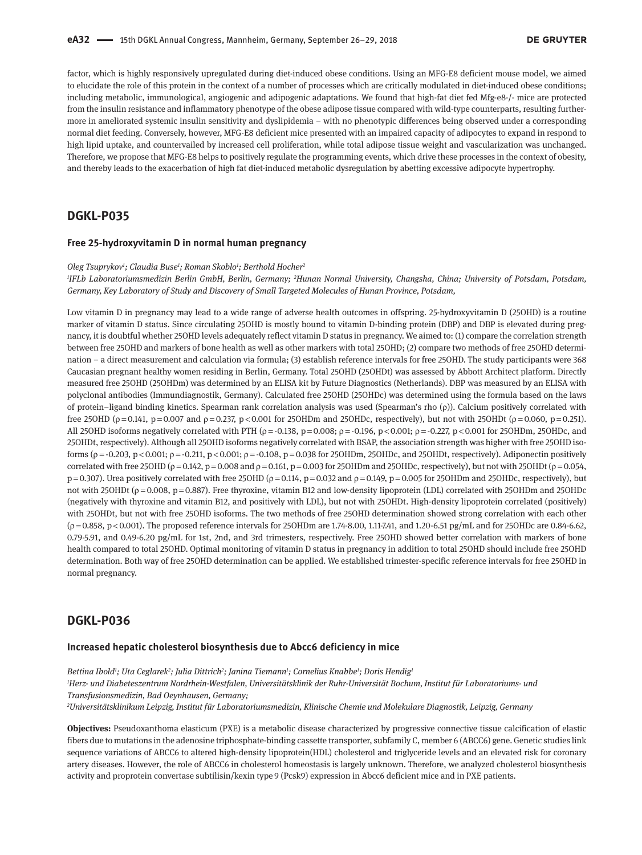factor, which is highly responsively upregulated during diet-induced obese conditions. Using an MFG-E8 deficient mouse model, we aimed to elucidate the role of this protein in the context of a number of processes which are critically modulated in diet-induced obese conditions; including metabolic, immunological, angiogenic and adipogenic adaptations. We found that high-fat diet fed Mfg-e8-/- mice are protected from the insulin resistance and inflammatory phenotype of the obese adipose tissue compared with wild-type counterparts, resulting furthermore in ameliorated systemic insulin sensitivity and dyslipidemia – with no phenotypic differences being observed under a corresponding normal diet feeding. Conversely, however, MFG-E8 deficient mice presented with an impaired capacity of adipocytes to expand in respond to high lipid uptake, and countervailed by increased cell proliferation, while total adipose tissue weight and vascularization was unchanged. Therefore, we propose that MFG-E8 helps to positively regulate the programming events, which drive these processes in the context of obesity, and thereby leads to the exacerbation of high fat diet-induced metabolic dysregulation by abetting excessive adipocyte hypertrophy.

### **DGKL-P035**

#### **Free 25-hydroxyvitamin D in normal human pregnancy**

#### *Oleg Tsuprykov1 ; Claudia Buse1 ; Roman Skoblo1 ; Berthold Hocher2*

*1 IFLb Laboratoriumsmedizin Berlin GmbH, Berlin, Germany; 2 Hunan Normal University, Changsha, China; University of Potsdam, Potsdam, Germany, Key Laboratory of Study and Discovery of Small Targeted Molecules of Hunan Province, Potsdam,*

Low vitamin D in pregnancy may lead to a wide range of adverse health outcomes in offspring. 25-hydroxyvitamin D (25OHD) is a routine marker of vitamin D status. Since circulating 25OHD is mostly bound to vitamin D-binding protein (DBP) and DBP is elevated during pregnancy, it is doubtful whether 25OHD levels adequately reflect vitamin D status in pregnancy. We aimed to: (1) compare the correlation strength between free 25OHD and markers of bone health as well as other markers with total 25OHD; (2) compare two methods of free 25OHD determination – a direct measurement and calculation via formula; (3) establish reference intervals for free 25OHD. The study participants were 368 Caucasian pregnant healthy women residing in Berlin, Germany. Total 25OHD (25OHDt) was assessed by Abbott Architect platform. Directly measured free 25OHD (25OHDm) was determined by an ELISA kit by Future Diagnostics (Netherlands). DBP was measured by an ELISA with polyclonal antibodies (Immundiagnostik, Germany). Calculated free 25OHD (25OHDc) was determined using the formula based on the laws of protein–ligand binding kinetics. Spearman rank correlation analysis was used (Spearman's rho (ρ)). Calcium positively correlated with free 25OHD ( $ρ = 0.141$ ,  $p = 0.007$  and  $ρ = 0.237$ ,  $p < 0.001$  for 25OHDm and 25OHDc, respectively), but not with 25OHDt ( $ρ = 0.060$ ,  $p = 0.251$ ). All 25OHD isoforms negatively correlated with PTH ( $p = -0.138$ ,  $p = 0.008$ ;  $p = -0.196$ ,  $p < 0.001$ ;  $p = -0.227$ ,  $p < 0.001$  for 25OHDm, 25OHDc, and 25OHDt, respectively). Although all 25OHD isoforms negatively correlated with BSAP, the association strength was higher with free 25OHD isoforms (ρ = -0.203, p < 0.001; ρ = -0.211, p < 0.001; ρ = -0.108, p = 0.038 for 25OHDm, 25OHDc, and 25OHDt, respectively). Adiponectin positively correlated with free 25OHD ( $\rho = 0.142$ ,  $p = 0.008$  and  $\rho = 0.161$ ,  $p = 0.003$  for 25OHDm and 25OHDc, respectively), but not with 25OHDt ( $\rho = 0.054$ , p = 0.307). Urea positively correlated with free 25OHD (ρ = 0.114, p = 0.032 and ρ = 0.149, p = 0.005 for 25OHDm and 25OHDc, respectively), but not with 25OHDt (ρ = 0.008, p = 0.887). Free thyroxine, vitamin B12 and low-density lipoprotein (LDL) correlated with 25OHDm and 25OHDc (negatively with thyroxine and vitamin B12, and positively with LDL), but not with 25OHDt. High-density lipoprotein correlated (positively) with 25OHDt, but not with free 25OHD isoforms. The two methods of free 25OHD determination showed strong correlation with each other (ρ = 0.858, p < 0.001). The proposed reference intervals for 25OHDm are 1.74-8.00, 1.11-7.41, and 1.20-6.51 pg/mL and for 25OHDc are 0.84-6.62, 0.79-5.91, and 0.49-6.20 pg/mL for 1st, 2nd, and 3rd trimesters, respectively. Free 25OHD showed better correlation with markers of bone health compared to total 25OHD. Optimal monitoring of vitamin D status in pregnancy in addition to total 25OHD should include free 25OHD determination. Both way of free 25OHD determination can be applied. We established trimester-specific reference intervals for free 25OHD in normal pregnancy.

### **DGKL-P036**

#### **Increased hepatic cholesterol biosynthesis due to Abcc6 deficiency in mice**

*Bettina Ibold1 ; Uta Ceglarek2 ; Julia Dittrich2 ; Janina Tiemann1 ; Cornelius Knabbe1 ; Doris Hendig1 1 Herz- und Diabeteszentrum Nordrhein-Westfalen, Universitätsklinik der Ruhr-Universität Bochum, Institut für Laboratoriums- und Transfusionsmedizin, Bad Oeynhausen, Germany;*

*2 Universitätsklinikum Leipzig, Institut für Laboratoriumsmedizin, Klinische Chemie und Molekulare Diagnostik, Leipzig, Germany*

**Objectives:** Pseudoxanthoma elasticum (PXE) is a metabolic disease characterized by progressive connective tissue calcification of elastic fibers due to mutations in the adenosine triphosphate-binding cassette transporter, subfamily C, member 6 (ABCC6) gene. Genetic studies link sequence variations of ABCC6 to altered high-density lipoprotein(HDL) cholesterol and triglyceride levels and an elevated risk for coronary artery diseases. However, the role of ABCC6 in cholesterol homeostasis is largely unknown. Therefore, we analyzed cholesterol biosynthesis activity and proprotein convertase subtilisin/kexin type 9 (Pcsk9) expression in Abcc6 deficient mice and in PXE patients.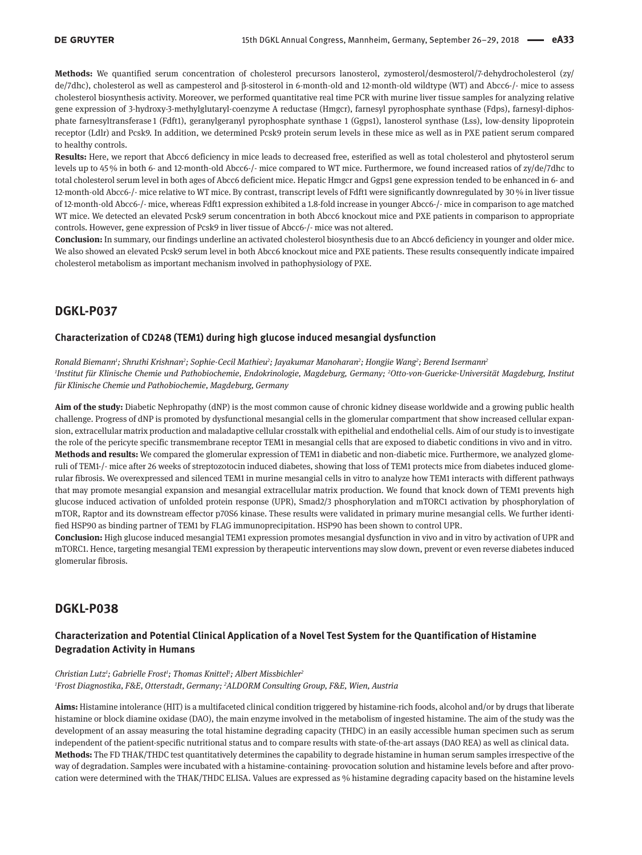**Methods:** We quantified serum concentration of cholesterol precursors lanosterol, zymosterol/desmosterol/7-dehydrocholesterol (zy/ de/7dhc), cholesterol as well as campesterol and β-sitosterol in 6-month-old and 12-month-old wildtype (WT) and Abcc6-/- mice to assess cholesterol biosynthesis activity. Moreover, we performed quantitative real time PCR with murine liver tissue samples for analyzing relative gene expression of 3-hydroxy-3-methylglutaryl-coenzyme A reductase (Hmgcr), farnesyl pyrophosphate synthase (Fdps), farnesyl-diphosphate farnesyltransferase 1 (Fdft1), geranylgeranyl pyrophosphate synthase 1 (Ggps1), lanosterol synthase (Lss), low-density lipoprotein receptor (Ldlr) and Pcsk9. In addition, we determined Pcsk9 protein serum levels in these mice as well as in PXE patient serum compared to healthy controls.

**Results:** Here, we report that Abcc6 deficiency in mice leads to decreased free, esterified as well as total cholesterol and phytosterol serum levels up to 45 % in both 6- and 12-month-old Abcc6-/- mice compared to WT mice. Furthermore, we found increased ratios of zy/de/7dhc to total cholesterol serum level in both ages of Abcc6 deficient mice. Hepatic Hmgcr and Ggps1 gene expression tended to be enhanced in 6- and 12-month-old Abcc6-/- mice relative to WT mice. By contrast, transcript levels of Fdft1 were significantly downregulated by 30 % in liver tissue of 12-month-old Abcc6-/- mice, whereas Fdft1 expression exhibited a 1.8-fold increase in younger Abcc6-/- mice in comparison to age matched WT mice. We detected an elevated Pcsk9 serum concentration in both Abcc6 knockout mice and PXE patients in comparison to appropriate controls. However, gene expression of Pcsk9 in liver tissue of Abcc6-/- mice was not altered.

**Conclusion:** In summary, our findings underline an activated cholesterol biosynthesis due to an Abcc6 deficiency in younger and older mice. We also showed an elevated Pcsk9 serum level in both Abcc6 knockout mice and PXE patients. These results consequently indicate impaired cholesterol metabolism as important mechanism involved in pathophysiology of PXE.

### **DGKL-P037**

#### **Characterization of CD248 (TEM1) during high glucose induced mesangial dysfunction**

*Ronald Biemann1 ; Shruthi Krishnan2 ; Sophie-Cecil Mathieu2 ; Jayakumar Manoharan2 ; Hongjie Wang2 ; Berend Isermann2* <sup>1</sup>Institut für Klinische Chemie und Pathobiochemie, Endokrinologie, Magdeburg, Germany; <sup>2</sup>Otto-von-Guericke-Universität Magdeburg, Institut *für Klinische Chemie und Pathobiochemie, Magdeburg, Germany*

**Aim of the study:** Diabetic Nephropathy (dNP) is the most common cause of chronic kidney disease worldwide and a growing public health challenge. Progress of dNP is promoted by dysfunctional mesangial cells in the glomerular compartment that show increased cellular expansion, extracellular matrix production and maladaptive cellular crosstalk with epithelial and endothelial cells. Aim of our study is to investigate the role of the pericyte specific transmembrane receptor TEM1 in mesangial cells that are exposed to diabetic conditions in vivo and in vitro. **Methods and results:** We compared the glomerular expression of TEM1 in diabetic and non-diabetic mice. Furthermore, we analyzed glomeruli of TEM1-/- mice after 26 weeks of streptozotocin induced diabetes, showing that loss of TEM1 protects mice from diabetes induced glomerular fibrosis. We overexpressed and silenced TEM1 in murine mesangial cells in vitro to analyze how TEM1 interacts with different pathways that may promote mesangial expansion and mesangial extracellular matrix production. We found that knock down of TEM1 prevents high glucose induced activation of unfolded protein response (UPR), Smad2/3 phosphorylation and mTORC1 activation by phosphorylation of mTOR, Raptor and its downstream effector p70S6 kinase. These results were validated in primary murine mesangial cells. We further identified HSP90 as binding partner of TEM1 by FLAG immunoprecipitation. HSP90 has been shown to control UPR.

**Conclusion:** High glucose induced mesangial TEM1 expression promotes mesangial dysfunction in vivo and in vitro by activation of UPR and mTORC1. Hence, targeting mesangial TEM1 expression by therapeutic interventions may slow down, prevent or even reverse diabetes induced glomerular fibrosis.

### **DGKL-P038**

### **Characterization and Potential Clinical Application of a Novel Test System for the Quantification of Histamine Degradation Activity in Humans**

Christian Lutz<sup>1</sup>; Gabrielle Frost<sup>1</sup>; Thomas Knittel<sup>1</sup>; Albert Missbichler<sup>2</sup> *1 Frost Diagnostika, F&E, Otterstadt, Germany; 2 ALDORM Consulting Group, F&E, Wien, Austria*

**Aims:** Histamine intolerance (HIT) is a multifaceted clinical condition triggered by histamine-rich foods, alcohol and/or by drugs that liberate histamine or block diamine oxidase (DAO), the main enzyme involved in the metabolism of ingested histamine. The aim of the study was the development of an assay measuring the total histamine degrading capacity (THDC) in an easily accessible human specimen such as serum independent of the patient-specific nutritional status and to compare results with state-of-the-art assays (DAO REA) as well as clinical data. **Methods:** The FD THAK/THDC test quantitatively determines the capability to degrade histamine in human serum samples irrespective of the way of degradation. Samples were incubated with a histamine-containing- provocation solution and histamine levels before and after provocation were determined with the THAK/THDC ELISA. Values are expressed as % histamine degrading capacity based on the histamine levels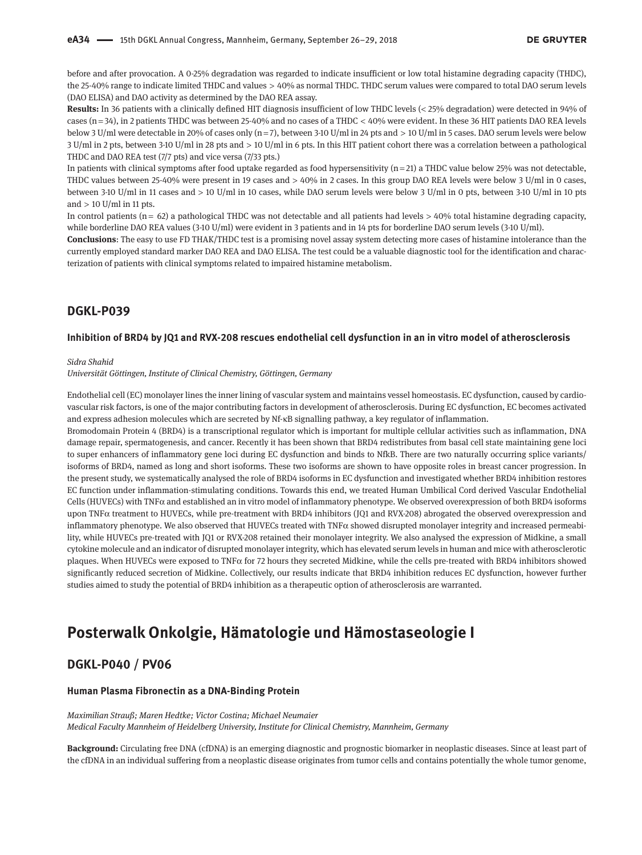before and after provocation. A 0-25% degradation was regarded to indicate insufficient or low total histamine degrading capacity (THDC), the 25-40% range to indicate limited THDC and values > 40% as normal THDC. THDC serum values were compared to total DAO serum levels (DAO ELISA) and DAO activity as determined by the DAO REA assay.

**Results:** In 36 patients with a clinically defined HIT diagnosis insufficient of low THDC levels (< 25% degradation) were detected in 94% of cases (n = 34), in 2 patients THDC was between 25-40% and no cases of a THDC  <  40% were evident. In these 36 HIT patients DAO REA levels below 3 U/ml were detectable in 20% of cases only (n=7), between 3-10 U/ml in 24 pts and  $> 10$  U/ml in 5 cases. DAO serum levels were below 3 U/ml in 2 pts, between 3-10 U/ml in 28 pts and  >  10 U/ml in 6 pts. In this HIT patient cohort there was a correlation between a pathological THDC and DAO REA test (7/7 pts) and vice versa (7/33 pts.)

In patients with clinical symptoms after food uptake regarded as food hypersensitivity ( $n = 21$ ) a THDC value below 25% was not detectable, THDC values between 25-40% were present in 19 cases and  $> 40\%$  in 2 cases. In this group DAO REA levels were below 3 U/ml in 0 cases, between 3-10 U/ml in 11 cases and  >  10 U/ml in 10 cases, while DAO serum levels were below 3 U/ml in 0 pts, between 3-10 U/ml in 10 pts and  $>$  10 U/ml in 11 pts.

In control patients  $(n = 62)$  a pathological THDC was not detectable and all patients had levels  $> 40\%$  total histamine degrading capacity, while borderline DAO REA values (3-10 U/ml) were evident in 3 patients and in 14 pts for borderline DAO serum levels (3-10 U/ml).

**Conclusions**: The easy to use FD THAK/THDC test is a promising novel assay system detecting more cases of histamine intolerance than the currently employed standard marker DAO REA and DAO ELISA. The test could be a valuable diagnostic tool for the identification and characterization of patients with clinical symptoms related to impaired histamine metabolism.

### **DGKL-P039**

#### **Inhibition of BRD4 by JQ1 and RVX-208 rescues endothelial cell dysfunction in an in vitro model of atherosclerosis**

#### *Sidra Shahid*

*Universität Göttingen, Institute of Clinical Chemistry, Göttingen, Germany*

Endothelial cell (EC) monolayer lines the inner lining of vascular system and maintains vessel homeostasis. EC dysfunction, caused by cardiovascular risk factors, is one of the major contributing factors in development of atherosclerosis. During EC dysfunction, EC becomes activated and express adhesion molecules which are secreted by Nf-κB signalling pathway, a key regulator of inflammation.

Bromodomain Protein 4 (BRD4) is a transcriptional regulator which is important for multiple cellular activities such as inflammation, DNA damage repair, spermatogenesis, and cancer. Recently it has been shown that BRD4 redistributes from basal cell state maintaining gene loci to super enhancers of inflammatory gene loci during EC dysfunction and binds to NfkB. There are two naturally occurring splice variants/ isoforms of BRD4, named as long and short isoforms. These two isoforms are shown to have opposite roles in breast cancer progression. In the present study, we systematically analysed the role of BRD4 isoforms in EC dysfunction and investigated whether BRD4 inhibition restores EC function under inflammation-stimulating conditions. Towards this end, we treated Human Umbilical Cord derived Vascular Endothelial Cells (HUVECs) with TNFα and established an in vitro model of inflammatory phenotype. We observed overexpression of both BRD4 isoforms upon TNFα treatment to HUVECs, while pre-treatment with BRD4 inhibitors (JQ1 and RVX-208) abrogated the observed overexpression and inflammatory phenotype. We also observed that HUVECs treated with TNFα showed disrupted monolayer integrity and increased permeability, while HUVECs pre-treated with JQ1 or RVX-208 retained their monolayer integrity. We also analysed the expression of Midkine, a small cytokine molecule and an indicator of disrupted monolayer integrity, which has elevated serum levels in human and mice with atherosclerotic plaques. When HUVECs were exposed to TNFα for 72 hours they secreted Midkine, while the cells pre-treated with BRD4 inhibitors showed significantly reduced secretion of Midkine. Collectively, our results indicate that BRD4 inhibition reduces EC dysfunction, however further studies aimed to study the potential of BRD4 inhibition as a therapeutic option of atherosclerosis are warranted.

## **Posterwalk Onkolgie, Hämatologie und Hämostaseologie I**

### **DGKL-P040 / PV06**

### **Human Plasma Fibronectin as a DNA-Binding Protein**

*Maximilian Strauß; Maren Hedtke; Victor Costina; Michael Neumaier Medical Faculty Mannheim of Heidelberg University, Institute for Clinical Chemistry, Mannheim, Germany*

**Background:** Circulating free DNA (cfDNA) is an emerging diagnostic and prognostic biomarker in neoplastic diseases. Since at least part of the cfDNA in an individual suffering from a neoplastic disease originates from tumor cells and contains potentially the whole tumor genome,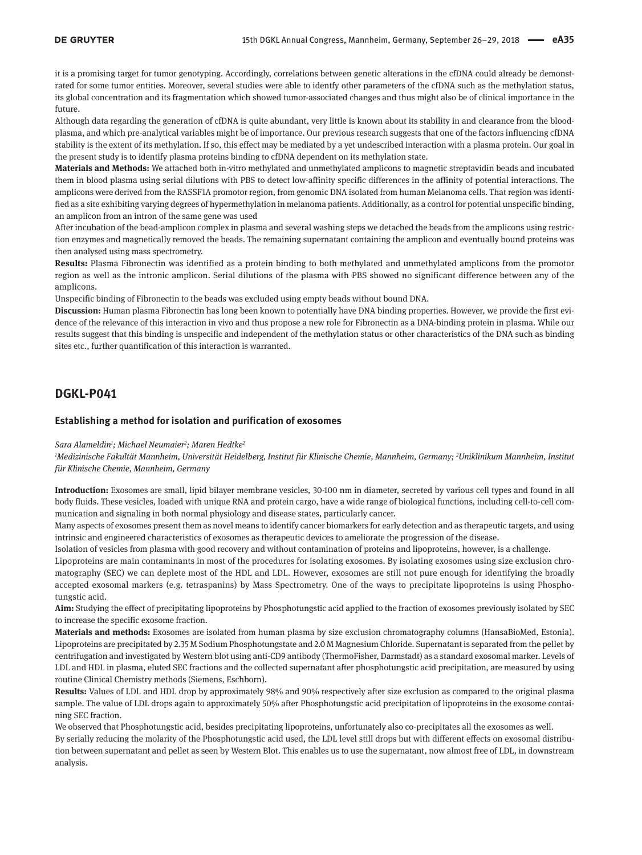it is a promising target for tumor genotyping. Accordingly, correlations between genetic alterations in the cfDNA could already be demonstrated for some tumor entities. Moreover, several studies were able to identfy other parameters of the cfDNA such as the methylation status, its global concentration and its fragmentation which showed tumor-associated changes and thus might also be of clinical importance in the future.

Although data regarding the generation of cfDNA is quite abundant, very little is known about its stability in and clearance from the bloodplasma, and which pre-analytical variables might be of importance. Our previous research suggests that one of the factors influencing cfDNA stability is the extent of its methylation. If so, this effect may be mediated by a yet undescribed interaction with a plasma protein. Our goal in the present study is to identify plasma proteins binding to cfDNA dependent on its methylation state.

**Materials and Methods:** We attached both in-vitro methylated and unmethylated amplicons to magnetic streptavidin beads and incubated them in blood plasma using serial dilutions with PBS to detect low-affinity specific differences in the affinity of potential interactions. The amplicons were derived from the RASSF1A promotor region, from genomic DNA isolated from human Melanoma cells. That region was identified as a site exhibiting varying degrees of hypermethylation in melanoma patients. Additionally, as a control for potential unspecific binding, an amplicon from an intron of the same gene was used

After incubation of the bead-amplicon complex in plasma and several washing steps we detached the beads from the amplicons using restriction enzymes and magnetically removed the beads. The remaining supernatant containing the amplicon and eventually bound proteins was then analysed using mass spectrometry.

**Results:** Plasma Fibronectin was identified as a protein binding to both methylated and unmethylated amplicons from the promotor region as well as the intronic amplicon. Serial dilutions of the plasma with PBS showed no significant difference between any of the amplicons.

Unspecific binding of Fibronectin to the beads was excluded using empty beads without bound DNA.

**Discussion:** Human plasma Fibronectin has long been known to potentially have DNA binding properties. However, we provide the first evidence of the relevance of this interaction in vivo and thus propose a new role for Fibronectin as a DNA-binding protein in plasma. While our results suggest that this binding is unspecific and independent of the methylation status or other characteristics of the DNA such as binding sites etc., further quantification of this interaction is warranted.

### **DGKL-P041**

#### **Establishing a method for isolation and purification of exosomes**

#### *Sara Alameldin1 ; Michael Neumaier2 ; Maren Hedtke2*

*1 Medizinische Fakultät Mannheim, Universität Heidelberg, Institut für Klinische Chemie, Mannheim, Germany; 2 Uniklinikum Mannheim, Institut für Klinische Chemie, Mannheim, Germany*

**Introduction:** Exosomes are small, lipid bilayer membrane vesicles, 30-100 nm in diameter, secreted by various cell types and found in all body fluids. These vesicles, loaded with unique RNA and protein cargo, have a wide range of biological functions, including cell-to-cell communication and signaling in both normal physiology and disease states, particularly cancer.

Many aspects of exosomes present them as novel means to identify cancer biomarkers for early detection and as therapeutic targets, and using intrinsic and engineered characteristics of exosomes as therapeutic devices to ameliorate the progression of the disease.

Isolation of vesicles from plasma with good recovery and without contamination of proteins and lipoproteins, however, is a challenge.

Lipoproteins are main contaminants in most of the procedures for isolating exosomes. By isolating exosomes using size exclusion chromatography (SEC) we can deplete most of the HDL and LDL. However, exosomes are still not pure enough for identifying the broadly accepted exosomal markers (e.g. tetraspanins) by Mass Spectrometry. One of the ways to precipitate lipoproteins is using Phosphotungstic acid.

**Aim:** Studying the effect of precipitating lipoproteins by Phosphotungstic acid applied to the fraction of exosomes previously isolated by SEC to increase the specific exosome fraction.

**Materials and methods:** Exosomes are isolated from human plasma by size exclusion chromatography columns (HansaBioMed, Estonia). Lipoproteins are precipitated by 2.35 M Sodium Phosphotungstate and 2.0 M Magnesium Chloride. Supernatant is separated from the pellet by centrifugation and investigated by Western blot using anti-CD9 antibody (ThermoFisher, Darmstadt) as a standard exosomal marker. Levels of LDL and HDL in plasma, eluted SEC fractions and the collected supernatant after phosphotungstic acid precipitation, are measured by using routine Clinical Chemistry methods (Siemens, Eschborn).

**Results:** Values of LDL and HDL drop by approximately 98% and 90% respectively after size exclusion as compared to the original plasma sample. The value of LDL drops again to approximately 50% after Phosphotungstic acid precipitation of lipoproteins in the exosome containing SEC fraction.

We observed that Phosphotungstic acid, besides precipitating lipoproteins, unfortunately also co-precipitates all the exosomes as well.

By serially reducing the molarity of the Phosphotungstic acid used, the LDL level still drops but with different effects on exosomal distribution between supernatant and pellet as seen by Western Blot. This enables us to use the supernatant, now almost free of LDL, in downstream analysis.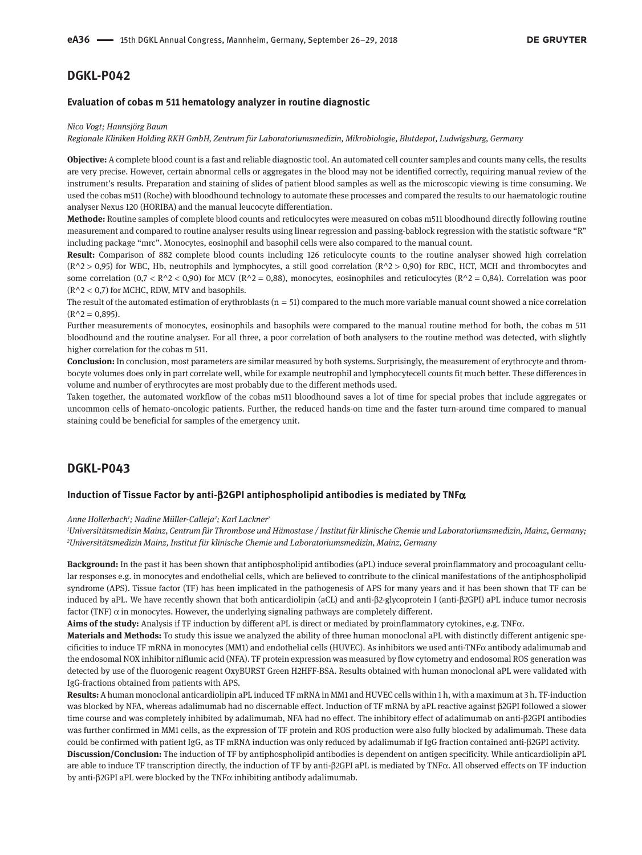### **DGKL-P042**

### **Evaluation of cobas m 511 hematology analyzer in routine diagnostic**

#### *Nico Vogt; Hannsjörg Baum*

*Regionale Kliniken Holding RKH GmbH, Zentrum für Laboratoriumsmedizin, Mikrobiologie, Blutdepot, Ludwigsburg, Germany*

**Objective:** A complete blood count is a fast and reliable diagnostic tool. An automated cell counter samples and counts many cells, the results are very precise. However, certain abnormal cells or aggregates in the blood may not be identified correctly, requiring manual review of the instrument's results. Preparation and staining of slides of patient blood samples as well as the microscopic viewing is time consuming. We used the cobas m511 (Roche) with bloodhound technology to automate these processes and compared the results to our haematologic routine analyser Nexus 120 (HORIBA) and the manual leucocyte differentiation.

**Methode:** Routine samples of complete blood counts and reticulocytes were measured on cobas m511 bloodhound directly following routine measurement and compared to routine analyser results using linear regression and passing-bablock regression with the statistic software "R" including package "mrc". Monocytes, eosinophil and basophil cells were also compared to the manual count.

**Result:** Comparison of 882 complete blood counts including 126 reticulocyte counts to the routine analyser showed high correlation  $(R^2$ <sup>2</sup> > 0,95) for WBC, Hb, neutrophils and lymphocytes, a still good correlation  $(R^2$ <sup>2</sup> > 0,90) for RBC, HCT, MCH and thrombocytes and some correlation (0,7 <  $R^2$  < 0,90) for MCV ( $R^2$  = 0,88), monocytes, eosinophiles and reticulocytes ( $R^2$  = 0,84). Correlation was poor  $(R^2 < 0,7)$  for MCHC, RDW, MTV and basophils.

The result of the automated estimation of erythroblasts  $(n = 51)$  compared to the much more variable manual count showed a nice correlation  $(R^2 = 0,895)$ .

Further measurements of monocytes, eosinophils and basophils were compared to the manual routine method for both, the cobas m 511 bloodhound and the routine analyser. For all three, a poor correlation of both analysers to the routine method was detected, with slightly higher correlation for the cobas m 511.

**Conclusion:** In conclusion, most parameters are similar measured by both systems. Surprisingly, the measurement of erythrocyte and thrombocyte volumes does only in part correlate well, while for example neutrophil and lymphocytecell counts fit much better. These differences in volume and number of erythrocytes are most probably due to the different methods used.

Taken together, the automated workflow of the cobas m511 bloodhound saves a lot of time for special probes that include aggregates or uncommon cells of hemato-oncologic patients. Further, the reduced hands-on time and the faster turn-around time compared to manual staining could be beneficial for samples of the emergency unit.

### **DGKL-P043**

#### **Induction of Tissue Factor by anti-**β**2GPI antiphospholipid antibodies is mediated by TNF**α

#### *Anne Hollerbach1 ; Nadine Müller-Calleja2 ; Karl Lackner2*

*1 Universitätsmedizin Mainz, Centrum für Thrombose und Hämostase / Institut für klinische Chemie und Laboratoriumsmedizin, Mainz, Germany; 2 Universitätsmedizin Mainz, Institut für klinische Chemie und Laboratoriumsmedizin, Mainz, Germany*

**Background:** In the past it has been shown that antiphospholipid antibodies (aPL) induce several proinflammatory and procoagulant cellular responses e.g. in monocytes and endothelial cells, which are believed to contribute to the clinical manifestations of the antiphospholipid syndrome (APS). Tissue factor (TF) has been implicated in the pathogenesis of APS for many years and it has been shown that TF can be induced by aPL. We have recently shown that both anticardiolipin (aCL) and anti-β2-glycoprotein I (anti-β2GPI) aPL induce tumor necrosis factor (TNF)  $\alpha$  in monocytes. However, the underlying signaling pathways are completely different.

**Aims of the study:** Analysis if TF induction by different aPL is direct or mediated by proinflammatory cytokines, e.g. TNFα.

**Materials and Methods:** To study this issue we analyzed the ability of three human monoclonal aPL with distinctly different antigenic specificities to induce TF mRNA in monocytes (MM1) and endothelial cells (HUVEC). As inhibitors we used anti-TNFα antibody adalimumab and the endosomal NOX inhibitor niflumic acid (NFA). TF protein expression was measured by flow cytometry and endosomal ROS generation was detected by use of the fluorogenic reagent OxyBURST Green H2HFF-BSA. Results obtained with human monoclonal aPL were validated with IgG-fractions obtained from patients with APS.

**Results:** A human monoclonal anticardiolipin aPL induced TF mRNA in MM1 and HUVEC cells within 1 h, with a maximum at 3 h. TF-induction was blocked by NFA, whereas adalimumab had no discernable effect. Induction of TF mRNA by aPL reactive against β2GPI followed a slower time course and was completely inhibited by adalimumab, NFA had no effect. The inhibitory effect of adalimumab on anti-β2GPI antibodies was further confirmed in MM1 cells, as the expression of TF protein and ROS production were also fully blocked by adalimumab. These data could be confirmed with patient IgG, as TF mRNA induction was only reduced by adalimumab if IgG fraction contained anti-β2GPI activity.

**Discussion/Conclusion:** The induction of TF by antiphospholipid antibodies is dependent on antigen specificity. While anticardiolipin aPL are able to induce TF transcription directly, the induction of TF by anti-β2GPI aPL is mediated by TNFα. All observed effects on TF induction by anti-β2GPI aPL were blocked by the TNFα inhibiting antibody adalimumab.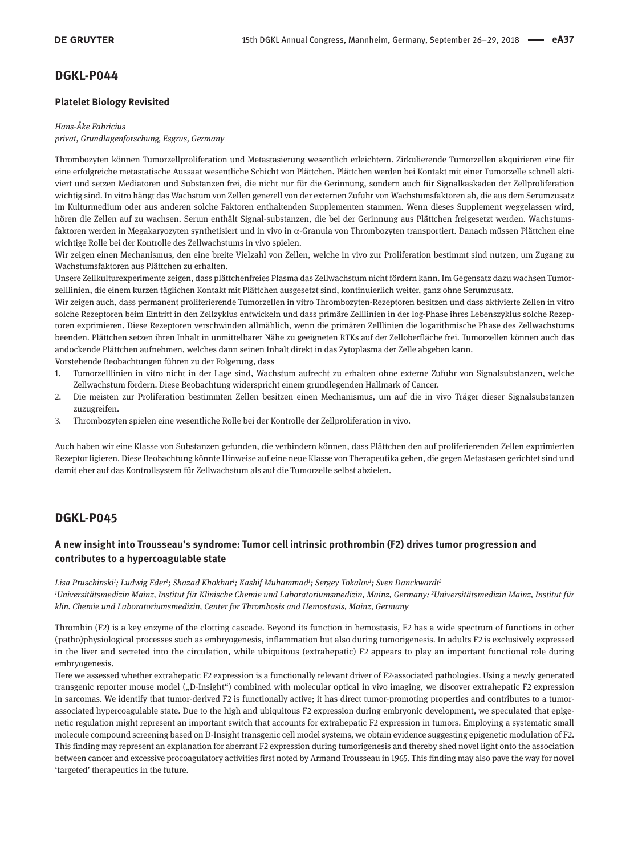#### **Platelet Biology Revisited**

#### *Hans-Åke Fabricius*

*privat, Grundlagenforschung, Esgrus, Germany*

Thrombozyten können Tumorzellproliferation und Metastasierung wesentlich erleichtern. Zirkulierende Tumorzellen akquirieren eine für eine erfolgreiche metastatische Aussaat wesentliche Schicht von Plättchen. Plättchen werden bei Kontakt mit einer Tumorzelle schnell aktiviert und setzen Mediatoren und Substanzen frei, die nicht nur für die Gerinnung, sondern auch für Signalkaskaden der Zellproliferation wichtig sind. In vitro hängt das Wachstum von Zellen generell von der externen Zufuhr von Wachstumsfaktoren ab, die aus dem Serumzusatz im Kulturmedium oder aus anderen solche Faktoren enthaltenden Supplementen stammen. Wenn dieses Supplement weggelassen wird, hören die Zellen auf zu wachsen. Serum enthält Signal-substanzen, die bei der Gerinnung aus Plättchen freigesetzt werden. Wachstumsfaktoren werden in Megakaryozyten synthetisiert und in vivo in α-Granula von Thrombozyten transportiert. Danach müssen Plättchen eine wichtige Rolle bei der Kontrolle des Zellwachstums in vivo spielen.

Wir zeigen einen Mechanismus, den eine breite Vielzahl von Zellen, welche in vivo zur Proliferation bestimmt sind nutzen, um Zugang zu Wachstumsfaktoren aus Plättchen zu erhalten.

Unsere Zellkulturexperimente zeigen, dass plättchenfreies Plasma das Zellwachstum nicht fördern kann. Im Gegensatz dazu wachsen Tumorzelllinien, die einem kurzen täglichen Kontakt mit Plättchen ausgesetzt sind, kontinuierlich weiter, ganz ohne Serumzusatz.

Wir zeigen auch, dass permanent proliferierende Tumorzellen in vitro Thrombozyten-Rezeptoren besitzen und dass aktivierte Zellen in vitro solche Rezeptoren beim Eintritt in den Zellzyklus entwickeln und dass primäre Zelllinien in der log-Phase ihres Lebenszyklus solche Rezeptoren exprimieren. Diese Rezeptoren verschwinden allmählich, wenn die primären Zelllinien die logarithmische Phase des Zellwachstums beenden. Plättchen setzen ihren Inhalt in unmittelbarer Nähe zu geeigneten RTKs auf der Zelloberfläche frei. Tumorzellen können auch das andockende Plättchen aufnehmen, welches dann seinen Inhalt direkt in das Zytoplasma der Zelle abgeben kann.

Vorstehende Beobachtungen führen zu der Folgerung, dass

- 1. Tumorzelllinien in vitro nicht in der Lage sind, Wachstum aufrecht zu erhalten ohne externe Zufuhr von Signalsubstanzen, welche Zellwachstum fördern. Diese Beobachtung widerspricht einem grundlegenden Hallmark of Cancer.
- 2. Die meisten zur Proliferation bestimmten Zellen besitzen einen Mechanismus, um auf die in vivo Träger dieser Signalsubstanzen zuzugreifen.
- 3. Thrombozyten spielen eine wesentliche Rolle bei der Kontrolle der Zellproliferation in vivo.

Auch haben wir eine Klasse von Substanzen gefunden, die verhindern können, dass Plättchen den auf proliferierenden Zellen exprimierten Rezeptor ligieren. Diese Beobachtung könnte Hinweise auf eine neue Klasse von Therapeutika geben, die gegen Metastasen gerichtet sind und damit eher auf das Kontrollsystem für Zellwachstum als auf die Tumorzelle selbst abzielen.

# **DGKL-P045**

### **A new insight into Trousseau's syndrome: Tumor cell intrinsic prothrombin (F2) drives tumor progression and contributes to a hypercoagulable state**

*Lisa Pruschinski1 ; Ludwig Eder1 ; Shazad Khokhar1 ; Kashif Muhammad1 ; Sergey Tokalov1 ; Sven Danckwardt2*

*1 Universitätsmedizin Mainz, Institut für Klinische Chemie und Laboratoriumsmedizin, Mainz, Germany; 2 Universitätsmedizin Mainz, Institut für klin. Chemie und Laboratoriumsmedizin, Center for Thrombosis and Hemostasis, Mainz, Germany*

Thrombin (F2) is a key enzyme of the clotting cascade. Beyond its function in hemostasis, F2 has a wide spectrum of functions in other (patho)physiological processes such as embryogenesis, inflammation but also during tumorigenesis. In adults F2 is exclusively expressed in the liver and secreted into the circulation, while ubiquitous (extrahepatic) F2 appears to play an important functional role during embryogenesis.

Here we assessed whether extrahepatic F2 expression is a functionally relevant driver of F2-associated pathologies. Using a newly generated transgenic reporter mouse model ("D-Insight") combined with molecular optical in vivo imaging, we discover extrahepatic F2 expression in sarcomas. We identify that tumor-derived F2 is functionally active; it has direct tumor-promoting properties and contributes to a tumorassociated hypercoagulable state. Due to the high and ubiquitous F2 expression during embryonic development, we speculated that epigenetic regulation might represent an important switch that accounts for extrahepatic F2 expression in tumors. Employing a systematic small molecule compound screening based on D-Insight transgenic cell model systems, we obtain evidence suggesting epigenetic modulation of F2. This finding may represent an explanation for aberrant F2 expression during tumorigenesis and thereby shed novel light onto the association between cancer and excessive procoagulatory activities first noted by Armand Trousseau in 1965. This finding may also pave the way for novel 'targeted' therapeutics in the future.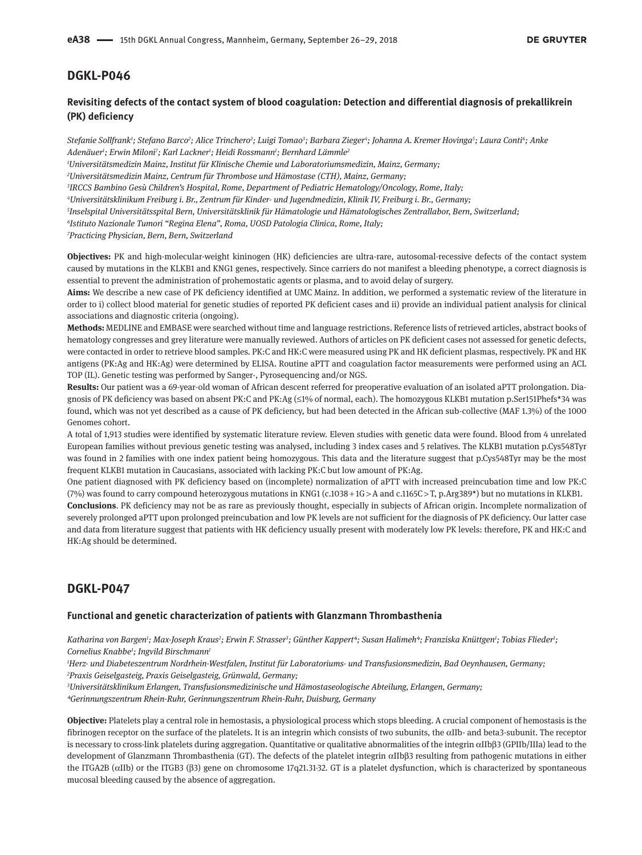## **Revisiting defects of the contact system of blood coagulation: Detection and differential diagnosis of prekallikrein (PK) deficiency**

Stefanie Sollfrank'; Stefano Barco<sup>2</sup>; Alice Trinchero<sup>2</sup>; Luigi Tomao<sup>3</sup>; Barbara Zieger<sup>4</sup>; Johanna A. Kremer Hovinga<sup>s</sup>; Laura Conti<sup>6</sup>; Anke Adenäuer<sup>ı</sup>; Erwin Miloni<sup>7</sup>; Karl Lackner<sup>ı</sup>; Heidi Rossmann<sup>ı</sup>; Bernhard Lämmle<sup>2</sup> *Universitätsmedizin Mainz, Institut für Klinische Chemie und Laboratoriumsmedizin, Mainz, Germany; Universitätsmedizin Mainz, Centrum für Thrombose und Hämostase (CTH), Mainz, Germany; IRCCS Bambino Gesù Children's Hospital, Rome, Department of Pediatric Hematology/Oncology, Rome, Italy; Universitätsklinikum Freiburg i. Br., Zentrum für Kinder- und Jugendmedizin, Klinik IV, Freiburg i. Br., Germany; Inselspital Universitätsspital Bern, Universitätsklinik für Hämatologie und Hämatologisches Zentrallabor, Bern, Switzerland;*

*6 Istituto Nazionale Tumori "Regina Elena", Roma, UOSD Patologia Clinica, Rome, Italy;*

*7 Practicing Physician, Bern, Bern, Switzerland*

**Objectives:** PK and high-molecular-weight kininogen (HK) deficiencies are ultra-rare, autosomal-recessive defects of the contact system caused by mutations in the KLKB1 and KNG1 genes, respectively. Since carriers do not manifest a bleeding phenotype, a correct diagnosis is essential to prevent the administration of prohemostatic agents or plasma, and to avoid delay of surgery.

**Aims:** We describe a new case of PK deficiency identified at UMC Mainz. In addition, we performed a systematic review of the literature in order to i) collect blood material for genetic studies of reported PK deficient cases and ii) provide an individual patient analysis for clinical associations and diagnostic criteria (ongoing).

**Methods:** MEDLINE and EMBASE were searched without time and language restrictions. Reference lists of retrieved articles, abstract books of hematology congresses and grey literature were manually reviewed. Authors of articles on PK deficient cases not assessed for genetic defects, were contacted in order to retrieve blood samples. PK:C and HK:C were measured using PK and HK deficient plasmas, respectively. PK and HK antigens (PK:Ag and HK:Ag) were determined by ELISA. Routine aPTT and coagulation factor measurements were performed using an ACL TOP (IL). Genetic testing was performed by Sanger-, Pyrosequencing and/or NGS.

**Results:** Our patient was a 69-year-old woman of African descent referred for preoperative evaluation of an isolated aPTT prolongation. Diagnosis of PK deficiency was based on absent PK:C and PK:Ag (≤1% of normal, each). The homozygous KLKB1 mutation p.Ser151Phefs\*34 was found, which was not yet described as a cause of PK deficiency, but had been detected in the African sub-collective (MAF 1.3%) of the 1000 Genomes cohort.

A total of 1,913 studies were identified by systematic literature review. Eleven studies with genetic data were found. Blood from 4 unrelated European families without previous genetic testing was analysed, including 3 index cases and 5 relatives. The KLKB1 mutation p.Cys548Tyr was found in 2 families with one index patient being homozygous. This data and the literature suggest that p.Cys548Tyr may be the most frequent KLKB1 mutation in Caucasians, associated with lacking PK:C but low amount of PK:Ag.

One patient diagnosed with PK deficiency based on (incomplete) normalization of aPTT with increased preincubation time and low PK:C  $(7%)$  was found to carry compound heterozygous mutations in KNG1 (c.1038 + 1G > A and c.1165C > T, p.Arg389\*) but no mutations in KLKB1.

**Conclusions**. PK deficiency may not be as rare as previously thought, especially in subjects of African origin. Incomplete normalization of severely prolonged aPTT upon prolonged preincubation and low PK levels are not sufficient for the diagnosis of PK deficiency. Our latter case and data from literature suggest that patients with HK deficiency usually present with moderately low PK levels: therefore, PK and HK:C and HK:Ag should be determined.

# **DGKL-P047**

#### **Functional and genetic characterization of patients with Glanzmann Thrombasthenia**

Katharina von Bargen'; Max-Joseph Kraus<sup>2</sup>; Erwin F. Strasser<sup>3</sup>; Günther Kappert<sup>4</sup>; Susan Halimeh<sup>4</sup>; Franziska Knüttgen'; Tobias Flieder'; *Cornelius Knabbe1 ; Ingvild Birschmann1*

*1 Herz- und Diabeteszentrum Nordrhein-Westfalen, Institut für Laboratoriums- und Transfusionsmedizin, Bad Oeynhausen, Germany; 2 Praxis Geiselgasteig, Praxis Geiselgasteig, Grünwald, Germany;*

*3 Universitätsklinikum Erlangen, Transfusionsmedizinische und Hämostaseologische Abteilung, Erlangen, Germany;*

*⁴Gerinnungszentrum Rhein-Ruhr, Gerinnungszentrum Rhein-Ruhr, Duisburg, Germany*

**Objective:** Platelets play a central role in hemostasis, a physiological process which stops bleeding. A crucial component of hemostasis is the fibrinogen receptor on the surface of the platelets. It is an integrin which consists of two subunits, the αIIb- and beta3-subunit. The receptor is necessary to cross-link platelets during aggregation. Quantitative or qualitative abnormalities of the integrin αIIbβ3 (GPIIb/IIIa) lead to the development of Glanzmann Thrombasthenia (GT). The defects of the platelet integrin αIIbβ3 resulting from pathogenic mutations in either the ITGA2B (αIIb) or the ITGB3 (β3) gene on chromosome 17q21.31-32. GT is a platelet dysfunction, which is characterized by spontaneous mucosal bleeding caused by the absence of aggregation.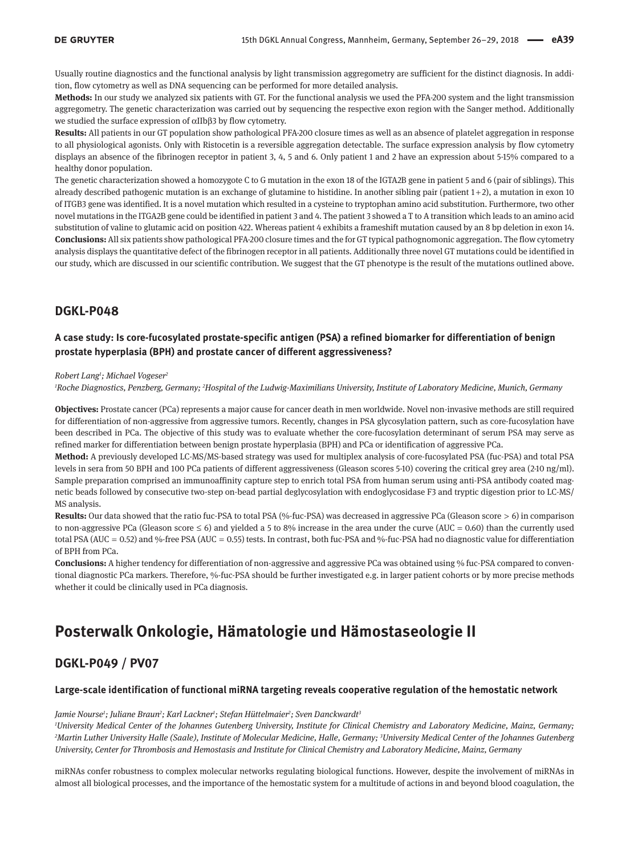Usually routine diagnostics and the functional analysis by light transmission aggregometry are sufficient for the distinct diagnosis. In addition, flow cytometry as well as DNA sequencing can be performed for more detailed analysis.

**Methods:** In our study we analyzed six patients with GT. For the functional analysis we used the PFA-200 system and the light transmission aggregometry. The genetic characterization was carried out by sequencing the respective exon region with the Sanger method. Additionally we studied the surface expression of αIIbβ3 by flow cytometry.

**Results:** All patients in our GT population show pathological PFA-200 closure times as well as an absence of platelet aggregation in response to all physiological agonists. Only with Ristocetin is a reversible aggregation detectable. The surface expression analysis by flow cytometry displays an absence of the fibrinogen receptor in patient 3, 4, 5 and 6. Only patient 1 and 2 have an expression about 5-15% compared to a healthy donor population.

The genetic characterization showed a homozygote C to G mutation in the exon 18 of the IGTA2B gene in patient 5 and 6 (pair of siblings). This already described pathogenic mutation is an exchange of glutamine to histidine. In another sibling pair (patient 1 + 2), a mutation in exon 10 of ITGB3 gene was identified. It is a novel mutation which resulted in a cysteine to tryptophan amino acid substitution. Furthermore, two other novel mutations in the ITGA2B gene could be identified in patient 3 and 4. The patient 3 showed a T to A transition which leads to an amino acid substitution of valine to glutamic acid on position 422. Whereas patient 4 exhibits a frameshift mutation caused by an 8 bp deletion in exon 14. **Conclusions:** All six patients show pathological PFA-200 closure times and the for GT typical pathognomonic aggregation. The flow cytometry analysis displays the quantitative defect of the fibrinogen receptor in all patients. Additionally three novel GT mutations could be identified in our study, which are discussed in our scientific contribution. We suggest that the GT phenotype is the result of the mutations outlined above.

# **DGKL-P048**

### **A case study: Is core-fucosylated prostate-specific antigen (PSA) a refined biomarker for differentiation of benign prostate hyperplasia (BPH) and prostate cancer of different aggressiveness?**

#### *Robert Lang1 ; Michael Vogeser2*

*1 Roche Diagnostics, Penzberg, Germany; 2 Hospital of the Ludwig-Maximilians University, Institute of Laboratory Medicine, Munich, Germany*

**Objectives:** Prostate cancer (PCa) represents a major cause for cancer death in men worldwide. Novel non-invasive methods are still required for differentiation of non-aggressive from aggressive tumors. Recently, changes in PSA glycosylation pattern, such as core-fucosylation have been described in PCa. The objective of this study was to evaluate whether the core-fucosylation determinant of serum PSA may serve as refined marker for differentiation between benign prostate hyperplasia (BPH) and PCa or identification of aggressive PCa.

**Method:** A previously developed LC-MS/MS-based strategy was used for multiplex analysis of core-fucosylated PSA (fuc-PSA) and total PSA levels in sera from 50 BPH and 100 PCa patients of different aggressiveness (Gleason scores 5-10) covering the critical grey area (2-10 ng/ml). Sample preparation comprised an immunoaffinity capture step to enrich total PSA from human serum using anti-PSA antibody coated magnetic beads followed by consecutive two-step on-bead partial deglycosylation with endoglycosidase F3 and tryptic digestion prior to LC-MS/ MS analysis.

**Results:** Our data showed that the ratio fuc-PSA to total PSA (%-fuc-PSA) was decreased in aggressive PCa (Gleason score  $> 6$ ) in comparison to non-aggressive PCa (Gleason score  $\leq 6$ ) and yielded a 5 to 8% increase in the area under the curve (AUC = 0.60) than the currently used total PSA (AUC  =  0.52) and %-free PSA (AUC  =  0.55) tests. In contrast, both fuc-PSA and %-fuc-PSA had no diagnostic value for differentiation of BPH from PCa.

**Conclusions:** A higher tendency for differentiation of non-aggressive and aggressive PCa was obtained using % fuc-PSA compared to conventional diagnostic PCa markers. Therefore, %-fuc-PSA should be further investigated e.g. in larger patient cohorts or by more precise methods whether it could be clinically used in PCa diagnosis.

# **Posterwalk Onkologie, Hämatologie und Hämostaseologie II**

# **DGKL-P049 / PV07**

#### **Large-scale identification of functional miRNA targeting reveals cooperative regulation of the hemostatic network**

Jamie Nourse<sup>1</sup>; Juliane Braun<sup>2</sup>; Karl Lackner<sup>1</sup>; Stefan Hüttelmaier<sup>2</sup>; Sven Danckwardt<sup>3</sup>

*1 University Medical Center of the Johannes Gutenberg University, Institute for Clinical Chemistry and Laboratory Medicine, Mainz, Germany; 2 Martin Luther University Halle (Saale), Institute of Molecular Medicine, Halle, Germany; 3 University Medical Center of the Johannes Gutenberg University, Center for Thrombosis and Hemostasis and Institute for Clinical Chemistry and Laboratory Medicine, Mainz, Germany*

miRNAs confer robustness to complex molecular networks regulating biological functions. However, despite the involvement of miRNAs in almost all biological processes, and the importance of the hemostatic system for a multitude of actions in and beyond blood coagulation, the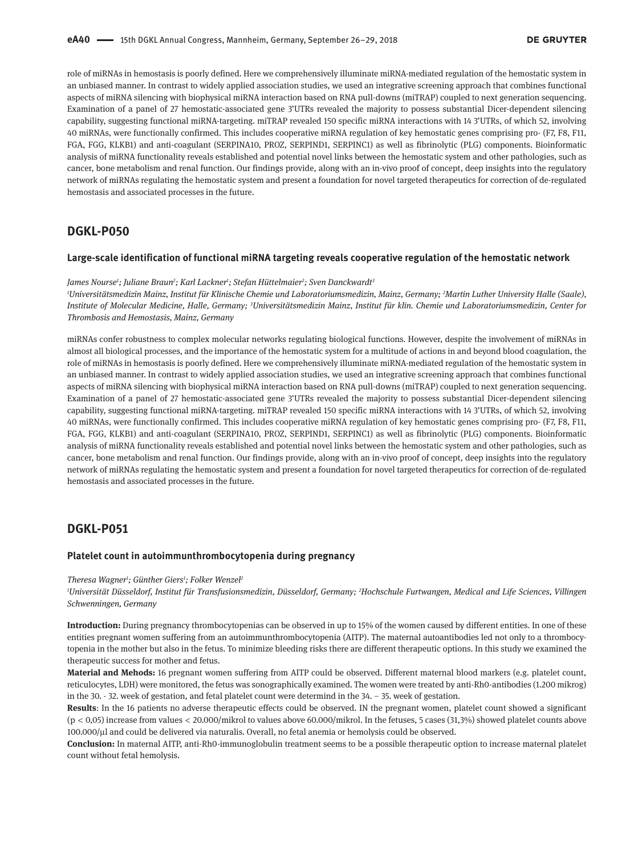role of miRNAs in hemostasis is poorly defined. Here we comprehensively illuminate miRNA-mediated regulation of the hemostatic system in an unbiased manner. In contrast to widely applied association studies, we used an integrative screening approach that combines functional aspects of miRNA silencing with biophysical miRNA interaction based on RNA pull-downs (miTRAP) coupled to next generation sequencing. Examination of a panel of 27 hemostatic-associated gene 3'UTRs revealed the majority to possess substantial Dicer-dependent silencing capability, suggesting functional miRNA-targeting. miTRAP revealed 150 specific miRNA interactions with 14 3'UTRs, of which 52, involving 40 miRNAs, were functionally confirmed. This includes cooperative miRNA regulation of key hemostatic genes comprising pro- (F7, F8, F11, FGA, FGG, KLKB1) and anti-coagulant (SERPINA10, PROZ, SERPIND1, SERPINC1) as well as fibrinolytic (PLG) components. Bioinformatic analysis of miRNA functionality reveals established and potential novel links between the hemostatic system and other pathologies, such as cancer, bone metabolism and renal function. Our findings provide, along with an in-vivo proof of concept, deep insights into the regulatory network of miRNAs regulating the hemostatic system and present a foundation for novel targeted therapeutics for correction of de-regulated hemostasis and associated processes in the future.

# **DGKL-P050**

#### **Large-scale identification of functional miRNA targeting reveals cooperative regulation of the hemostatic network**

#### *James Nourse1 ; Juliane Braun2 ; Karl Lackner1 ; Stefan Hüttelmaier2 ; Sven Danckwardt3*

*1 Universitätsmedizin Mainz, Institut für Klinische Chemie und Laboratoriumsmedizin, Mainz, Germany; 2 Martin Luther University Halle (Saale),*  Institute of Molecular Medicine, Halle, Germany; <sup>3</sup>Universitätsmedizin Mainz, Institut für klin. Chemie und Laboratoriumsmedizin, Center for *Thrombosis and Hemostasis, Mainz, Germany*

miRNAs confer robustness to complex molecular networks regulating biological functions. However, despite the involvement of miRNAs in almost all biological processes, and the importance of the hemostatic system for a multitude of actions in and beyond blood coagulation, the role of miRNAs in hemostasis is poorly defined. Here we comprehensively illuminate miRNA-mediated regulation of the hemostatic system in an unbiased manner. In contrast to widely applied association studies, we used an integrative screening approach that combines functional aspects of miRNA silencing with biophysical miRNA interaction based on RNA pull-downs (miTRAP) coupled to next generation sequencing. Examination of a panel of 27 hemostatic-associated gene 3'UTRs revealed the majority to possess substantial Dicer-dependent silencing capability, suggesting functional miRNA-targeting. miTRAP revealed 150 specific miRNA interactions with 14 3'UTRs, of which 52, involving 40 miRNAs, were functionally confirmed. This includes cooperative miRNA regulation of key hemostatic genes comprising pro- (F7, F8, F11, FGA, FGG, KLKB1) and anti-coagulant (SERPINA10, PROZ, SERPIND1, SERPINC1) as well as fibrinolytic (PLG) components. Bioinformatic analysis of miRNA functionality reveals established and potential novel links between the hemostatic system and other pathologies, such as cancer, bone metabolism and renal function. Our findings provide, along with an in-vivo proof of concept, deep insights into the regulatory network of miRNAs regulating the hemostatic system and present a foundation for novel targeted therapeutics for correction of de-regulated hemostasis and associated processes in the future.

## **DGKL-P051**

#### **Platelet count in autoimmunthrombocytopenia during pregnancy**

#### *Theresa Wagner1 ; Günther Giers1 ; Folker Wenzel2*

*1 Universität Düsseldorf, Institut für Transfusionsmedizin, Düsseldorf, Germany; 2 Hochschule Furtwangen, Medical and Life Sciences, Villingen Schwenningen, Germany*

**Introduction:** During pregnancy thrombocytopenias can be observed in up to 15% of the women caused by different entities. In one of these entities pregnant women suffering from an autoimmunthrombocytopenia (AITP). The maternal autoantibodies led not only to a thrombocytopenia in the mother but also in the fetus. To minimize bleeding risks there are different therapeutic options. In this study we examined the therapeutic success for mother and fetus.

**Material and Mehods:** 16 pregnant women suffering from AITP could be observed. Different maternal blood markers (e.g. platelet count, reticulocytes, LDH) were monitored, the fetus was sonographically examined. The women were treated by anti-Rh0-antibodies (1.200 mikrog) in the 30. - 32. week of gestation, and fetal platelet count were determind in the 34. – 35. week of gestation.

**Results**: In the 16 patients no adverse therapeutic effects could be observed. IN the pregnant women, platelet count showed a significant  $(p < 0.05)$  increase from values  $< 20.000$ /mikrol to values above  $60.000$ /mikrol. In the fetuses, 5 cases (31,3%) showed platelet counts above 100.000/μl and could be delivered via naturalis. Overall, no fetal anemia or hemolysis could be observed.

**Conclusion:** In maternal AITP, anti-Rh0-immunoglobulin treatment seems to be a possible therapeutic option to increase maternal platelet count without fetal hemolysis.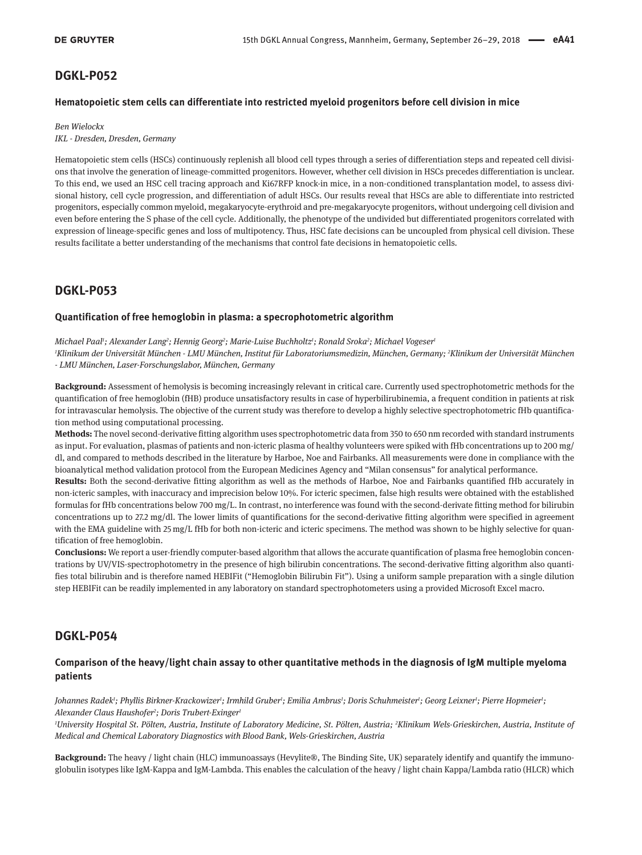### **Hematopoietic stem cells can differentiate into restricted myeloid progenitors before cell division in mice**

### *Ben Wielockx*

### *IKL - Dresden, Dresden, Germany*

Hematopoietic stem cells (HSCs) continuously replenish all blood cell types through a series of differentiation steps and repeated cell divisions that involve the generation of lineage-committed progenitors. However, whether cell division in HSCs precedes differentiation is unclear. To this end, we used an HSC cell tracing approach and Ki67RFP knock-in mice, in a non-conditioned transplantation model, to assess divisional history, cell cycle progression, and differentiation of adult HSCs. Our results reveal that HSCs are able to differentiate into restricted progenitors, especially common myeloid, megakaryocyte-erythroid and pre-megakaryocyte progenitors, without undergoing cell division and even before entering the S phase of the cell cycle. Additionally, the phenotype of the undivided but differentiated progenitors correlated with expression of lineage-specific genes and loss of multipotency. Thus, HSC fate decisions can be uncoupled from physical cell division. These results facilitate a better understanding of the mechanisms that control fate decisions in hematopoietic cells.

# **DGKL-P053**

#### **Quantification of free hemoglobin in plasma: a specrophotometric algorithm**

*Michael Paal1 ; Alexander Lang2 ; Hennig Georg2 ; Marie-Luise Buchholtz1 ; Ronald Sroka2 ; Michael Vogeser1* 'Klinikum der Universität München - LMU München, Institut für Laboratoriumsmedizin, München, Germany; <sup>2</sup>Klinikum der Universität München *- LMU München, Laser-Forschungslabor, München, Germany*

**Background:** Assessment of hemolysis is becoming increasingly relevant in critical care. Currently used spectrophotometric methods for the quantification of free hemoglobin (fHB) produce unsatisfactory results in case of hyperbilirubinemia, a frequent condition in patients at risk for intravascular hemolysis. The objective of the current study was therefore to develop a highly selective spectrophotometric fHb quantification method using computational processing.

**Methods:** The novel second-derivative fitting algorithm uses spectrophotometric data from 350 to 650 nm recorded with standard instruments as input. For evaluation, plasmas of patients and non-icteric plasma of healthy volunteers were spiked with fHb concentrations up to 200 mg/ dl, and compared to methods described in the literature by Harboe, Noe and Fairbanks. All measurements were done in compliance with the bioanalytical method validation protocol from the European Medicines Agency and "Milan consensus" for analytical performance.

**Results:** Both the second-derivative fitting algorithm as well as the methods of Harboe, Noe and Fairbanks quantified fHb accurately in non-icteric samples, with inaccuracy and imprecision below 10%. For icteric specimen, false high results were obtained with the established formulas for fHb concentrations below 700 mg/L. In contrast, no interference was found with the second-derivate fitting method for bilirubin concentrations up to 27.2 mg/dl. The lower limits of quantifications for the second-derivative fitting algorithm were specified in agreement with the EMA guideline with 25 mg/L fHb for both non-icteric and icteric specimens. The method was shown to be highly selective for quantification of free hemoglobin.

**Conclusions:** We report a user-friendly computer-based algorithm that allows the accurate quantification of plasma free hemoglobin concentrations by UV/VIS-spectrophotometry in the presence of high bilirubin concentrations. The second-derivative fitting algorithm also quantifies total bilirubin and is therefore named HEBIFit ("Hemoglobin Bilirubin Fit"). Using a uniform sample preparation with a single dilution step HEBIFit can be readily implemented in any laboratory on standard spectrophotometers using a provided Microsoft Excel macro.

# **DGKL-P054**

### **Comparison of the heavy/light chain assay to other quantitative methods in the diagnosis of IgM multiple myeloma patients**

Johannes Radek'; Phyllis Birkner-Krackowizer'; Irmhild Gruber'; Emilia Ambrus'; Doris Schuhmeister'; Georg Leixner'; Pierre Hopmeier'; *Alexander Claus Haushofer2 ; Doris Trubert-Exinger1*

'University Hospital St. Pölten, Austria, Institute of Laboratory Medicine, St. Pölten, Austria; <sup>2</sup>Klinikum Wels-Grieskirchen, Austria, Institute of *Medical and Chemical Laboratory Diagnostics with Blood Bank, Wels-Grieskirchen, Austria*

**Background:** The heavy / light chain (HLC) immunoassays (Hevylite®, The Binding Site, UK) separately identify and quantify the immunoglobulin isotypes like IgM-Kappa and IgM-Lambda. This enables the calculation of the heavy / light chain Kappa/Lambda ratio (HLCR) which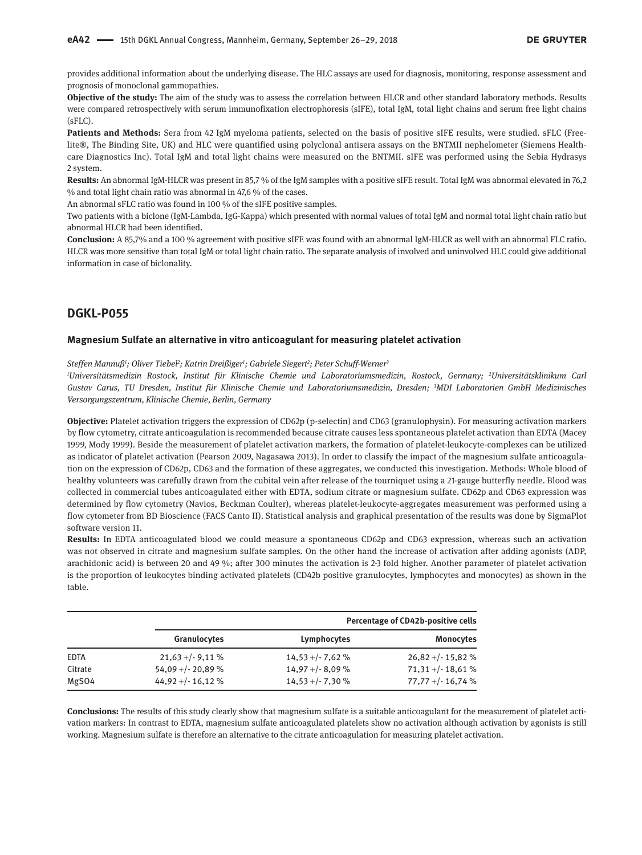provides additional information about the underlying disease. The HLC assays are used for diagnosis, monitoring, response assessment and prognosis of monoclonal gammopathies.

**Objective of the study:** The aim of the study was to assess the correlation between HLCR and other standard laboratory methods. Results were compared retrospectively with serum immunofixation electrophoresis (sIFE), total IgM, total light chains and serum free light chains (sFLC).

**Patients and Methods:** Sera from 42 IgM myeloma patients, selected on the basis of positive sIFE results, were studied. sFLC (Freelite®, The Binding Site, UK) and HLC were quantified using polyclonal antisera assays on the BNTMII nephelometer (Siemens Healthcare Diagnostics Inc). Total IgM and total light chains were measured on the BNTMII. sIFE was performed using the Sebia Hydrasys 2 system.

**Results:** An abnormal IgM-HLCR was present in 85,7 % of the IgM samples with a positive sIFE result. Total IgM was abnormal elevated in 76,2 % and total light chain ratio was abnormal in 47,6 % of the cases.

An abnormal sFLC ratio was found in 100 % of the sIFE positive samples.

Two patients with a biclone (IgM-Lambda, IgG-Kappa) which presented with normal values of total IgM and normal total light chain ratio but abnormal HLCR had been identified.

**Conclusion:** A 85,7% and a 100 % agreement with positive sIFE was found with an abnormal IgM-HLCR as well with an abnormal FLC ratio. HLCR was more sensitive than total IgM or total light chain ratio. The separate analysis of involved and uninvolved HLC could give additional information in case of biclonality.

# **DGKL-P055**

#### **Magnesium Sulfate an alternative in vitro anticoagulant for measuring platelet activation**

*Steffen Mannuß1 ; Oliver Tiebel2 ; Katrin Dreißiger1 ; Gabriele Siegert2 ; Peter Schuff-Werner3*

*1 Universitätsmedizin Rostock, Institut für Klinische Chemie und Laboratoriumsmedizin, Rostock, Germany; 2 Universitätsklinikum Carl Gustav Carus, TU Dresden, Institut für Klinische Chemie und Laboratoriumsmedizin, Dresden; 3 MDI Laboratorien GmbH Medizinisches Versorgungszentrum, Klinische Chemie, Berlin, Germany*

**Objective:** Platelet activation triggers the expression of CD62p (p-selectin) and CD63 (granulophysin). For measuring activation markers by flow cytometry, citrate anticoagulation is recommended because citrate causes less spontaneous platelet activation than EDTA (Macey 1999, Mody 1999). Beside the measurement of platelet activation markers, the formation of platelet-leukocyte-complexes can be utilized as indicator of platelet activation (Pearson 2009, Nagasawa 2013). In order to classify the impact of the magnesium sulfate anticoagulation on the expression of CD62p, CD63 and the formation of these aggregates, we conducted this investigation. Methods: Whole blood of healthy volunteers was carefully drawn from the cubital vein after release of the tourniquet using a 21-gauge butterfly needle. Blood was collected in commercial tubes anticoagulated either with EDTA, sodium citrate or magnesium sulfate. CD62p and CD63 expression was determined by flow cytometry (Navios, Beckman Coulter), whereas platelet-leukocyte-aggregates measurement was performed using a flow cytometer from BD Bioscience (FACS Canto II). Statistical analysis and graphical presentation of the results was done by SigmaPlot software version 11.

**Results:** In EDTA anticoagulated blood we could measure a spontaneous CD62p and CD63 expression, whereas such an activation was not observed in citrate and magnesium sulfate samples. On the other hand the increase of activation after adding agonists (ADP, arachidonic acid) is between 20 and 49 %; after 300 minutes the activation is 2-3 fold higher. Another parameter of platelet activation is the proportion of leukocytes binding activated platelets (CD42b positive granulocytes, lymphocytes and monocytes) as shown in the table.

|             |                     |                   | Percentage of CD42b-positive cells |  |  |
|-------------|---------------------|-------------------|------------------------------------|--|--|
|             | Granulocytes        | Lymphocytes       | <b>Monocytes</b>                   |  |  |
| <b>EDTA</b> | $21,63 + (-9,11\%)$ | $14,53 + (-7,62%$ | $26,82 + (-15,82%$                 |  |  |
| Citrate     | $54,09 + (-20,89%$  | $14,97 + (-8,09%$ | $71,31 + (-18,61%$                 |  |  |
| MgSO4       | $44.92 + (-16.12)$  | $14,53 + (-7,30%$ | $77,77 + (-16,74)$                 |  |  |

**Conclusions:** The results of this study clearly show that magnesium sulfate is a suitable anticoagulant for the measurement of platelet activation markers: In contrast to EDTA, magnesium sulfate anticoagulated platelets show no activation although activation by agonists is still working. Magnesium sulfate is therefore an alternative to the citrate anticoagulation for measuring platelet activation.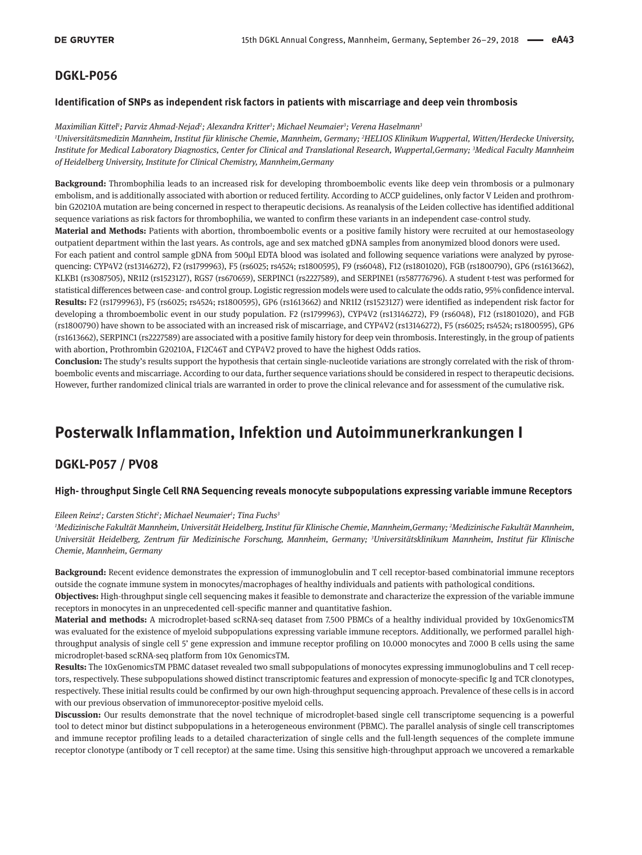#### **Identification of SNPs as independent risk factors in patients with miscarriage and deep vein thrombosis**

*Maximilian Kittel1 ; Parviz Ahmad-Nejad2 ; Alexandra Kritter3 ; Michael Neumaier3 ; Verena Haselmann3 1 Universitätsmedizin Mannheim, Institut für klinische Chemie, Mannheim, Germany; 2 HELIOS Klinikum Wuppertal, Witten/Herdecke University, Institute for Medical Laboratory Diagnostics, Center for Clinical and Translational Research, Wuppertal,Germany; 3 Medical Faculty Mannheim of Heidelberg University, Institute for Clinical Chemistry, Mannheim,Germany*

**Background:** Thrombophilia leads to an increased risk for developing thromboembolic events like deep vein thrombosis or a pulmonary embolism, and is additionally associated with abortion or reduced fertility. According to ACCP guidelines, only factor V Leiden and prothrombin G20210A mutation are being concerned in respect to therapeutic decisions. As reanalysis of the Leiden collective has identified additional sequence variations as risk factors for thrombophilia, we wanted to confirm these variants in an independent case-control study.

**Material and Methods:** Patients with abortion, thromboembolic events or a positive family history were recruited at our hemostaseology outpatient department within the last years. As controls, age and sex matched gDNA samples from anonymized blood donors were used.

For each patient and control sample gDNA from 500μl EDTA blood was isolated and following sequence variations were analyzed by pyrosequencing: CYP4V2 (rs13146272), F2 (rs1799963), F5 (rs6025; rs4524; rs1800595), F9 (rs6048), F12 (rs1801020), FGB (rs1800790), GP6 (rs1613662), KLKB1 (rs3087505), NR1I2 (rs1523127), RGS7 (rs670659), SERPINC1 (rs2227589), and SERPINE1 (rs587776796). A student t-test was performed for statistical differences between case- and control group. Logistic regression models were used to calculate the odds ratio, 95% confidence interval. **Results:** F2 (rs1799963), F5 (rs6025; rs4524; rs1800595), GP6 (rs1613662) and NR1I2 (rs1523127) were identified as independent risk factor for developing a thromboembolic event in our study population. F2 (rs1799963), CYP4V2 (rs13146272), F9 (rs6048), F12 (rs1801020), and FGB (rs1800790) have shown to be associated with an increased risk of miscarriage, and CYP4V2 (rs13146272), F5 (rs6025; rs4524; rs1800595), GP6 (rs1613662), SERPINC1 (rs2227589) are associated with a positive family history for deep vein thrombosis. Interestingly, in the group of patients with abortion, Prothrombin G20210A, F12C46T and CYP4V2 proved to have the highest Odds ratios.

**Conclusion:** The study's results support the hypothesis that certain single-nucleotide variations are strongly correlated with the risk of thromboembolic events and miscarriage. According to our data, further sequence variations should be considered in respect to therapeutic decisions. However, further randomized clinical trials are warranted in order to prove the clinical relevance and for assessment of the cumulative risk.

# **Posterwalk Inflammation, Infektion und Autoimmunerkrankungen I**

# **DGKL-P057 / PV08**

#### **High- throughput Single Cell RNA Sequencing reveals monocyte subpopulations expressing variable immune Receptors**

#### *Eileen Reinz1 ; Carsten Sticht2 ; Michael Neumaier1 ; Tina Fuchs3*

*1 Medizinische Fakultät Mannheim, Universität Heidelberg, Institut für Klinische Chemie, Mannheim,Germany; 2 Medizinische Fakultät Mannheim,*  Universität Heidelberg, Zentrum für Medizinische Forschung, Mannheim, Germany; <sup>3</sup>Universitätsklinikum Mannheim, Institut für Klinische *Chemie, Mannheim, Germany*

**Background:** Recent evidence demonstrates the expression of immunoglobulin and T cell receptor-based combinatorial immune receptors outside the cognate immune system in monocytes/macrophages of healthy individuals and patients with pathological conditions.

**Objectives:** High-throughput single cell sequencing makes it feasible to demonstrate and characterize the expression of the variable immune receptors in monocytes in an unprecedented cell-specific manner and quantitative fashion.

**Material and methods:** A microdroplet-based scRNA-seq dataset from 7.500 PBMCs of a healthy individual provided by 10xGenomicsTM was evaluated for the existence of myeloid subpopulations expressing variable immune receptors. Additionally, we performed parallel highthroughput analysis of single cell 5' gene expression and immune receptor profiling on 10.000 monocytes and 7.000 B cells using the same microdroplet-based scRNA-seq platform from 10x GenomicsTM.

**Results:** The 10xGenomicsTM PBMC dataset revealed two small subpopulations of monocytes expressing immunoglobulins and T cell receptors, respectively. These subpopulations showed distinct transcriptomic features and expression of monocyte-specific Ig and TCR clonotypes, respectively. These initial results could be confirmed by our own high-throughput sequencing approach. Prevalence of these cells is in accord with our previous observation of immunoreceptor-positive myeloid cells.

**Discussion:** Our results demonstrate that the novel technique of microdroplet-based single cell transcriptome sequencing is a powerful tool to detect minor but distinct subpopulations in a heterogeneous environment (PBMC). The parallel analysis of single cell transcriptomes and immune receptor profiling leads to a detailed characterization of single cells and the full-length sequences of the complete immune receptor clonotype (antibody or T cell receptor) at the same time. Using this sensitive high-throughput approach we uncovered a remarkable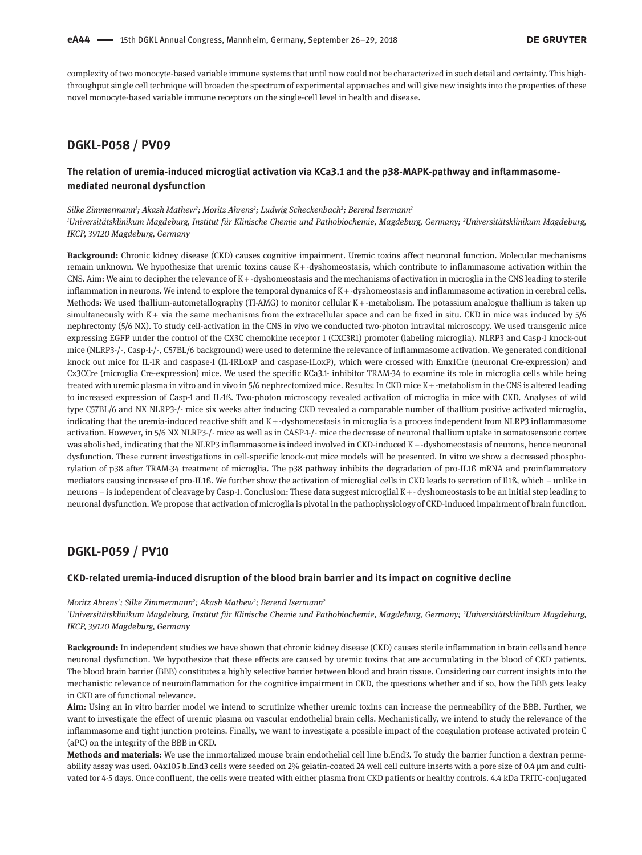complexity of two monocyte-based variable immune systems that until now could not be characterized in such detail and certainty. This highthroughput single cell technique will broaden the spectrum of experimental approaches and will give new insights into the properties of these novel monocyte-based variable immune receptors on the single-cell level in health and disease.

# **DGKL-P058 / PV09**

### **The relation of uremia-induced microglial activation via KCa3.1 and the p38-MAPK-pathway and inflammasomemediated neuronal dysfunction**

*Silke Zimmermann1 ; Akash Mathew2 ; Moritz Ahrens2 ; Ludwig Scheckenbach2 ; Berend Isermann2* 'Universitätsklinikum Magdeburg, Institut für Klinische Chemie und Pathobiochemie, Magdeburg, Germany; <sup>2</sup>Universitätsklinikum Magdeburg, *IKCP, 39120 Magdeburg, Germany*

**Background:** Chronic kidney disease (CKD) causes cognitive impairment. Uremic toxins affect neuronal function. Molecular mechanisms remain unknown. We hypothesize that uremic toxins cause K + -dyshomeostasis, which contribute to inflammasome activation within the CNS. Aim: We aim to decipher the relevance of K + -dyshomeostasis and the mechanisms of activation in microglia in the CNS leading to sterile inflammation in neurons. We intend to explore the temporal dynamics of K + -dyshomeostasis and inflammasome activation in cerebral cells. Methods: We used thallium-autometallography (Tl-AMG) to monitor cellular K + -metabolism. The potassium analogue thallium is taken up simultaneously with K<sup>+</sup> via the same mechanisms from the extracellular space and can be fixed in situ. CKD in mice was induced by 5/6 nephrectomy (5/6 NX). To study cell-activation in the CNS in vivo we conducted two-photon intravital microscopy. We used transgenic mice expressing EGFP under the control of the CX3C chemokine receptor 1 (CXC3R1) promoter (labeling microglia). NLRP3 and Casp-1 knock-out mice (NLRP3-/-, Casp-1-/-, C57BL/6 background) were used to determine the relevance of inflammasome activation. We generated conditional knock out mice for IL-1R and caspase-1 (IL-1RLoxP and caspase-1LoxP), which were crossed with Emx1Cre (neuronal Cre-expression) and Cx3CCre (microglia Cre-expression) mice. We used the specific KCa3.1- inhibitor TRAM-34 to examine its role in microglia cells while being treated with uremic plasma in vitro and in vivo in 5/6 nephrectomized mice. Results: In CKD mice K + -metabolism in the CNS is altered leading to increased expression of Casp-1 and IL-1ß. Two-photon microscopy revealed activation of microglia in mice with CKD. Analyses of wild type C57BL/6 and NX NLRP3-/- mice six weeks after inducing CKD revealed a comparable number of thallium positive activated microglia, indicating that the uremia-induced reactive shift and K<sup>+</sup>-dyshomeostasis in microglia is a process independent from NLRP3 inflammasome activation. However, in 5/6 NX NLRP3-/- mice as well as in CASP-1-/- mice the decrease of neuronal thallium uptake in somatosensoric cortex was abolished, indicating that the NLRP3 inflammasome is indeed involved in CKD-induced K + -dyshomeostasis of neurons, hence neuronal dysfunction. These current investigations in cell-specific knock-out mice models will be presented. In vitro we show a decreased phosphorylation of p38 after TRAM-34 treatment of microglia. The p38 pathway inhibits the degradation of pro-IL1ß mRNA and proinflammatory mediators causing increase of pro-IL1ß. We further show the activation of microglial cells in CKD leads to secretion of Il1ß, which – unlike in neurons – is independent of cleavage by Casp-1. Conclusion: These data suggest microglial K + - dyshomeostasis to be an initial step leading to neuronal dysfunction. We propose that activation of microglia is pivotal in the pathophysiology of CKD-induced impairment of brain function.

# **DGKL-P059 / PV10**

#### **CKD-related uremia-induced disruption of the blood brain barrier and its impact on cognitive decline**

#### *Moritz Ahrens1 ; Silke Zimmermann2 ; Akash Mathew2 ; Berend Isermann2*

*1 Universitätsklinikum Magdeburg, Institut für Klinische Chemie und Pathobiochemie, Magdeburg, Germany; 2 Universitätsklinikum Magdeburg, IKCP, 39120 Magdeburg, Germany*

**Background:** In independent studies we have shown that chronic kidney disease (CKD) causes sterile inflammation in brain cells and hence neuronal dysfunction. We hypothesize that these effects are caused by uremic toxins that are accumulating in the blood of CKD patients. The blood brain barrier (BBB) constitutes a highly selective barrier between blood and brain tissue. Considering our current insights into the mechanistic relevance of neuroinflammation for the cognitive impairment in CKD, the questions whether and if so, how the BBB gets leaky in CKD are of functional relevance.

**Aim:** Using an in vitro barrier model we intend to scrutinize whether uremic toxins can increase the permeability of the BBB. Further, we want to investigate the effect of uremic plasma on vascular endothelial brain cells. Mechanistically, we intend to study the relevance of the inflammasome and tight junction proteins. Finally, we want to investigate a possible impact of the coagulation protease activated protein C (aPC) on the integrity of the BBB in CKD.

**Methods and materials:** We use the immortalized mouse brain endothelial cell line b.End3. To study the barrier function a dextran permeability assay was used. 04x105 b.End3 cells were seeded on 2% gelatin-coated 24 well cell culture inserts with a pore size of 0.4 μm and cultivated for 4-5 days. Once confluent, the cells were treated with either plasma from CKD patients or healthy controls. 4.4 kDa TRITC-conjugated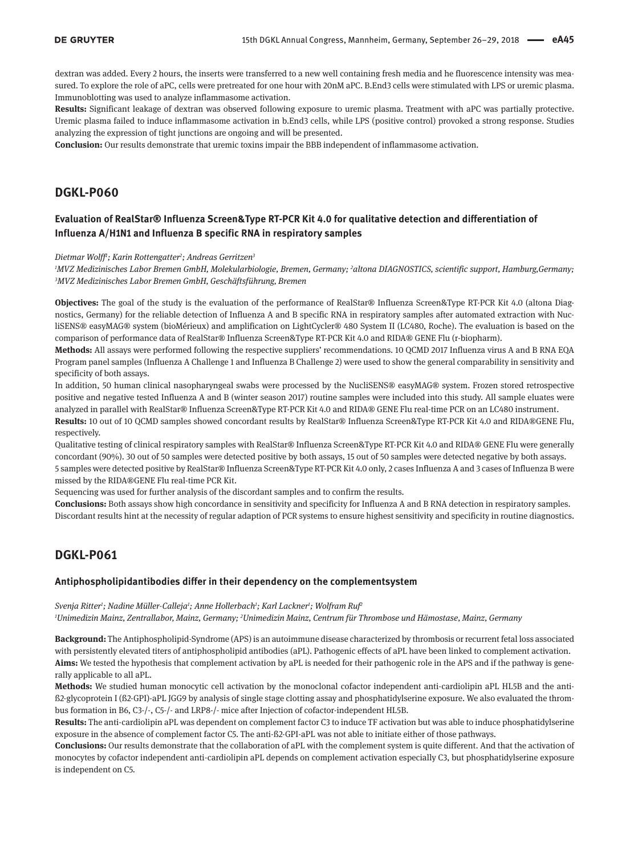dextran was added. Every 2 hours, the inserts were transferred to a new well containing fresh media and he fluorescence intensity was measured. To explore the role of aPC, cells were pretreated for one hour with 20nM aPC. B.End3 cells were stimulated with LPS or uremic plasma. Immunoblotting was used to analyze inflammasome activation.

**Results:** Significant leakage of dextran was observed following exposure to uremic plasma. Treatment with aPC was partially protective. Uremic plasma failed to induce inflammasome activation in b.End3 cells, while LPS (positive control) provoked a strong response. Studies analyzing the expression of tight junctions are ongoing and will be presented.

**Conclusion:** Our results demonstrate that uremic toxins impair the BBB independent of inflammasome activation.

### **DGKL-P060**

### **Evaluation of RealStar® Influenza Screen&Type RT-PCR Kit 4.0 for qualitative detection and differentiation of Influenza A/H1N1 and Influenza B specific RNA in respiratory samples**

*Dietmar Wolff1 ; Karin Rottengatter2 ; Andreas Gerritzen3*

*1 MVZ Medizinisches Labor Bremen GmbH, Molekularbiologie, Bremen, Germany; 2 altona DIAGNOSTICS, scientific support, Hamburg,Germany; 3 MVZ Medizinisches Labor Bremen GmbH, Geschäftsführung, Bremen*

**Objectives:** The goal of the study is the evaluation of the performance of RealStar® Influenza Screen&Type RT-PCR Kit 4.0 (altona Diagnostics, Germany) for the reliable detection of Influenza A and B specific RNA in respiratory samples after automated extraction with NucliSENS® easyMAG® system (bioMérieux) and amplification on LightCycler® 480 System II (LC480, Roche). The evaluation is based on the comparison of performance data of RealStar® Influenza Screen&Type RT-PCR Kit 4.0 and RIDA® GENE Flu (r-biopharm).

**Methods:** All assays were performed following the respective suppliers' recommendations. 10 QCMD 2017 Influenza virus A and B RNA EQA Program panel samples (Influenza A Challenge 1 and Influenza B Challenge 2) were used to show the general comparability in sensitivity and specificity of both assays.

In addition, 50 human clinical nasopharyngeal swabs were processed by the NucliSENS® easyMAG® system. Frozen stored retrospective positive and negative tested Influenza A and B (winter season 2017) routine samples were included into this study. All sample eluates were analyzed in parallel with RealStar® Influenza Screen&Type RT-PCR Kit 4.0 and RIDA® GENE Flu real-time PCR on an LC480 instrument. **Results:** 10 out of 10 QCMD samples showed concordant results by RealStar® Influenza Screen&Type RT-PCR Kit 4.0 and RIDA®GENE Flu, respectively.

Qualitative testing of clinical respiratory samples with RealStar® Influenza Screen&Type RT-PCR Kit 4.0 and RIDA® GENE Flu were generally concordant (90%). 30 out of 50 samples were detected positive by both assays, 15 out of 50 samples were detected negative by both assays. 5 samples were detected positive by RealStar® Influenza Screen&Type RT-PCR Kit 4.0 only, 2 cases Influenza A and 3 cases of Influenza B were missed by the RIDA®GENE Flu real-time PCR Kit.

Sequencing was used for further analysis of the discordant samples and to confirm the results.

**Conclusions:** Both assays show high concordance in sensitivity and specificity for Influenza A and B RNA detection in respiratory samples. Discordant results hint at the necessity of regular adaption of PCR systems to ensure highest sensitivity and specificity in routine diagnostics.

# **DGKL-P061**

#### **Antiphospholipidantibodies differ in their dependency on the complementsystem**

*Svenja Ritter1 ; Nadine Müller-Calleja1 ; Anne Hollerbach1 ; Karl Lackner1 ; Wolfram Ruf2 1 Unimedizin Mainz, Zentrallabor, Mainz, Germany; 2 Unimedizin Mainz, Centrum für Thrombose und Hämostase, Mainz, Germany*

**Background:** The Antiphospholipid-Syndrome (APS) is an autoimmune disease characterized by thrombosis or recurrent fetal loss associated with persistently elevated titers of antiphospholipid antibodies (aPL). Pathogenic effects of aPL have been linked to complement activation. **Aims:** We tested the hypothesis that complement activation by aPL is needed for their pathogenic role in the APS and if the pathway is generally applicable to all aPL.

**Methods:** We studied human monocytic cell activation by the monoclonal cofactor independent anti-cardiolipin aPL HL5B and the antiß2-glycoprotein I (ß2-GPI)-aPL JGG9 by analysis of single stage clotting assay and phosphatidylserine exposure. We also evaluated the thrombus formation in B6, C3-/-, C5-/- and LRP8-/- mice after Injection of cofactor-independent HL5B.

**Results:** The anti-cardiolipin aPL was dependent on complement factor C3 to induce TF activation but was able to induce phosphatidylserine exposure in the absence of complement factor C5. The anti-ß2-GPI-aPL was not able to initiate either of those pathways.

**Conclusions:** Our results demonstrate that the collaboration of aPL with the complement system is quite different. And that the activation of monocytes by cofactor independent anti-cardiolipin aPL depends on complement activation especially C3, but phosphatidylserine exposure is independent on C5.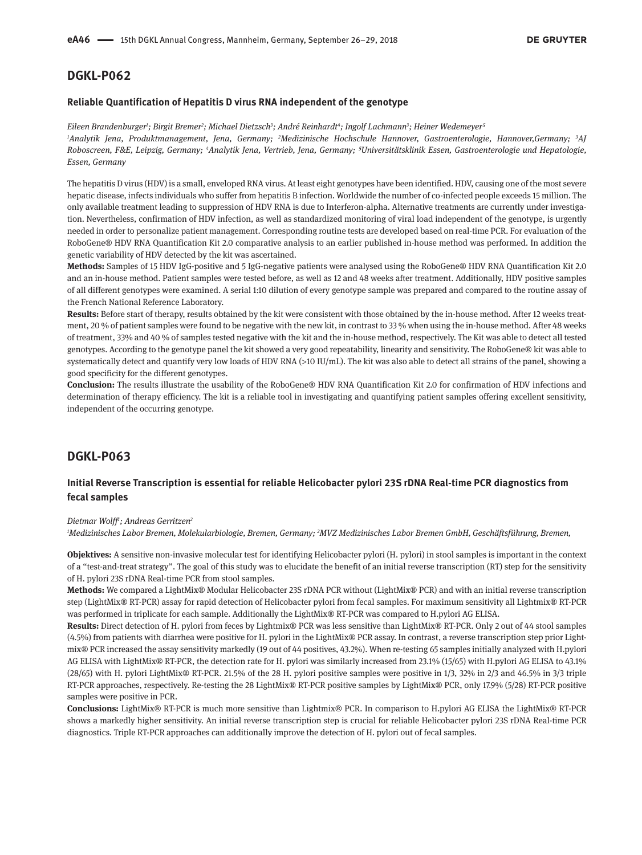#### **Reliable Quantification of Hepatitis D virus RNA independent of the genotype**

*Eileen Brandenburger1 ; Birgit Bremer2 ; Michael Dietzsch3 ; André Reinhardt4 ; Ingolf Lachmann3 ; Heiner Wedemeyer⁵ 1 Analytik Jena, Produktmanagement, Jena, Germany; 2 Medizinische Hochschule Hannover, Gastroenterologie, Hannover,Germany; 3 AJ Roboscreen, F&E, Leipzig, Germany; 4 Analytik Jena, Vertrieb, Jena, Germany; ⁵Universitätsklinik Essen, Gastroenterologie und Hepatologie, Essen, Germany*

The hepatitis D virus (HDV) is a small, enveloped RNA virus. At least eight genotypes have been identified. HDV, causing one of the most severe hepatic disease, infects individuals who suffer from hepatitis B infection. Worldwide the number of co-infected people exceeds 15 million. The only available treatment leading to suppression of HDV RNA is due to Interferon-alpha. Alternative treatments are currently under investigation. Nevertheless, confirmation of HDV infection, as well as standardized monitoring of viral load independent of the genotype, is urgently needed in order to personalize patient management. Corresponding routine tests are developed based on real-time PCR. For evaluation of the RoboGene® HDV RNA Quantification Kit 2.0 comparative analysis to an earlier published in-house method was performed. In addition the genetic variability of HDV detected by the kit was ascertained.

**Methods:** Samples of 15 HDV IgG-positive and 5 IgG-negative patients were analysed using the RoboGene® HDV RNA Quantification Kit 2.0 and an in-house method. Patient samples were tested before, as well as 12 and 48 weeks after treatment. Additionally, HDV positive samples of all different genotypes were examined. A serial 1:10 dilution of every genotype sample was prepared and compared to the routine assay of the French National Reference Laboratory.

**Results:** Before start of therapy, results obtained by the kit were consistent with those obtained by the in-house method. After 12 weeks treatment, 20 % of patient samples were found to be negative with the new kit, in contrast to 33 % when using the in-house method. After 48 weeks of treatment, 33% and 40 % of samples tested negative with the kit and the in-house method, respectively. The Kit was able to detect all tested genotypes. According to the genotype panel the kit showed a very good repeatability, linearity and sensitivity. The RoboGene® kit was able to systematically detect and quantify very low loads of HDV RNA (>10 IU/mL). The kit was also able to detect all strains of the panel, showing a good specificity for the different genotypes.

**Conclusion:** The results illustrate the usability of the RoboGene® HDV RNA Quantification Kit 2.0 for confirmation of HDV infections and determination of therapy efficiency. The kit is a reliable tool in investigating and quantifying patient samples offering excellent sensitivity, independent of the occurring genotype.

# **DGKL-P063**

### **Initial Reverse Transcription is essential for reliable Helicobacter pylori 23S rDNA Real-time PCR diagnostics from fecal samples**

#### *Dietmar Wolff1 ; Andreas Gerritzen2*

<sup>ı</sup>Medizinisches Labor Bremen, Molekularbiologie, Bremen, Germany; <sup>2</sup>MVZ Medizinisches Labor Bremen GmbH, Geschäftsführung, Bremen,

**Objektives:** A sensitive non-invasive molecular test for identifying Helicobacter pylori (H. pylori) in stool samples is important in the context of a "test-and-treat strategy". The goal of this study was to elucidate the benefit of an initial reverse transcription (RT) step for the sensitivity of H. pylori 23S rDNA Real-time PCR from stool samples.

**Methods:** We compared a LightMix® Modular Helicobacter 23S rDNA PCR without (LightMix® PCR) and with an initial reverse transcription step (LightMix® RT-PCR) assay for rapid detection of Helicobacter pylori from fecal samples. For maximum sensitivity all Lightmix® RT-PCR was performed in triplicate for each sample. Additionally the LightMix® RT-PCR was compared to H.pylori AG ELISA.

**Results:** Direct detection of H. pylori from feces by Lightmix® PCR was less sensitive than LightMix® RT-PCR. Only 2 out of 44 stool samples (4.5%) from patients with diarrhea were positive for H. pylori in the LightMix® PCR assay. In contrast, a reverse transcription step prior Lightmix® PCR increased the assay sensitivity markedly (19 out of 44 positives, 43.2%). When re-testing 65 samples initially analyzed with H.pylori AG ELISA with LightMix® RT-PCR, the detection rate for H. pylori was similarly increased from 23.1% (15/65) with H.pylori AG ELISA to 43.1% (28/65) with H. pylori LightMix® RT-PCR. 21.5% of the 28 H. pylori positive samples were positive in 1/3, 32% in 2/3 and 46.5% in 3/3 triple RT-PCR approaches, respectively. Re-testing the 28 LightMix® RT-PCR positive samples by LightMix® PCR, only 17.9% (5/28) RT-PCR positive samples were positive in PCR.

**Conclusions:** LightMix® RT-PCR is much more sensitive than Lightmix® PCR. In comparison to H.pylori AG ELISA the LightMix® RT-PCR shows a markedly higher sensitivity. An initial reverse transcription step is crucial for reliable Helicobacter pylori 23S rDNA Real-time PCR diagnostics. Triple RT-PCR approaches can additionally improve the detection of H. pylori out of fecal samples.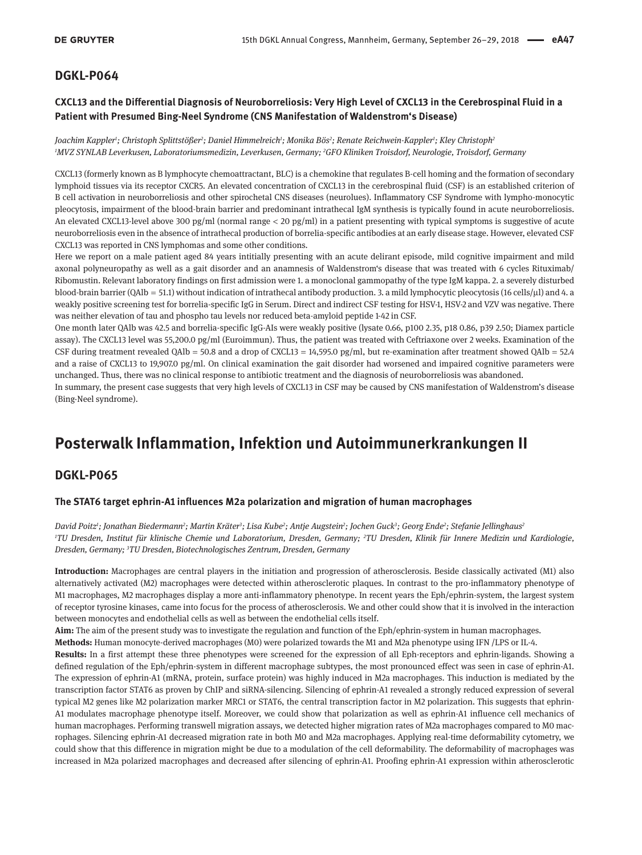### **CXCL13 and the Differential Diagnosis of Neuroborreliosis: Very High Level of CXCL13 in the Cerebrospinal Fluid in a Patient with Presumed Bing-Neel Syndrome (CNS Manifestation of Waldenstrom's Disease)**

Joachim Kappler'; Christoph Splittstößer<sup>2</sup>; Daniel Himmelreich'; Monika Bös<sup>2</sup>; Renate Reichwein-Kappler'; Kley Christoph<sup>2</sup> *1 MVZ SYNLAB Leverkusen, Laboratoriumsmedizin, Leverkusen, Germany; 2 GFO Kliniken Troisdorf, Neurologie, Troisdorf, Germany*

CXCL13 (formerly known as B lymphocyte chemoattractant, BLC) is a chemokine that regulates B-cell homing and the formation of secondary lymphoid tissues via its receptor CXCR5. An elevated concentration of CXCL13 in the cerebrospinal fluid (CSF) is an established criterion of B cell activation in neuroborreliosis and other spirochetal CNS diseases (neurolues). Inflammatory CSF Syndrome with lympho-monocytic pleocytosis, impairment of the blood-brain barrier and predominant intrathecal IgM synthesis is typically found in acute neuroborreliosis. An elevated CXCL13-level above 300 pg/ml (normal range < 20 pg/ml) in a patient presenting with typical symptoms is suggestive of acute neuroborreliosis even in the absence of intrathecal production of borrelia-specific antibodies at an early disease stage. However, elevated CSF CXCL13 was reported in CNS lymphomas and some other conditions.

Here we report on a male patient aged 84 years intitially presenting with an acute delirant episode, mild cognitive impairment and mild axonal polyneuropathy as well as a gait disorder and an anamnesis of Waldenstrom's disease that was treated with 6 cycles Rituximab/ Ribomustin. Relevant laboratory findings on first admission were 1. a monoclonal gammopathy of the type IgM kappa. 2. a severely disturbed blood-brain barrier (QAlb  =  51.1) without indication of intrathecal antibody production. 3. a mild lymphocytic pleocytosis (16 cells/μl) and 4. a weakly positive screening test for borrelia-specific IgG in Serum. Direct and indirect CSF testing for HSV-1, HSV-2 and VZV was negative. There was neither elevation of tau and phospho tau levels nor reduced beta-amyloid peptide 1-42 in CSF.

One month later QAlb was 42.5 and borrelia-specific IgG-AIs were weakly positive (lysate 0.66, p100 2.35, p18 0.86, p39 2.50; Diamex particle assay). The CXCL13 level was 55,200.0 pg/ml (Euroimmun). Thus, the patient was treated with Ceftriaxone over 2 weeks. Examination of the CSF during treatment revealed QAlb = 50.8 and a drop of CXCL13 = 14,595.0 pg/ml, but re-examination after treatment showed QAlb = 52.4 and a raise of CXCL13 to 19,907.0 pg/ml. On clinical examination the gait disorder had worsened and impaired cognitive parameters were unchanged. Thus, there was no clinical response to antibiotic treatment and the diagnosis of neuroborreliosis was abandoned.

In summary, the present case suggests that very high levels of CXCL13 in CSF may be caused by CNS manifestation of Waldenstrom's disease (Bing-Neel syndrome).

# **Posterwalk Inflammation, Infektion und Autoimmunerkrankungen II**

# **DGKL-P065**

### **The STAT6 target ephrin-A1 influences M2a polarization and migration of human macrophages**

*David Poitz1 ; Jonathan Biedermann2 ; Martin Kräter3 ; Lisa Kube2 ; Antje Augstein2 ; Jochen Guck3 ; Georg Ende2 ; Stefanie Jellinghaus2 1 TU Dresden, Institut für klinische Chemie und Laboratorium, Dresden, Germany; 2 TU Dresden, Klinik für Innere Medizin und Kardiologie, Dresden, Germany; 3 TU Dresden, Biotechnologisches Zentrum, Dresden, Germany*

**Introduction:** Macrophages are central players in the initiation and progression of atherosclerosis. Beside classically activated (M1) also alternatively activated (M2) macrophages were detected within atherosclerotic plaques. In contrast to the pro-inflammatory phenotype of M1 macrophages, M2 macrophages display a more anti-inflammatory phenotype. In recent years the Eph/ephrin-system, the largest system of receptor tyrosine kinases, came into focus for the process of atherosclerosis. We and other could show that it is involved in the interaction between monocytes and endothelial cells as well as between the endothelial cells itself.

**Aim:** The aim of the present study was to investigate the regulation and function of the Eph/ephrin-system in human macrophages.

**Methods:** Human monocyte-derived macrophages (M0) were polarized towards the M1 and M2a phenotype using IFN /LPS or IL-4.

**Results:** In a first attempt these three phenotypes were screened for the expression of all Eph-receptors and ephrin-ligands. Showing a defined regulation of the Eph/ephrin-system in different macrophage subtypes, the most pronounced effect was seen in case of ephrin-A1. The expression of ephrin-A1 (mRNA, protein, surface protein) was highly induced in M2a macrophages. This induction is mediated by the transcription factor STAT6 as proven by ChIP and siRNA-silencing. Silencing of ephrin-A1 revealed a strongly reduced expression of several typical M2 genes like M2 polarization marker MRC1 or STAT6, the central transcription factor in M2 polarization. This suggests that ephrin-A1 modulates macrophage phenotype itself. Moreover, we could show that polarization as well as ephrin-A1 influence cell mechanics of human macrophages. Performing transwell migration assays, we detected higher migration rates of M2a macrophages compared to M0 macrophages. Silencing ephrin-A1 decreased migration rate in both M0 and M2a macrophages. Applying real-time deformability cytometry, we could show that this difference in migration might be due to a modulation of the cell deformability. The deformability of macrophages was increased in M2a polarized macrophages and decreased after silencing of ephrin-A1. Proofing ephrin-A1 expression within atherosclerotic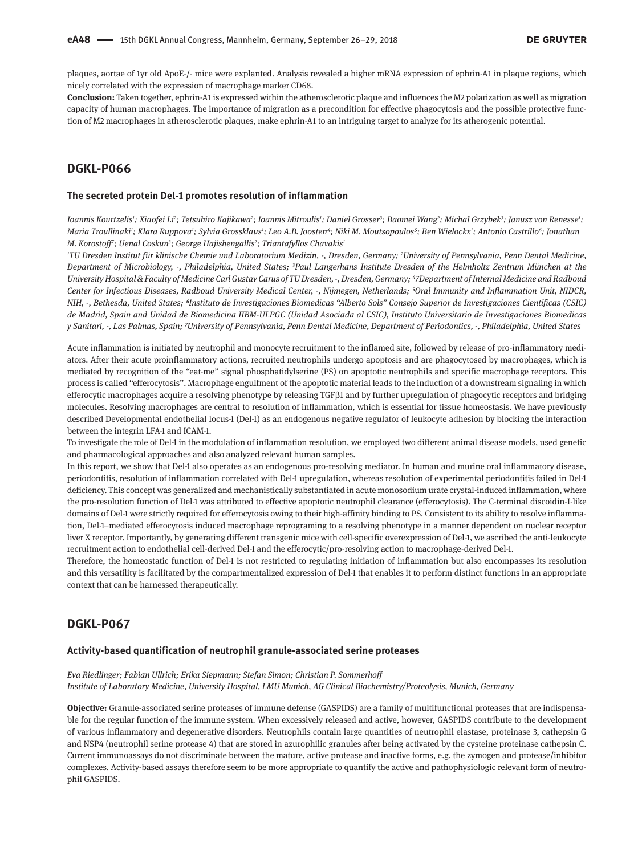plaques, aortae of 1yr old ApoE-/- mice were explanted. Analysis revealed a higher mRNA expression of ephrin-A1 in plaque regions, which nicely correlated with the expression of macrophage marker CD68.

**Conclusion:** Taken together, ephrin-A1 is expressed within the atherosclerotic plaque and influences the M2 polarization as well as migration capacity of human macrophages. The importance of migration as a precondition for effective phagocytosis and the possible protective function of M2 macrophages in atherosclerotic plaques, make ephrin-A1 to an intriguing target to analyze for its atherogenic potential.

# **DGKL-P066**

#### **The secreted protein Del-1 promotes resolution of inflammation**

Ioannis Kourtzelis'; Xiaofei Li<sup>2</sup>; Tetsuhiro Kajikawa<sup>2</sup>; Ioannis Mitroulis'; Daniel Grosser<sup>3</sup>; Baomei Wang<sup>2</sup>; Michal Grzybek<sup>3</sup>; Janusz von Renesse'; Maria Troullinaki'; Klara Ruppova'; Sylvia Grossklaus'; Leo A.B. Joosten<sup>4</sup>; Niki M. Moutsopoulos<sup>s</sup>; Ben Wielockx'; Antonio Castrillo<sup>s</sup>; Jonathan *M. Korostoff7 ; Uenal Coskun3 ; George Hajishengallis2 ; Triantafyllos Chavakis1*

*1 TU Dresden Institut für klinische Chemie und Laboratorium Medizin, -, Dresden, Germany; 2 University of Pennsylvania, Penn Dental Medicine, Department of Microbiology, -, Philadelphia, United States; 3 Paul Langerhans Institute Dresden of the Helmholtz Zentrum München at the University Hospital & Faculty of Medicine Carl Gustav Carus of TU Dresden, -, Dresden, Germany; ⁴7Department of Internal Medicine and Radboud Center for Infectious Diseases, Radboud University Medical Center, -, Nijmegen, Netherlands; ⁵Oral Immunity and Inflammation Unit, NIDCR, NIH, -, Bethesda, United States; ⁶Instituto de Investigaciones Biomedicas "Alberto Sols" Consejo Superior de Investigaciones Científicas (CSIC) de Madrid, Spain and Unidad de Biomedicina IIBM-ULPGC (Unidad Asociada al CSIC), Instituto Universitario de Investigaciones Biomedicas y Sanitari, -, Las Palmas, Spain; ⁷University of Pennsylvania, Penn Dental Medicine, Department of Periodontics, -, Philadelphia, United States*

Acute inflammation is initiated by neutrophil and monocyte recruitment to the inflamed site, followed by release of pro-inflammatory mediators. After their acute proinflammatory actions, recruited neutrophils undergo apoptosis and are phagocytosed by macrophages, which is mediated by recognition of the "eat-me" signal phosphatidylserine (PS) on apoptotic neutrophils and specific macrophage receptors. This process is called "efferocytosis". Macrophage engulfment of the apoptotic material leads to the induction of a downstream signaling in which efferocytic macrophages acquire a resolving phenotype by releasing TGFβ1 and by further upregulation of phagocytic receptors and bridging molecules. Resolving macrophages are central to resolution of inflammation, which is essential for tissue homeostasis. We have previously described Developmental endothelial locus-1 (Del-1) as an endogenous negative regulator of leukocyte adhesion by blocking the interaction between the integrin LFA-1 and ICAM-1.

To investigate the role of Del-1 in the modulation of inflammation resolution, we employed two different animal disease models, used genetic and pharmacological approaches and also analyzed relevant human samples.

In this report, we show that Del-1 also operates as an endogenous pro-resolving mediator. In human and murine oral inflammatory disease, periodontitis, resolution of inflammation correlated with Del-1 upregulation, whereas resolution of experimental periodontitis failed in Del-1 deficiency. This concept was generalized and mechanistically substantiated in acute monosodium urate crystal-induced inflammation, where the pro-resolution function of Del-1 was attributed to effective apoptotic neutrophil clearance (efferocytosis). The C-terminal discoidin-I-like domains of Del-1 were strictly required for efferocytosis owing to their high-affinity binding to PS. Consistent to its ability to resolve inflammation, Del-1–mediated efferocytosis induced macrophage reprograming to a resolving phenotype in a manner dependent on nuclear receptor liver X receptor. Importantly, by generating different transgenic mice with cell-specific overexpression of Del-1, we ascribed the anti-leukocyte recruitment action to endothelial cell-derived Del-1 and the efferocytic/pro-resolving action to macrophage-derived Del-1.

Therefore, the homeostatic function of Del-1 is not restricted to regulating initiation of inflammation but also encompasses its resolution and this versatility is facilitated by the compartmentalized expression of Del-1 that enables it to perform distinct functions in an appropriate context that can be harnessed therapeutically.

# **DGKL-P067**

#### **Activity-based quantification of neutrophil granule-associated serine proteases**

*Eva Riedlinger; Fabian Ullrich; Erika Siepmann; Stefan Simon; Christian P. Sommerhoff Institute of Laboratory Medicine, University Hospital, LMU Munich, AG Clinical Biochemistry/Proteolysis, Munich, Germany*

**Objective:** Granule-associated serine proteases of immune defense (GASPIDS) are a family of multifunctional proteases that are indispensable for the regular function of the immune system. When excessively released and active, however, GASPIDS contribute to the development of various inflammatory and degenerative disorders. Neutrophils contain large quantities of neutrophil elastase, proteinase 3, cathepsin G and NSP4 (neutrophil serine protease 4) that are stored in azurophilic granules after being activated by the cysteine proteinase cathepsin C. Current immunoassays do not discriminate between the mature, active protease and inactive forms, e.g. the zymogen and protease/inhibitor complexes. Activity-based assays therefore seem to be more appropriate to quantify the active and pathophysiologic relevant form of neutrophil GASPIDS.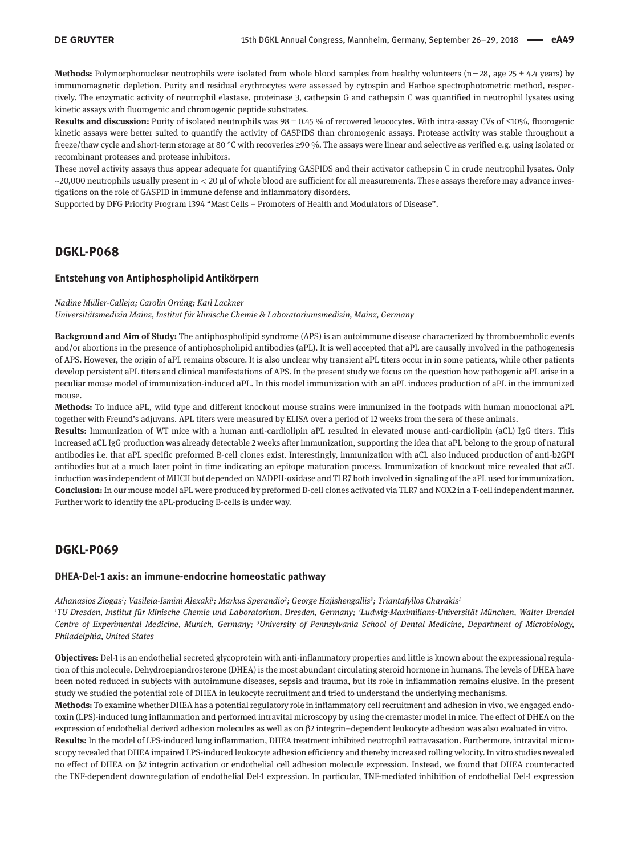**Methods:** Polymorphonuclear neutrophils were isolated from whole blood samples from healthy volunteers ( $n = 28$ , age  $25 \pm 4.4$  years) by immunomagnetic depletion. Purity and residual erythrocytes were assessed by cytospin and Harboe spectrophotometric method, respectively. The enzymatic activity of neutrophil elastase, proteinase 3, cathepsin G and cathepsin C was quantified in neutrophil lysates using kinetic assays with fluorogenic and chromogenic peptide substrates.

**Results and discussion:** Purity of isolated neutrophils was 98 ± 0.45 % of recovered leucocytes. With intra-assay CVs of ≤10%, fluorogenic kinetic assays were better suited to quantify the activity of GASPIDS than chromogenic assays. Protease activity was stable throughout a freeze/thaw cycle and short-term storage at 80 °C with recoveries ≥90 %. The assays were linear and selective as verified e.g. using isolated or recombinant proteases and protease inhibitors.

These novel activity assays thus appear adequate for quantifying GASPIDS and their activator cathepsin C in crude neutrophil lysates. Only  $-20,000$  neutrophils usually present in  $< 20 \mu$  of whole blood are sufficient for all measurements. These assays therefore may advance investigations on the role of GASPID in immune defense and inflammatory disorders.

Supported by DFG Priority Program 1394 "Mast Cells – Promoters of Health and Modulators of Disease".

# **DGKL-P068**

#### **Entstehung von Antiphospholipid Antikörpern**

#### *Nadine Müller-Calleja; Carolin Orning; Karl Lackner*

*Universitätsmedizin Mainz, Institut für klinische Chemie & Laboratoriumsmedizin, Mainz, Germany*

**Background and Aim of Study:** The antiphospholipid syndrome (APS) is an autoimmune disease characterized by thromboembolic events and/or abortions in the presence of antiphospholipid antibodies (aPL). It is well accepted that aPL are causally involved in the pathogenesis of APS. However, the origin of aPL remains obscure. It is also unclear why transient aPL titers occur in in some patients, while other patients develop persistent aPL titers and clinical manifestations of APS. In the present study we focus on the question how pathogenic aPL arise in a peculiar mouse model of immunization-induced aPL. In this model immunization with an aPL induces production of aPL in the immunized mouse.

**Methods:** To induce aPL, wild type and different knockout mouse strains were immunized in the footpads with human monoclonal aPL together with Freund's adjuvans. APL titers were measured by ELISA over a period of 12 weeks from the sera of these animals.

**Results:** Immunization of WT mice with a human anti-cardiolipin aPL resulted in elevated mouse anti-cardiolipin (aCL) IgG titers. This increased aCL IgG production was already detectable 2 weeks after immunization, supporting the idea that aPL belong to the group of natural antibodies i.e. that aPL specific preformed B-cell clones exist. Interestingly, immunization with aCL also induced production of anti-b2GPI antibodies but at a much later point in time indicating an epitope maturation process. Immunization of knockout mice revealed that aCL induction was independent of MHCII but depended on NADPH-oxidase and TLR7 both involved in signaling of the aPL used for immunization. **Conclusion:** In our mouse model aPL were produced by preformed B-cell clones activated via TLR7 and NOX2 in a T-cell independent manner. Further work to identify the aPL-producing B-cells is under way.

# **DGKL-P069**

#### **DHEA-Del-1 axis: an immune-endocrine homeostatic pathway**

Athanasios Ziogas<sup>ı</sup>; Vasileia-Ismini Alexaki<sup>ı</sup>; Markus Sperandio<sup>2</sup>; George Hajishengallis<sup>3</sup>; Triantafyllos Chavakis<sup>ı</sup> *1 TU Dresden, Institut für klinische Chemie und Laboratorium, Dresden, Germany; 2 Ludwig-Maximilians-Universität München, Walter Brendel*  Centre of Experimental Medicine, Munich, Germany; <sup>3</sup>University of Pennsylvania School of Dental Medicine, Department of Microbiology,

#### *Philadelphia, United States*

**Objectives:** Del-1 is an endothelial secreted glycoprotein with anti-inflammatory properties and little is known about the expressional regulation of this molecule. Dehydroepiandrosterone (DHEA) is the most abundant circulating steroid hormone in humans. The levels of DHEA have been noted reduced in subjects with autoimmune diseases, sepsis and trauma, but its role in inflammation remains elusive. In the present study we studied the potential role of DHEA in leukocyte recruitment and tried to understand the underlying mechanisms.

**Methods:** To examine whether DHEA has a potential regulatory role in inflammatory cell recruitment and adhesion in vivo, we engaged endotoxin (LPS)-induced lung inflammation and performed intravital microscopy by using the cremaster model in mice. The effect of DHEA on the expression of endothelial derived adhesion molecules as well as on β2 integrin–dependent leukocyte adhesion was also evaluated in vitro. **Results:** In the model of LPS-induced lung inflammation, DHEA treatment inhibited neutrophil extravasation. Furthermore, intravital micro-

scopy revealed that DHEA impaired LPS-induced leukocyte adhesion efficiency and thereby increased rolling velocity. In vitro studies revealed no effect of DHEA on β2 integrin activation or endothelial cell adhesion molecule expression. Instead, we found that DHEA counteracted the TNF-dependent downregulation of endothelial Del-1 expression. In particular, TNF-mediated inhibition of endothelial Del-1 expression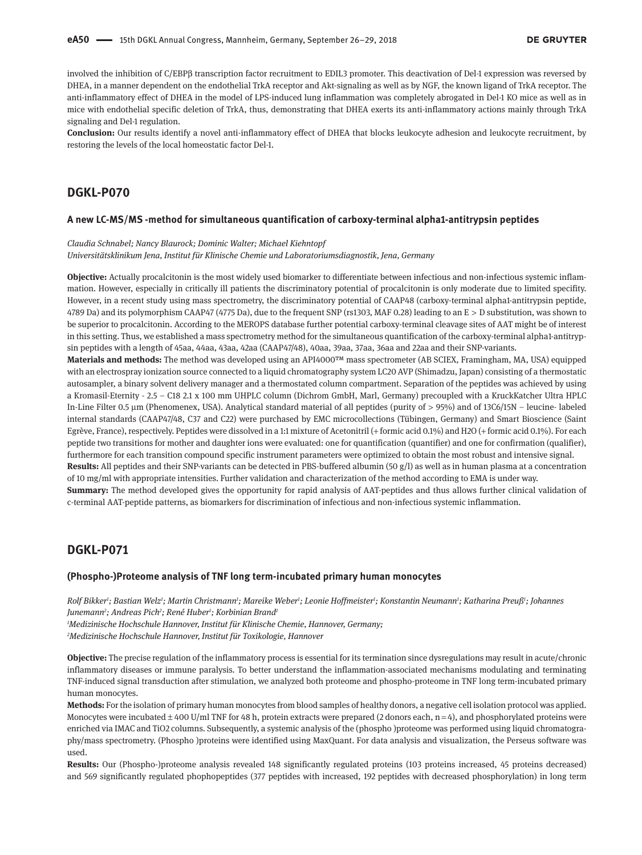involved the inhibition of C/EBPβ transcription factor recruitment to EDIL3 promoter. This deactivation of Del-1 expression was reversed by DHEA, in a manner dependent on the endothelial TrkA receptor and Akt-signaling as well as by NGF, the known ligand of TrkA receptor. The anti-inflammatory effect of DHEA in the model of LPS-induced lung inflammation was completely abrogated in Del-1 KO mice as well as in mice with endothelial specific deletion of TrkA, thus, demonstrating that DHEA exerts its anti-inflammatory actions mainly through TrkA signaling and Del-1 regulation.

**Conclusion:** Our results identify a novel anti-inflammatory effect of DHEA that blocks leukocyte adhesion and leukocyte recruitment, by restoring the levels of the local homeostatic factor Del-1.

### **DGKL-P070**

#### **A new LC-MS/MS -method for simultaneous quantification of carboxy-terminal alpha1-antitrypsin peptides**

#### *Claudia Schnabel; Nancy Blaurock; Dominic Walter; Michael Kiehntopf Universitätsklinikum Jena, Institut für Klinische Chemie und Laboratoriumsdiagnostik, Jena, Germany*

**Objective:** Actually procalcitonin is the most widely used biomarker to differentiate between infectious and non-infectious systemic inflammation. However, especially in critically ill patients the discriminatory potential of procalcitonin is only moderate due to limited specifity. However, in a recent study using mass spectrometry, the discriminatory potential of CAAP48 (carboxy-terminal alpha1-antitrypsin peptide, 4789 Da) and its polymorphism CAAP47 (4775 Da), due to the frequent SNP (rs1303, MAF 0.28) leading to an E  >  D substitution, was shown to be superior to procalcitonin. According to the MEROPS database further potential carboxy-terminal cleavage sites of AAT might be of interest in this setting. Thus, we established a mass spectrometry method for the simultaneous quantification of the carboxy-terminal alpha1-antitrypsin peptides with a length of 45aa, 44aa, 43aa, 42aa (CAAP47/48), 40aa, 39aa, 37aa, 36aa and 22aa and their SNP-variants.

**Materials and methods:** The method was developed using an API4000™ mass spectrometer (AB SCIEX, Framingham, MA, USA) equipped with an electrospray ionization source connected to a liquid chromatography system LC20 AVP (Shimadzu, Japan) consisting of a thermostatic autosampler, a binary solvent delivery manager and a thermostated column compartment. Separation of the peptides was achieved by using a Kromasil-Eternity - 2.5 – C18 2.1 x 100 mm UHPLC column (Dichrom GmbH, Marl, Germany) precoupled with a KruckKatcher Ultra HPLC In-Line Filter 0.5 μm (Phenomenex, USA). Analytical standard material of all peptides (purity of  >  95%) and of 13C6/15N – leucine- labeled internal standards (CAAP47/48, C37 and C22) were purchased by EMC microcollections (Tübingen, Germany) and Smart Bioscience (Saint Egrève, France), respectively. Peptides were dissolved in a 1:1 mixture of Acetonitril (+ formic acid 0.1%) and H2O (+ formic acid 0.1%). For each peptide two transitions for mother and daughter ions were evaluated: one for quantification (quantifier) and one for confirmation (qualifier), furthermore for each transition compound specific instrument parameters were optimized to obtain the most robust and intensive signal. **Results:** All peptides and their SNP-variants can be detected in PBS-buffered albumin (50 g/l) as well as in human plasma at a concentration of 10 mg/ml with appropriate intensities. Further validation and characterization of the method according to EMA is under way.

**Summary:** The method developed gives the opportunity for rapid analysis of AAT-peptides and thus allows further clinical validation of c-terminal AAT-peptide patterns, as biomarkers for discrimination of infectious and non-infectious systemic inflammation.

# **DGKL-P071**

### **(Phospho-)Proteome analysis of TNF long term-incubated primary human monocytes**

*Rolf Bikker1 ; Bastian Welz1 ; Martin Christmann1 ; Mareike Weber1 ; Leonie Hoffmeister1 ; Konstantin Neumann1 ; Katharina Preuß1 ; Johannes Junemann2 ; Andreas Pich2 ; René Huber1 ; Korbinian Brand1*

*1 Medizinische Hochschule Hannover, Institut für Klinische Chemie, Hannover, Germany; 2 Medizinische Hochschule Hannover, Institut für Toxikologie, Hannover*

**Objective:** The precise regulation of the inflammatory process is essential for its termination since dysregulations may result in acute/chronic inflammatory diseases or immune paralysis. To better understand the inflammation-associated mechanisms modulating and terminating TNF-induced signal transduction after stimulation, we analyzed both proteome and phospho-proteome in TNF long term-incubated primary human monocytes.

**Methods:** For the isolation of primary human monocytes from blood samples of healthy donors, a negative cell isolation protocol was applied. Monocytes were incubated  $\pm$  400 U/ml TNF for 48 h, protein extracts were prepared (2 donors each,  $n=4$ ), and phosphorylated proteins were enriched via IMAC and TiO2 columns. Subsequently, a systemic analysis of the (phospho )proteome was performed using liquid chromatography/mass spectrometry. (Phospho )proteins were identified using MaxQuant. For data analysis and visualization, the Perseus software was used.

**Results:** Our (Phospho-)proteome analysis revealed 148 significantly regulated proteins (103 proteins increased, 45 proteins decreased) and 569 significantly regulated phophopeptides (377 peptides with increased, 192 peptides with decreased phosphorylation) in long term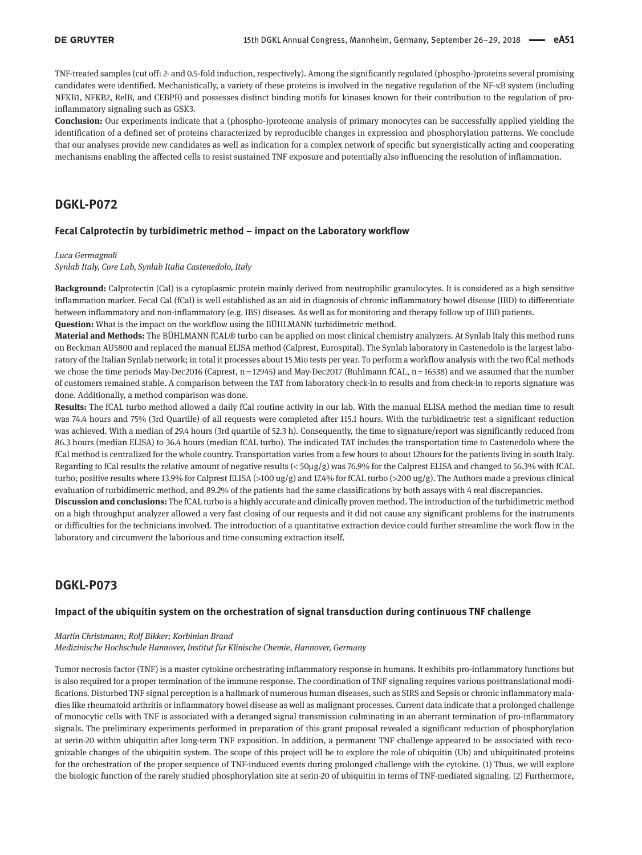TNF-treated samples (cut off: 2- and 0.5-fold induction, respectively). Among the significantly regulated (phospho-)proteins several promising candidates were identified. Mechanistically, a variety of these proteins is involved in the negative regulation of the NF-κB system (including NFKB1, NFKB2, RelB, and CEBPB) and possesses distinct binding motifs for kinases known for their contribution to the regulation of proinflammatory signaling such as GSK3.

**Conclusion:** Our experiments indicate that a (phospho-)proteome analysis of primary monocytes can be successfully applied yielding the identification of a defined set of proteins characterized by reproducible changes in expression and phosphorylation patterns. We conclude that our analyses provide new candidates as well as indication for a complex network of specific but synergistically acting and cooperating mechanisms enabling the affected cells to resist sustained TNF exposure and potentially also influencing the resolution of inflammation.

# **DGKL-P072**

### **Fecal Calprotectin by turbidimetric method – impact on the Laboratory workflow**

#### *Luca Germagnoli*

#### *Synlab Italy, Core Lab, Synlab Italia Castenedolo, Italy*

**Background:** Calprotectin (Cal) is a cytoplasmic protein mainly derived from neutrophilic granulocytes. It is considered as a high sensitive inflammation marker. Fecal Cal (fCal) is well established as an aid in diagnosis of chronic inflammatory bowel disease (IBD) to differentiate between inflammatory and non-inflammatory (e.g. IBS) diseases. As well as for monitoring and therapy follow up of IBD patients. **Question:** What is the impact on the workflow using the BÜHLMANN turbidimetric method.

**Material and Methods:** The BÜHLMANN fCAL® turbo can be applied on most clinical chemistry analyzers. At Synlab Italy this method runs on Beckman AU5800 and replaced the manual ELISA method (Calprest, Eurospital). The Synlab laboratory in Castenedolo is the largest laboratory of the Italian Synlab network; in total it processes about 15 Mio tests per year. To perform a workflow analysis with the two fCal methods we chose the time periods May-Dec2016 (Caprest, n = 12945) and May-Dec2017 (Buhlmann fCAL, n = 16538) and we assumed that the number of customers remained stable. A comparison between the TAT from laboratory check-in to results and from check-in to reports signature was done. Additionally, a method comparison was done.

**Results:** The fCAL turbo method allowed a daily fCal routine activity in our lab. With the manual ELISA method the median time to result was 74.4 hours and 75% (3rd Quartile) of all requests were completed after 115.1 hours. With the turbidimetric test a significant reduction was achieved. With a median of 29.4 hours (3rd quartile of 52.3 h). Consequently, the time to signature/report was significantly reduced from 86.3 hours (median ELISA) to 36.4 hours (median fCAL turbo). The indicated TAT includes the transportation time to Castenedolo where the fCal method is centralized for the whole country. Transportation varies from a few hours to about 12hours for the patients living in south Italy. Regarding to fCal results the relative amount of negative results (< 50μg/g) was 76.9% for the Calprest ELISA and changed to 56.3% with fCAL turbo; positive results where 13.9% for Calprest ELISA (>100 ug/g) and 17.4% for fCAL turbo (>200 ug/g). The Authors made a previous clinical evaluation of turbidimetric method, and 89.2% of the patients had the same classifications by both assays with 4 real discrepancies.

**Discussion and conclusions:** The fCAL turbo is a highly accurate and clinically proven method. The introduction of the turbidimetric method on a high throughput analyzer allowed a very fast closing of our requests and it did not cause any significant problems for the instruments or difficulties for the technicians involved. The introduction of a quantitative extraction device could further streamline the work flow in the laboratory and circumvent the laborious and time consuming extraction itself.

# **DGKL-P073**

#### **Impact of the ubiquitin system on the orchestration of signal transduction during continuous TNF challenge**

#### *Martin Christmann; Rolf Bikker; Korbinian Brand*

*Medizinische Hochschule Hannover, Institut für Klinische Chemie, Hannover, Germany*

Tumor necrosis factor (TNF) is a master cytokine orchestrating inflammatory response in humans. It exhibits pro-inflammatory functions but is also required for a proper termination of the immune response. The coordination of TNF signaling requires various posttranslational modifications. Disturbed TNF signal perception is a hallmark of numerous human diseases, such as SIRS and Sepsis or chronic inflammatory maladies like rheumatoid arthritis or inflammatory bowel disease as well as malignant processes. Current data indicate that a prolonged challenge of monocytic cells with TNF is associated with a deranged signal transmission culminating in an aberrant termination of pro-inflammatory signals. The preliminary experiments performed in preparation of this grant proposal revealed a significant reduction of phosphorylation at serin-20 within ubiquitin after long-term TNF exposition. In addition, a permanent TNF challenge appeared to be associated with recognizable changes of the ubiquitin system. The scope of this project will be to explore the role of ubiquitin (Ub) and ubiquitinated proteins for the orchestration of the proper sequence of TNF-induced events during prolonged challenge with the cytokine. (1) Thus, we will explore the biologic function of the rarely studied phosphorylation site at serin-20 of ubiquitin in terms of TNF-mediated signaling. (2) Furthermore,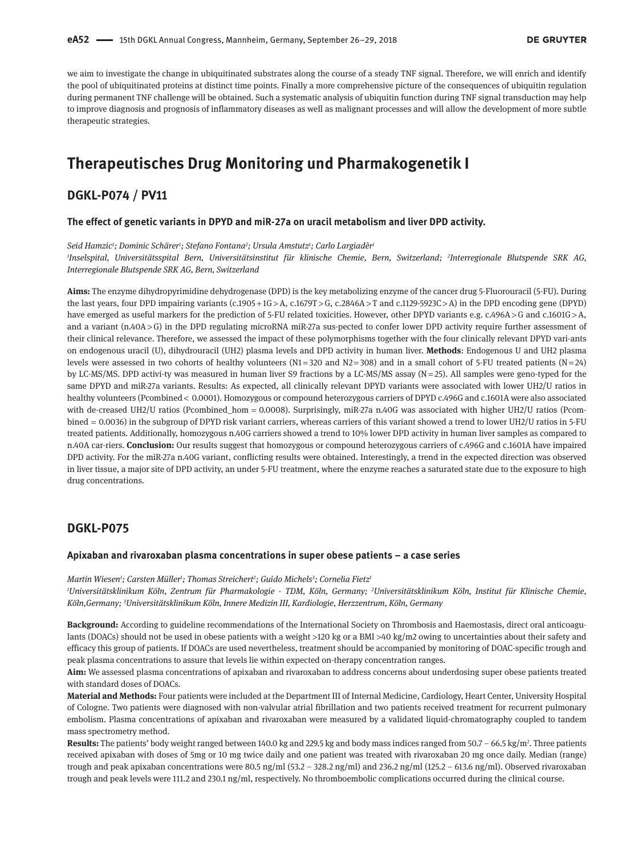we aim to investigate the change in ubiquitinated substrates along the course of a steady TNF signal. Therefore, we will enrich and identify the pool of ubiquitinated proteins at distinct time points. Finally a more comprehensive picture of the consequences of ubiquitin regulation during permanent TNF challenge will be obtained. Such a systematic analysis of ubiquitin function during TNF signal transduction may help to improve diagnosis and prognosis of inflammatory diseases as well as malignant processes and will allow the development of more subtle therapeutic strategies.

# **Therapeutisches Drug Monitoring und Pharmakogenetik I**

# **DGKL-P074 / PV11**

#### **The effect of genetic variants in DPYD and miR-27a on uracil metabolism and liver DPD activity.**

*Seid Hamzic1 ; Dominic Schärer1 ; Stefano Fontana2 ; Ursula Amstutz1 ; Carlo Largiadèr1*

*1 Inselspital, Universitätsspital Bern, Universitätsinstitut für klinische Chemie, Bern, Switzerland; 2 Interregionale Blutspende SRK AG, Interregionale Blutspende SRK AG, Bern, Switzerland*

**Aims:** The enzyme dihydropyrimidine dehydrogenase (DPD) is the key metabolizing enzyme of the cancer drug 5-Fluorouracil (5-FU). During the last years, four DPD impairing variants (c.1905 + 1G > A, c.1679T > G, c.2846A > T and c.1129-5923C > A) in the DPD encoding gene (DPYD) have emerged as useful markers for the prediction of 5-FU related toxicities. However, other DPYD variants e.g. c.496A > G and c.1601G > A, and a variant (n.40A > G) in the DPD regulating microRNA miR-27a sus-pected to confer lower DPD activity require further assessment of their clinical relevance. Therefore, we assessed the impact of these polymorphisms together with the four clinically relevant DPYD vari-ants on endogenous uracil (U), dihydrouracil (UH2) plasma levels and DPD activity in human liver. **Methods**: Endogenous U and UH2 plasma levels were assessed in two cohorts of healthy volunteers ( $N1 = 320$  and  $N2 = 308$ ) and in a small cohort of 5-FU treated patients ( $N = 24$ ) by LC-MS/MS. DPD activi-ty was measured in human liver S9 fractions by a LC-MS/MS assay (N = 25). All samples were geno-typed for the same DPYD and miR-27a variants. Results: As expected, all clinically relevant DPYD variants were associated with lower UH2/U ratios in healthy volunteers (Pcombined <  0.0001). Homozygous or compound heterozygous carriers of DPYD c.496G and c.1601A were also associated with de-creased UH2/U ratios (Pcombined\_hom = 0.0008). Surprisingly, miR-27a n.40G was associated with higher UH2/U ratios (Pcombined  =  0.0036) in the subgroup of DPYD risk variant carriers, whereas carriers of this variant showed a trend to lower UH2/U ratios in 5-FU treated patients. Additionally, homozygous n.40G carriers showed a trend to 10% lower DPD activity in human liver samples as compared to n.40A car-riers. **Conclusion:** Our results suggest that homozygous or compound heterozygous carriers of c.496G and c.1601A have impaired DPD activity. For the miR-27a n.40G variant, conflicting results were obtained. Interestingly, a trend in the expected direction was observed in liver tissue, a major site of DPD activity, an under 5-FU treatment, where the enzyme reaches a saturated state due to the exposure to high drug concentrations.

## **DGKL-P075**

#### **Apixaban and rivaroxaban plasma concentrations in super obese patients – a case series**

*Martin Wiesen1 ; Carsten Müller1 ; Thomas Streichert2 ; Guido Michels3 ; Cornelia Fietz1*

'Universitätsklinikum Köln, Zentrum für Pharmakologie - TDM, Köln, Germany; <sup>2</sup>Universitätsklinikum Köln, Institut für Klinische Chemie, *Köln,Germany; 3 Universitätsklinikum Köln, Innere Medizin III, Kardiologie, Herzzentrum, Köln, Germany*

**Background:** According to guideline recommendations of the International Society on Thrombosis and Haemostasis, direct oral anticoagulants (DOACs) should not be used in obese patients with a weight >120 kg or a BMI >40 kg/m2 owing to uncertainties about their safety and efficacy this group of patients. If DOACs are used nevertheless, treatment should be accompanied by monitoring of DOAC-specific trough and peak plasma concentrations to assure that levels lie within expected on-therapy concentration ranges.

**Aim:** We assessed plasma concentrations of apixaban and rivaroxaban to address concerns about underdosing super obese patients treated with standard doses of DOACs.

**Material and Methods:** Four patients were included at the Department III of Internal Medicine, Cardiology, Heart Center, University Hospital of Cologne. Two patients were diagnosed with non-valvular atrial fibrillation and two patients received treatment for recurrent pulmonary embolism. Plasma concentrations of apixaban and rivaroxaban were measured by a validated liquid-chromatography coupled to tandem mass spectrometry method.

**Results:** The patients' body weight ranged between 140.0 kg and 229.5 kg and body mass indices ranged from 50.7 – 66.5 kg/m<sup>2</sup>. Three patients received apixaban with doses of 5mg or 10 mg twice daily and one patient was treated with rivaroxaban 20 mg once daily. Median (range) trough and peak apixaban concentrations were 80.5 ng/ml (53.2 – 328.2 ng/ml) and 236.2 ng/ml (125.2 – 613.6 ng/ml). Observed rivaroxaban trough and peak levels were 111.2 and 230.1 ng/ml, respectively. No thromboembolic complications occurred during the clinical course.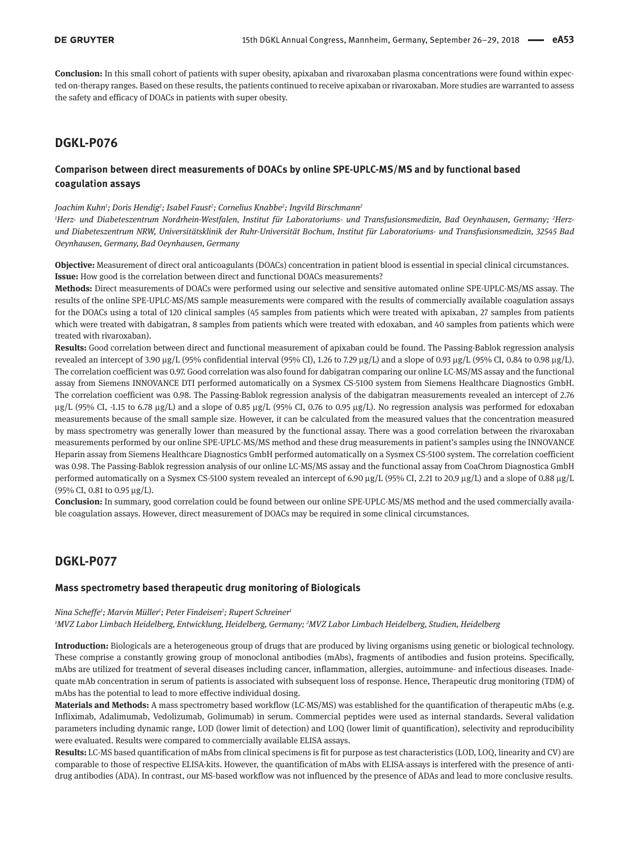**Conclusion:** In this small cohort of patients with super obesity, apixaban and rivaroxaban plasma concentrations were found within expected on-therapy ranges. Based on these results, the patients continued to receive apixaban or rivaroxaban. More studies are warranted to assess the safety and efficacy of DOACs in patients with super obesity.

# **DGKL-P076**

### **Comparison between direct measurements of DOACs by online SPE-UPLC-MS/MS and by functional based coagulation assays**

#### *Joachim Kuhn1 ; Doris Hendig2 ; Isabel Faust2 ; Cornelius Knabbe2 ; Ingvild Birschmann2*

'Herz- und Diabeteszentrum Nordrhein-Westfalen, Institut für Laboratoriums- und Transfusionsmedizin, Bad Oeynhausen, Germany; <sup>2</sup>Herz*und Diabeteszentrum NRW, Universitätsklinik der Ruhr-Universität Bochum, Institut für Laboratoriums- und Transfusionsmedizin, 32545 Bad Oeynhausen, Germany, Bad Oeynhausen, Germany*

**Objective:** Measurement of direct oral anticoagulants (DOACs) concentration in patient blood is essential in special clinical circumstances. **Issue:** How good is the correlation between direct and functional DOACs measurements?

**Methods:** Direct measurements of DOACs were performed using our selective and sensitive automated online SPE-UPLC-MS/MS assay. The results of the online SPE-UPLC-MS/MS sample measurements were compared with the results of commercially available coagulation assays for the DOACs using a total of 120 clinical samples (45 samples from patients which were treated with apixaban, 27 samples from patients which were treated with dabigatran, 8 samples from patients which were treated with edoxaban, and 40 samples from patients which were treated with rivaroxaban).

**Results:** Good correlation between direct and functional measurement of apixaban could be found. The Passing-Bablok regression analysis revealed an intercept of 3.90 μg/L (95% confidential interval (95% CI), 1.26 to 7.29 μg/L) and a slope of 0.93 μg/L (95% CI, 0.84 to 0.98 μg/L). The correlation coefficient was 0.97. Good correlation was also found for dabigatran comparing our online LC-MS/MS assay and the functional assay from Siemens INNOVANCE DTI performed automatically on a Sysmex CS-5100 system from Siemens Healthcare Diagnostics GmbH. The correlation coefficient was 0.98. The Passing-Bablok regression analysis of the dabigatran measurements revealed an intercept of 2.76 μg/L (95% CI, -1.15 to 6.78 μg/L) and a slope of 0.85 μg/L (95% CI, 0.76 to 0.95 μg/L). No regression analysis was performed for edoxaban measurements because of the small sample size. However, it can be calculated from the measured values that the concentration measured by mass spectrometry was generally lower than measured by the functional assay. There was a good correlation between the rivaroxaban measurements performed by our online SPE-UPLC-MS/MS method and these drug measurements in patient's samples using the INNOVANCE Heparin assay from Siemens Healthcare Diagnostics GmbH performed automatically on a Sysmex CS-5100 system. The correlation coefficient was 0.98. The Passing-Bablok regression analysis of our online LC-MS/MS assay and the functional assay from CoaChrom Diagnostica GmbH performed automatically on a Sysmex CS-5100 system revealed an intercept of 6.90 μg/L (95% CI, 2.21 to 20.9 μg/L) and a slope of 0.88 μg/L (95% CI, 0.81 to 0.95 μg/L).

**Conclusion:** In summary, good correlation could be found between our online SPE-UPLC-MS/MS method and the used commercially available coagulation assays. However, direct measurement of DOACs may be required in some clinical circumstances.

## **DGKL-P077**

#### **Mass spectrometry based therapeutic drug monitoring of Biologicals**

#### *Nina Scheffe1 ; Marvin Müller1 ; Peter Findeisen2 ; Rupert Schreiner1 1 MVZ Labor Limbach Heidelberg, Entwicklung, Heidelberg, Germany; 2 MVZ Labor Limbach Heidelberg, Studien, Heidelberg*

**Introduction:** Biologicals are a heterogeneous group of drugs that are produced by living organisms using genetic or biological technology. These comprise a constantly growing group of monoclonal antibodies (mAbs), fragments of antibodies and fusion proteins. Specifically, mAbs are utilized for treatment of several diseases including cancer, inflammation, allergies, autoimmune- and infectious diseases. Inadequate mAb concentration in serum of patients is associated with subsequent loss of response. Hence, Therapeutic drug monitoring (TDM) of mAbs has the potential to lead to more effective individual dosing.

**Materials and Methods:** A mass spectrometry based workflow (LC-MS/MS) was established for the quantification of therapeutic mAbs (e.g. Infliximab, Adalimumab, Vedolizumab, Golimumab) in serum. Commercial peptides were used as internal standards. Several validation parameters including dynamic range, LOD (lower limit of detection) and LOQ (lower limit of quantification), selectivity and reproducibility were evaluated. Results were compared to commercially available ELISA assays.

**Results:** LC-MS based quantification of mAbs from clinical specimens is fit for purpose as test characteristics (LOD, LOQ, linearity and CV) are comparable to those of respective ELISA-kits. However, the quantification of mAbs with ELISA-assays is interfered with the presence of antidrug antibodies (ADA). In contrast, our MS-based workflow was not influenced by the presence of ADAs and lead to more conclusive results.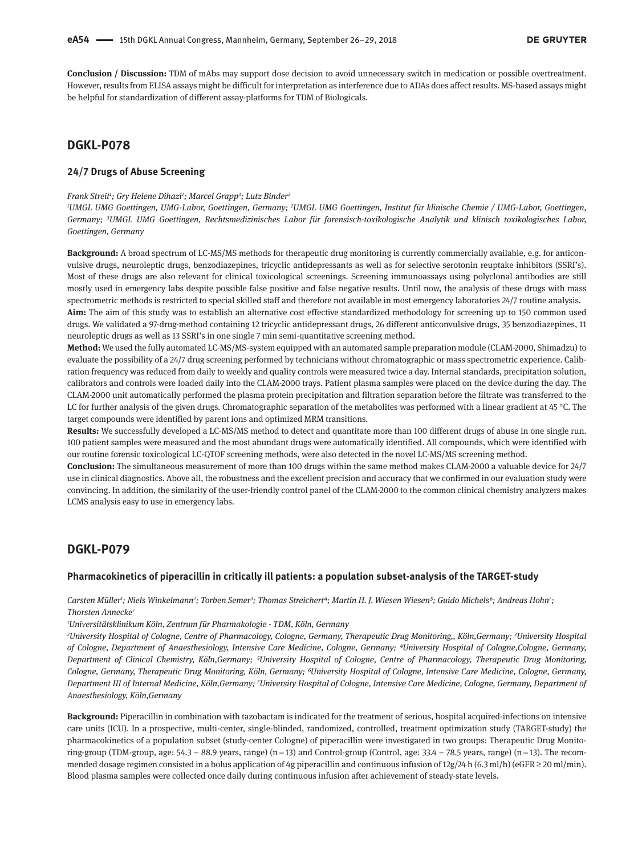**Conclusion / Discussion:** TDM of mAbs may support dose decision to avoid unnecessary switch in medication or possible overtreatment. However, results from ELISA assays might be difficult for interpretation as interference due to ADAs does affect results. MS-based assays might be helpful for standardization of different assay-platforms for TDM of Biologicals.

# **DGKL-P078**

#### **24/7 Drugs of Abuse Screening**

#### *Frank Streit1 ; Gry Helene Dihazi2 ; Marcel Grapp3 ; Lutz Binder2*

*1 UMGL UMG Goettingen, UMG-Labor, Goettingen, Germany; 2 UMGL UMG Goettingen, Institut für klinische Chemie / UMG-Labor, Goettingen, Germany; 3 UMGL UMG Goettingen, Rechtsmedizinisches Labor für forensisch-toxikologische Analytik und klinisch toxikologisches Labor, Goettingen, Germany*

**Background:** A broad spectrum of LC-MS/MS methods for therapeutic drug monitoring is currently commercially available, e.g. for anticonvulsive drugs, neuroleptic drugs, benzodiazepines, tricyclic antidepressants as well as for selective serotonin reuptake inhibitors (SSRI's). Most of these drugs are also relevant for clinical toxicological screenings. Screening immunoassays using polyclonal antibodies are still mostly used in emergency labs despite possible false positive and false negative results. Until now, the analysis of these drugs with mass spectrometric methods is restricted to special skilled staff and therefore not available in most emergency laboratories 24/7 routine analysis. **Aim:** The aim of this study was to establish an alternative cost effective standardized methodology for screening up to 150 common used drugs. We validated a 97-drug-method containing 12 tricyclic antidepressant drugs, 26 different anticonvulsive drugs, 35 benzodiazepines, 11 neuroleptic drugs as well as 13 SSRI's in one single 7 min semi-quantitative screening method.

**Method:** We used the fully automated LC-MS/MS-system equipped with an automated sample preparation module (CLAM-2000, Shimadzu) to evaluate the possibility of a 24/7 drug screening performed by technicians without chromatographic or mass spectrometric experience. Calibration frequency was reduced from daily to weekly and quality controls were measured twice a day. Internal standards, precipitation solution, calibrators and controls were loaded daily into the CLAM-2000 trays. Patient plasma samples were placed on the device during the day. The CLAM-2000 unit automatically performed the plasma protein precipitation and filtration separation before the filtrate was transferred to the LC for further analysis of the given drugs. Chromatographic separation of the metabolites was performed with a linear gradient at 45 °C. The target compounds were identified by parent ions and optimized MRM transitions.

**Results:** We successfully developed a LC-MS/MS method to detect and quantitate more than 100 different drugs of abuse in one single run. 100 patient samples were measured and the most abundant drugs were automatically identified. All compounds, which were identified with our routine forensic toxicological LC-QTOF screening methods, were also detected in the novel LC-MS/MS screening method.

**Conclusion:** The simultaneous measurement of more than 100 drugs within the same method makes CLAM-2000 a valuable device for 24/7 use in clinical diagnostics. Above all, the robustness and the excellent precision and accuracy that we confirmed in our evaluation study were convincing. In addition, the similarity of the user-friendly control panel of the CLAM-2000 to the common clinical chemistry analyzers makes LCMS analysis easy to use in emergency labs.

# **DGKL-P079**

#### **Pharmacokinetics of piperacillin in critically ill patients: a population subset-analysis of the TARGET-study**

Carsten Müller'; Niels Winkelmann<sup>2</sup>; Torben Semer<sup>3</sup>; Thomas Streichert<sup>4</sup>; Martin H. J. Wiesen Wiesen<sup>5</sup>; Guido Michels<sup>6</sup>; Andreas Hohn<sup>7</sup>; *Thorsten Annecke7*

*1 Universitätsklinikum Köln, Zentrum für Pharmakologie - TDM, Köln, Germany*

*2 University Hospital of Cologne, Centre of Pharmacology, Cologne, Germany, Therapeutic Drug Monitoring,, Köln,Germany; 3 University Hospital of Cologne, Department of Anaesthesiology, Intensive Care Medicine, Cologne, Germany; ⁴University Hospital of Cologne,Cologne, Germany, Department of Clinical Chemistry, Köln,Germany; ⁵University Hospital of Cologne, Centre of Pharmacology, Therapeutic Drug Monitoring, Cologne, Germany, Therapeutic Drug Monitoring, Köln, Germany; ⁶University Hospital of Cologne, Intensive Care Medicine, Cologne, Germany, Department III of Internal Medicine, Köln,Germany; 7 University Hospital of Cologne, Intensive Care Medicine, Cologne, Germany, Department of Anaesthesiology, Köln,Germany*

**Background:** Piperacillin in combination with tazobactam is indicated for the treatment of serious, hospital acquired-infections on intensive care units (ICU). In a prospective, multi-center, single-blinded, randomized, controlled, treatment optimization study (TARGET-study) the pharmacokinetics of a population subset (study-center Cologne) of piperacillin were investigated in two groups: Therapeutic Drug Monitoring-group (TDM-group, age:  $54.3 - 88.9$  years, range) (n=13) and Control-group (Control, age:  $33.4 - 78.5$  years, range) (n=13). The recommended dosage regimen consisted in a bolus application of 4g piperacillin and continuous infusion of 12g/24 h (6.3 ml/h) (eGFR  $\geq$  20 ml/min). Blood plasma samples were collected once daily during continuous infusion after achievement of steady-state levels.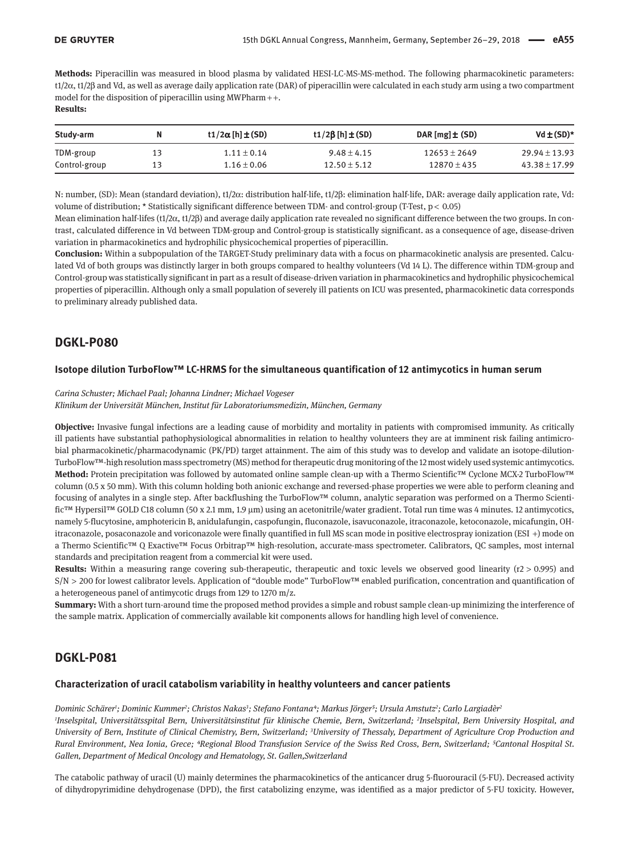**Methods:** Piperacillin was measured in blood plasma by validated HESI-LC-MS-MS-method. The following pharmacokinetic parameters: t1/2α, t1/2β and Vd, as well as average daily application rate (DAR) of piperacillin were calculated in each study arm using a two compartment model for the disposition of piperacillin using MWPharm + +. **Results:**

| Study-arm     | t1/2 $\alpha$ [h] $\pm$ (SD) | t1/2 $\beta$ [h] $\pm$ (SD) | DAR $[mg] \pm (SD)$ | $Vd \pm (SD)*$    |
|---------------|------------------------------|-----------------------------|---------------------|-------------------|
| TDM-group     | $1.11 \pm 0.14$              | $9.48 \pm 4.15$             | $12653 \pm 2649$    | $29.94 \pm 13.93$ |
| Control-group | $1.16 \pm 0.06$              | $12.50 \pm 5.12$            | $12870 \pm 435$     | $43.38 \pm 17.99$ |

N: number, (SD): Mean (standard deviation), t1/2α: distribution half-life, t1/2β: elimination half-life, DAR: average daily application rate, Vd: volume of distribution; \* Statistically significant difference between TDM- and control-group (T-Test, p <  0.05)

Mean elimination half-lifes (t1/2α, t1/2β) and average daily application rate revealed no significant difference between the two groups. In contrast, calculated difference in Vd between TDM-group and Control-group is statistically significant. as a consequence of age, disease-driven variation in pharmacokinetics and hydrophilic physicochemical properties of piperacillin.

**Conclusion:** Within a subpopulation of the TARGET-Study preliminary data with a focus on pharmacokinetic analysis are presented. Calculated Vd of both groups was distinctly larger in both groups compared to healthy volunteers (Vd 14 L). The difference within TDM-group and Control-group was statistically significant in part as a result of disease-driven variation in pharmacokinetics and hydrophilic physicochemical properties of piperacillin. Although only a small population of severely ill patients on ICU was presented, pharmacokinetic data corresponds to preliminary already published data.

# **DGKL-P080**

### **Isotope dilution TurboFlow™ LC-HRMS for the simultaneous quantification of 12 antimycotics in human serum**

#### *Carina Schuster; Michael Paal; Johanna Lindner; Michael Vogeser*

*Klinikum der Universität München, Institut für Laboratoriumsmedizin, München, Germany*

**Objective:** Invasive fungal infections are a leading cause of morbidity and mortality in patients with compromised immunity. As critically ill patients have substantial pathophysiological abnormalities in relation to healthy volunteers they are at imminent risk failing antimicrobial pharmacokinetic/pharmacodynamic (PK/PD) target attainment. The aim of this study was to develop and validate an isotope-dilution-TurboFlow™-high resolution mass spectrometry (MS) method for therapeutic drug monitoring of the 12 most widely used systemic antimycotics. **Method:** Protein precipitation was followed by automated online sample clean-up with a Thermo Scientific™ Cyclone MCX-2 TurboFlow™ column (0.5 x 50 mm). With this column holding both anionic exchange and reversed-phase properties we were able to perform cleaning and focusing of analytes in a single step. After backflushing the TurboFlow™ column, analytic separation was performed on a Thermo Scientific™ Hypersil™ GOLD C18 column (50 x 2.1 mm, 1.9 μm) using an acetonitrile/water gradient. Total run time was 4 minutes. 12 antimycotics, namely 5-flucytosine, amphotericin B, anidulafungin, caspofungin, fluconazole, isavuconazole, itraconazole, ketoconazole, micafungin, OHitraconazole, posaconazole and voriconazole were finally quantified in full MS scan mode in positive electrospray ionization (ESI  +) mode on a Thermo Scientific™ Q Exactive™ Focus Orbitrap™ high-resolution, accurate-mass spectrometer. Calibrators, QC samples, most internal standards and precipitation reagent from a commercial kit were used.

**Results:** Within a measuring range covering sub-therapeutic, therapeutic and toxic levels we observed good linearity (r2 > 0.995) and S/N  >  200 for lowest calibrator levels. Application of "double mode" TurboFlow™ enabled purification, concentration and quantification of a heterogeneous panel of antimycotic drugs from 129 to 1270 m/z.

**Summary:** With a short turn-around time the proposed method provides a simple and robust sample clean-up minimizing the interference of the sample matrix. Application of commercially available kit components allows for handling high level of convenience.

# **DGKL-P081**

### **Characterization of uracil catabolism variability in healthy volunteers and cancer patients**

Dominic Schärer'; Dominic Kummer<sup>2</sup>; Christos Nakas<sup>3</sup>; Stefano Fontana<sup>4</sup>; Markus Jörger<sup>5</sup>; Ursula Amstutz<sup>2</sup>; Carlo Largiadèr<sup>2</sup> *1 Inselspital, Universitätsspital Bern, Universitätsinstitut für klinische Chemie, Bern, Switzerland; 2 Inselspital, Bern University Hospital, and*  University of Bern, Institute of Clinical Chemistry, Bern, Switzerland; <sup>3</sup>University of Thessaly, Department of Agriculture Crop Production and *Rural Environment, Nea Ionia, Grece; ⁴Regional Blood Transfusion Service of the Swiss Red Cross, Bern, Switzerland; ⁵Cantonal Hospital St. Gallen, Department of Medical Oncology and Hematology, St. Gallen,Switzerland*

The catabolic pathway of uracil (U) mainly determines the pharmacokinetics of the anticancer drug 5-fluorouracil (5-FU). Decreased activity of dihydropyrimidine dehydrogenase (DPD), the first catabolizing enzyme, was identified as a major predictor of 5-FU toxicity. However,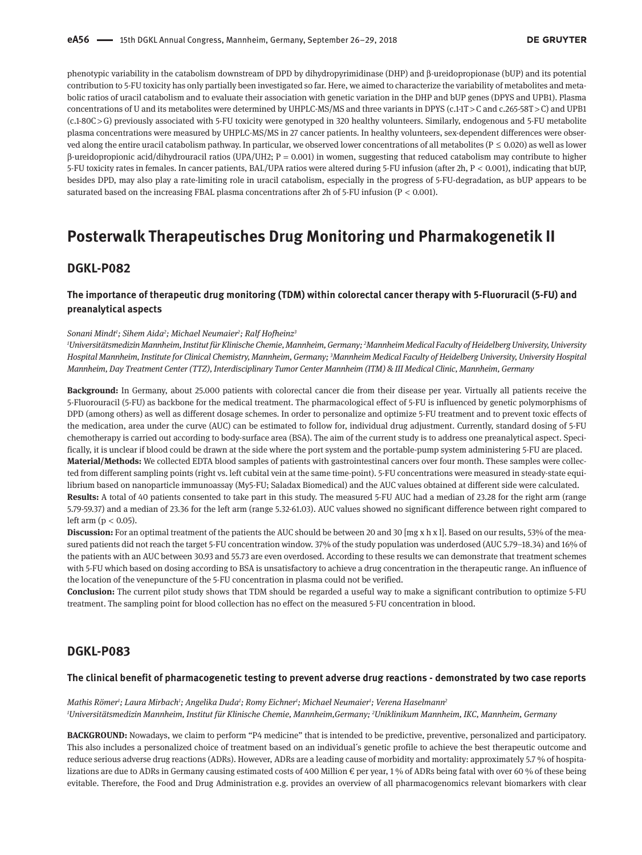phenotypic variability in the catabolism downstream of DPD by dihydropyrimidinase (DHP) and β-ureidopropionase (bUP) and its potential contribution to 5-FU toxicity has only partially been investigated so far. Here, we aimed to characterize the variability of metabolites and metabolic ratios of uracil catabolism and to evaluate their association with genetic variation in the DHP and bUP genes (DPYS and UPB1). Plasma concentrations of U and its metabolites were determined by UHPLC-MS/MS and three variants in DPYS (c.1-1T > C and c.265-58T > C) and UPB1 (c.1-80C > G) previously associated with 5-FU toxicity were genotyped in 320 healthy volunteers. Similarly, endogenous and 5-FU metabolite plasma concentrations were measured by UHPLC-MS/MS in 27 cancer patients. In healthy volunteers, sex-dependent differences were observed along the entire uracil catabolism pathway. In particular, we observed lower concentrations of all metabolites ( $P \le 0.020$ ) as well as lower β-ureidopropionic acid/dihydrouracil ratios (UPA/UH2; P  =  0.001) in women, suggesting that reduced catabolism may contribute to higher 5-FU toxicity rates in females. In cancer patients, BAL/UPA ratios were altered during 5-FU infusion (after 2h, P  <  0.001), indicating that bUP, besides DPD, may also play a rate-limiting role in uracil catabolism, especially in the progress of 5-FU-degradation, as bUP appears to be saturated based on the increasing FBAL plasma concentrations after 2h of 5-FU infusion ( $P < 0.001$ ).

# **Posterwalk Therapeutisches Drug Monitoring und Pharmakogenetik II**

## **DGKL-P082**

### **The importance of therapeutic drug monitoring (TDM) within colorectal cancer therapy with 5-Fluoruracil (5-FU) and preanalytical aspects**

#### *Sonani Mindt1 ; Sihem Aida2 ; Michael Neumaier2 ; Ralf Hofheinz3*

*1 Universitätsmedizin Mannheim, Institut für Klinische Chemie, Mannheim, Germany; 2 Mannheim Medical Faculty of Heidelberg University, University*  Hospital Mannheim, Institute for Clinical Chemistry, Mannheim, Germany; <sup>3</sup>Mannheim Medical Faculty of Heidelberg University, University Hospital *Mannheim, Day Treatment Center (TTZ), Interdisciplinary Tumor Center Mannheim (ITM) & III Medical Clinic, Mannheim, Germany*

**Background:** In Germany, about 25.000 patients with colorectal cancer die from their disease per year. Virtually all patients receive the 5-Fluorouracil (5-FU) as backbone for the medical treatment. The pharmacological effect of 5-FU is influenced by genetic polymorphisms of DPD (among others) as well as different dosage schemes. In order to personalize and optimize 5-FU treatment and to prevent toxic effects of the medication, area under the curve (AUC) can be estimated to follow for, individual drug adjustment. Currently, standard dosing of 5-FU chemotherapy is carried out according to body-surface area (BSA). The aim of the current study is to address one preanalytical aspect. Specifically, it is unclear if blood could be drawn at the side where the port system and the portable-pump system administering 5-FU are placed. **Material/Methods:** We collected EDTA blood samples of patients with gastrointestinal cancers over four month. These samples were collected from different sampling points (right vs. left cubital vein at the same time-point). 5-FU concentrations were measured in steady-state equilibrium based on nanoparticle immunoassay (My5-FU; Saladax Biomedical) and the AUC values obtained at different side were calculated. **Results:** A total of 40 patients consented to take part in this study. The measured 5-FU AUC had a median of 23.28 for the right arm (range 5.79-59.37) and a median of 23.36 for the left arm (range 5.32-61.03). AUC values showed no significant difference between right compared to left arm  $(p < 0.05)$ .

**Discussion:** For an optimal treatment of the patients the AUC should be between 20 and 30 [mg x h x l]. Based on our results, 53% of the measured patients did not reach the target 5-FU concentration window. 37% of the study population was underdosed (AUC 5.79–18.34) and 16% of the patients with an AUC between 30.93 and 55.73 are even overdosed. According to these results we can demonstrate that treatment schemes with 5-FU which based on dosing according to BSA is unsatisfactory to achieve a drug concentration in the therapeutic range. An influence of the location of the venepuncture of the 5-FU concentration in plasma could not be verified.

**Conclusion:** The current pilot study shows that TDM should be regarded a useful way to make a significant contribution to optimize 5-FU treatment. The sampling point for blood collection has no effect on the measured 5-FU concentration in blood.

## **DGKL-P083**

### **The clinical benefit of pharmacogenetic testing to prevent adverse drug reactions - demonstrated by two case reports**

*Mathis Römer1 ; Laura Mirbach1 ; Angelika Duda1 ; Romy Eichner1 ; Michael Neumaier1 ; Verena Haselmann2 1 Universitätsmedizin Mannheim, Institut für Klinische Chemie, Mannheim,Germany; 2 Uniklinikum Mannheim, IKC, Mannheim, Germany*

**BACKGROUND:** Nowadays, we claim to perform "P4 medicine" that is intended to be predictive, preventive, personalized and participatory. This also includes a personalized choice of treatment based on an individual´s genetic profile to achieve the best therapeutic outcome and reduce serious adverse drug reactions (ADRs). However, ADRs are a leading cause of morbidity and mortality: approximately 5.7 % of hospitalizations are due to ADRs in Germany causing estimated costs of 400 Million € per year, 1 % of ADRs being fatal with over 60 % of these being evitable. Therefore, the Food and Drug Administration e.g. provides an overview of all pharmacogenomics relevant biomarkers with clear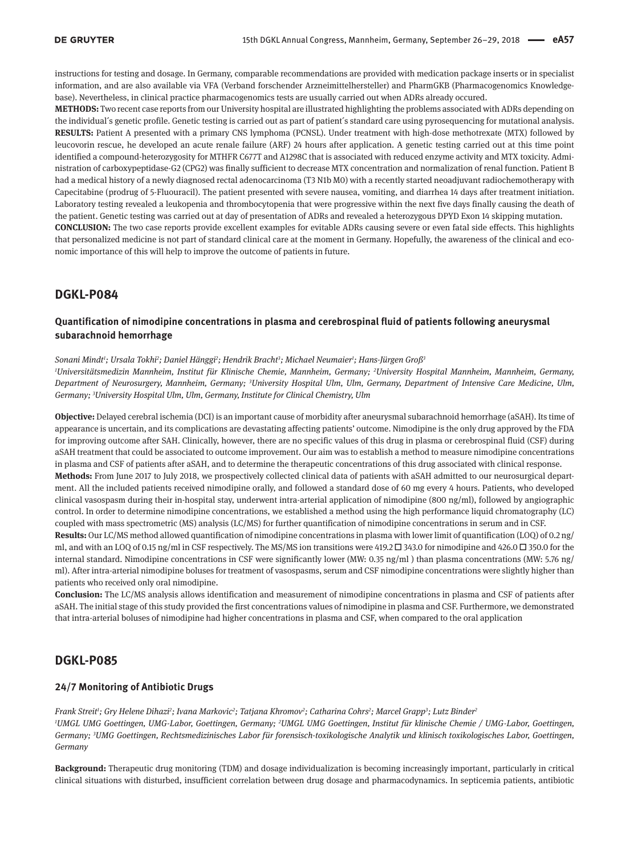instructions for testing and dosage. In Germany, comparable recommendations are provided with medication package inserts or in specialist information, and are also available via VFA (Verband forschender Arzneimittelhersteller) and PharmGKB (Pharmacogenomics Knowledgebase). Nevertheless, in clinical practice pharmacogenomics tests are usually carried out when ADRs already occured.

**METHODS:** Two recent case reports from our University hospital are illustrated highlighting the problems associated with ADRs depending on the individual´s genetic profile. Genetic testing is carried out as part of patient´s standard care using pyrosequencing for mutational analysis. **RESULTS:** Patient A presented with a primary CNS lymphoma (PCNSL). Under treatment with high-dose methotrexate (MTX) followed by leucovorin rescue, he developed an acute renale failure (ARF) 24 hours after application. A genetic testing carried out at this time point identified a compound-heterozygosity for MTHFR C677T and A1298C that is associated with reduced enzyme activity and MTX toxicity. Administration of carboxypeptidase-G2 (CPG2) was finally sufficient to decrease MTX concentration and normalization of renal function. Patient B had a medical history of a newly diagnosed rectal adenocarcinoma (T3 N1b M0) with a recently started neoadjuvant radiochemotherapy with Capecitabine (prodrug of 5-Fluouracil). The patient presented with severe nausea, vomiting, and diarrhea 14 days after treatment initiation. Laboratory testing revealed a leukopenia and thrombocytopenia that were progressive within the next five days finally causing the death of the patient. Genetic testing was carried out at day of presentation of ADRs and revealed a heterozygous DPYD Exon 14 skipping mutation. **CONCLUSION:** The two case reports provide excellent examples for evitable ADRs causing severe or even fatal side effects. This highlights that personalized medicine is not part of standard clinical care at the moment in Germany. Hopefully, the awareness of the clinical and economic importance of this will help to improve the outcome of patients in future.

# **DGKL-P084**

### **Quantification of nimodipine concentrations in plasma and cerebrospinal fluid of patients following aneurysmal subarachnoid hemorrhage**

*Sonani Mindt1 ; Ursala Tokhi2 ; Daniel Hänggi2 ; Hendrik Bracht3 ; Michael Neumaier1 ; Hans-Jürgen Groß3*

*1 Universitätsmedizin Mannheim, Institut für Klinische Chemie, Mannheim, Germany; 2 University Hospital Mannheim, Mannheim, Germany,*  Department of Neurosurgery, Mannheim, Germany; <sup>3</sup>University Hospital Ulm, Ulm, Germany, Department of Intensive Care Medicine, Ulm, *Germany; 3 University Hospital Ulm, Ulm, Germany, Institute for Clinical Chemistry, Ulm*

**Objective:** Delayed cerebral ischemia (DCI) is an important cause of morbidity after aneurysmal subarachnoid hemorrhage (aSAH). Its time of appearance is uncertain, and its complications are devastating affecting patients' outcome. Nimodipine is the only drug approved by the FDA for improving outcome after SAH. Clinically, however, there are no specific values of this drug in plasma or cerebrospinal fluid (CSF) during aSAH treatment that could be associated to outcome improvement. Our aim was to establish a method to measure nimodipine concentrations in plasma and CSF of patients after aSAH, and to determine the therapeutic concentrations of this drug associated with clinical response. **Methods:** From June 2017 to July 2018, we prospectively collected clinical data of patients with aSAH admitted to our neurosurgical department. All the included patients received nimodipine orally, and followed a standard dose of 60 mg every 4 hours. Patients, who developed clinical vasospasm during their in-hospital stay, underwent intra-arterial application of nimodipine (800 ng/ml), followed by angiographic control. In order to determine nimodipine concentrations, we established a method using the high performance liquid chromatography (LC) coupled with mass spectrometric (MS) analysis (LC/MS) for further quantification of nimodipine concentrations in serum and in CSF. **Results:** Our LC/MS method allowed quantification of nimodipine concentrations in plasma with lower limit of quantification (LOQ) of 0.2 ng/ ml, and with an LOQ of 0.15 ng/ml in CSF respectively. The MS/MS ion transitions were 419.2 □ 343.0 for nimodipine and 426.0 □ 350.0 for the

internal standard. Nimodipine concentrations in CSF were significantly lower (MW: 0.35 ng/ml ) than plasma concentrations (MW: 5.76 ng/ ml). After intra-arterial nimodipine boluses for treatment of vasospasms, serum and CSF nimodipine concentrations were slightly higher than patients who received only oral nimodipine.

**Conclusion:** The LC/MS analysis allows identification and measurement of nimodipine concentrations in plasma and CSF of patients after aSAH. The initial stage of this study provided the first concentrations values of nimodipine in plasma and CSF. Furthermore, we demonstrated that intra-arterial boluses of nimodipine had higher concentrations in plasma and CSF, when compared to the oral application

# **DGKL-P085**

### **24/7 Monitoring of Antibiotic Drugs**

*Frank Streit1 ; Gry Helene Dihazi2 ; Ivana Markovic2 ; Tatjana Khromov2 ; Catharina Cohrs2 ; Marcel Grapp3 ; Lutz Binder2 1 UMGL UMG Goettingen, UMG-Labor, Goettingen, Germany; 2 UMGL UMG Goettingen, Institut für klinische Chemie / UMG-Labor, Goettingen, Germany; 3 UMG Goettingen, Rechtsmedizinisches Labor für forensisch-toxikologische Analytik und klinisch toxikologisches Labor, Goettingen, Germany*

**Background:** Therapeutic drug monitoring (TDM) and dosage individualization is becoming increasingly important, particularly in critical clinical situations with disturbed, insufficient correlation between drug dosage and pharmacodynamics. In septicemia patients, antibiotic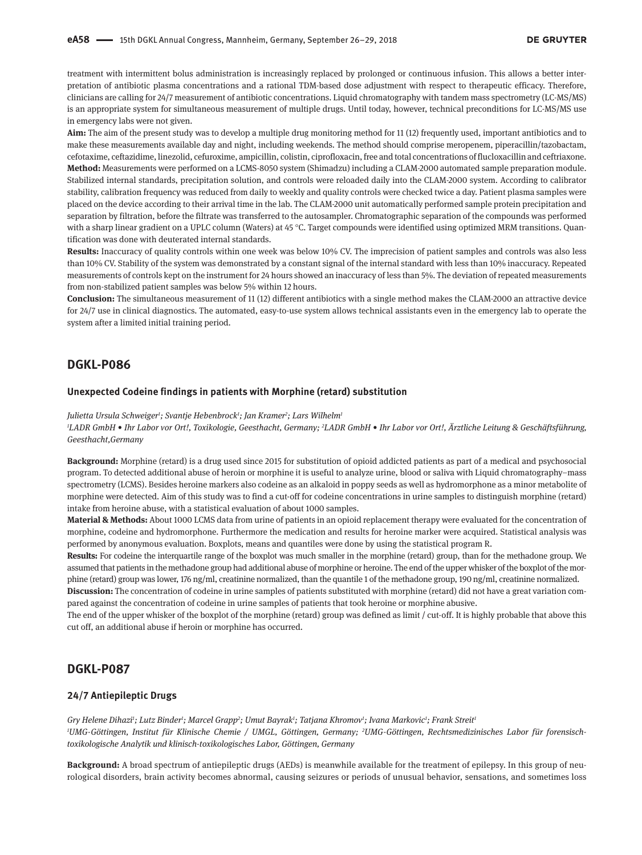treatment with intermittent bolus administration is increasingly replaced by prolonged or continuous infusion. This allows a better interpretation of antibiotic plasma concentrations and a rational TDM-based dose adjustment with respect to therapeutic efficacy. Therefore, clinicians are calling for 24/7 measurement of antibiotic concentrations. Liquid chromatography with tandem mass spectrometry (LC-MS/MS) is an appropriate system for simultaneous measurement of multiple drugs. Until today, however, technical preconditions for LC-MS/MS use in emergency labs were not given.

**Aim:** The aim of the present study was to develop a multiple drug monitoring method for 11 (12) frequently used, important antibiotics and to make these measurements available day and night, including weekends. The method should comprise meropenem, piperacillin/tazobactam, cefotaxime, ceftazidime, linezolid, cefuroxime, ampicillin, colistin, ciprofloxacin, free and total concentrations of flucloxacillin and ceftriaxone. **Method:** Measurements were performed on a LCMS-8050 system (Shimadzu) including a CLAM-2000 automated sample preparation module. Stabilized internal standards, precipitation solution, and controls were reloaded daily into the CLAM-2000 system. According to calibrator stability, calibration frequency was reduced from daily to weekly and quality controls were checked twice a day. Patient plasma samples were placed on the device according to their arrival time in the lab. The CLAM-2000 unit automatically performed sample protein precipitation and separation by filtration, before the filtrate was transferred to the autosampler. Chromatographic separation of the compounds was performed with a sharp linear gradient on a UPLC column (Waters) at 45 °C. Target compounds were identified using optimized MRM transitions. Quantification was done with deuterated internal standards.

**Results:** Inaccuracy of quality controls within one week was below 10% CV. The imprecision of patient samples and controls was also less than 10% CV. Stability of the system was demonstrated by a constant signal of the internal standard with less than 10% inaccuracy. Repeated measurements of controls kept on the instrument for 24 hours showed an inaccuracy of less than 5%. The deviation of repeated measurements from non-stabilized patient samples was below 5% within 12 hours.

**Conclusion:** The simultaneous measurement of 11 (12) different antibiotics with a single method makes the CLAM-2000 an attractive device for 24/7 use in clinical diagnostics. The automated, easy-to-use system allows technical assistants even in the emergency lab to operate the system after a limited initial training period.

# **DGKL-P086**

#### **Unexpected Codeine findings in patients with Morphine (retard) substitution**

*Julietta Ursula Schweiger1 ; Svantje Hebenbrock1 ; Jan Kramer2 ; Lars Wilhelm1 1 LADR GmbH • Ihr Labor vor Ort!, Toxikologie, Geesthacht, Germany; <sup>2</sup> LADR GmbH • Ihr Labor vor Ort!, Ärztliche Leitung & Geschäftsführung, Geesthacht,Germany*

**Background:** Morphine (retard) is a drug used since 2015 for substitution of opioid addicted patients as part of a medical and psychosocial program. To detected additional abuse of heroin or morphine it is useful to analyze urine, blood or saliva with Liquid chromatography–mass spectrometry (LCMS). Besides heroine markers also codeine as an alkaloid in poppy seeds as well as hydromorphone as a minor metabolite of morphine were detected. Aim of this study was to find a cut-off for codeine concentrations in urine samples to distinguish morphine (retard) intake from heroine abuse, with a statistical evaluation of about 1000 samples.

**Material & Methods:** About 1000 LCMS data from urine of patients in an opioid replacement therapy were evaluated for the concentration of morphine, codeine and hydromorphone. Furthermore the medication and results for heroine marker were acquired. Statistical analysis was performed by anonymous evaluation. Boxplots, means and quantiles were done by using the statistical program R.

**Results:** For codeine the interquartile range of the boxplot was much smaller in the morphine (retard) group, than for the methadone group. We assumed that patients in the methadone group had additional abuse of morphine or heroine. The end of the upper whisker of the boxplot of the morphine (retard) group was lower, 176 ng/ml, creatinine normalized, than the quantile 1 of the methadone group, 190 ng/ml, creatinine normalized.

**Discussion:** The concentration of codeine in urine samples of patients substituted with morphine (retard) did not have a great variation compared against the concentration of codeine in urine samples of patients that took heroine or morphine abusive.

The end of the upper whisker of the boxplot of the morphine (retard) group was defined as limit / cut-off. It is highly probable that above this cut off, an additional abuse if heroin or morphine has occurred.

# **DGKL-P087**

### **24/7 Antiepileptic Drugs**

*Gry Helene Dihazi1 ; Lutz Binder1 ; Marcel Grapp2 ; Umut Bayrak1 ; Tatjana Khromov1 ; Ivana Markovic1 ; Frank Streit1 1 UMG-Göttingen, Institut für Klinische Chemie / UMGL, Göttingen, Germany; 2 UMG-Göttingen, Rechtsmedizinisches Labor für forensischtoxikologische Analytik und klinisch-toxikologisches Labor, Göttingen, Germany*

**Background:** A broad spectrum of antiepileptic drugs (AEDs) is meanwhile available for the treatment of epilepsy. In this group of neurological disorders, brain activity becomes abnormal, causing seizures or periods of unusual behavior, sensations, and sometimes loss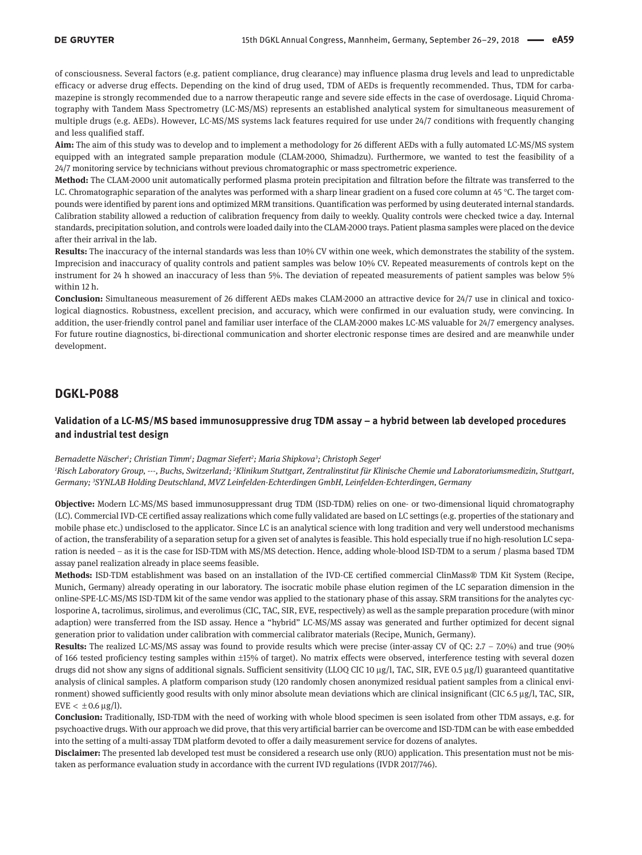of consciousness. Several factors (e.g. patient compliance, drug clearance) may influence plasma drug levels and lead to unpredictable efficacy or adverse drug effects. Depending on the kind of drug used, TDM of AEDs is frequently recommended. Thus, TDM for carbamazepine is strongly recommended due to a narrow therapeutic range and severe side effects in the case of overdosage. Liquid Chromatography with Tandem Mass Spectrometry (LC-MS/MS) represents an established analytical system for simultaneous measurement of multiple drugs (e.g. AEDs). However, LC-MS/MS systems lack features required for use under 24/7 conditions with frequently changing and less qualified staff.

**Aim:** The aim of this study was to develop and to implement a methodology for 26 different AEDs with a fully automated LC-MS/MS system equipped with an integrated sample preparation module (CLAM-2000, Shimadzu). Furthermore, we wanted to test the feasibility of a 24/7 monitoring service by technicians without previous chromatographic or mass spectrometric experience.

**Method:** The CLAM-2000 unit automatically performed plasma protein precipitation and filtration before the filtrate was transferred to the LC. Chromatographic separation of the analytes was performed with a sharp linear gradient on a fused core column at 45 °C. The target compounds were identified by parent ions and optimized MRM transitions. Quantification was performed by using deuterated internal standards. Calibration stability allowed a reduction of calibration frequency from daily to weekly. Quality controls were checked twice a day. Internal standards, precipitation solution, and controls were loaded daily into the CLAM-2000 trays. Patient plasma samples were placed on the device after their arrival in the lab.

**Results:** The inaccuracy of the internal standards was less than 10% CV within one week, which demonstrates the stability of the system. Imprecision and inaccuracy of quality controls and patient samples was below 10% CV. Repeated measurements of controls kept on the instrument for 24 h showed an inaccuracy of less than 5%. The deviation of repeated measurements of patient samples was below 5% within 12 h.

**Conclusion:** Simultaneous measurement of 26 different AEDs makes CLAM-2000 an attractive device for 24/7 use in clinical and toxicological diagnostics. Robustness, excellent precision, and accuracy, which were confirmed in our evaluation study, were convincing. In addition, the user-friendly control panel and familiar user interface of the CLAM-2000 makes LC-MS valuable for 24/7 emergency analyses. For future routine diagnostics, bi-directional communication and shorter electronic response times are desired and are meanwhile under development.

# **DGKL-P088**

### **Validation of a LC-MS/MS based immunosuppressive drug TDM assay – a hybrid between lab developed procedures and industrial test design**

#### *Bernadette Näscher1 ; Christian Timm1 ; Dagmar Siefert2 ; Maria Shipkova3 ; Christoph Seger1*

*1 Risch Laboratory Group, ---, Buchs, Switzerland; 2 Klinikum Stuttgart, Zentralinstitut für Klinische Chemie und Laboratoriumsmedizin, Stuttgart, Germany; 3 SYNLAB Holding Deutschland, MVZ Leinfelden-Echterdingen GmbH, Leinfelden-Echterdingen, Germany*

**Objective:** Modern LC-MS/MS based immunosuppressant drug TDM (ISD-TDM) relies on one- or two-dimensional liquid chromatography (LC). Commercial IVD-CE certified assay realizations which come fully validated are based on LC settings (e.g. properties of the stationary and mobile phase etc.) undisclosed to the applicator. Since LC is an analytical science with long tradition and very well understood mechanisms of action, the transferability of a separation setup for a given set of analytes is feasible. This hold especially true if no high-resolution LC separation is needed – as it is the case for ISD-TDM with MS/MS detection. Hence, adding whole-blood ISD-TDM to a serum / plasma based TDM assay panel realization already in place seems feasible.

**Methods:** ISD-TDM establishment was based on an installation of the IVD-CE certified commercial ClinMass® TDM Kit System (Recipe, Munich, Germany) already operating in our laboratory. The isocratic mobile phase elution regimen of the LC separation dimension in the online-SPE-LC-MS/MS ISD-TDM kit of the same vendor was applied to the stationary phase of this assay. SRM transitions for the analytes cyclosporine A, tacrolimus, sirolimus, and everolimus (CIC, TAC, SIR, EVE, respectively) as well as the sample preparation procedure (with minor adaption) were transferred from the ISD assay. Hence a "hybrid" LC-MS/MS assay was generated and further optimized for decent signal generation prior to validation under calibration with commercial calibrator materials (Recipe, Munich, Germany).

**Results:** The realized LC-MS/MS assay was found to provide results which were precise (inter-assay CV of QC: 2.7 – 7.0%) and true (90%) of 166 tested proficiency testing samples within ±15% of target). No matrix effects were observed, interference testing with several dozen drugs did not show any signs of additional signals. Sufficient sensitivity (LLOQ CIC 10 μg/l, TAC, SIR, EVE 0.5 μg/l) guaranteed quantitative analysis of clinical samples. A platform comparison study (120 randomly chosen anonymized residual patient samples from a clinical environment) showed sufficiently good results with only minor absolute mean deviations which are clinical insignificant (CIC 6.5 μg/l, TAC, SIR,  $EVE < \pm 0.6 \,\mu g/l$ ).

**Conclusion:** Traditionally, ISD-TDM with the need of working with whole blood specimen is seen isolated from other TDM assays, e.g. for psychoactive drugs. With our approach we did prove, that this very artificial barrier can be overcome and ISD-TDM can be with ease embedded into the setting of a multi-assay TDM platform devoted to offer a daily measurement service for dozens of analytes.

**Disclaimer:** The presented lab developed test must be considered a research use only (RUO) application. This presentation must not be mistaken as performance evaluation study in accordance with the current IVD regulations (IVDR 2017/746).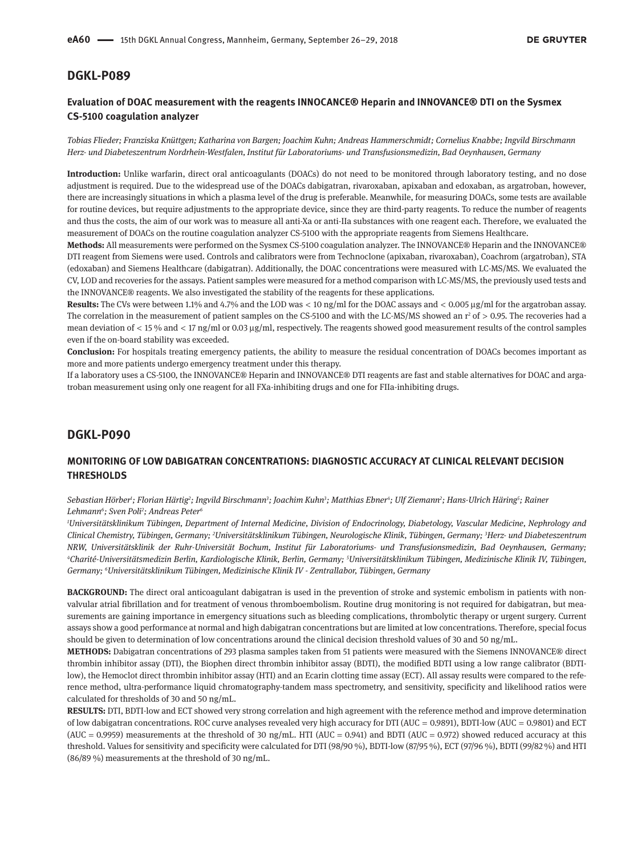### **Evaluation of DOAC measurement with the reagents INNOCANCE® Heparin and INNOVANCE® DTI on the Sysmex CS-5100 coagulation analyzer**

*Tobias Flieder; Franziska Knüttgen; Katharina von Bargen; Joachim Kuhn; Andreas Hammerschmidt; Cornelius Knabbe; Ingvild Birschmann Herz- und Diabeteszentrum Nordrhein-Westfalen, Institut für Laboratoriums- und Transfusionsmedizin, Bad Oeynhausen, Germany*

**Introduction:** Unlike warfarin, direct oral anticoagulants (DOACs) do not need to be monitored through laboratory testing, and no dose adjustment is required. Due to the widespread use of the DOACs dabigatran, rivaroxaban, apixaban and edoxaban, as argatroban, however, there are increasingly situations in which a plasma level of the drug is preferable. Meanwhile, for measuring DOACs, some tests are available for routine devices, but require adjustments to the appropriate device, since they are third-party reagents. To reduce the number of reagents and thus the costs, the aim of our work was to measure all anti-Xa or anti-IIa substances with one reagent each. Therefore, we evaluated the measurement of DOACs on the routine coagulation analyzer CS-5100 with the appropriate reagents from Siemens Healthcare.

**Methods:** All measurements were performed on the Sysmex CS-5100 coagulation analyzer. The INNOVANCE® Heparin and the INNOVANCE® DTI reagent from Siemens were used. Controls and calibrators were from Technoclone (apixaban, rivaroxaban), Coachrom (argatroban), STA (edoxaban) and Siemens Healthcare (dabigatran). Additionally, the DOAC concentrations were measured with LC-MS/MS. We evaluated the CV, LOD and recoveries for the assays. Patient samples were measured for a method comparison with LC-MS/MS, the previously used tests and the INNOVANCE® reagents. We also investigated the stability of the reagents for these applications.

**Results:** The CVs were between 1.1% and 4.7% and the LOD was  <  10 ng/ml for the DOAC assays and  <  0.005 μg/ml for the argatroban assay. The correlation in the measurement of patient samples on the CS-5100 and with the LC-MS/MS showed an  $r^2$  of  $>0.95$ . The recoveries had a mean deviation of  <  15 % and  <  17 ng/ml or 0.03 μg/ml, respectively. The reagents showed good measurement results of the control samples even if the on-board stability was exceeded.

**Conclusion:** For hospitals treating emergency patients, the ability to measure the residual concentration of DOACs becomes important as more and more patients undergo emergency treatment under this therapy.

If a laboratory uses a CS-5100, the INNOVANCE® Heparin and INNOVANCE® DTI reagents are fast and stable alternatives for DOAC and argatroban measurement using only one reagent for all FXa-inhibiting drugs and one for FIIa-inhibiting drugs.

## **DGKL-P090**

### **MONITORING OF LOW DABIGATRAN CONCENTRATIONS: DIAGNOSTIC ACCURACY AT CLINICAL RELEVANT DECISION THRESHOLDS**

Sebastian Hörber'; Florian Härtig<sup>2</sup>; Ingvild Birschmann<sup>3</sup>; Joachim Kuhn<sup>3</sup>; Matthias Ebner<sup>4</sup>; Ulf Ziemann<sup>2</sup>; Hans-Ulrich Häring<sup>5</sup>; Rainer *Lehmann6 ; Sven Poli2 ; Andreas Peter6*

*1 Universitätsklinikum Tübingen, Department of Internal Medicine, Division of Endocrinology, Diabetology, Vascular Medicine, Nephrology and*  Clinical Chemistry, Tübingen, Germany; <sup>2</sup>Universitätsklinikum Tübingen, Neurologische Klinik, Tübingen, Germany; <sup>3</sup>Herz- und Diabeteszentrum *NRW, Universitätsklinik der Ruhr-Universität Bochum, Institut für Laboratoriums- und Transfusionsmedizin, Bad Oeynhausen, Germany; 4 Charité-Universitätsmedizin Berlin, Kardiologische Klinik, Berlin, Germany; 5 Universitätsklinikum Tübingen, Medizinische Klinik IV, Tübingen, Germany; 6 Universitätsklinikum Tübingen, Medizinische Klinik IV - Zentrallabor, Tübingen, Germany*

**BACKGROUND:** The direct oral anticoagulant dabigatran is used in the prevention of stroke and systemic embolism in patients with nonvalvular atrial fibrillation and for treatment of venous thromboembolism. Routine drug monitoring is not required for dabigatran, but measurements are gaining importance in emergency situations such as bleeding complications, thrombolytic therapy or urgent surgery. Current assays show a good performance at normal and high dabigatran concentrations but are limited at low concentrations. Therefore, special focus should be given to determination of low concentrations around the clinical decision threshold values of 30 and 50 ng/mL.

**METHODS:** Dabigatran concentrations of 293 plasma samples taken from 51 patients were measured with the Siemens INNOVANCE® direct thrombin inhibitor assay (DTI), the Biophen direct thrombin inhibitor assay (BDTI), the modified BDTI using a low range calibrator (BDTIlow), the Hemoclot direct thrombin inhibitor assay (HTI) and an Ecarin clotting time assay (ECT). All assay results were compared to the reference method, ultra-performance liquid chromatography-tandem mass spectrometry, and sensitivity, specificity and likelihood ratios were calculated for thresholds of 30 and 50 ng/mL.

**RESULTS:** DTI, BDTI-low and ECT showed very strong correlation and high agreement with the reference method and improve determination of low dabigatran concentrations. ROC curve analyses revealed very high accuracy for DTI (AUC  =  0.9891), BDTI-low (AUC  =  0.9801) and ECT (AUC =  $0.9959$ ) measurements at the threshold of 30 ng/mL. HTI (AUC =  $0.941$ ) and BDTI (AUC =  $0.972$ ) showed reduced accuracy at this threshold. Values for sensitivity and specificity were calculated for DTI (98/90 %), BDTI-low (87/95 %), ECT (97/96 %), BDTI (99/82 %) and HTI (86/89 %) measurements at the threshold of 30 ng/mL.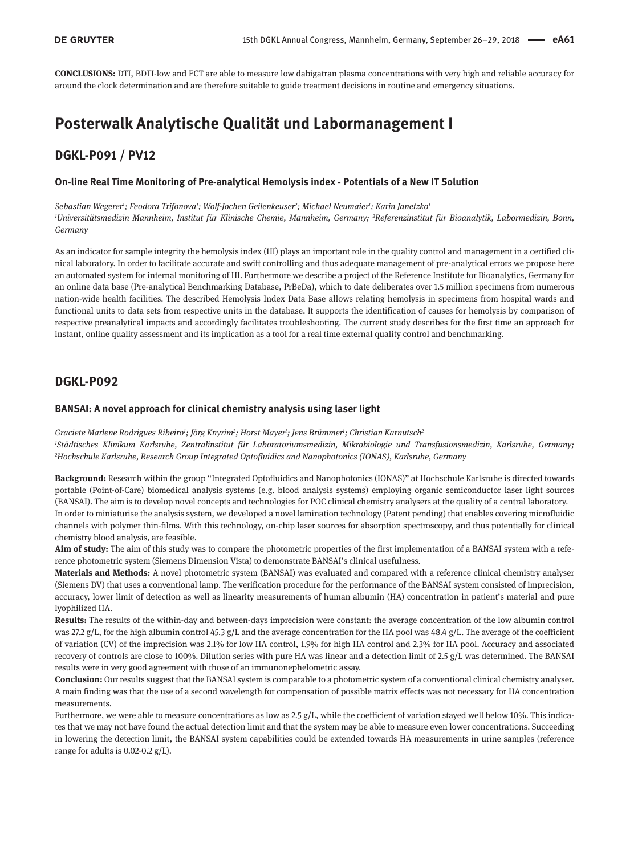**CONCLUSIONS:** DTI, BDTI-low and ECT are able to measure low dabigatran plasma concentrations with very high and reliable accuracy for around the clock determination and are therefore suitable to guide treatment decisions in routine and emergency situations.

# **Posterwalk Analytische Qualität und Labormanagement I**

# **DGKL-P091 / PV12**

### **On-line Real Time Monitoring of Pre-analytical Hemolysis index - Potentials of a New IT Solution**

*Sebastian Wegerer1 ; Feodora Trifonova1 ; Wolf-Jochen Geilenkeuser2 ; Michael Neumaier1 ; Karin Janetzko1 1 Universitätsmedizin Mannheim, Institut für Klinische Chemie, Mannheim, Germany; 2 Referenzinstitut für Bioanalytik, Labormedizin, Bonn, Germany*

As an indicator for sample integrity the hemolysis index (HI) plays an important role in the quality control and management in a certified clinical laboratory. In order to facilitate accurate and swift controlling and thus adequate management of pre-analytical errors we propose here an automated system for internal monitoring of HI. Furthermore we describe a project of the Reference Institute for Bioanalytics, Germany for an online data base (Pre-analytical Benchmarking Database, PrBeDa), which to date deliberates over 1.5 million specimens from numerous nation-wide health facilities. The described Hemolysis Index Data Base allows relating hemolysis in specimens from hospital wards and functional units to data sets from respective units in the database. It supports the identification of causes for hemolysis by comparison of respective preanalytical impacts and accordingly facilitates troubleshooting. The current study describes for the first time an approach for instant, online quality assessment and its implication as a tool for a real time external quality control and benchmarking.

# **DGKL-P092**

#### **BANSAI: A novel approach for clinical chemistry analysis using laser light**

*Graciete Marlene Rodrigues Ribeiro1 ; Jörg Knyrim2 ; Horst Mayer1 ; Jens Brümmer1 ; Christian Karnutsch2 1 Städtisches Klinikum Karlsruhe, Zentralinstitut für Laboratoriumsmedizin, Mikrobiologie und Transfusionsmedizin, Karlsruhe, Germany; 2 Hochschule Karlsruhe, Research Group Integrated Optofluidics and Nanophotonics (IONAS), Karlsruhe, Germany*

**Background:** Research within the group "Integrated Optofluidics and Nanophotonics (IONAS)" at Hochschule Karlsruhe is directed towards portable (Point-of-Care) biomedical analysis systems (e.g. blood analysis systems) employing organic semiconductor laser light sources (BANSAI). The aim is to develop novel concepts and technologies for POC clinical chemistry analysers at the quality of a central laboratory. In order to miniaturise the analysis system, we developed a novel lamination technology (Patent pending) that enables covering microfluidic channels with polymer thin-films. With this technology, on-chip laser sources for absorption spectroscopy, and thus potentially for clinical chemistry blood analysis, are feasible.

**Aim of study:** The aim of this study was to compare the photometric properties of the first implementation of a BANSAI system with a reference photometric system (Siemens Dimension Vista) to demonstrate BANSAI's clinical usefulness.

**Materials and Methods:** A novel photometric system (BANSAI) was evaluated and compared with a reference clinical chemistry analyser (Siemens DV) that uses a conventional lamp. The verification procedure for the performance of the BANSAI system consisted of imprecision, accuracy, lower limit of detection as well as linearity measurements of human albumin (HA) concentration in patient's material and pure lyophilized HA.

**Results:** The results of the within-day and between-days imprecision were constant: the average concentration of the low albumin control was 27.2 g/L, for the high albumin control 45.3 g/L and the average concentration for the HA pool was 48.4 g/L. The average of the coefficient of variation (CV) of the imprecision was 2.1% for low HA control, 1.9% for high HA control and 2.3% for HA pool. Accuracy and associated recovery of controls are close to 100%. Dilution series with pure HA was linear and a detection limit of 2.5 g/L was determined. The BANSAI results were in very good agreement with those of an immunonephelometric assay.

**Conclusion:** Our results suggest that the BANSAI system is comparable to a photometric system of a conventional clinical chemistry analyser. A main finding was that the use of a second wavelength for compensation of possible matrix effects was not necessary for HA concentration measurements.

Furthermore, we were able to measure concentrations as low as 2.5 g/L, while the coefficient of variation stayed well below 10%. This indicates that we may not have found the actual detection limit and that the system may be able to measure even lower concentrations. Succeeding in lowering the detection limit, the BANSAI system capabilities could be extended towards HA measurements in urine samples (reference range for adults is  $0.02 - 0.2$  g/L).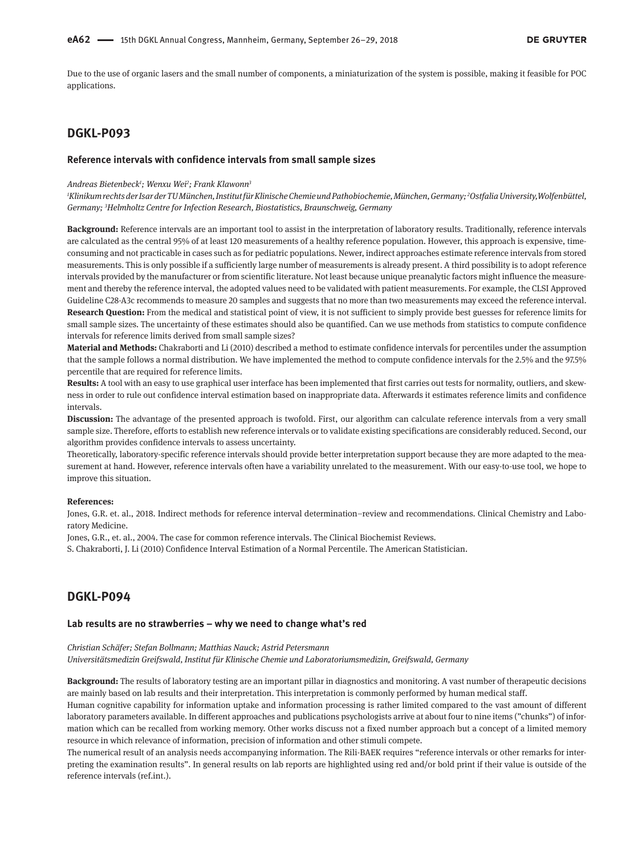Due to the use of organic lasers and the small number of components, a miniaturization of the system is possible, making it feasible for POC applications.

# **DGKL-P093**

#### **Reference intervals with confidence intervals from small sample sizes**

#### *Andreas Bietenbeck1 ; Wenxu Wei2 ; Frank Klawonn3*

<sup>ı</sup>Klinikum rechts der Isar der TU München, Institut für Klinische Chemie und Pathobiochemie, München, Germany; <sup>2</sup>Ostfalia University,Wolfenbüttel, *Germany; 3 Helmholtz Centre for Infection Research, Biostatistics, Braunschweig, Germany*

**Background:** Reference intervals are an important tool to assist in the interpretation of laboratory results. Traditionally, reference intervals are calculated as the central 95% of at least 120 measurements of a healthy reference population. However, this approach is expensive, timeconsuming and not practicable in cases such as for pediatric populations. Newer, indirect approaches estimate reference intervals from stored measurements. This is only possible if a sufficiently large number of measurements is already present. A third possibility is to adopt reference intervals provided by the manufacturer or from scientific literature. Not least because unique preanalytic factors might influence the measurement and thereby the reference interval, the adopted values need to be validated with patient measurements. For example, the CLSI Approved Guideline C28-A3c recommends to measure 20 samples and suggests that no more than two measurements may exceed the reference interval. **Research Question:** From the medical and statistical point of view, it is not sufficient to simply provide best guesses for reference limits for small sample sizes. The uncertainty of these estimates should also be quantified. Can we use methods from statistics to compute confidence intervals for reference limits derived from small sample sizes?

**Material and Methods:** Chakraborti and Li (2010) described a method to estimate confidence intervals for percentiles under the assumption that the sample follows a normal distribution. We have implemented the method to compute confidence intervals for the 2.5% and the 97.5% percentile that are required for reference limits.

**Results:** A tool with an easy to use graphical user interface has been implemented that first carries out tests for normality, outliers, and skewness in order to rule out confidence interval estimation based on inappropriate data. Afterwards it estimates reference limits and confidence intervals.

**Discussion:** The advantage of the presented approach is twofold. First, our algorithm can calculate reference intervals from a very small sample size. Therefore, efforts to establish new reference intervals or to validate existing specifications are considerably reduced. Second, our algorithm provides confidence intervals to assess uncertainty.

Theoretically, laboratory-specific reference intervals should provide better interpretation support because they are more adapted to the measurement at hand. However, reference intervals often have a variability unrelated to the measurement. With our easy-to-use tool, we hope to improve this situation.

#### **References:**

Jones, G.R. et. al., 2018. Indirect methods for reference interval determination–review and recommendations. Clinical Chemistry and Laboratory Medicine.

Jones, G.R., et. al., 2004. The case for common reference intervals. The Clinical Biochemist Reviews.

S. Chakraborti, J. Li (2010) Confidence Interval Estimation of a Normal Percentile. The American Statistician.

# **DGKL-P094**

#### **Lab results are no strawberries – why we need to change what's red**

*Christian Schäfer; Stefan Bollmann; Matthias Nauck; Astrid Petersmann Universitätsmedizin Greifswald, Institut für Klinische Chemie und Laboratoriumsmedizin, Greifswald, Germany*

**Background:** The results of laboratory testing are an important pillar in diagnostics and monitoring. A vast number of therapeutic decisions are mainly based on lab results and their interpretation. This interpretation is commonly performed by human medical staff.

Human cognitive capability for information uptake and information processing is rather limited compared to the vast amount of different laboratory parameters available. In different approaches and publications psychologists arrive at about four to nine items ("chunks") of information which can be recalled from working memory. Other works discuss not a fixed number approach but a concept of a limited memory resource in which relevance of information, precision of information and other stimuli compete.

The numerical result of an analysis needs accompanying information. The Rili-BAEK requires "reference intervals or other remarks for interpreting the examination results". In general results on lab reports are highlighted using red and/or bold print if their value is outside of the reference intervals (ref.int.).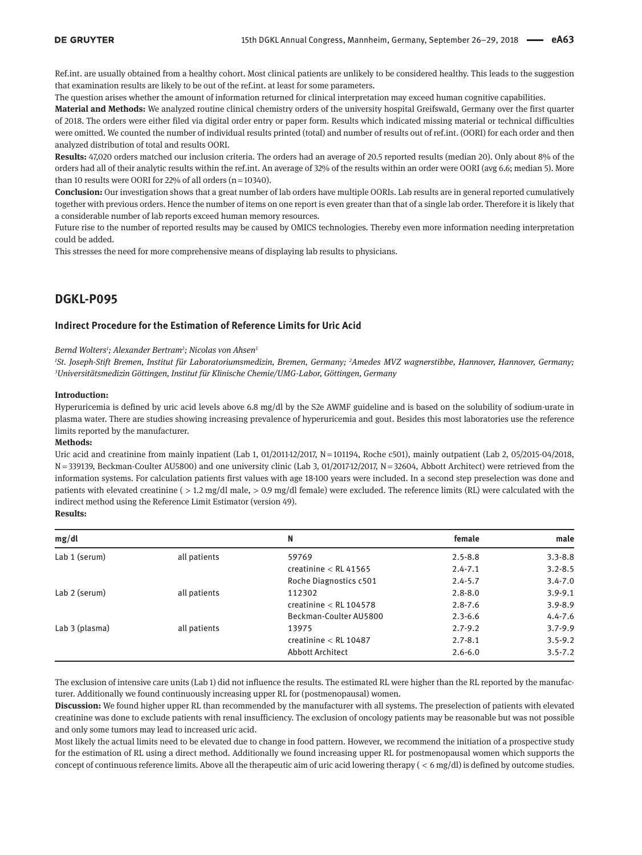Ref.int. are usually obtained from a healthy cohort. Most clinical patients are unlikely to be considered healthy. This leads to the suggestion that examination results are likely to be out of the ref.int. at least for some parameters.

The question arises whether the amount of information returned for clinical interpretation may exceed human cognitive capabilities.

**Material and Methods:** We analyzed routine clinical chemistry orders of the university hospital Greifswald, Germany over the first quarter of 2018. The orders were either filed via digital order entry or paper form. Results which indicated missing material or technical difficulties were omitted. We counted the number of individual results printed (total) and number of results out of ref.int. (OORI) for each order and then analyzed distribution of total and results OORI.

**Results:** 47,020 orders matched our inclusion criteria. The orders had an average of 20.5 reported results (median 20). Only about 8% of the orders had all of their analytic results within the ref.int. An average of 32% of the results within an order were OORI (avg 6.6; median 5). More than 10 results were OORI for 22% of all orders  $(n=10340)$ .

**Conclusion:** Our investigation shows that a great number of lab orders have multiple OORIs. Lab results are in general reported cumulatively together with previous orders. Hence the number of items on one report is even greater than that of a single lab order. Therefore it is likely that a considerable number of lab reports exceed human memory resources.

Future rise to the number of reported results may be caused by OMICS technologies. Thereby even more information needing interpretation could be added.

This stresses the need for more comprehensive means of displaying lab results to physicians.

# **DGKL-P095**

#### **Indirect Procedure for the Estimation of Reference Limits for Uric Acid**

#### *Bernd Wolters1 ; Alexander Bertram2 ; Nicolas von Ahsen3*

*1 St. Joseph-Stift Bremen, Institut für Laboratoriumsmedizin, Bremen, Germany; 2 Amedes MVZ wagnerstibbe, Hannover, Hannover, Germany; 3 Universitätsmedizin Göttingen, Institut für Klinische Chemie/UMG-Labor, Göttingen, Germany*

#### **Introduction:**

Hyperuricemia is defined by uric acid levels above 6.8 mg/dl by the S2e AWMF guideline and is based on the solubility of sodium-urate in plasma water. There are studies showing increasing prevalence of hyperuricemia and gout. Besides this most laboratories use the reference limits reported by the manufacturer.

#### **Methods:**

Uric acid and creatinine from mainly inpatient (Lab 1, 01/2011-12/2017, N = 101194, Roche c501), mainly outpatient (Lab 2, 05/2015-04/2018, N = 339139, Beckman-Coulter AU5800) and one university clinic (Lab 3, 01/2017-12/2017, N = 32604, Abbott Architect) were retrieved from the information systems. For calculation patients first values with age 18-100 years were included. In a second step preselection was done and patients with elevated creatinine ( $>1.2$  mg/dl male,  $>0.9$  mg/dl female) were excluded. The reference limits (RL) were calculated with the indirect method using the Reference Limit Estimator (version 49).

#### **Results:**

| mg/dl          |              | N                        | female      | male        |
|----------------|--------------|--------------------------|-------------|-------------|
| Lab 1 (serum)  | all patients | 59769                    | $2.5 - 8.8$ | $3.3 - 8.8$ |
|                |              | creatinine $<$ RL 41565  | $2.4 - 7.1$ | $3.2 - 8.5$ |
|                |              | Roche Diagnostics c501   | $2.4 - 5.7$ | $3.4 - 7.0$ |
| Lab 2 (serum)  | all patients | 112302                   | $2.8 - 8.0$ | $3.9 - 9.1$ |
|                |              | creatinine $<$ RL 104578 | $2.8 - 7.6$ | $3.9 - 8.9$ |
|                |              | Beckman-Coulter AU5800   | $2.3 - 6.6$ | $4.4 - 7.6$ |
| Lab 3 (plasma) | all patients | 13975                    | $2.7 - 9.2$ | $3.7 - 9.9$ |
|                |              | creatinine $<$ RL 10487  | $2.7 - 8.1$ | $3.5 - 9.2$ |
|                |              | <b>Abbott Architect</b>  | $2.6 - 6.0$ | $3.5 - 7.2$ |

The exclusion of intensive care units (Lab 1) did not influence the results. The estimated RL were higher than the RL reported by the manufacturer. Additionally we found continuously increasing upper RL for (postmenopausal) women.

**Discussion:** We found higher upper RL than recommended by the manufacturer with all systems. The preselection of patients with elevated creatinine was done to exclude patients with renal insufficiency. The exclusion of oncology patients may be reasonable but was not possible and only some tumors may lead to increased uric acid.

Most likely the actual limits need to be elevated due to change in food pattern. However, we recommend the initiation of a prospective study for the estimation of RL using a direct method. Additionally we found increasing upper RL for postmenopausal women which supports the concept of continuous reference limits. Above all the therapeutic aim of uric acid lowering therapy ( $\lt$  6 mg/dl) is defined by outcome studies.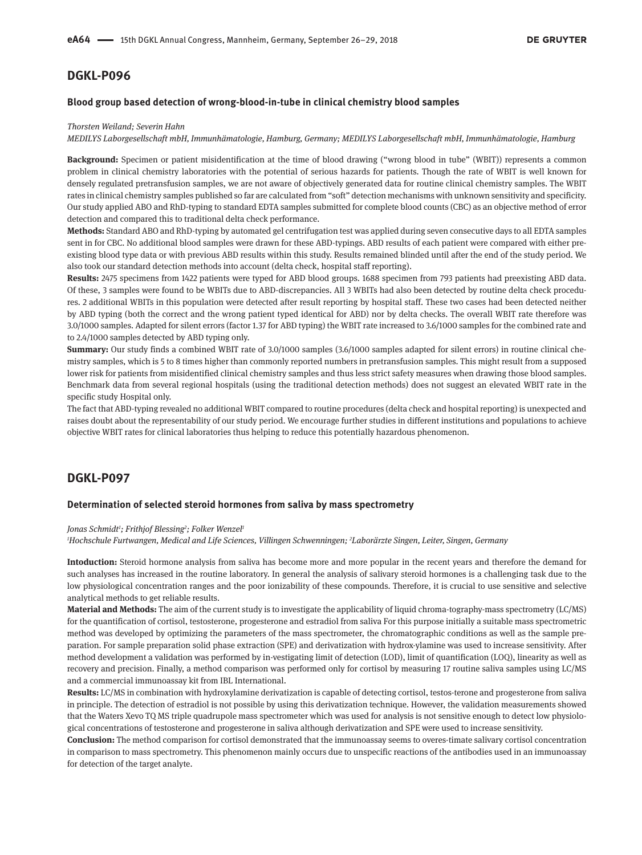### **Blood group based detection of wrong-blood-in-tube in clinical chemistry blood samples**

#### *Thorsten Weiland; Severin Hahn*

*MEDILYS Laborgesellschaft mbH, Immunhämatologie, Hamburg, Germany; MEDILYS Laborgesellschaft mbH, Immunhämatologie, Hamburg*

**Background:** Specimen or patient misidentification at the time of blood drawing ("wrong blood in tube" (WBIT)) represents a common problem in clinical chemistry laboratories with the potential of serious hazards for patients. Though the rate of WBIT is well known for densely regulated pretransfusion samples, we are not aware of objectively generated data for routine clinical chemistry samples. The WBIT rates in clinical chemistry samples published so far are calculated from "soft" detection mechanisms with unknown sensitivity and specificity. Our study applied ABO and RhD-typing to standard EDTA samples submitted for complete blood counts (CBC) as an objective method of error detection and compared this to traditional delta check performance.

**Methods:** Standard ABO and RhD-typing by automated gel centrifugation test was applied during seven consecutive days to all EDTA samples sent in for CBC. No additional blood samples were drawn for these ABD-typings. ABD results of each patient were compared with either preexisting blood type data or with previous ABD results within this study. Results remained blinded until after the end of the study period. We also took our standard detection methods into account (delta check, hospital staff reporting).

**Results:** 2475 specimens from 1422 patients were typed for ABD blood groups. 1688 specimen from 793 patients had preexisting ABD data. Of these, 3 samples were found to be WBITs due to ABD-discrepancies. All 3 WBITs had also been detected by routine delta check procedures. 2 additional WBITs in this population were detected after result reporting by hospital staff. These two cases had been detected neither by ABD typing (both the correct and the wrong patient typed identical for ABD) nor by delta checks. The overall WBIT rate therefore was 3.0/1000 samples. Adapted for silent errors (factor 1.37 for ABD typing) the WBIT rate increased to 3.6/1000 samples for the combined rate and to 2.4/1000 samples detected by ABD typing only.

**Summary:** Our study finds a combined WBIT rate of 3.0/1000 samples (3.6/1000 samples adapted for silent errors) in routine clinical chemistry samples, which is 5 to 8 times higher than commonly reported numbers in pretransfusion samples. This might result from a supposed lower risk for patients from misidentified clinical chemistry samples and thus less strict safety measures when drawing those blood samples. Benchmark data from several regional hospitals (using the traditional detection methods) does not suggest an elevated WBIT rate in the specific study Hospital only.

The fact that ABD-typing revealed no additional WBIT compared to routine procedures (delta check and hospital reporting) is unexpected and raises doubt about the representability of our study period. We encourage further studies in different institutions and populations to achieve objective WBIT rates for clinical laboratories thus helping to reduce this potentially hazardous phenomenon.

### **DGKL-P097**

#### **Determination of selected steroid hormones from saliva by mass spectrometry**

#### *Jonas Schmidt1 ; Frithjof Blessing2 ; Folker Wenzel1*

*1 Hochschule Furtwangen, Medical and Life Sciences, Villingen Schwenningen; 2 Laborärzte Singen, Leiter, Singen, Germany*

**Intoduction:** Steroid hormone analysis from saliva has become more and more popular in the recent years and therefore the demand for such analyses has increased in the routine laboratory. In general the analysis of salivary steroid hormones is a challenging task due to the low physiological concentration ranges and the poor ionizability of these compounds. Therefore, it is crucial to use sensitive and selective analytical methods to get reliable results.

**Material and Methods:** The aim of the current study is to investigate the applicability of liquid chroma-tography-mass spectrometry (LC/MS) for the quantification of cortisol, testosterone, progesterone and estradiol from saliva For this purpose initially a suitable mass spectrometric method was developed by optimizing the parameters of the mass spectrometer, the chromatographic conditions as well as the sample preparation. For sample preparation solid phase extraction (SPE) and derivatization with hydrox-ylamine was used to increase sensitivity. After method development a validation was performed by in-vestigating limit of detection (LOD), limit of quantification (LOQ), linearity as well as recovery and precision. Finally, a method comparison was performed only for cortisol by measuring 17 routine saliva samples using LC/MS and a commercial immunoassay kit from IBL International.

**Results:** LC/MS in combination with hydroxylamine derivatization is capable of detecting cortisol, testos-terone and progesterone from saliva in principle. The detection of estradiol is not possible by using this derivatization technique. However, the validation measurements showed that the Waters Xevo TQ MS triple quadrupole mass spectrometer which was used for analysis is not sensitive enough to detect low physiological concentrations of testosterone and progesterone in saliva although derivatization and SPE were used to increase sensitivity.

**Conclusion:** The method comparison for cortisol demonstrated that the immunoassay seems to overes-timate salivary cortisol concentration in comparison to mass spectrometry. This phenomenon mainly occurs due to unspecific reactions of the antibodies used in an immunoassay for detection of the target analyte.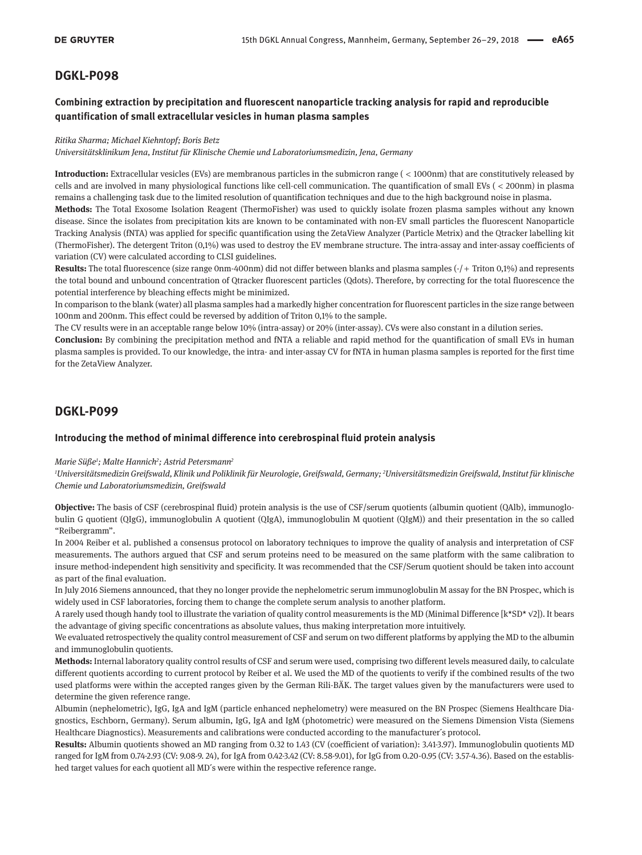### **Combining extraction by precipitation and fluorescent nanoparticle tracking analysis for rapid and reproducible quantification of small extracellular vesicles in human plasma samples**

#### *Ritika Sharma; Michael Kiehntopf; Boris Betz*

*Universitätsklinikum Jena, Institut für Klinische Chemie und Laboratoriumsmedizin, Jena, Germany*

**Introduction:** Extracellular vesicles (EVs) are membranous particles in the submicron range ( $\lt$  1000nm) that are constitutively released by cells and are involved in many physiological functions like cell-cell communication. The quantification of small EVs (  <  200nm) in plasma remains a challenging task due to the limited resolution of quantification techniques and due to the high background noise in plasma.

**Methods:** The Total Exosome Isolation Reagent (ThermoFisher) was used to quickly isolate frozen plasma samples without any known disease. Since the isolates from precipitation kits are known to be contaminated with non-EV small particles the fluorescent Nanoparticle Tracking Analysis (fNTA) was applied for specific quantification using the ZetaView Analyzer (Particle Metrix) and the Qtracker labelling kit (ThermoFisher). The detergent Triton (0,1%) was used to destroy the EV membrane structure. The intra-assay and inter-assay coefficients of variation (CV) were calculated according to CLSI guidelines.

**Results:** The total fluorescence (size range 0nm-400nm) did not differ between blanks and plasma samples (-/ +  Triton 0,1%) and represents the total bound and unbound concentration of Qtracker fluorescent particles (Qdots). Therefore, by correcting for the total fluorescence the potential interference by bleaching effects might be minimized.

In comparison to the blank (water) all plasma samples had a markedly higher concentration for fluorescent particles in the size range between 100nm and 200nm. This effect could be reversed by addition of Triton 0,1% to the sample.

The CV results were in an acceptable range below 10% (intra-assay) or 20% (inter-assay). CVs were also constant in a dilution series.

**Conclusion:** By combining the precipitation method and fNTA a reliable and rapid method for the quantification of small EVs in human plasma samples is provided. To our knowledge, the intra- and inter-assay CV for fNTA in human plasma samples is reported for the first time for the ZetaView Analyzer.

# **DGKL-P099**

#### **Introducing the method of minimal difference into cerebrospinal fluid protein analysis**

#### *Marie Süße1 ; Malte Hannich2 ; Astrid Petersmann2*

*1 Universitätsmedizin Greifswald, Klinik und Poliklinik für Neurologie, Greifswald, Germany; 2 Universitätsmedizin Greifswald, Institut für klinische Chemie und Laboratoriumsmedizin, Greifswald*

**Objective:** The basis of CSF (cerebrospinal fluid) protein analysis is the use of CSF/serum quotients (albumin quotient (QAlb), immunoglobulin G quotient (QIgG), immunoglobulin A quotient (QIgA), immunoglobulin M quotient (QIgM)) and their presentation in the so called "Reibergramm".

In 2004 Reiber et al. published a consensus protocol on laboratory techniques to improve the quality of analysis and interpretation of CSF measurements. The authors argued that CSF and serum proteins need to be measured on the same platform with the same calibration to insure method-independent high sensitivity and specificity. It was recommended that the CSF/Serum quotient should be taken into account as part of the final evaluation.

In July 2016 Siemens announced, that they no longer provide the nephelometric serum immunoglobulin M assay for the BN Prospec, which is widely used in CSF laboratories, forcing them to change the complete serum analysis to another platform.

A rarely used though handy tool to illustrate the variation of quality control measurements is the MD (Minimal Difference [k\*SD\* √2]). It bears the advantage of giving specific concentrations as absolute values, thus making interpretation more intuitively.

We evaluated retrospectively the quality control measurement of CSF and serum on two different platforms by applying the MD to the albumin and immunoglobulin quotients.

**Methods:** Internal laboratory quality control results of CSF and serum were used, comprising two different levels measured daily, to calculate different quotients according to current protocol by Reiber et al. We used the MD of the quotients to verify if the combined results of the two used platforms were within the accepted ranges given by the German Rili-BÄK. The target values given by the manufacturers were used to determine the given reference range.

Albumin (nephelometric), IgG, IgA and IgM (particle enhanced nephelometry) were measured on the BN Prospec (Siemens Healthcare Diagnostics, Eschborn, Germany). Serum albumin, IgG, IgA and IgM (photometric) were measured on the Siemens Dimension Vista (Siemens Healthcare Diagnostics). Measurements and calibrations were conducted according to the manufacturer´s protocol.

**Results:** Albumin quotients showed an MD ranging from 0.32 to 1.43 (CV (coefficient of variation): 3.41-3.97). Immunoglobulin quotients MD ranged for IgM from 0.74-2.93 (CV: 9.08-9. 24), for IgA from 0.42-3.42 (CV: 8.58-9.01), for IgG from 0.20-0.95 (CV: 3.57-4.36). Based on the established target values for each quotient all MD´s were within the respective reference range.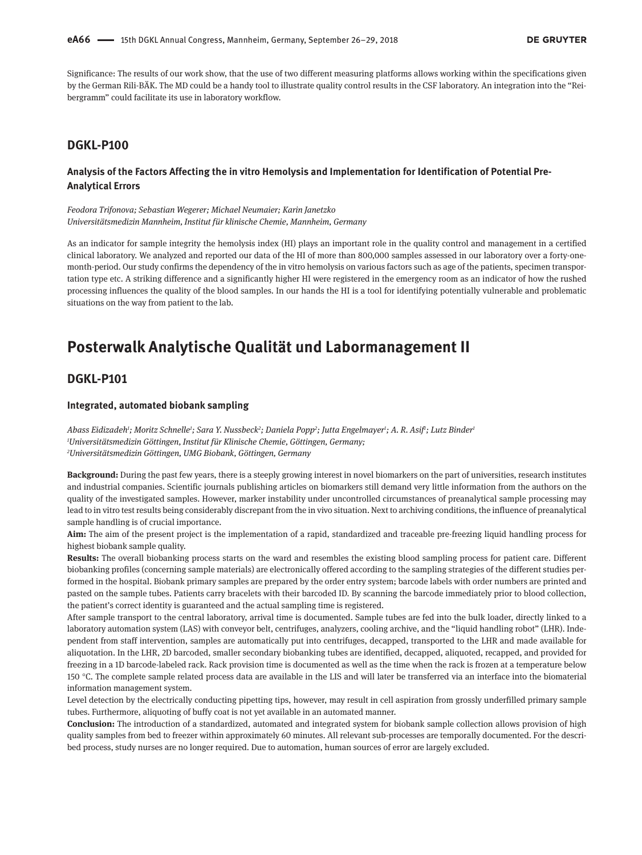Significance: The results of our work show, that the use of two different measuring platforms allows working within the specifications given by the German Rili-BÄK. The MD could be a handy tool to illustrate quality control results in the CSF laboratory. An integration into the "Reibergramm" could facilitate its use in laboratory workflow.

# **DGKL-P100**

### **Analysis of the Factors Affecting the in vitro Hemolysis and Implementation for Identification of Potential Pre-Analytical Errors**

*Feodora Trifonova; Sebastian Wegerer; Michael Neumaier; Karin Janetzko Universitätsmedizin Mannheim, Institut für klinische Chemie, Mannheim, Germany*

As an indicator for sample integrity the hemolysis index (HI) plays an important role in the quality control and management in a certified clinical laboratory. We analyzed and reported our data of the HI of more than 800,000 samples assessed in our laboratory over a forty-onemonth-period. Our study confirms the dependency of the in vitro hemolysis on various factors such as age of the patients, specimen transportation type etc. A striking difference and a significantly higher HI were registered in the emergency room as an indicator of how the rushed processing influences the quality of the blood samples. In our hands the HI is a tool for identifying potentially vulnerable and problematic situations on the way from patient to the lab.

# **Posterwalk Analytische Qualität und Labormanagement II**

### **DGKL-P101**

#### **Integrated, automated biobank sampling**

*Abass Eidizadeh1 ; Moritz Schnelle1 ; Sara Y. Nussbeck2 ; Daniela Popp2 ; Jutta Engelmayer1 ; A. R. Asif1 ; Lutz Binder1 1 Universitätsmedizin Göttingen, Institut für Klinische Chemie, Göttingen, Germany; 2 Universitätsmedizin Göttingen, UMG Biobank, Göttingen, Germany*

**Background:** During the past few years, there is a steeply growing interest in novel biomarkers on the part of universities, research institutes and industrial companies. Scientific journals publishing articles on biomarkers still demand very little information from the authors on the quality of the investigated samples. However, marker instability under uncontrolled circumstances of preanalytical sample processing may lead to in vitro test results being considerably discrepant from the in vivo situation. Next to archiving conditions, the influence of preanalytical sample handling is of crucial importance.

**Aim:** The aim of the present project is the implementation of a rapid, standardized and traceable pre-freezing liquid handling process for highest biobank sample quality.

**Results:** The overall biobanking process starts on the ward and resembles the existing blood sampling process for patient care. Different biobanking profiles (concerning sample materials) are electronically offered according to the sampling strategies of the different studies performed in the hospital. Biobank primary samples are prepared by the order entry system; barcode labels with order numbers are printed and pasted on the sample tubes. Patients carry bracelets with their barcoded ID. By scanning the barcode immediately prior to blood collection, the patient's correct identity is guaranteed and the actual sampling time is registered.

After sample transport to the central laboratory, arrival time is documented. Sample tubes are fed into the bulk loader, directly linked to a laboratory automation system (LAS) with conveyor belt, centrifuges, analyzers, cooling archive, and the "liquid handling robot" (LHR). Independent from staff intervention, samples are automatically put into centrifuges, decapped, transported to the LHR and made available for aliquotation. In the LHR, 2D barcoded, smaller secondary biobanking tubes are identified, decapped, aliquoted, recapped, and provided for freezing in a 1D barcode-labeled rack. Rack provision time is documented as well as the time when the rack is frozen at a temperature below 150 °C. The complete sample related process data are available in the LIS and will later be transferred via an interface into the biomaterial information management system.

Level detection by the electrically conducting pipetting tips, however, may result in cell aspiration from grossly underfilled primary sample tubes. Furthermore, aliquoting of buffy coat is not yet available in an automated manner.

**Conclusion:** The introduction of a standardized, automated and integrated system for biobank sample collection allows provision of high quality samples from bed to freezer within approximately 60 minutes. All relevant sub-processes are temporally documented. For the described process, study nurses are no longer required. Due to automation, human sources of error are largely excluded.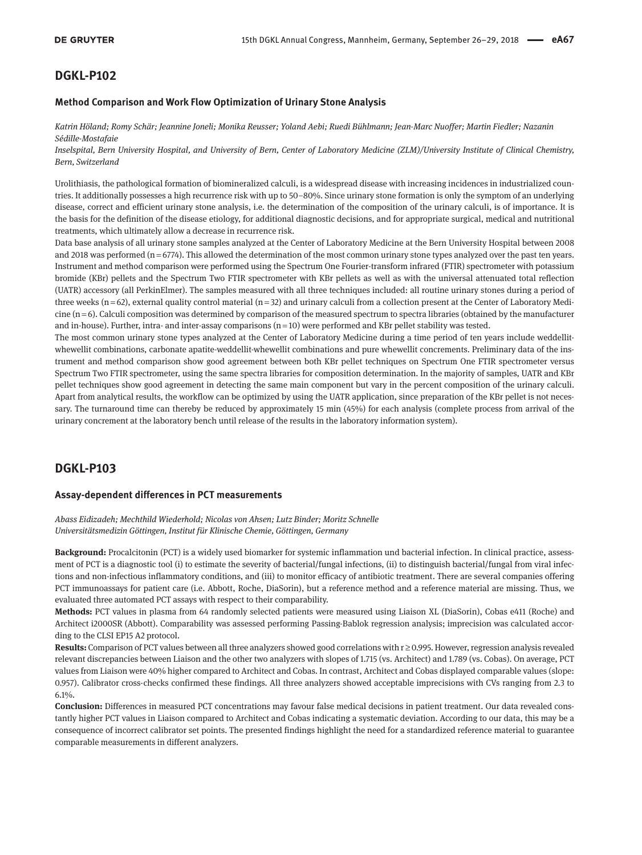#### **Method Comparison and Work Flow Optimization of Urinary Stone Analysis**

*Katrin Höland; Romy Schär; Jeannine Joneli; Monika Reusser; Yoland Aebi; Ruedi Bühlmann; Jean-Marc Nuoffer; Martin Fiedler; Nazanin Sédille-Mostafaie*

*Inselspital, Bern University Hospital, and University of Bern, Center of Laboratory Medicine (ZLM)/University Institute of Clinical Chemistry, Bern, Switzerland*

Urolithiasis, the pathological formation of biomineralized calculi, is a widespread disease with increasing incidences in industrialized countries. It additionally possesses a high recurrence risk with up to 50–80%. Since urinary stone formation is only the symptom of an underlying disease, correct and efficient urinary stone analysis, i.e. the determination of the composition of the urinary calculi, is of importance. It is the basis for the definition of the disease etiology, for additional diagnostic decisions, and for appropriate surgical, medical and nutritional treatments, which ultimately allow a decrease in recurrence risk.

Data base analysis of all urinary stone samples analyzed at the Center of Laboratory Medicine at the Bern University Hospital between 2008 and 2018 was performed  $(n = 6774)$ . This allowed the determination of the most common urinary stone types analyzed over the past ten years. Instrument and method comparison were performed using the Spectrum One Fourier-transform infrared (FTIR) spectrometer with potassium bromide (KBr) pellets and the Spectrum Two FTIR spectrometer with KBr pellets as well as with the universal attenuated total reflection (UATR) accessory (all PerkinElmer). The samples measured with all three techniques included: all routine urinary stones during a period of three weeks  $(n=62)$ , external quality control material  $(n=32)$  and urinary calculi from a collection present at the Center of Laboratory Medi $cine (n=6)$ . Calculi composition was determined by comparison of the measured spectrum to spectra libraries (obtained by the manufacturer and in-house). Further, intra- and inter-assay comparisons  $(n=10)$  were performed and KBr pellet stability was tested.

The most common urinary stone types analyzed at the Center of Laboratory Medicine during a time period of ten years include weddellitwhewellit combinations, carbonate apatite-weddellit-whewellit combinations and pure whewellit concrements. Preliminary data of the instrument and method comparison show good agreement between both KBr pellet techniques on Spectrum One FTIR spectrometer versus Spectrum Two FTIR spectrometer, using the same spectra libraries for composition determination. In the majority of samples, UATR and KBr pellet techniques show good agreement in detecting the same main component but vary in the percent composition of the urinary calculi. Apart from analytical results, the workflow can be optimized by using the UATR application, since preparation of the KBr pellet is not necessary. The turnaround time can thereby be reduced by approximately 15 min (45%) for each analysis (complete process from arrival of the urinary concrement at the laboratory bench until release of the results in the laboratory information system).

# **DGKL-P103**

#### **Assay-dependent differences in PCT measurements**

*Abass Eidizadeh; Mechthild Wiederhold; Nicolas von Ahsen; Lutz Binder; Moritz Schnelle Universitätsmedizin Göttingen, Institut für Klinische Chemie, Göttingen, Germany*

**Background:** Procalcitonin (PCT) is a widely used biomarker for systemic inflammation und bacterial infection. In clinical practice, assessment of PCT is a diagnostic tool (i) to estimate the severity of bacterial/fungal infections, (ii) to distinguish bacterial/fungal from viral infections and non-infectious inflammatory conditions, and (iii) to monitor efficacy of antibiotic treatment. There are several companies offering PCT immunoassays for patient care (i.e. Abbott, Roche, DiaSorin), but a reference method and a reference material are missing. Thus, we evaluated three automated PCT assays with respect to their comparability.

**Methods:** PCT values in plasma from 64 randomly selected patients were measured using Liaison XL (DiaSorin), Cobas e411 (Roche) and Architect i2000SR (Abbott). Comparability was assessed performing Passing-Bablok regression analysis; imprecision was calculated according to the CLSI EP15 A2 protocol.

**Results:** Comparison of PCT values between all three analyzers showed good correlations with r ≥ 0.995. However, regression analysis revealed relevant discrepancies between Liaison and the other two analyzers with slopes of 1.715 (vs. Architect) and 1.789 (vs. Cobas). On average, PCT values from Liaison were 40% higher compared to Architect and Cobas. In contrast, Architect and Cobas displayed comparable values (slope: 0.957). Calibrator cross-checks confirmed these findings. All three analyzers showed acceptable imprecisions with CVs ranging from 2.3 to 6.1%.

**Conclusion:** Differences in measured PCT concentrations may favour false medical decisions in patient treatment. Our data revealed constantly higher PCT values in Liaison compared to Architect and Cobas indicating a systematic deviation. According to our data, this may be a consequence of incorrect calibrator set points. The presented findings highlight the need for a standardized reference material to guarantee comparable measurements in different analyzers.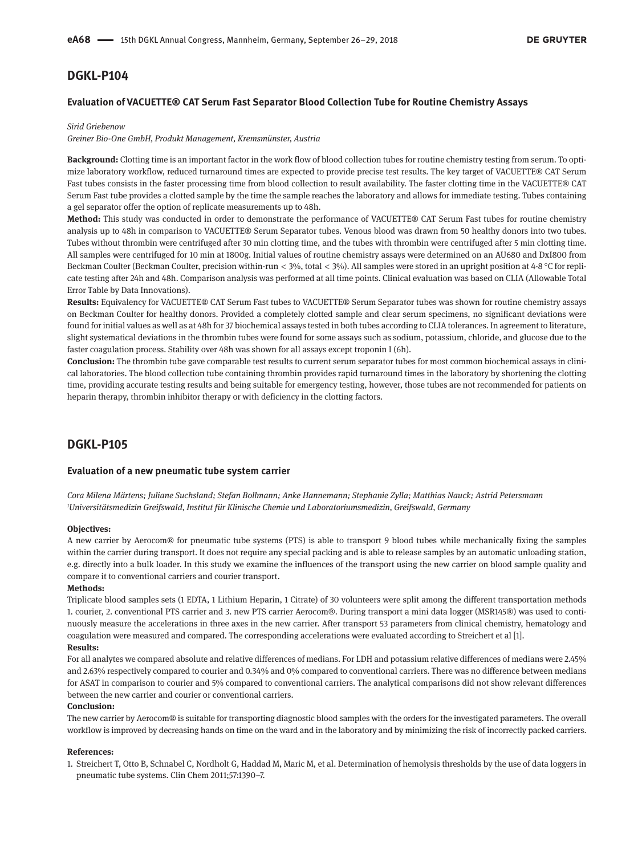### **Evaluation of VACUETTE® CAT Serum Fast Separator Blood Collection Tube for Routine Chemistry Assays**

#### *Sirid Griebenow*

*Greiner Bio-One GmbH, Produkt Management, Kremsmünster, Austria*

**Background:** Clotting time is an important factor in the work flow of blood collection tubes for routine chemistry testing from serum. To optimize laboratory workflow, reduced turnaround times are expected to provide precise test results. The key target of VACUETTE® CAT Serum Fast tubes consists in the faster processing time from blood collection to result availability. The faster clotting time in the VACUETTE® CAT Serum Fast tube provides a clotted sample by the time the sample reaches the laboratory and allows for immediate testing. Tubes containing a gel separator offer the option of replicate measurements up to 48h.

**Method:** This study was conducted in order to demonstrate the performance of VACUETTE® CAT Serum Fast tubes for routine chemistry analysis up to 48h in comparison to VACUETTE® Serum Separator tubes. Venous blood was drawn from 50 healthy donors into two tubes. Tubes without thrombin were centrifuged after 30 min clotting time, and the tubes with thrombin were centrifuged after 5 min clotting time. All samples were centrifuged for 10 min at 1800g. Initial values of routine chemistry assays were determined on an AU680 and DxI800 from Beckman Coulter (Beckman Coulter, precision within-run < 3%, total < 3%). All samples were stored in an upright position at 4-8 °C for replicate testing after 24h and 48h. Comparison analysis was performed at all time points. Clinical evaluation was based on CLIA (Allowable Total Error Table by Data Innovations).

**Results:** Equivalency for VACUETTE® CAT Serum Fast tubes to VACUETTE® Serum Separator tubes was shown for routine chemistry assays on Beckman Coulter for healthy donors. Provided a completely clotted sample and clear serum specimens, no significant deviations were found for initial values as well as at 48h for 37 biochemical assays tested in both tubes according to CLIA tolerances. In agreement to literature, slight systematical deviations in the thrombin tubes were found for some assays such as sodium, potassium, chloride, and glucose due to the faster coagulation process. Stability over 48h was shown for all assays except troponin I (6h).

**Conclusion:** The thrombin tube gave comparable test results to current serum separator tubes for most common biochemical assays in clinical laboratories. The blood collection tube containing thrombin provides rapid turnaround times in the laboratory by shortening the clotting time, providing accurate testing results and being suitable for emergency testing, however, those tubes are not recommended for patients on heparin therapy, thrombin inhibitor therapy or with deficiency in the clotting factors.

### **DGKL-P105**

#### **Evaluation of a new pneumatic tube system carrier**

*Cora Milena Märtens; Juliane Suchsland; Stefan Bollmann; Anke Hannemann; Stephanie Zylla; Matthias Nauck; Astrid Petersmann 1 Universitätsmedizin Greifswald, Institut für Klinische Chemie und Laboratoriumsmedizin, Greifswald, Germany*

#### **Objectives:**

A new carrier by Aerocom® for pneumatic tube systems (PTS) is able to transport 9 blood tubes while mechanically fixing the samples within the carrier during transport. It does not require any special packing and is able to release samples by an automatic unloading station, e.g. directly into a bulk loader. In this study we examine the influences of the transport using the new carrier on blood sample quality and compare it to conventional carriers and courier transport.

#### **Methods:**

Triplicate blood samples sets (1 EDTA, 1 Lithium Heparin, 1 Citrate) of 30 volunteers were split among the different transportation methods 1. courier, 2. conventional PTS carrier and 3. new PTS carrier Aerocom®. During transport a mini data logger (MSR145®) was used to continuously measure the accelerations in three axes in the new carrier. After transport 53 parameters from clinical chemistry, hematology and coagulation were measured and compared. The corresponding accelerations were evaluated according to Streichert et al [1].

#### **Results:**

For all analytes we compared absolute and relative differences of medians. For LDH and potassium relative differences of medians were 2.45% and 2.63% respectively compared to courier and 0.34% and 0% compared to conventional carriers. There was no difference between medians for ASAT in comparison to courier and 5% compared to conventional carriers. The analytical comparisons did not show relevant differences between the new carrier and courier or conventional carriers.

#### **Conclusion:**

The new carrier by Aerocom® is suitable for transporting diagnostic blood samples with the orders for the investigated parameters. The overall workflow is improved by decreasing hands on time on the ward and in the laboratory and by minimizing the risk of incorrectly packed carriers.

#### **References:**

1. Streichert T, Otto B, Schnabel C, Nordholt G, Haddad M, Maric M, et al. Determination of hemolysis thresholds by the use of data loggers in pneumatic tube systems. Clin Chem 2011;57:1390–7.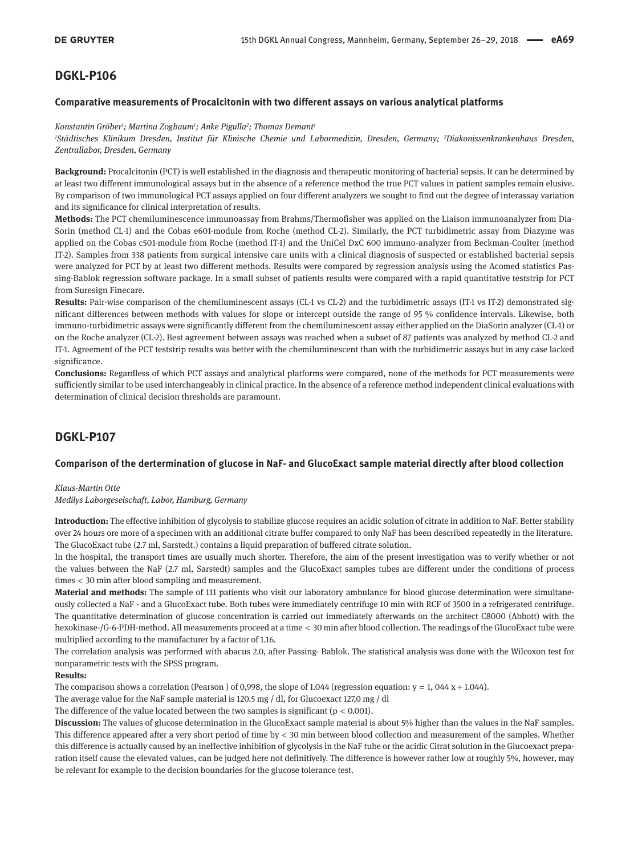#### **Comparative measurements of Procalcitonin with two different assays on various analytical platforms**

#### *Konstantin Gröber1 ; Martina Zogbaum1 ; Anke Pigulla2 ; Thomas Demant1*

<sup>1</sup>Städtisches Klinikum Dresden, Institut für Klinische Chemie und Labormedizin, Dresden, Germany; <sup>2</sup>Diakonissenkrankenhaus Dresden, *Zentrallabor, Dresden, Germany*

**Background:** Procalcitonin (PCT) is well established in the diagnosis and therapeutic monitoring of bacterial sepsis. It can be determined by at least two different immunological assays but in the absence of a reference method the true PCT values in patient samples remain elusive. By comparison of two immunological PCT assays applied on four different analyzers we sought to find out the degree of interassay variation and its significance for clinical interpretation of results.

**Methods:** The PCT chemiluminescence immunoassay from Brahms/Thermofisher was applied on the Liaison immunoanalyzer from Dia-Sorin (method CL-1) and the Cobas e601-module from Roche (method CL-2). Similarly, the PCT turbidimetric assay from Diazyme was applied on the Cobas c501-module from Roche (method IT-1) and the UniCel DxC 600 immuno-analyzer from Beckman-Coulter (method IT-2). Samples from 338 patients from surgical intensive care units with a clinical diagnosis of suspected or established bacterial sepsis were analyzed for PCT by at least two different methods. Results were compared by regression analysis using the Acomed statistics Passing-Bablok regression software package. In a small subset of patients results were compared with a rapid quantitative teststrip for PCT from Suresign Finecare.

**Results:** Pair-wise comparison of the chemiluminescent assays (CL-1 vs CL-2) and the turbidimetric assays (IT-1 vs IT-2) demonstrated significant differences between methods with values for slope or intercept outside the range of 95 % confidence intervals. Likewise, both immuno-turbidimetric assays were significantly different from the chemiluminescent assay either applied on the DiaSorin analyzer (CL-1) or on the Roche analyzer (CL-2). Best agreement between assays was reached when a subset of 87 patients was analyzed by method CL-2 and IT-1. Agreement of the PCT teststrip results was better with the chemiluminescent than with the turbidimetric assays but in any case lacked significance.

**Conclusions:** Regardless of which PCT assays and analytical platforms were compared, none of the methods for PCT measurements were sufficiently similar to be used interchangeably in clinical practice. In the absence of a reference method independent clinical evaluations with determination of clinical decision thresholds are paramount.

# **DGKL-P107**

#### **Comparison of the dertermination of glucose in NaF- and GlucoExact sample material directly after blood collection**

#### *Klaus-Martin Otte*

*Medilys Laborgeselschaft, Labor, Hamburg, Germany*

**Introduction:** The effective inhibition of glycolysis to stabilize glucose requires an acidic solution of citrate in addition to NaF. Better stability over 24 hours ore more of a specimen with an additional citrate buffer compared to only NaF has been described repeatedly in the literature. The GlucoExact tube (2.7 ml, Sarstedt.) contains a liquid preparation of buffered citrate solution.

In the hospital, the transport times are usually much shorter. Therefore, the aim of the present investigation was to verify whether or not the values between the NaF (2.7 ml, Sarstedt) samples and the GlucoExact samples tubes are different under the conditions of process times < 30 min after blood sampling and measurement.

**Material and methods:** The sample of 111 patients who visit our laboratory ambulance for blood glucose determination were simultaneously collected a NaF - and a GlucoExact tube. Both tubes were immediately centrifuge 10 min with RCF of 3500 in a refrigerated centrifuge. The quantitative determination of glucose concentration is carried out immediately afterwards on the architect C8000 (Abbott) with the hexokinase-/G-6-PDH-method. All measurements proceed at a time  <  30 min after blood collection. The readings of the GlucoExact tube were multiplied according to the manufacturer by a factor of 1.16.

The correlation analysis was performed with abacus 2.0, after Passing- Bablok. The statistical analysis was done with the Wilcoxon test for nonparametric tests with the SPSS program.

#### **Results:**

The comparison shows a correlation (Pearson ) of 0,998, the slope of 1.044 (regression equation:  $y = 1$ , 044  $x + 1.044$ ).

The average value for the NaF sample material is 120.5 mg  $/$  dl, for Glucoexact 127,0 mg  $/$  dl

The difference of the value located between the two samples is significant ( $p < 0.001$ ).

**Discussion:** The values of glucose determination in the GlucoExact sample material is about 5% higher than the values in the NaF samples. This difference appeared after a very short period of time by < 30 min between blood collection and measurement of the samples. Whether this difference is actually caused by an ineffective inhibition of glycolysis in the NaF tube or the acidic Citrat solution in the Glucoexact preparation itself cause the elevated values, can be judged here not definitively. The difference is however rather low at roughly 5%, however, may be relevant for example to the decision boundaries for the glucose tolerance test.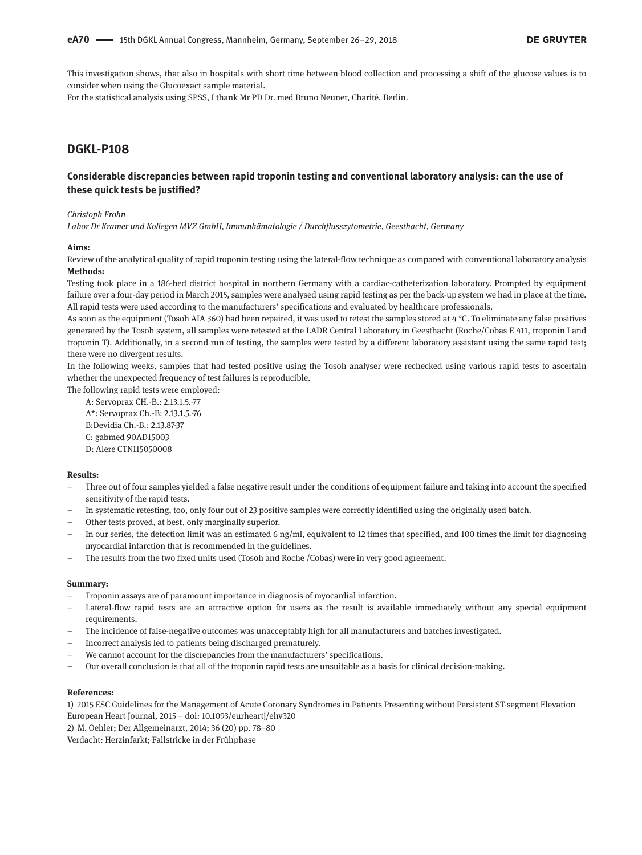This investigation shows, that also in hospitals with short time between blood collection and processing a shift of the glucose values is to consider when using the Glucoexact sample material.

For the statistical analysis using SPSS, I thank Mr PD Dr. med Bruno Neuner, Charité, Berlin.

# **DGKL-P108**

### **Considerable discrepancies between rapid troponin testing and conventional laboratory analysis: can the use of these quick tests be justified?**

#### *Christoph Frohn*

*Labor Dr Kramer und Kollegen MVZ GmbH, Immunhämatologie / Durchflusszytometrie, Geesthacht, Germany*

#### **Aims:**

Review of the analytical quality of rapid troponin testing using the lateral-flow technique as compared with conventional laboratory analysis **Methods:**

Testing took place in a 186-bed district hospital in northern Germany with a cardiac-catheterization laboratory. Prompted by equipment failure over a four-day period in March 2015, samples were analysed using rapid testing as per the back-up system we had in place at the time. All rapid tests were used according to the manufacturers' specifications and evaluated by healthcare professionals.

As soon as the equipment (Tosoh AIA 360) had been repaired, it was used to retest the samples stored at 4  $\degree$ C. To eliminate any false positives generated by the Tosoh system, all samples were retested at the LADR Central Laboratory in Geesthacht (Roche/Cobas E 411, troponin I and troponin T). Additionally, in a second run of testing, the samples were tested by a different laboratory assistant using the same rapid test; there were no divergent results.

In the following weeks, samples that had tested positive using the Tosoh analyser were rechecked using various rapid tests to ascertain whether the unexpected frequency of test failures is reproducible.

The following rapid tests were employed: A: Servoprax CH.-B.: 2.13.1.5.-77 A\*: Servoprax Ch.-B: 2.13.1.5.-76 B:Devidia Ch.-B.: 2.13.87-37 C: gabmed 90AD15003 D: Alere CTNI15050008

#### **Results:**

- Three out of four samples yielded a false negative result under the conditions of equipment failure and taking into account the specified sensitivity of the rapid tests.
- In systematic retesting, too, only four out of 23 positive samples were correctly identified using the originally used batch.
- Other tests proved, at best, only marginally superior.
- In our series, the detection limit was an estimated 6 ng/ml, equivalent to 12 times that specified, and 100 times the limit for diagnosing myocardial infarction that is recommended in the guidelines.
- The results from the two fixed units used (Tosoh and Roche /Cobas) were in very good agreement.

#### **Summary:**

- Troponin assays are of paramount importance in diagnosis of myocardial infarction.
- Lateral-flow rapid tests are an attractive option for users as the result is available immediately without any special equipment requirements.
- The incidence of false-negative outcomes was unacceptably high for all manufacturers and batches investigated.
- Incorrect analysis led to patients being discharged prematurely.
- We cannot account for the discrepancies from the manufacturers' specifications.
- Our overall conclusion is that all of the troponin rapid tests are unsuitable as a basis for clinical decision-making.

#### **References:**

1) 2015 ESC Guidelines for the Management of Acute Coronary Syndromes in Patients Presenting without Persistent ST-segment Elevation European Heart Journal, 2015 – doi: 10.1093/eurheartj/ehv320

2) M. Oehler; Der Allgemeinarzt, 2014; 36 (20) pp. 78–80

Verdacht: Herzinfarkt; Fallstricke in der Frühphase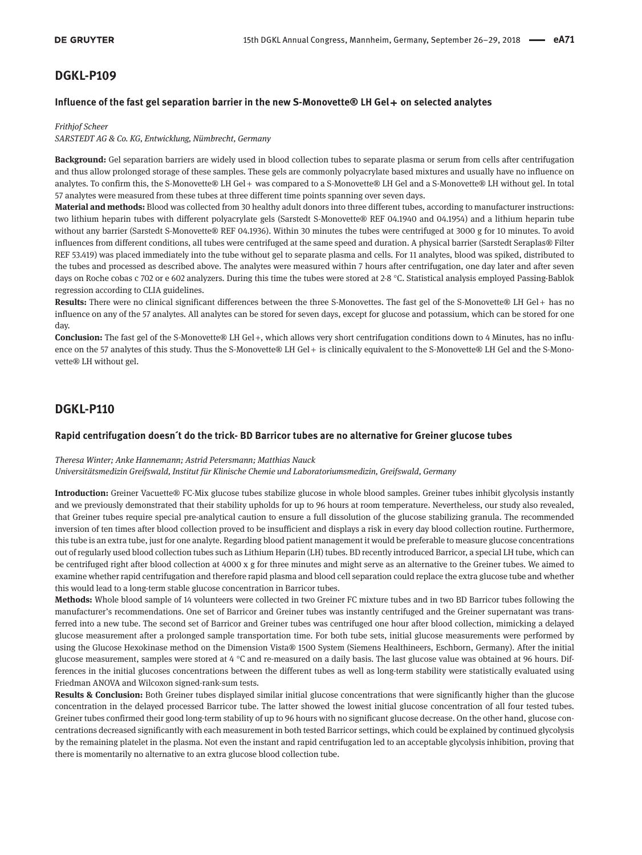#### **Influence of the fast gel separation barrier in the new S-Monovette® LH Gel**+**on selected analytes**

#### *Frithjof Scheer*

*SARSTEDT AG & Co. KG, Entwicklung, Nümbrecht, Germany*

**Background:** Gel separation barriers are widely used in blood collection tubes to separate plasma or serum from cells after centrifugation and thus allow prolonged storage of these samples. These gels are commonly polyacrylate based mixtures and usually have no influence on analytes. To confirm this, the S-Monovette® LH Gel +  was compared to a S-Monovette® LH Gel and a S-Monovette® LH without gel. In total 57 analytes were measured from these tubes at three different time points spanning over seven days.

**Material and methods:** Blood was collected from 30 healthy adult donors into three different tubes, according to manufacturer instructions: two lithium heparin tubes with different polyacrylate gels (Sarstedt S-Monovette® REF 04.1940 and 04.1954) and a lithium heparin tube without any barrier (Sarstedt S-Monovette® REF 04.1936). Within 30 minutes the tubes were centrifuged at 3000 g for 10 minutes. To avoid influences from different conditions, all tubes were centrifuged at the same speed and duration. A physical barrier (Sarstedt Seraplas® Filter REF 53.419) was placed immediately into the tube without gel to separate plasma and cells. For 11 analytes, blood was spiked, distributed to the tubes and processed as described above. The analytes were measured within 7 hours after centrifugation, one day later and after seven days on Roche cobas c 702 or e 602 analyzers. During this time the tubes were stored at 2-8 °C. Statistical analysis employed Passing-Bablok regression according to CLIA guidelines.

Results: There were no clinical significant differences between the three S-Monovettes. The fast gel of the S-Monovette® LH Gel + has no influence on any of the 57 analytes. All analytes can be stored for seven days, except for glucose and potassium, which can be stored for one day.

**Conclusion:** The fast gel of the S-Monovette® LH Gel +, which allows very short centrifugation conditions down to 4 Minutes, has no influence on the 57 analytes of this study. Thus the S-Monovette® LH Gel +  is clinically equivalent to the S-Monovette® LH Gel and the S-Monovette® LH without gel.

# **DGKL-P110**

#### **Rapid centrifugation doesn´t do the trick- BD Barricor tubes are no alternative for Greiner glucose tubes**

### *Theresa Winter; Anke Hannemann; Astrid Petersmann; Matthias Nauck*

*Universitätsmedizin Greifswald, Institut für Klinische Chemie und Laboratoriumsmedizin, Greifswald, Germany*

**Introduction:** Greiner Vacuette® FC-Mix glucose tubes stabilize glucose in whole blood samples. Greiner tubes inhibit glycolysis instantly and we previously demonstrated that their stability upholds for up to 96 hours at room temperature. Nevertheless, our study also revealed, that Greiner tubes require special pre-analytical caution to ensure a full dissolution of the glucose stabilizing granula. The recommended inversion of ten times after blood collection proved to be insufficient and displays a risk in every day blood collection routine. Furthermore, this tube is an extra tube, just for one analyte. Regarding blood patient management it would be preferable to measure glucose concentrations out of regularly used blood collection tubes such as Lithium Heparin (LH) tubes. BD recently introduced Barricor, a special LH tube, which can be centrifuged right after blood collection at 4000 x g for three minutes and might serve as an alternative to the Greiner tubes. We aimed to examine whether rapid centrifugation and therefore rapid plasma and blood cell separation could replace the extra glucose tube and whether this would lead to a long-term stable glucose concentration in Barricor tubes.

**Methods:** Whole blood sample of 14 volunteers were collected in two Greiner FC mixture tubes and in two BD Barricor tubes following the manufacturer's recommendations. One set of Barricor and Greiner tubes was instantly centrifuged and the Greiner supernatant was transferred into a new tube. The second set of Barricor and Greiner tubes was centrifuged one hour after blood collection, mimicking a delayed glucose measurement after a prolonged sample transportation time. For both tube sets, initial glucose measurements were performed by using the Glucose Hexokinase method on the Dimension Vista® 1500 System (Siemens Healthineers, Eschborn, Germany). After the initial glucose measurement, samples were stored at 4 °C and re-measured on a daily basis. The last glucose value was obtained at 96 hours. Differences in the initial glucoses concentrations between the different tubes as well as long-term stability were statistically evaluated using Friedman ANOVA and Wilcoxon signed-rank-sum tests.

**Results & Conclusion:** Both Greiner tubes displayed similar initial glucose concentrations that were significantly higher than the glucose concentration in the delayed processed Barricor tube. The latter showed the lowest initial glucose concentration of all four tested tubes. Greiner tubes confirmed their good long-term stability of up to 96 hours with no significant glucose decrease. On the other hand, glucose concentrations decreased significantly with each measurement in both tested Barricor settings, which could be explained by continued glycolysis by the remaining platelet in the plasma. Not even the instant and rapid centrifugation led to an acceptable glycolysis inhibition, proving that there is momentarily no alternative to an extra glucose blood collection tube.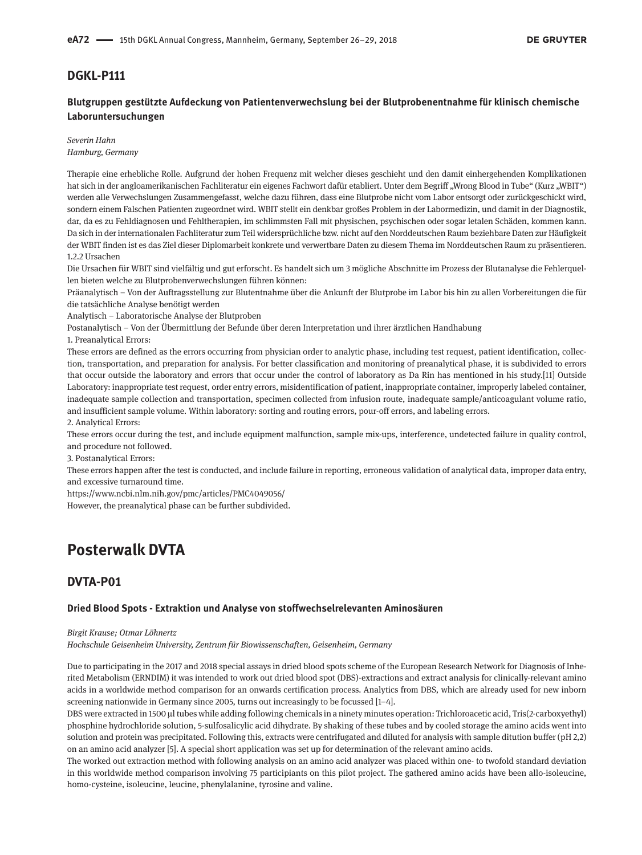### **Blutgruppen gestützte Aufdeckung von Patientenverwechslung bei der Blutprobenentnahme für klinisch chemische Laboruntersuchungen**

*Severin Hahn Hamburg, Germany*

Therapie eine erhebliche Rolle. Aufgrund der hohen Frequenz mit welcher dieses geschieht und den damit einhergehenden Komplikationen hat sich in der angloamerikanischen Fachliteratur ein eigenes Fachwort dafür etabliert. Unter dem Begriff "Wrong Blood in Tube" (Kurz "WBIT") werden alle Verwechslungen Zusammengefasst, welche dazu führen, dass eine Blutprobe nicht vom Labor entsorgt oder zurückgeschickt wird, sondern einem Falschen Patienten zugeordnet wird. WBIT stellt ein denkbar großes Problem in der Labormedizin, und damit in der Diagnostik, dar, da es zu Fehldiagnosen und Fehltherapien, im schlimmsten Fall mit physischen, psychischen oder sogar letalen Schäden, kommen kann. Da sich in der internationalen Fachliteratur zum Teil widersprüchliche bzw. nicht auf den Norddeutschen Raum beziehbare Daten zur Häufigkeit der WBIT finden ist es das Ziel dieser Diplomarbeit konkrete und verwertbare Daten zu diesem Thema im Norddeutschen Raum zu präsentieren. 1.2.2 Ursachen

Die Ursachen für WBIT sind vielfältig und gut erforscht. Es handelt sich um 3 mögliche Abschnitte im Prozess der Blutanalyse die Fehlerquellen bieten welche zu Blutprobenverwechslungen führen können:

Präanalytisch – Von der Auftragsstellung zur Blutentnahme über die Ankunft der Blutprobe im Labor bis hin zu allen Vorbereitungen die für die tatsächliche Analyse benötigt werden

Analytisch – Laboratorische Analyse der Blutproben

Postanalytisch – Von der Übermittlung der Befunde über deren Interpretation und ihrer ärztlichen Handhabung

1. Preanalytical Errors:

These errors are defined as the errors occurring from physician order to analytic phase, including test request, patient identification, collection, transportation, and preparation for analysis. For better classification and monitoring of preanalytical phase, it is subdivided to errors that occur outside the laboratory and errors that occur under the control of laboratory as Da Rin has mentioned in his study.[11] Outside Laboratory: inappropriate test request, order entry errors, misidentification of patient, inappropriate container, improperly labeled container, inadequate sample collection and transportation, specimen collected from infusion route, inadequate sample/anticoagulant volume ratio, and insufficient sample volume. Within laboratory: sorting and routing errors, pour-off errors, and labeling errors.

2. Analytical Errors:

These errors occur during the test, and include equipment malfunction, sample mix-ups, interference, undetected failure in quality control, and procedure not followed.

3. Postanalytical Errors:

These errors happen after the test is conducted, and include failure in reporting, erroneous validation of analytical data, improper data entry, and excessive turnaround time.

<https://www.ncbi.nlm.nih.gov/pmc/articles/PMC4049056/>

However, the preanalytical phase can be further subdivided.

# **Posterwalk DVTA**

# **DVTA-P01**

#### **Dried Blood Spots - Extraktion und Analyse von stoffwechselrelevanten Aminosäuren**

*Birgit Krause; Otmar Löhnertz*

*Hochschule Geisenheim University, Zentrum für Biowissenschaften, Geisenheim, Germany*

Due to participating in the 2017 and 2018 special assays in dried blood spots scheme of the European Research Network for Diagnosis of Inherited Metabolism (ERNDIM) it was intended to work out dried blood spot (DBS)-extractions and extract analysis for clinically-relevant amino acids in a worldwide method comparison for an onwards certification process. Analytics from DBS, which are already used for new inborn screening nationwide in Germany since 2005, turns out increasingly to be focussed [1–4].

DBS were extracted in 1500 µl tubes while adding following chemicals in a ninety minutes operation: Trichloroacetic acid, Tris(2-carboxyethyl) phosphine hydrochloride solution, 5-sulfosalicylic acid dihydrate. By shaking of these tubes and by cooled storage the amino acids went into solution and protein was precipitated. Following this, extracts were centrifugated and diluted for analysis with sample ditution buffer (pH 2,2) on an amino acid analyzer [5]. A special short application was set up for determination of the relevant amino acids.

The worked out extraction method with following analysis on an amino acid analyzer was placed within one- to twofold standard deviation in this worldwide method comparison involving 75 participiants on this pilot project. The gathered amino acids have been allo-isoleucine, homo-cysteine, isoleucine, leucine, phenylalanine, tyrosine and valine.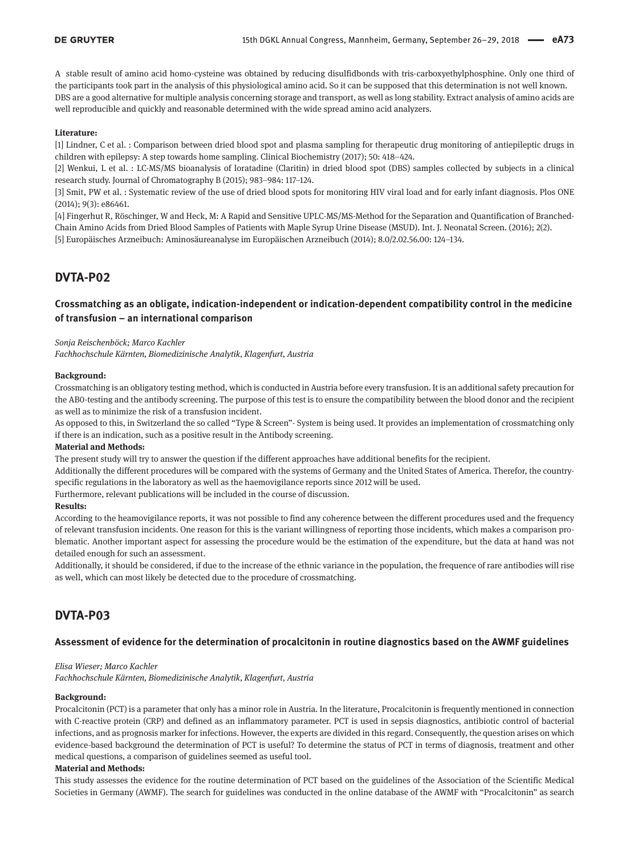A stable result of amino acid homo-cysteine was obtained by reducing disulfidbonds with tris-carboxyethylphosphine. Only one third of the participants took part in the analysis of this physiological amino acid. So it can be supposed that this determination is not well known. DBS are a good alternative for multiple analysis concerning storage and transport, as well as long stability. Extract analysis of amino acids are well reproducible and quickly and reasonable determined with the wide spread amino acid analyzers.

## **Literature:**

[1] Lindner, C et al. : Comparison between dried blood spot and plasma sampling for therapeutic drug monitoring of antiepileptic drugs in children with epilepsy: A step towards home sampling. Clinical Biochemistry (2017); 50: 418–424.

[2] Wenkui, L et al. : LC-MS/MS bioanalysis of loratadine (Claritin) in dried blood spot (DBS) samples collected by subjects in a clinical research study. Journal of Chromatography B (2015); 983–984: 117–124.

[3] Smit, PW et al. : Systematic review of the use of dried blood spots for monitoring HIV viral load and for early infant diagnosis. Plos ONE (2014); 9(3): e86461.

[4] Fingerhut R, Röschinger, W and Heck, M: A Rapid and Sensitive UPLC-MS/MS-Method for the Separation and Quantification of Branched-Chain Amino Acids from Dried Blood Samples of Patients with Maple Syrup Urine Disease (MSUD). Int. J. Neonatal Screen. (2016); 2(2). [5] Europäisches Arzneibuch: Aminosäureanalyse im Europäischen Arzneibuch (2014); 8.0/2.02.56.00: 124–134.

# **DVTA-P02**

## **Crossmatching as an obligate, indication-independent or indication-dependent compatibility control in the medicine of transfusion – an international comparison**

### *Sonja Reischenböck; Marco Kachler*

*Fachhochschule Kärnten, Biomedizinische Analytik, Klagenfurt, Austria*

### **Background:**

Crossmatching is an obligatory testing method, which is conducted in Austria before every transfusion. It is an additional safety precaution for the AB0-testing and the antibody screening. The purpose of this test is to ensure the compatibility between the blood donor and the recipient as well as to minimize the risk of a transfusion incident.

As opposed to this, in Switzerland the so called "Type & Screen"- System is being used. It provides an implementation of crossmatching only if there is an indication, such as a positive result in the Antibody screening.

#### **Material and Methods:**

The present study will try to answer the question if the different approaches have additional benefits for the recipient.

Additionally the different procedures will be compared with the systems of Germany and the United States of America. Therefor, the countryspecific regulations in the laboratory as well as the haemovigilance reports since 2012 will be used.

Furthermore, relevant publications will be included in the course of discussion.

## **Results:**

According to the heamovigilance reports, it was not possible to find any coherence between the different procedures used and the frequency of relevant transfusion incidents. One reason for this is the variant willingness of reporting those incidents, which makes a comparison problematic. Another important aspect for assessing the procedure would be the estimation of the expenditure, but the data at hand was not detailed enough for such an assessment.

Additionally, it should be considered, if due to the increase of the ethnic variance in the population, the frequence of rare antibodies will rise as well, which can most likely be detected due to the procedure of crossmatching.

# **DVTA-P03**

## **Assessment of evidence for the determination of procalcitonin in routine diagnostics based on the AWMF guidelines**

## *Elisa Wieser; Marco Kachler*

*Fachhochschule Kärnten, Biomedizinische Analytik, Klagenfurt, Austria*

## **Background:**

Procalcitonin (PCT) is a parameter that only has a minor role in Austria. In the literature, Procalcitonin is frequently mentioned in connection with C-reactive protein (CRP) and defined as an inflammatory parameter. PCT is used in sepsis diagnostics, antibiotic control of bacterial infections, and as prognosis marker for infections. However, the experts are divided in this regard. Consequently, the question arises on which evidence-based background the determination of PCT is useful? To determine the status of PCT in terms of diagnosis, treatment and other medical questions, a comparison of guidelines seemed as useful tool.

## **Material and Methods:**

This study assesses the evidence for the routine determination of PCT based on the guidelines of the Association of the Scientific Medical Societies in Germany (AWMF). The search for guidelines was conducted in the online database of the AWMF with "Procalcitonin" as search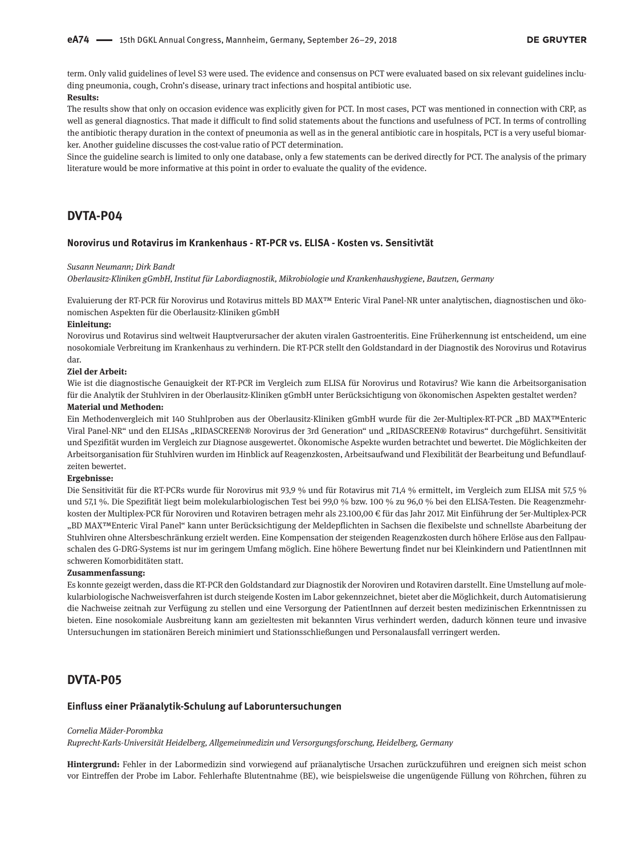term. Only valid guidelines of level S3 were used. The evidence and consensus on PCT were evaluated based on six relevant guidelines including pneumonia, cough, Crohn's disease, urinary tract infections and hospital antibiotic use. **Results:**

The results show that only on occasion evidence was explicitly given for PCT. In most cases, PCT was mentioned in connection with CRP, as well as general diagnostics. That made it difficult to find solid statements about the functions and usefulness of PCT. In terms of controlling the antibiotic therapy duration in the context of pneumonia as well as in the general antibiotic care in hospitals, PCT is a very useful biomarker. Another guideline discusses the cost-value ratio of PCT determination.

Since the guideline search is limited to only one database, only a few statements can be derived directly for PCT. The analysis of the primary literature would be more informative at this point in order to evaluate the quality of the evidence.

## **DVTA-P04**

### **Norovirus und Rotavirus im Krankenhaus - RT-PCR vs. ELISA - Kosten vs. Sensitivtät**

#### *Susann Neumann; Dirk Bandt*

*Oberlausitz-Kliniken gGmbH, Institut für Labordiagnostik, Mikrobiologie und Krankenhaushygiene, Bautzen, Germany*

Evaluierung der RT-PCR für Norovirus und Rotavirus mittels BD MAX™ Enteric Viral Panel-NR unter analytischen, diagnostischen und ökonomischen Aspekten für die Oberlausitz-Kliniken gGmbH

#### **Einleitung:**

Norovirus und Rotavirus sind weltweit Hauptverursacher der akuten viralen Gastroenteritis. Eine Früherkennung ist entscheidend, um eine nosokomiale Verbreitung im Krankenhaus zu verhindern. Die RT-PCR stellt den Goldstandard in der Diagnostik des Norovirus und Rotavirus dar.

#### **Ziel der Arbeit:**

Wie ist die diagnostische Genauigkeit der RT-PCR im Vergleich zum ELISA für Norovirus und Rotavirus? Wie kann die Arbeitsorganisation für die Analytik der Stuhlviren in der Oberlausitz-Kliniken gGmbH unter Berücksichtigung von ökonomischen Aspekten gestaltet werden?

#### **Material und Methoden:**

Ein Methodenvergleich mit 140 Stuhlproben aus der Oberlausitz-Kliniken gGmbH wurde für die 2er-Multiplex-RT-PCR "BD MAX™Enteric Viral Panel-NR" und den ELISAs "RIDASCREEN® Norovirus der 3rd Generation" und "RIDASCREEN® Rotavirus" durchgeführt. Sensitivität und Spezifität wurden im Vergleich zur Diagnose ausgewertet. Ökonomische Aspekte wurden betrachtet und bewertet. Die Möglichkeiten der Arbeitsorganisation für Stuhlviren wurden im Hinblick auf Reagenzkosten, Arbeitsaufwand und Flexibilität der Bearbeitung und Befundlaufzeiten bewertet.

#### **Ergebnisse:**

Die Sensitivität für die RT-PCRs wurde für Norovirus mit 93,9 % und für Rotavirus mit 71,4 % ermittelt, im Vergleich zum ELISA mit 57,5 % und 57,1 %. Die Spezifität liegt beim molekularbiologischen Test bei 99,0 % bzw. 100 % zu 96,0 % bei den ELISA-Testen. Die Reagenzmehrkosten der Multiplex-PCR für Noroviren und Rotaviren betragen mehr als 23.100,00 € für das Jahr 2017. Mit Einführung der 5er-Multiplex-PCR "BD MAX™Enteric Viral Panel" kann unter Berücksichtigung der Meldepflichten in Sachsen die flexibelste und schnellste Abarbeitung der Stuhlviren ohne Altersbeschränkung erzielt werden. Eine Kompensation der steigenden Reagenzkosten durch höhere Erlöse aus den Fallpauschalen des G-DRG-Systems ist nur im geringem Umfang möglich. Eine höhere Bewertung findet nur bei Kleinkindern und PatientInnen mit schweren Komorbiditäten statt.

#### **Zusammenfassung:**

Es konnte gezeigt werden, dass die RT-PCR den Goldstandard zur Diagnostik der Noroviren und Rotaviren darstellt. Eine Umstellung auf molekularbiologische Nachweisverfahren ist durch steigende Kosten im Labor gekennzeichnet, bietet aber die Möglichkeit, durch Automatisierung die Nachweise zeitnah zur Verfügung zu stellen und eine Versorgung der PatientInnen auf derzeit besten medizinischen Erkenntnissen zu bieten. Eine nosokomiale Ausbreitung kann am gezieltesten mit bekannten Virus verhindert werden, dadurch können teure und invasive Untersuchungen im stationären Bereich minimiert und Stationsschließungen und Personalausfall verringert werden.

## **DVTA-P05**

#### **Einfluss einer Präanalytik-Schulung auf Laboruntersuchungen**

#### *Cornelia Mäder-Porombka*

*Ruprecht-Karls-Universität Heidelberg, Allgemeinmedizin und Versorgungsforschung, Heidelberg, Germany*

**Hintergrund:** Fehler in der Labormedizin sind vorwiegend auf präanalytische Ursachen zurückzuführen und ereignen sich meist schon vor Eintreffen der Probe im Labor. Fehlerhafte Blutentnahme (BE), wie beispielsweise die ungenügende Füllung von Röhrchen, führen zu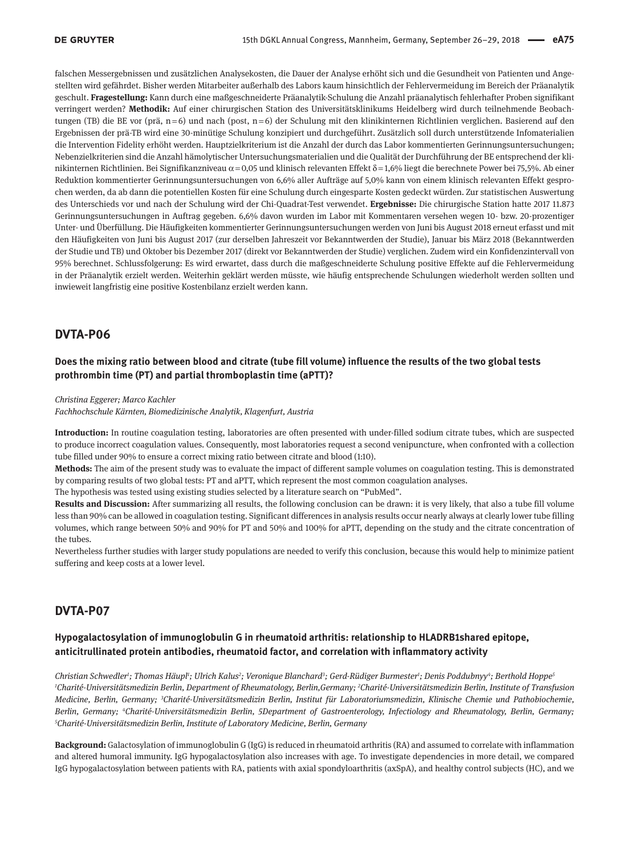falschen Messergebnissen und zusätzlichen Analysekosten, die Dauer der Analyse erhöht sich und die Gesundheit von Patienten und Angestellten wird gefährdet. Bisher werden Mitarbeiter außerhalb des Labors kaum hinsichtlich der Fehlervermeidung im Bereich der Präanalytik geschult. **Fragestellung:** Kann durch eine maßgeschneiderte Präanalytik-Schulung die Anzahl präanalytisch fehlerhafter Proben signifikant verringert werden? **Methodik:** Auf einer chirurgischen Station des Universitätsklinikums Heidelberg wird durch teilnehmende Beobachtungen (TB) die BE vor (prä, n = 6) und nach (post, n = 6) der Schulung mit den klinikinternen Richtlinien verglichen. Basierend auf den Ergebnissen der prä-TB wird eine 30-minütige Schulung konzipiert und durchgeführt. Zusätzlich soll durch unterstützende Infomaterialien die Intervention Fidelity erhöht werden. Hauptzielkriterium ist die Anzahl der durch das Labor kommentierten Gerinnungsuntersuchungen; Nebenzielkriterien sind die Anzahl hämolytischer Untersuchungsmaterialien und die Qualität der Durchführung der BE entsprechend der klinikinternen Richtlinien. Bei Signifikanzniveau α=0.05 und klinisch relevanten Effekt δ=1.6% liegt die berechnete Power bei 75.5%. Ab einer Reduktion kommentierter Gerinnungsuntersuchungen von 6,6% aller Aufträge auf 5,0% kann von einem klinisch relevanten Effekt gesprochen werden, da ab dann die potentiellen Kosten für eine Schulung durch eingesparte Kosten gedeckt würden. Zur statistischen Auswertung des Unterschieds vor und nach der Schulung wird der Chi-Quadrat-Test verwendet. **Ergebnisse:** Die chirurgische Station hatte 2017 11.873 Gerinnungsuntersuchungen in Auftrag gegeben. 6,6% davon wurden im Labor mit Kommentaren versehen wegen 10- bzw. 20-prozentiger Unter- und Überfüllung. Die Häufigkeiten kommentierter Gerinnungsuntersuchungen werden von Juni bis August 2018 erneut erfasst und mit den Häufigkeiten von Juni bis August 2017 (zur derselben Jahreszeit vor Bekanntwerden der Studie), Januar bis März 2018 (Bekanntwerden der Studie und TB) und Oktober bis Dezember 2017 (direkt vor Bekanntwerden der Studie) verglichen. Zudem wird ein Konfidenzintervall von 95% berechnet. Schlussfolgerung: Es wird erwartet, dass durch die maßgeschneiderte Schulung positive Effekte auf die Fehlervermeidung in der Präanalytik erzielt werden. Weiterhin geklärt werden müsste, wie häufig entsprechende Schulungen wiederholt werden sollten und inwieweit langfristig eine positive Kostenbilanz erzielt werden kann.

# **DVTA-P06**

## **Does the mixing ratio between blood and citrate (tube fill volume) influence the results of the two global tests prothrombin time (PT) and partial thromboplastin time (aPTT)?**

*Christina Eggerer; Marco Kachler*

*Fachhochschule Kärnten, Biomedizinische Analytik, Klagenfurt, Austria*

**Introduction:** In routine coagulation testing, laboratories are often presented with under-filled sodium citrate tubes, which are suspected to produce incorrect coagulation values. Consequently, most laboratories request a second venipuncture, when confronted with a collection tube filled under 90% to ensure a correct mixing ratio between citrate and blood (1:10).

**Methods:** The aim of the present study was to evaluate the impact of different sample volumes on coagulation testing. This is demonstrated by comparing results of two global tests: PT and aPTT, which represent the most common coagulation analyses.

The hypothesis was tested using existing studies selected by a literature search on "PubMed".

**Results and Discussion:** After summarizing all results, the following conclusion can be drawn: it is very likely, that also a tube fill volume less than 90% can be allowed in coagulation testing. Significant differences in analysis results occur nearly always at clearly lower tube filling volumes, which range between 50% and 90% for PT and 50% and 100% for aPTT, depending on the study and the citrate concentration of the tubes.

Nevertheless further studies with larger study populations are needed to verify this conclusion, because this would help to minimize patient suffering and keep costs at a lower level.

# **DVTA-P07**

## **Hypogalactosylation of immunoglobulin G in rheumatoid arthritis: relationship to HLADRB1shared epitope, anticitrullinated protein antibodies, rheumatoid factor, and correlation with inflammatory activity**

Christian Schwedler<sup>ı</sup>; Thomas Häupl<sup>ı</sup>; Ulrich Kalus<sup>2</sup>; Veronique Blanchard<sup>3</sup>; Gerd-Rüdiger Burmester<sup>ı</sup>; Denis Poddubnyy<sup>4</sup>; Berthold Hoppe<sup>5</sup> <sup>ı</sup>Charité-Universitätsmedizin Berlin, Department of Rheumatology, Berlin,Germany; <sup>2</sup>Charité-Universitätsmedizin Berlin, Institute of Transfusion *Medicine, Berlin, Germany; 3 Charité-Universitätsmedizin Berlin, Institut für Laboratoriumsmedizin, Klinische Chemie und Pathobiochemie,*  Berlin, Germany; <sup>4</sup>Charité-Universitätsmedizin Berlin, 5Department of Gastroenterology, Infectiology and Rheumatology, Berlin, Germany; *5 Charité-Universitätsmedizin Berlin, Institute of Laboratory Medicine, Berlin, Germany*

**Background:** Galactosylation of immunoglobulin G (IgG) is reduced in rheumatoid arthritis (RA) and assumed to correlate with inflammation and altered humoral immunity. IgG hypogalactosylation also increases with age. To investigate dependencies in more detail, we compared IgG hypogalactosylation between patients with RA, patients with axial spondyloarthritis (axSpA), and healthy control subjects (HC), and we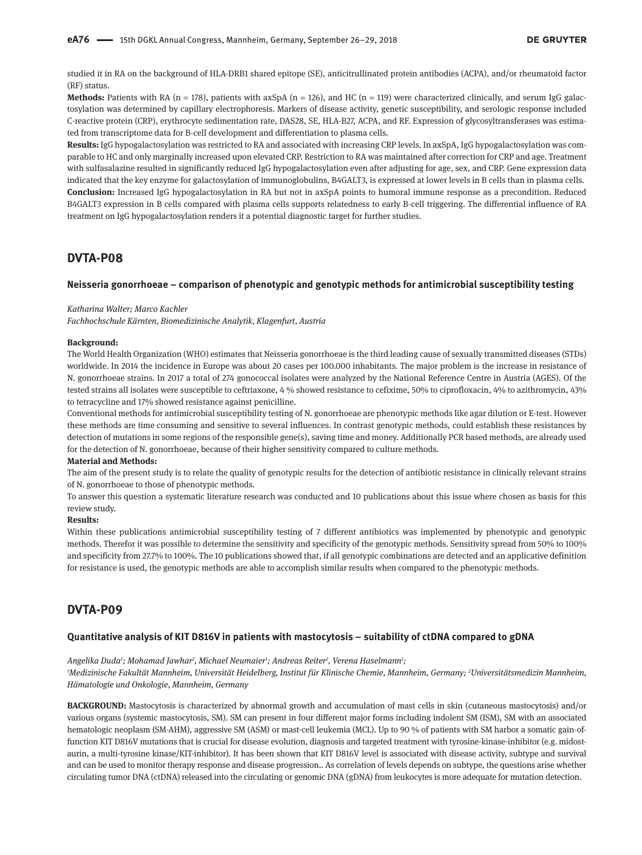studied it in RA on the background of HLA-DRB1 shared epitope (SE), anticitrullinated protein antibodies (ACPA), and/or rheumatoid factor (RF) status.

**Methods:** Patients with RA ( $n = 178$ ), patients with axSpA ( $n = 126$ ), and HC ( $n = 119$ ) were characterized clinically, and serum IgG galactosylation was determined by capillary electrophoresis. Markers of disease activity, genetic susceptibility, and serologic response included C-reactive protein (CRP), erythrocyte sedimentation rate, DAS28, SE, HLA-B27, ACPA, and RF. Expression of glycosyltransferases was estimated from transcriptome data for B-cell development and differentiation to plasma cells.

**Results:** IgG hypogalactosylation was restricted to RA and associated with increasing CRP levels. In axSpA, IgG hypogalactosylation was comparable to HC and only marginally increased upon elevated CRP. Restriction to RA was maintained after correction for CRP and age. Treatment with sulfasalazine resulted in significantly reduced IgG hypogalactosylation even after adjusting for age, sex, and CRP. Gene expression data indicated that the key enzyme for galactosylation of immunoglobulins, B4GALT3, is expressed at lower levels in B cells than in plasma cells. **Conclusion:** Increased IgG hypogalactosylation in RA but not in axSpA points to humoral immune response as a precondition. Reduced B4GALT3 expression in B cells compared with plasma cells supports relatedness to early B-cell triggering. The differential influence of RA treatment on IgG hypogalactosylation renders it a potential diagnostic target for further studies.

## **DVTA-P08**

### **Neisseria gonorrhoeae – comparison of phenotypic and genotypic methods for antimicrobial susceptibility testing**

#### *Katharina Walter; Marco Kachler*

*Fachhochschule Kärnten, Biomedizinische Analytik, Klagenfurt, Austria*

#### **Background:**

The World Health Organization (WHO) estimates that Neisseria gonorrhoeae is the third leading cause of sexually transmitted diseases (STDs) worldwide. In 2014 the incidence in Europe was about 20 cases per 100.000 inhabitants. The major problem is the increase in resistance of N. gonorrhoeae strains. In 2017 a total of 274 gonococcal isolates were analyzed by the National Reference Centre in Austria (AGES). Of the tested strains all isolates were susceptible to ceftriaxone, 4 % showed resistance to cefixime, 50% to ciprofloxacin, 4% to azithromycin, 43% to tetracycline and 17% showed resistance against penicilline.

Conventional methods for antimicrobial susceptibility testing of N. gonorrhoeae are phenotypic methods like agar dilution or E-test. However these methods are time consuming and sensitive to several influences. In contrast genotypic methods, could establish these resistances by detection of mutations in some regions of the responsible gene(s), saving time and money. Additionally PCR based methods, are already used for the detection of N. gonorrhoeae, because of their higher sensitivity compared to culture methods.

#### **Material and Methods:**

The aim of the present study is to relate the quality of genotypic results for the detection of antibiotic resistance in clinically relevant strains of N. gonorrhoeae to those of phenotypic methods.

To answer this question a systematic literature research was conducted and 10 publications about this issue where chosen as basis for this review study.

#### **Results:**

Within these publications antimicrobial susceptibility testing of 7 different antibiotics was implemented by phenotypic and genotypic methods. Therefor it was possible to determine the sensitivity and specificity of the genotypic methods. Sensitivity spread from 50% to 100% and specificity from 27.7% to 100%. The 10 publications showed that, if all genotypic combinations are detected and an applicative definition for resistance is used, the genotypic methods are able to accomplish similar results when compared to the phenotypic methods.

## **DVTA-P09**

#### **Quantitative analysis of KIT D816V in patients with mastocytosis – suitability of ctDNA compared to gDNA**

*Angelika Duda1 ; Mohamad Jawhar2 , Michael Neumaier1 ; Andreas Reiter2 , Verena Haselmann1 ;*

*1 Medizinische Fakultät Mannheim, Universität Heidelberg, Institut für Klinische Chemie, Mannheim, Germany; 2 Universitätsmedizin Mannheim, Hämatologie und Onkologie, Mannheim, Germany*

**BACKGROUND:** Mastocytosis is characterized by abnormal growth and accumulation of mast cells in skin (cutaneous mastocytosis) and/or various organs (systemic mastocytosis, SM). SM can present in four different major forms including indolent SM (ISM), SM with an associated hematologic neoplasm (SM-AHM), aggressive SM (ASM) or mast-cell leukemia (MCL). Up to 90 % of patients with SM harbor a somatic gain-offunction KIT D816V mutations that is crucial for disease evolution, diagnosis and targeted treatment with tyrosine-kinase-inhibitor (e.g. midostaurin, a multi-tyrosine kinase/KIT-inhibitor). It has been shown that KIT D816V level is associated with disease activity, subtype and survival and can be used to monitor therapy response and disease progression.. As correlation of levels depends on subtype, the questions arise whether circulating tumor DNA (ctDNA) released into the circulating or genomic DNA (gDNA) from leukocytes is more adequate for mutation detection.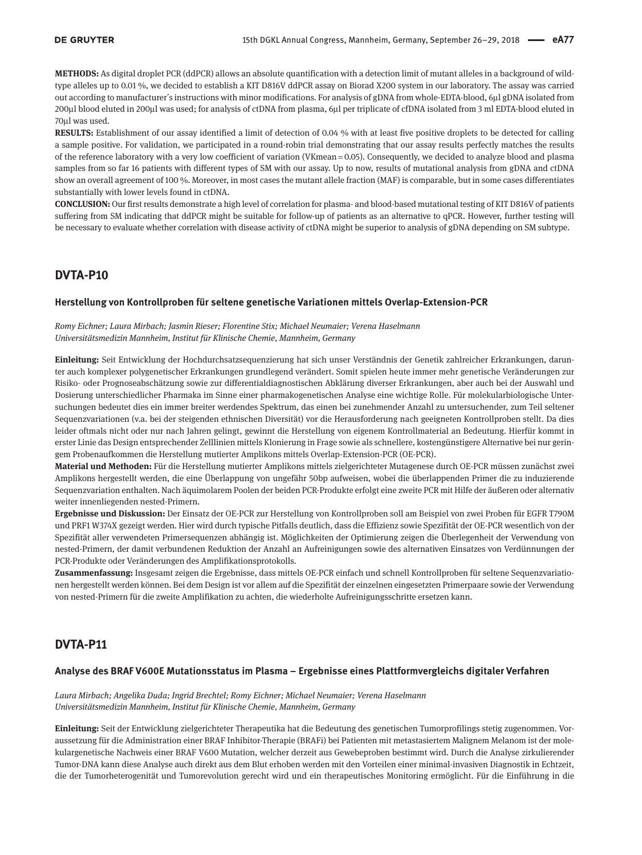**METHODS:** As digital droplet PCR (ddPCR) allows an absolute quantification with a detection limit of mutant alleles in a background of wildtype alleles up to 0.01 %, we decided to establish a KIT D816V ddPCR assay on Biorad X200 system in our laboratory. The assay was carried out according to manufacturer´s instructions with minor modifications. For analysis of gDNA from whole-EDTA-blood, 6μl gDNA isolated from 200μl blood eluted in 200μl was used; for analysis of ctDNA from plasma, 6μl per triplicate of cfDNA isolated from 3 ml EDTA-blood eluted in 70μl was used.

**RESULTS:** Establishment of our assay identified a limit of detection of 0.04 % with at least five positive droplets to be detected for calling a sample positive. For validation, we participated in a round-robin trial demonstrating that our assay results perfectly matches the results of the reference laboratory with a very low coefficient of variation (VKmean = 0.05). Consequently, we decided to analyze blood and plasma samples from so far 16 patients with different types of SM with our assay. Up to now, results of mutational analysis from gDNA and ctDNA show an overall agreement of 100 %. Moreover, in most cases the mutant allele fraction (MAF) is comparable, but in some cases differentiates substantially with lower levels found in ctDNA.

**CONCLUSION:** Our first results demonstrate a high level of correlation for plasma- and blood-based mutational testing of KIT D816V of patients suffering from SM indicating that ddPCR might be suitable for follow-up of patients as an alternative to qPCR. However, further testing will be necessary to evaluate whether correlation with disease activity of ctDNA might be superior to analysis of gDNA depending on SM subtype.

# **DVTA-P10**

## **Herstellung von Kontrollproben für seltene genetische Variationen mittels Overlap-Extension-PCR**

### *Romy Eichner; Laura Mirbach; Jasmin Rieser; Florentine Stix; Michael Neumaier; Verena Haselmann Universitätsmedizin Mannheim, Institut für Klinische Chemie, Mannheim, Germany*

**Einleitung:** Seit Entwicklung der Hochdurchsatzsequenzierung hat sich unser Verständnis der Genetik zahlreicher Erkrankungen, darunter auch komplexer polygenetischer Erkrankungen grundlegend verändert. Somit spielen heute immer mehr genetische Veränderungen zur Risiko- oder Prognoseabschätzung sowie zur differentialdiagnostischen Abklärung diverser Erkrankungen, aber auch bei der Auswahl und Dosierung unterschiedlicher Pharmaka im Sinne einer pharmakogenetischen Analyse eine wichtige Rolle. Für molekularbiologische Untersuchungen bedeutet dies ein immer breiter werdendes Spektrum, das einen bei zunehmender Anzahl zu untersuchender, zum Teil seltener Sequenzvariationen (v.a. bei der steigenden ethnischen Diversität) vor die Herausforderung nach geeigneten Kontrollproben stellt. Da dies leider oftmals nicht oder nur nach Jahren gelingt, gewinnt die Herstellung von eigenem Kontrollmaterial an Bedeutung. Hierfür kommt in erster Linie das Design entsprechender Zelllinien mittels Klonierung in Frage sowie als schnellere, kostengünstigere Alternative bei nur geringem Probenaufkommen die Herstellung mutierter Amplikons mittels Overlap-Extension-PCR (OE-PCR).

**Material und Methoden:** Für die Herstellung mutierter Amplikons mittels zielgerichteter Mutagenese durch OE-PCR müssen zunächst zwei Amplikons hergestellt werden, die eine Überlappung von ungefähr 50bp aufweisen, wobei die überlappenden Primer die zu induzierende Sequenzvariation enthalten. Nach äquimolarem Poolen der beiden PCR-Produkte erfolgt eine zweite PCR mit Hilfe der äußeren oder alternativ weiter innenliegenden nested-Primern.

**Ergebnisse und Diskussion:** Der Einsatz der OE-PCR zur Herstellung von Kontrollproben soll am Beispiel von zwei Proben für EGFR T790M und PRF1 W374X gezeigt werden. Hier wird durch typische Pitfalls deutlich, dass die Effizienz sowie Spezifität der OE-PCR wesentlich von der Spezifität aller verwendeten Primersequenzen abhängig ist. Möglichkeiten der Optimierung zeigen die Überlegenheit der Verwendung von nested-Primern, der damit verbundenen Reduktion der Anzahl an Aufreinigungen sowie des alternativen Einsatzes von Verdünnungen der PCR-Produkte oder Veränderungen des Amplifikationsprotokolls.

**Zusammenfassung:** Insgesamt zeigen die Ergebnisse, dass mittels OE-PCR einfach und schnell Kontrollproben für seltene Sequenzvariationen hergestellt werden können. Bei dem Design ist vor allem auf die Spezifität der einzelnen eingesetzten Primerpaare sowie der Verwendung von nested-Primern für die zweite Amplifikation zu achten, die wiederholte Aufreinigungsschritte ersetzen kann.

# **DVTA-P11**

## **Analyse des BRAF V600E Mutationsstatus im Plasma – Ergebnisse eines Plattformvergleichs digitaler Verfahren**

*Laura Mirbach; Angelika Duda; Ingrid Brechtel; Romy Eichner; Michael Neumaier; Verena Haselmann Universitätsmedizin Mannheim, Institut für Klinische Chemie, Mannheim, Germany*

**Einleitung:** Seit der Entwicklung zielgerichteter Therapeutika hat die Bedeutung des genetischen Tumorprofilings stetig zugenommen. Voraussetzung für die Administration einer BRAF Inhibitor-Therapie (BRAFi) bei Patienten mit metastasiertem Malignem Melanom ist der molekulargenetische Nachweis einer BRAF V600 Mutation, welcher derzeit aus Gewebeproben bestimmt wird. Durch die Analyse zirkulierender Tumor-DNA kann diese Analyse auch direkt aus dem Blut erhoben werden mit den Vorteilen einer minimal-invasiven Diagnostik in Echtzeit, die der Tumorheterogenität und Tumorevolution gerecht wird und ein therapeutisches Monitoring ermöglicht. Für die Einführung in die